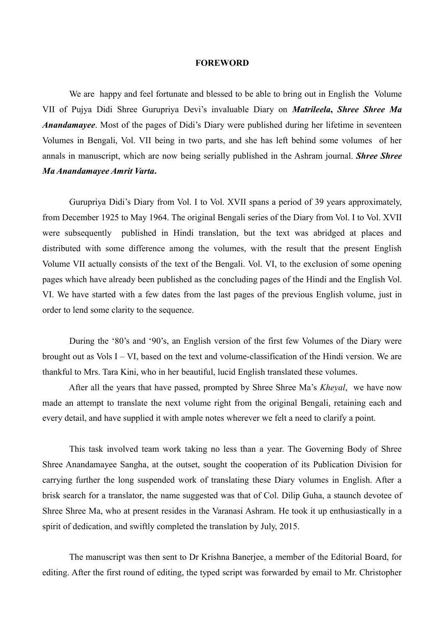#### **FOREWORD**

We are happy and feel fortunate and blessed to be able to bring out in English the Volume VII of Pujya Didi Shree Gurupriya Devi's invaluable Diary on *Matrileela***,** *Shree Shree Ma Anandamayee*. Most of the pages of Didi's Diary were published during her lifetime in seventeen Volumes in Bengali, Vol. VII being in two parts, and she has left behind some volumes of her annals in manuscript, which are now being serially published in the Ashram journal. *Shree Shree Ma Anandamayee Amrit Varta***.** 

Gurupriya Didi's Diary from Vol. I to Vol. XVII spans a period of 39 years approximately, from December 1925 to May 1964. The original Bengali series of the Diary from Vol. I to Vol. XVII were subsequently published in Hindi translation, but the text was abridged at places and distributed with some difference among the volumes, with the result that the present English Volume VII actually consists of the text of the Bengali. Vol. VI, to the exclusion of some opening pages which have already been published as the concluding pages of the Hindi and the English Vol. VI. We have started with a few dates from the last pages of the previous English volume, just in order to lend some clarity to the sequence.

During the '80's and '90's, an English version of the first few Volumes of the Diary were brought out as Vols I – VI, based on the text and volume-classification of the Hindi version. We are thankful to Mrs. Tara Kini, who in her beautiful, lucid English translated these volumes.

After all the years that have passed, prompted by Shree Shree Ma's *Kheyal*, we have now made an attempt to translate the next volume right from the original Bengali, retaining each and every detail, and have supplied it with ample notes wherever we felt a need to clarify a point.

This task involved team work taking no less than a year. The Governing Body of Shree Shree Anandamayee Sangha, at the outset, sought the cooperation of its Publication Division for carrying further the long suspended work of translating these Diary volumes in English. After a brisk search for a translator, the name suggested was that of Col. Dilip Guha, a staunch devotee of Shree Shree Ma, who at present resides in the Varanasi Ashram. He took it up enthusiastically in a spirit of dedication, and swiftly completed the translation by July, 2015.

The manuscript was then sent to Dr Krishna Banerjee, a member of the Editorial Board, for editing. After the first round of editing, the typed script was forwarded by email to Mr. Christopher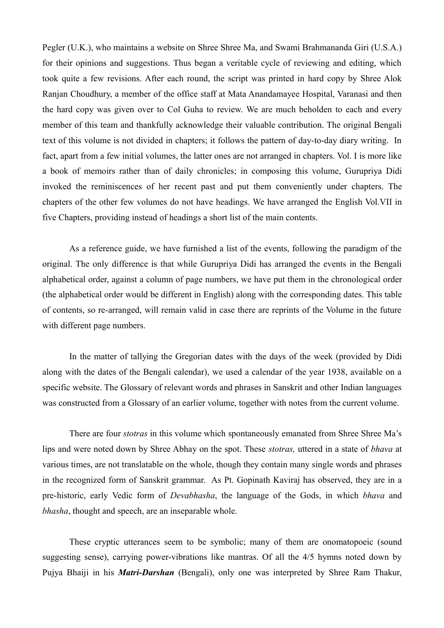Pegler (U.K.), who maintains a website on Shree Shree Ma, and Swami Brahmananda Giri (U.S.A.) for their opinions and suggestions. Thus began a veritable cycle of reviewing and editing, which took quite a few revisions. After each round, the script was printed in hard copy by Shree Alok Ranjan Choudhury, a member of the office staff at Mata Anandamayee Hospital, Varanasi and then the hard copy was given over to Col Guha to review. We are much beholden to each and every member of this team and thankfully acknowledge their valuable contribution. The original Bengali text of this volume is not divided in chapters; it follows the pattern of day-to-day diary writing. In fact, apart from a few initial volumes, the latter ones are not arranged in chapters. Vol. I is more like a book of memoirs rather than of daily chronicles; in composing this volume, Gurupriya Didi invoked the reminiscences of her recent past and put them conveniently under chapters. The chapters of the other few volumes do not have headings. We have arranged the English Vol.VII in five Chapters, providing instead of headings a short list of the main contents.

As a reference guide, we have furnished a list of the events, following the paradigm of the original. The only difference is that while Gurupriya Didi has arranged the events in the Bengali alphabetical order, against a column of page numbers, we have put them in the chronological order (the alphabetical order would be different in English) along with the corresponding dates. This table of contents, so re-arranged, will remain valid in case there are reprints of the Volume in the future with different page numbers.

In the matter of tallying the Gregorian dates with the days of the week (provided by Didi along with the dates of the Bengali calendar), we used a calendar of the year 1938, available on a specific website. The Glossary of relevant words and phrases in Sanskrit and other Indian languages was constructed from a Glossary of an earlier volume, together with notes from the current volume.

There are four *stotras* in this volume which spontaneously emanated from Shree Shree Ma's lips and were noted down by Shree Abhay on the spot. These *stotras,* uttered in a state of *bhava* at various times, are not translatable on the whole, though they contain many single words and phrases in the recognized form of Sanskrit grammar. As Pt. Gopinath Kaviraj has observed, they are in a pre-historic, early Vedic form of *Devabhasha*, the language of the Gods, in which *bhava* and *bhasha*, thought and speech, are an inseparable whole.

These cryptic utterances seem to be symbolic; many of them are onomatopoeic (sound suggesting sense), carrying power-vibrations like mantras. Of all the 4/5 hymns noted down by Pujya Bhaiji in his *Matri***-***Darshan* (Bengali), only one was interpreted by Shree Ram Thakur,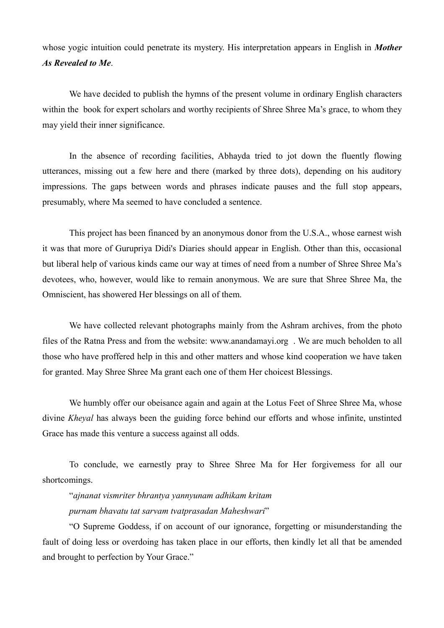whose yogic intuition could penetrate its mystery. His interpretation appears in English in *Mother As Revealed to Me*.

We have decided to publish the hymns of the present volume in ordinary English characters within the book for expert scholars and worthy recipients of Shree Shree Ma's grace, to whom they may yield their inner significance.

In the absence of recording facilities, Abhayda tried to jot down the fluently flowing utterances, missing out a few here and there (marked by three dots), depending on his auditory impressions. The gaps between words and phrases indicate pauses and the full stop appears, presumably, where Ma seemed to have concluded a sentence.

This project has been financed by an anonymous donor from the U.S.A., whose earnest wish it was that more of Gurupriya Didi's Diaries should appear in English. Other than this, occasional but liberal help of various kinds came our way at times of need from a number of Shree Shree Ma's devotees, who, however, would like to remain anonymous. We are sure that Shree Shree Ma, the Omniscient, has showered Her blessings on all of them.

We have collected relevant photographs mainly from the Ashram archives, from the photo files of the Ratna Press and from the website: www.anandamayi.org . We are much beholden to all those who have proffered help in this and other matters and whose kind cooperation we have taken for granted. May Shree Shree Ma grant each one of them Her choicest Blessings.

We humbly offer our obeisance again and again at the Lotus Feet of Shree Shree Ma, whose divine *Kheyal* has always been the guiding force behind our efforts and whose infinite, unstinted Grace has made this venture a success against all odds.

To conclude, we earnestly pray to Shree Shree Ma for Her forgivemess for all our shortcomings.

"*ajnanat vismriter bhrantya yannyunam adhikam kritam purnam bhavatu tat sarvam tvatprasadan Maheshwari*"

"O Supreme Goddess, if on account of our ignorance, forgetting or misunderstanding the fault of doing less or overdoing has taken place in our efforts, then kindly let all that be amended and brought to perfection by Your Grace."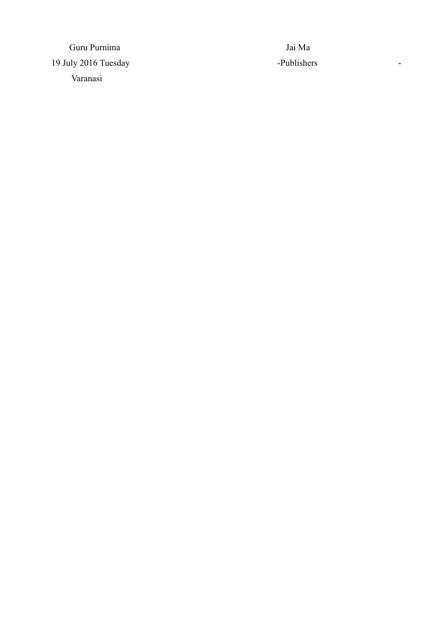Guru Purnima Jai Ma 19 July 2016 Tuesday **-Publishers** -Varanasi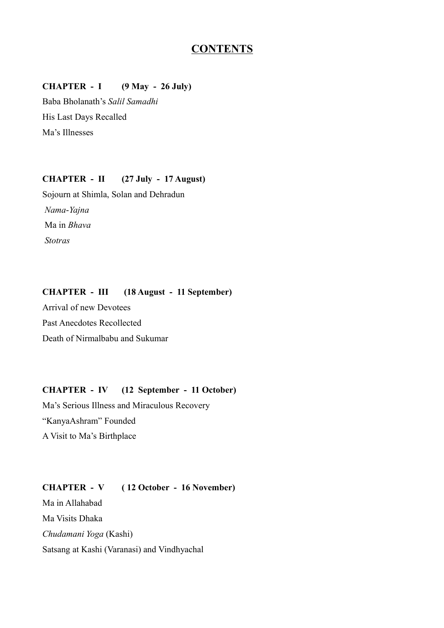## **CONTENTS**

## **CHAPTER - I (9 May - 26 July)**

Baba Bholanath's *Salil Samadhi* His Last Days Recalled Ma's Illnesses

## **CHAPTER - II (27 July - 17 August)**

Sojourn at Shimla, Solan and Dehradun *Nama*-*Yajna* Ma in *Bhava Stotras*

## **CHAPTER - III (18 August - 11 September)**

Arrival of new Devotees Past Anecdotes Recollected Death of Nirmalbabu and Sukumar

## **CHAPTER - IV (12 September - 11 October)**

Ma's Serious Illness and Miraculous Recovery "KanyaAshram" Founded A Visit to Ma's Birthplace

## **CHAPTER - V ( 12 October - 16 November)**

Ma in Allahabad Ma Visits Dhaka *Chudamani Yoga* (Kashi) Satsang at Kashi (Varanasi) and Vindhyachal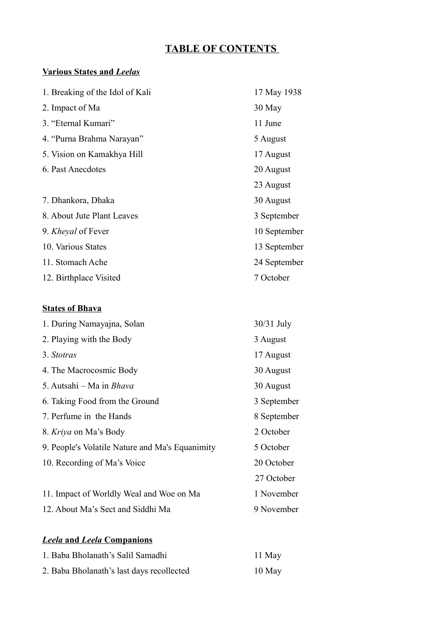# **TABLE OF CONTENTS**

## **Various States and** *Leelas*

| 1. Breaking of the Idol of Kali | 17 May 1938  |
|---------------------------------|--------------|
| 2. Impact of Ma                 | 30 May       |
| 3. "Eternal Kumari"             | 11 June      |
| 4. "Purna Brahma Narayan"       | 5 August     |
| 5. Vision on Kamakhya Hill      | 17 August    |
| 6. Past Anecdotes               | 20 August    |
|                                 | 23 August    |
| 7. Dhankora, Dhaka              | 30 August    |
| 8. About Jute Plant Leaves      | 3 September  |
| 9. <i>Kheyal</i> of Fever       | 10 September |
| 10. Various States              | 13 September |
| 11. Stomach Ache                | 24 September |
| 12. Birthplace Visited          | 7 October    |
|                                 |              |

## **States of Bhava**

| 1. During Namayajna, Solan                      | $30/31$ July |
|-------------------------------------------------|--------------|
| 2. Playing with the Body                        | 3 August     |
| 3. Stotras                                      | 17 August    |
| 4. The Macrocosmic Body                         | 30 August    |
| 5. Autsahi – Ma in Bhava                        | 30 August    |
| 6. Taking Food from the Ground                  | 3 September  |
| 7. Perfume in the Hands                         | 8 September  |
| 8. Kriya on Ma's Body                           | 2 October    |
| 9. People's Volatile Nature and Ma's Equanimity | 5 October    |
| 10. Recording of Ma's Voice                     | 20 October   |
|                                                 | 27 October   |
| 11. Impact of Worldly Weal and Woe on Ma        | 1 November   |
| 12. About Ma's Sect and Siddhi Ma               | 9 November   |

# *Leela* **and** *Leela* **Companions**

| 1. Baba Bholanath's Salil Samadhi         | 11 May   |
|-------------------------------------------|----------|
| 2. Baba Bholanath's last days recollected | $10$ May |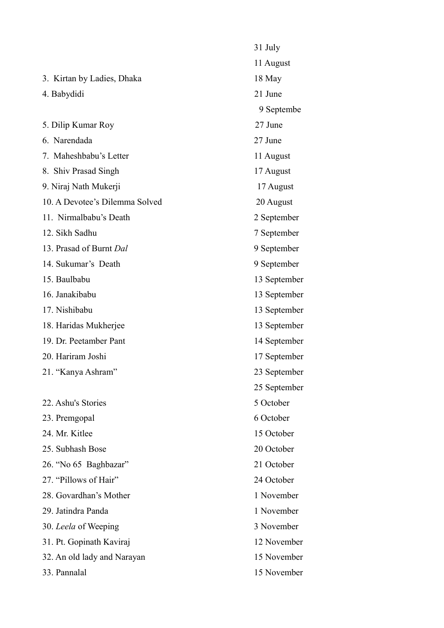| 31 July      |
|--------------|
| 11 August    |
| 18 May       |
| 21 June      |
| 9 Septembe   |
| 27 June      |
| 27 June      |
| 11 August    |
| 17 August    |
| 17 August    |
| 20 August    |
| 2 September  |
| 7 September  |
| 9 September  |
| 9 September  |
| 13 September |
| 13 September |
| 13 September |
| 13 September |
| 14 September |
| 17 September |
| 23 September |
| 25 September |
| 5 October    |
| 6 October    |
| 15 October   |
| 20 October   |
| 21 October   |
| 24 October   |
| 1 November   |
| 1 November   |
| 3 November   |
| 12 November  |
| 15 November  |
| 15 November  |
|              |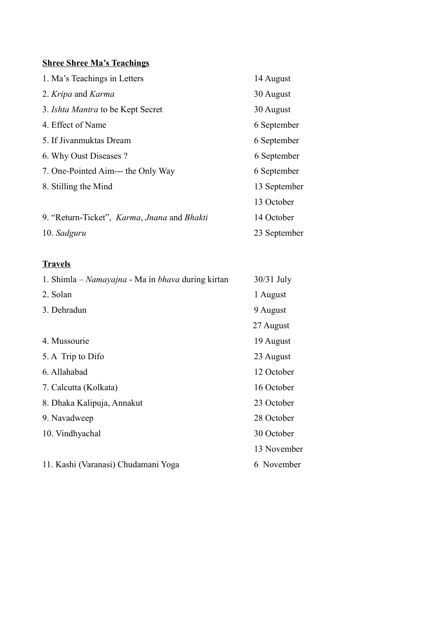## **Shree Shree Ma's Teachings**

| 1. Ma's Teachings in Letters                | 14 August    |
|---------------------------------------------|--------------|
| 2. Kripa and Karma                          | 30 August    |
| 3. <i>Ishta Mantra</i> to be Kept Secret    | 30 August    |
| 4. Effect of Name                           | 6 September  |
| 5. If Jivanmuktas Dream                     | 6 September  |
| 6. Why Oust Diseases ?                      | 6 September  |
| 7. One-Pointed Aim--- the Only Way          | 6 September  |
| 8. Stilling the Mind                        | 13 September |
|                                             | 13 October   |
| 9. "Return-Ticket", Karma, Jnana and Bhakti | 14 October   |
| 10. Sadguru                                 | 23 September |

## **Travels**

| 1. Shimla – Namayajna - Ma in bhava during kirtan | $30/31$ July |
|---------------------------------------------------|--------------|
| 2. Solan                                          | 1 August     |
| 3. Dehradun                                       | 9 August     |
|                                                   | 27 August    |
| 4. Mussourie                                      | 19 August    |
| 5. A Trip to Difo                                 | 23 August    |
| 6. Allahabad                                      | 12 October   |
| 7. Calcutta (Kolkata)                             | 16 October   |
| 8. Dhaka Kalipuja, Annakut                        | 23 October   |
| 9. Navadweep                                      | 28 October   |
| 10. Vindhyachal                                   | 30 October   |
|                                                   | 13 November  |
| 11. Kashi (Varanasi) Chudamani Yoga               | 6 November   |
|                                                   |              |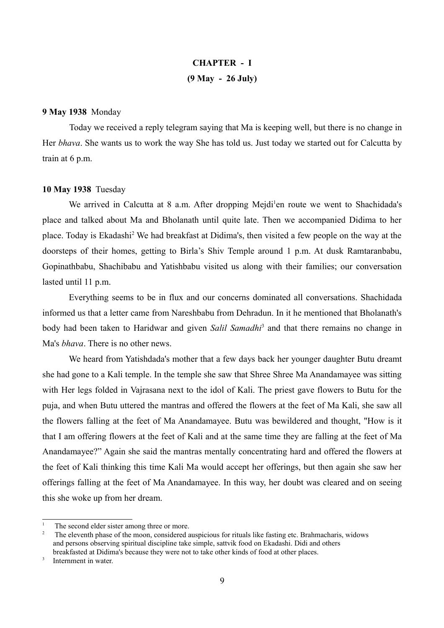# **CHAPTER - I (9 May - 26 July)**

## **9 May 1938** Monday

Today we received a reply telegram saying that Ma is keeping well, but there is no change in Her *bhava*. She wants us to work the way She has told us. Just today we started out for Calcutta by train at 6 p.m.

#### **10 May 1938** Tuesday

We arrived in Calcutta at 8 a.m. After dropping Mejdi<sup>[1](#page-8-0)</sup>en route we went to Shachidada's place and talked about Ma and Bholanath until quite late. Then we accompanied Didima to her place. Today is Ekadashi<sup>[2](#page-8-1)</sup> We had breakfast at Didima's, then visited a few people on the way at the doorsteps of their homes, getting to Birla's Shiv Temple around 1 p.m. At dusk Ramtaranbabu, Gopinathbabu, Shachibabu and Yatishbabu visited us along with their families; our conversation lasted until 11 p.m.

Everything seems to be in flux and our concerns dominated all conversations. Shachidada informed us that a letter came from Nareshbabu from Dehradun. In it he mentioned that Bholanath's body had been taken to Haridwar and given *Salil Samadhi*[3](#page-8-2) and that there remains no change in Ma's *bhava*. There is no other news.

We heard from Yatishdada's mother that a few days back her younger daughter Butu dreamt she had gone to a Kali temple. In the temple she saw that Shree Shree Ma Anandamayee was sitting with Her legs folded in Vajrasana next to the idol of Kali. The priest gave flowers to Butu for the puja, and when Butu uttered the mantras and offered the flowers at the feet of Ma Kali, she saw all the flowers falling at the feet of Ma Anandamayee. Butu was bewildered and thought, "How is it that I am offering flowers at the feet of Kali and at the same time they are falling at the feet of Ma Anandamayee?" Again she said the mantras mentally concentrating hard and offered the flowers at the feet of Kali thinking this time Kali Ma would accept her offerings, but then again she saw her offerings falling at the feet of Ma Anandamayee. In this way, her doubt was cleared and on seeing this she woke up from her dream.

<span id="page-8-0"></span><sup>1</sup> The second elder sister among three or more.

<span id="page-8-1"></span><sup>2</sup> The eleventh phase of the moon, considered auspicious for rituals like fasting etc. Brahmacharis, widows and persons observing spiritual discipline take simple, sattvik food on Ekadashi. Didi and others breakfasted at Didima's because they were not to take other kinds of food at other places.

<span id="page-8-2"></span><sup>3</sup> Internment in water.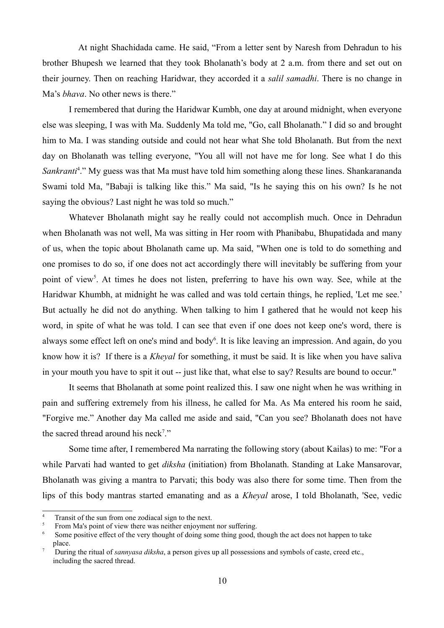At night Shachidada came. He said, "From a letter sent by Naresh from Dehradun to his brother Bhupesh we learned that they took Bholanath's body at 2 a.m. from there and set out on their journey. Then on reaching Haridwar, they accorded it a *salil samadhi*. There is no change in Ma's *bhava*. No other news is there."

I remembered that during the Haridwar Kumbh, one day at around midnight, when everyone else was sleeping, I was with Ma. Suddenly Ma told me, "Go, call Bholanath." I did so and brought him to Ma. I was standing outside and could not hear what She told Bholanath. But from the next day on Bholanath was telling everyone, "You all will not have me for long. See what I do this Sankranti<sup>[4](#page-9-0)</sup>." My guess was that Ma must have told him something along these lines. Shankarananda Swami told Ma, "Babaji is talking like this." Ma said, "Is he saying this on his own? Is he not saying the obvious? Last night he was told so much."

Whatever Bholanath might say he really could not accomplish much. Once in Dehradun when Bholanath was not well, Ma was sitting in Her room with Phanibabu, Bhupatidada and many of us, when the topic about Bholanath came up. Ma said, "When one is told to do something and one promises to do so, if one does not act accordingly there will inevitably be suffering from your point of view<sup>[5](#page-9-1)</sup>. At times he does not listen, preferring to have his own way. See, while at the Haridwar Khumbh, at midnight he was called and was told certain things, he replied, 'Let me see.' But actually he did not do anything. When talking to him I gathered that he would not keep his word, in spite of what he was told. I can see that even if one does not keep one's word, there is always some effect left on one's mind and body<sup>[6](#page-9-2)</sup>. It is like leaving an impression. And again, do you know how it is? If there is a *Kheyal* for something, it must be said. It is like when you have saliva in your mouth you have to spit it out -- just like that, what else to say? Results are bound to occur."

It seems that Bholanath at some point realized this. I saw one night when he was writhing in pain and suffering extremely from his illness, he called for Ma. As Ma entered his room he said, "Forgive me." Another day Ma called me aside and said, "Can you see? Bholanath does not have the sacred thread around his neck<sup>[7](#page-9-3)</sup>."

Some time after, I remembered Ma narrating the following story (about Kailas) to me: "For a while Parvati had wanted to get *diksha* (initiation) from Bholanath. Standing at Lake Mansarovar, Bholanath was giving a mantra to Parvati; this body was also there for some time. Then from the lips of this body mantras started emanating and as a *Kheyal* arose, I told Bholanath, 'See, vedic

<span id="page-9-0"></span><sup>4</sup> Transit of the sun from one zodiacal sign to the next.

<span id="page-9-1"></span><sup>5</sup> From Ma's point of view there was neither enjoyment nor suffering.

<span id="page-9-2"></span><sup>6</sup> Some positive effect of the very thought of doing some thing good, though the act does not happen to take place.

<span id="page-9-3"></span><sup>7</sup> During the ritual of *sannyasa diksha*, a person gives up all possessions and symbols of caste, creed etc., including the sacred thread.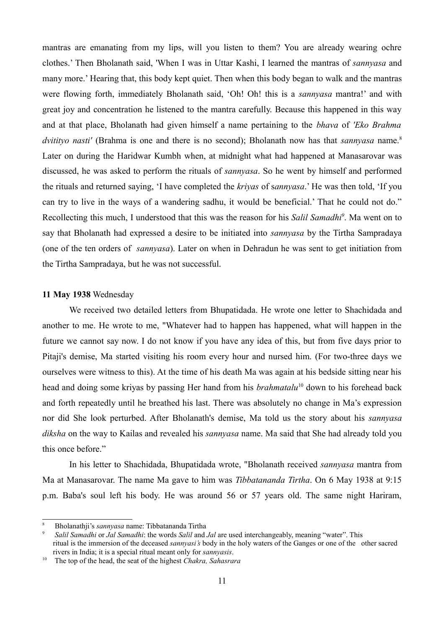mantras are emanating from my lips, will you listen to them? You are already wearing ochre clothes.' Then Bholanath said, 'When I was in Uttar Kashi, I learned the mantras of *sannyasa* and many more.' Hearing that, this body kept quiet. Then when this body began to walk and the mantras were flowing forth, immediately Bholanath said, 'Oh! Oh! this is a *sannyasa* mantra!' and with great joy and concentration he listened to the mantra carefully. Because this happened in this way and at that place, Bholanath had given himself a name pertaining to the *bhava* of *'Eko Brahma dvitityo nasti'* (Brahma is one and there is no second); Bholanath now has that *sannyasa* name.<sup>[8](#page-10-0)</sup> Later on during the Haridwar Kumbh when, at midnight what had happened at Manasarovar was discussed, he was asked to perform the rituals of *sannyasa*. So he went by himself and performed the rituals and returned saying, 'I have completed the *kriyas* of s*annyasa*.' He was then told, 'If you can try to live in the ways of a wandering sadhu, it would be beneficial.' That he could not do." Recollecting this much, I understood that this was the reason for his *Salil Samadhi[9](#page-10-1)* . Ma went on to say that Bholanath had expressed a desire to be initiated into *sannyasa* by the Tirtha Sampradaya (one of the ten orders of *sannyasa*). Later on when in Dehradun he was sent to get initiation from the Tirtha Sampradaya, but he was not successful.

#### **11 May 1938** Wednesday

We received two detailed letters from Bhupatidada. He wrote one letter to Shachidada and another to me. He wrote to me, "Whatever had to happen has happened, what will happen in the future we cannot say now. I do not know if you have any idea of this, but from five days prior to Pitaji's demise, Ma started visiting his room every hour and nursed him. (For two-three days we ourselves were witness to this). At the time of his death Ma was again at his bedside sitting near his head and doing some kriyas by passing Her hand from his *brahmatalu*[10](#page-10-2) down to his forehead back and forth repeatedly until he breathed his last. There was absolutely no change in Ma's expression nor did She look perturbed. After Bholanath's demise, Ma told us the story about his *sannyasa diksha* on the way to Kailas and revealed his *sannyasa* name. Ma said that She had already told you this once before."

In his letter to Shachidada, Bhupatidada wrote, "Bholanath received *sannyasa* mantra from Ma at Manasarovar. The name Ma gave to him was *Tibbatananda Tirtha*. On 6 May 1938 at 9:15 p.m. Baba's soul left his body. He was around 56 or 57 years old. The same night Hariram,

<span id="page-10-0"></span><sup>8</sup> Bholanathji's *sannyasa* name: Tibbatananda Tirtha

<span id="page-10-1"></span><sup>9</sup> *Salil Samadhi* or *Jal Samadhi*: the words *Salil* and *Jal* are used interchangeably, meaning "water". This ritual is the immersion of the deceased *sannyasi's* body in the holy waters of the Ganges or one of the other sacred rivers in India; it is a special ritual meant only for *sannyasis*.

<span id="page-10-2"></span><sup>10</sup> The top of the head, the seat of the highest *Chakra, Sahasrara*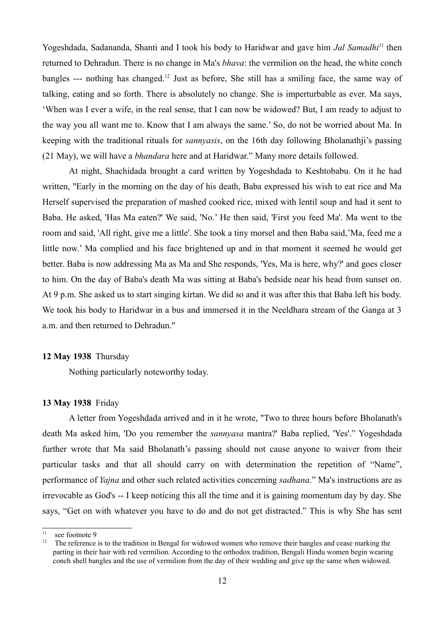Yogeshdada, Sadananda, Shanti and I took his body to Haridwar and gave him *Jal Samadhi[11](#page-11-0)* then returned to Dehradun. There is no change in Ma's *bhava*: the vermilion on the head, the white conch bangles --- nothing has changed.<sup>[12](#page-11-1)</sup> Just as before. She still has a smiling face, the same way of talking, eating and so forth. There is absolutely no change. She is imperturbable as ever. Ma says, 'When was I ever a wife, in the real sense, that I can now be widowed? But, I am ready to adjust to the way you all want me to. Know that I am always the same.' So, do not be worried about Ma. In keeping with the traditional rituals for *sannyasis*, on the 16th day following Bholanathji's passing (21 May), we will have a *bhandara* here and at Haridwar." Many more details followed.

At night, Shachidada brought a card written by Yogeshdada to Keshtobabu. On it he had written, "Early in the morning on the day of his death, Baba expressed his wish to eat rice and Ma Herself supervised the preparation of mashed cooked rice, mixed with lentil soup and had it sent to Baba. He asked, 'Has Ma eaten?' We said, 'No.' He then said, 'First you feed Ma'. Ma went to the room and said, 'All right, give me a little'. She took a tiny morsel and then Baba said,'Ma, feed me a little now.' Ma complied and his face brightened up and in that moment it seemed he would get better. Baba is now addressing Ma as Ma and She responds, 'Yes, Ma is here, why?' and goes closer to him. On the day of Baba's death Ma was sitting at Baba's bedside near his head from sunset on. At 9 p.m. She asked us to start singing kirtan. We did so and it was after this that Baba left his body. We took his body to Haridwar in a bus and immersed it in the Neeldhara stream of the Ganga at 3 a.m. and then returned to Dehradun."

## **12 May 1938** Thursday

Nothing particularly noteworthy today.

### **13 May 1938** Friday

A letter from Yogeshdada arrived and in it he wrote, "Two to three hours before Bholanath's death Ma asked him, 'Do you remember the *sannyasa* mantra?' Baba replied, 'Yes'." Yogeshdada further wrote that Ma said Bholanath's passing should not cause anyone to waiver from their particular tasks and that all should carry on with determination the repetition of "Name", performance of *Yajna* and other such related activities concerning *sadhana*." Ma's instructions are as irrevocable as God's -- I keep noticing this all the time and it is gaining momentum day by day. She says, "Get on with whatever you have to do and do not get distracted." This is why She has sent

<span id="page-11-0"></span><sup>&</sup>lt;sup>11</sup> see footnote 9<br><sup>12</sup> The reference

<span id="page-11-1"></span><sup>12</sup> The reference is to the tradition in Bengal for widowed women who remove their bangles and cease marking the parting in their hair with red vermilion. According to the orthodox tradition, Bengali Hindu women begin wearing conch shell bangles and the use of vermilion from the day of their wedding and give up the same when widowed.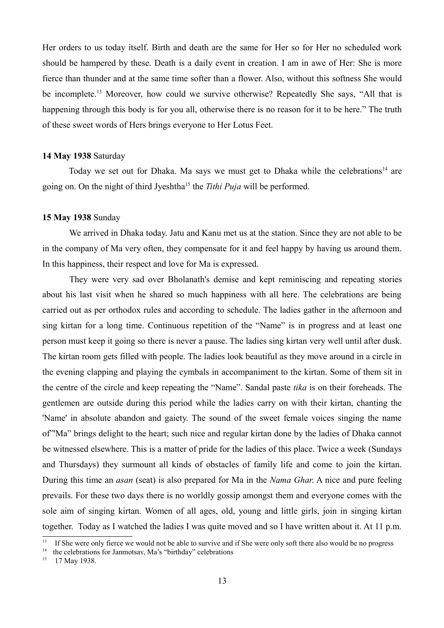Her orders to us today itself. Birth and death are the same for Her so for Her no scheduled work should be hampered by these. Death is a daily event in creation. I am in awe of Her: She is more fierce than thunder and at the same time softer than a flower. Also, without this softness She would be incomplete.<sup>[13](#page-12-0)</sup> Moreover, how could we survive otherwise? Repeatedly She says, "All that is happening through this body is for you all, otherwise there is no reason for it to be here." The truth of these sweet words of Hers brings everyone to Her Lotus Feet.

#### **14 May 1938** Saturday

Today we set out for Dhaka. Ma says we must get to Dhaka while the celebrations<sup>[14](#page-12-1)</sup> are going on. On the night of third Jyeshtha[15](#page-12-2) the *Tithi Puja* will be performed.

#### **15 May 1938** Sunday

We arrived in Dhaka today. Jatu and Kanu met us at the station. Since they are not able to be in the company of Ma very often, they compensate for it and feel happy by having us around them. In this happiness, their respect and love for Ma is expressed.

They were very sad over Bholanath's demise and kept reminiscing and repeating stories about his last visit when he shared so much happiness with all here. The celebrations are being carried out as per orthodox rules and according to schedule. The ladies gather in the afternoon and sing kirtan for a long time. Continuous repetition of the "Name" is in progress and at least one person must keep it going so there is never a pause. The ladies sing kirtan very well until after dusk. The kirtan room gets filled with people. The ladies look beautiful as they move around in a circle in the evening clapping and playing the cymbals in accompaniment to the kirtan. Some of them sit in the centre of the circle and keep repeating the "Name". Sandal paste *tika* is on their foreheads. The gentlemen are outside during this period while the ladies carry on with their kirtan, chanting the 'Name' in absolute abandon and gaiety. The sound of the sweet female voices singing the name of"'Ma" brings delight to the heart; such nice and regular kirtan done by the ladies of Dhaka cannot be witnessed elsewhere. This is a matter of pride for the ladies of this place. Twice a week (Sundays and Thursdays) they surmount all kinds of obstacles of family life and come to join the kirtan. During this time an *asan* (seat) is also prepared for Ma in the *Nama Ghar*. A nice and pure feeling prevails. For these two days there is no worldly gossip amongst them and everyone comes with the sole aim of singing kirtan. Women of all ages, old, young and little girls, join in singing kirtan together. Today as I watched the ladies I was quite moved and so I have written about it. At 11 p.m.

<span id="page-12-0"></span><sup>&</sup>lt;sup>13</sup> If She were only fierce we would not be able to survive and if She were only soft there also would be no progress

<span id="page-12-1"></span><sup>&</sup>lt;sup>14</sup> the celebrations for Janmotsav, Ma's "birthday" celebrations

<span id="page-12-2"></span><sup>&</sup>lt;sup>15</sup> 17 May 1938.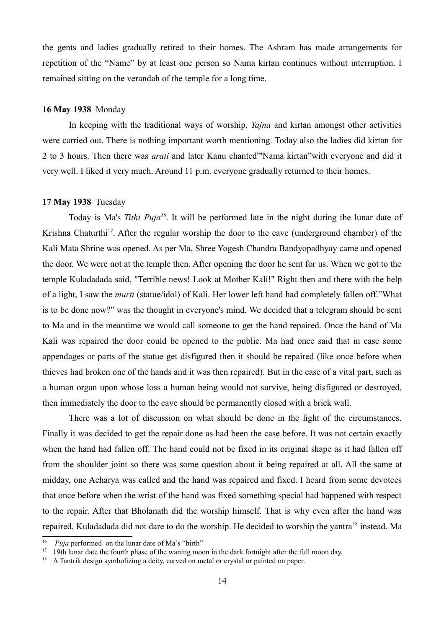the gents and ladies gradually retired to their homes. The Ashram has made arrangements for repetition of the "Name" by at least one person so Nama kirtan continues without interruption. I remained sitting on the verandah of the temple for a long time.

## **16 May 1938** Monday

In keeping with the traditional ways of worship, *Yajna* and kirtan amongst other activities were carried out. There is nothing important worth mentioning. Today also the ladies did kirtan for 2 to 3 hours. Then there was *arati* and later Kanu chanted"'Nama kirtan"with everyone and did it very well. I liked it very much. Around 11 p.m. everyone gradually returned to their homes.

## **17 May 1938** Tuesday

Today is Ma's *Tithi Puja[16](#page-13-0)*. It will be performed late in the night during the lunar date of Krishna Chaturthi<sup>[17](#page-13-1)</sup>. After the regular worship the door to the cave (underground chamber) of the Kali Mata Shrine was opened. As per Ma, Shree Yogesh Chandra Bandyopadhyay came and opened the door. We were not at the temple then. After opening the door he sent for us. When we got to the temple Kuladadada said, "Terrible news! Look at Mother Kali!" Right then and there with the help of a light, I saw the *murti* (statue/idol) of Kali. Her lower left hand had completely fallen off."What is to be done now?" was the thought in everyone's mind. We decided that a telegram should be sent to Ma and in the meantime we would call someone to get the hand repaired. Once the hand of Ma Kali was repaired the door could be opened to the public. Ma had once said that in case some appendages or parts of the statue get disfigured then it should be repaired (like once before when thieves had broken one of the hands and it was then repaired). But in the case of a vital part, such as a human organ upon whose loss a human being would not survive, being disfigured or destroyed, then immediately the door to the cave should be permanently closed with a brick wall.

There was a lot of discussion on what should be done in the light of the circumstances. Finally it was decided to get the repair done as had been the case before. It was not certain exactly when the hand had fallen off. The hand could not be fixed in its original shape as it had fallen off from the shoulder joint so there was some question about it being repaired at all. All the same at midday, one Acharya was called and the hand was repaired and fixed. I heard from some devotees that once before when the wrist of the hand was fixed something special had happened with respect to the repair. After that Bholanath did the worship himself. That is why even after the hand was repaired, Kuladadada did not dare to do the worship. He decided to worship the yantra<sup>[18](#page-13-2)</sup> instead. Ma

<span id="page-13-0"></span><sup>&</sup>lt;sup>16</sup> *Puja* performed on the lunar date of Ma's "birth"

<span id="page-13-1"></span><sup>&</sup>lt;sup>17</sup> 19th lunar date the fourth phase of the waning moon in the dark fortnight after the full moon day.

<span id="page-13-2"></span><sup>&</sup>lt;sup>18</sup> A Tantrik design symbolizing a deity, carved on metal or crystal or painted on paper.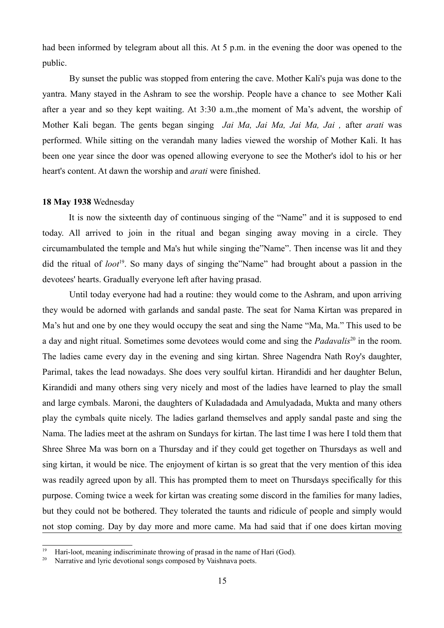had been informed by telegram about all this. At 5 p.m. in the evening the door was opened to the public.

By sunset the public was stopped from entering the cave. Mother Kali's puja was done to the yantra. Many stayed in the Ashram to see the worship. People have a chance to see Mother Kali after a year and so they kept waiting. At 3:30 a.m.,the moment of Ma's advent, the worship of Mother Kali began. The gents began singing *Jai Ma, Jai Ma, Jai Ma, Jai ,* after *arati* was performed. While sitting on the verandah many ladies viewed the worship of Mother Kali. It has been one year since the door was opened allowing everyone to see the Mother's idol to his or her heart's content. At dawn the worship and *arati* were finished.

### **18 May 1938** Wednesday

It is now the sixteenth day of continuous singing of the "Name" and it is supposed to end today. All arrived to join in the ritual and began singing away moving in a circle. They circumambulated the temple and Ma's hut while singing the"Name". Then incense was lit and they did the ritual of *loot*[19](#page-14-0). So many days of singing the"Name" had brought about a passion in the devotees' hearts. Gradually everyone left after having prasad.

Until today everyone had had a routine: they would come to the Ashram, and upon arriving they would be adorned with garlands and sandal paste. The seat for Nama Kirtan was prepared in Ma's hut and one by one they would occupy the seat and sing the Name "Ma, Ma." This used to be a day and night ritual. Sometimes some devotees would come and sing the *Padavalis*[20](#page-14-1) in the room. The ladies came every day in the evening and sing kirtan. Shree Nagendra Nath Roy's daughter, Parimal, takes the lead nowadays. She does very soulful kirtan. Hirandidi and her daughter Belun, Kirandidi and many others sing very nicely and most of the ladies have learned to play the small and large cymbals. Maroni, the daughters of Kuladadada and Amulyadada, Mukta and many others play the cymbals quite nicely. The ladies garland themselves and apply sandal paste and sing the Nama. The ladies meet at the ashram on Sundays for kirtan. The last time I was here I told them that Shree Shree Ma was born on a Thursday and if they could get together on Thursdays as well and sing kirtan, it would be nice. The enjoyment of kirtan is so great that the very mention of this idea was readily agreed upon by all. This has prompted them to meet on Thursdays specifically for this purpose. Coming twice a week for kirtan was creating some discord in the families for many ladies, but they could not be bothered. They tolerated the taunts and ridicule of people and simply would not stop coming. Day by day more and more came. Ma had said that if one does kirtan moving

<span id="page-14-0"></span><sup>&</sup>lt;sup>19</sup> Hari-loot, meaning indiscriminate throwing of prasad in the name of Hari (God).<br><sup>20</sup> Nerrotive and ligie devetianal sance composed by Veishneye posts.

<span id="page-14-1"></span>Narrative and lyric devotional songs composed by Vaishnava poets.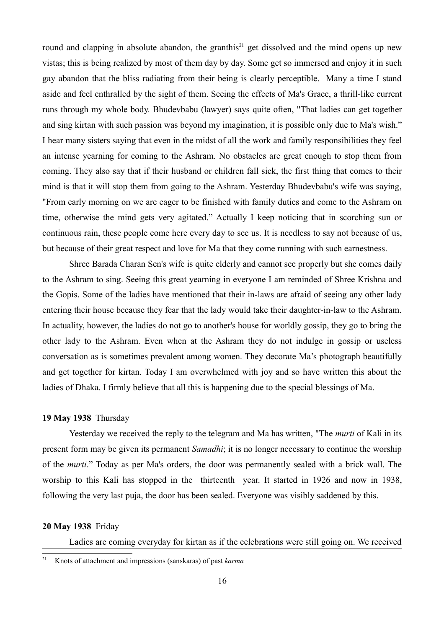round and clapping in absolute abandon, the granthis<sup>[21](#page-15-0)</sup> get dissolved and the mind opens up new vistas; this is being realized by most of them day by day. Some get so immersed and enjoy it in such gay abandon that the bliss radiating from their being is clearly perceptible. Many a time I stand aside and feel enthralled by the sight of them. Seeing the effects of Ma's Grace, a thrill-like current runs through my whole body. Bhudevbabu (lawyer) says quite often, "That ladies can get together and sing kirtan with such passion was beyond my imagination, it is possible only due to Ma's wish." I hear many sisters saying that even in the midst of all the work and family responsibilities they feel an intense yearning for coming to the Ashram. No obstacles are great enough to stop them from coming. They also say that if their husband or children fall sick, the first thing that comes to their mind is that it will stop them from going to the Ashram. Yesterday Bhudevbabu's wife was saying, "From early morning on we are eager to be finished with family duties and come to the Ashram on time, otherwise the mind gets very agitated." Actually I keep noticing that in scorching sun or continuous rain, these people come here every day to see us. It is needless to say not because of us, but because of their great respect and love for Ma that they come running with such earnestness.

Shree Barada Charan Sen's wife is quite elderly and cannot see properly but she comes daily to the Ashram to sing. Seeing this great yearning in everyone I am reminded of Shree Krishna and the Gopis. Some of the ladies have mentioned that their in-laws are afraid of seeing any other lady entering their house because they fear that the lady would take their daughter-in-law to the Ashram. In actuality, however, the ladies do not go to another's house for worldly gossip, they go to bring the other lady to the Ashram. Even when at the Ashram they do not indulge in gossip or useless conversation as is sometimes prevalent among women. They decorate Ma's photograph beautifully and get together for kirtan. Today I am overwhelmed with joy and so have written this about the ladies of Dhaka. I firmly believe that all this is happening due to the special blessings of Ma.

#### **19 May 1938** Thursday

Yesterday we received the reply to the telegram and Ma has written, "The *murti* of Kali in its present form may be given its permanent *Samadhi*; it is no longer necessary to continue the worship of the *murti*." Today as per Ma's orders, the door was permanently sealed with a brick wall. The worship to this Kali has stopped in the thirteenth year. It started in 1926 and now in 1938, following the very last puja, the door has been sealed. Everyone was visibly saddened by this.

## **20 May 1938** Friday

Ladies are coming everyday for kirtan as if the celebrations were still going on. We received

<span id="page-15-0"></span><sup>21</sup> Knots of attachment and impressions (sanskaras) of past *karma*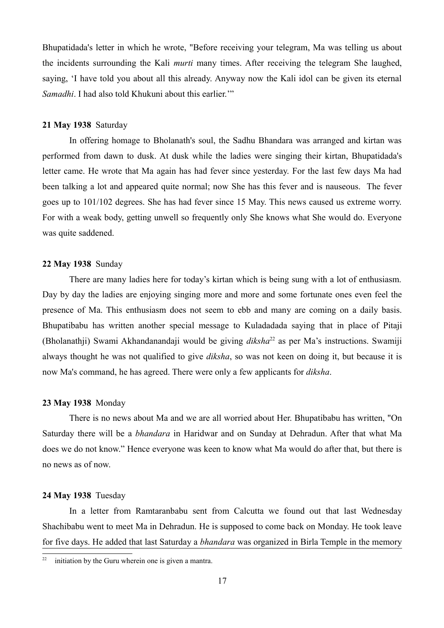Bhupatidada's letter in which he wrote, "Before receiving your telegram, Ma was telling us about the incidents surrounding the Kali *murti* many times. After receiving the telegram She laughed, saying, 'I have told you about all this already. Anyway now the Kali idol can be given its eternal *Samadhi*. I had also told Khukuni about this earlier.'"

#### **21 May 1938** Saturday

In offering homage to Bholanath's soul, the Sadhu Bhandara was arranged and kirtan was performed from dawn to dusk. At dusk while the ladies were singing their kirtan, Bhupatidada's letter came. He wrote that Ma again has had fever since yesterday. For the last few days Ma had been talking a lot and appeared quite normal; now She has this fever and is nauseous. The fever goes up to 101/102 degrees. She has had fever since 15 May. This news caused us extreme worry. For with a weak body, getting unwell so frequently only She knows what She would do. Everyone was quite saddened.

## **22 May 1938** Sunday

There are many ladies here for today's kirtan which is being sung with a lot of enthusiasm. Day by day the ladies are enjoying singing more and more and some fortunate ones even feel the presence of Ma. This enthusiasm does not seem to ebb and many are coming on a daily basis. Bhupatibabu has written another special message to Kuladadada saying that in place of Pitaji (Bholanathji) Swami Akhandanandaji would be giving *diksha*[22](#page-16-0) as per Ma's instructions. Swamiji always thought he was not qualified to give *diksha*, so was not keen on doing it, but because it is now Ma's command, he has agreed. There were only a few applicants for *diksha*.

### **23 May 1938** Monday

There is no news about Ma and we are all worried about Her. Bhupatibabu has written, "On Saturday there will be a *bhandara* in Haridwar and on Sunday at Dehradun. After that what Ma does we do not know." Hence everyone was keen to know what Ma would do after that, but there is no news as of now.

## **24 May 1938** Tuesday

In a letter from Ramtaranbabu sent from Calcutta we found out that last Wednesday Shachibabu went to meet Ma in Dehradun. He is supposed to come back on Monday. He took leave for five days. He added that last Saturday a *bhandara* was organized in Birla Temple in the memory

<span id="page-16-0"></span><sup>&</sup>lt;sup>22</sup> initiation by the Guru wherein one is given a mantra.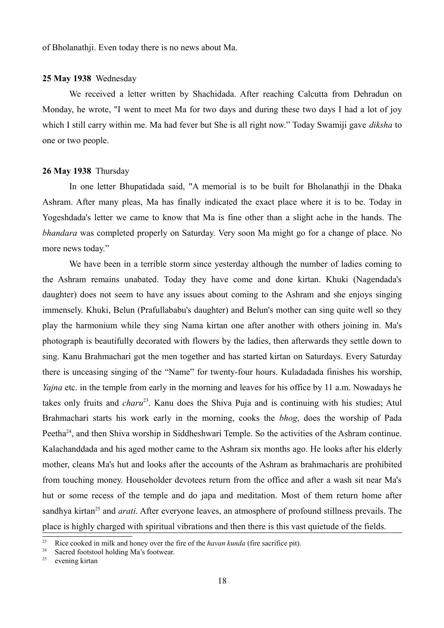of Bholanathji. Even today there is no news about Ma.

## **25 May 1938** Wednesday

We received a letter written by Shachidada. After reaching Calcutta from Dehradun on Monday, he wrote, "I went to meet Ma for two days and during these two days I had a lot of joy which I still carry within me. Ma had fever but She is all right now." Today Swamiji gave *diksha* to one or two people.

#### **26 May 1938** Thursday

In one letter Bhupatidada said, "A memorial is to be built for Bholanathji in the Dhaka Ashram. After many pleas, Ma has finally indicated the exact place where it is to be. Today in Yogeshdada's letter we came to know that Ma is fine other than a slight ache in the hands. The *bhandara* was completed properly on Saturday. Very soon Ma might go for a change of place. No more news today."

We have been in a terrible storm since yesterday although the number of ladies coming to the Ashram remains unabated. Today they have come and done kirtan. Khuki (Nagendada's daughter) does not seem to have any issues about coming to the Ashram and she enjoys singing immensely. Khuki, Belun (Prafullababu's daughter) and Belun's mother can sing quite well so they play the harmonium while they sing Nama kirtan one after another with others joining in. Ma's photograph is beautifully decorated with flowers by the ladies, then afterwards they settle down to sing. Kanu Brahmachari got the men together and has started kirtan on Saturdays. Every Saturday there is unceasing singing of the "Name" for twenty-four hours. Kuladadada finishes his worship, *Yajna* etc. in the temple from early in the morning and leaves for his office by 11 a.m. Nowadays he takes only fruits and *charu*[23](#page-17-0). Kanu does the Shiva Puja and is continuing with his studies; Atul Brahmachari starts his work early in the morning, cooks the *bhog*, does the worship of Pada Peetha<sup>[24](#page-17-1)</sup>, and then Shiva worship in Siddheshwari Temple. So the activities of the Ashram continue. Kalachanddada and his aged mother came to the Ashram six months ago. He looks after his elderly mother, cleans Ma's hut and looks after the accounts of the Ashram as brahmacharis are prohibited from touching money. Householder devotees return from the office and after a wash sit near Ma's hut or some recess of the temple and do japa and meditation. Most of them return home after sandhya kirtan<sup>[25](#page-17-2)</sup> and *arati*. After everyone leaves, an atmosphere of profound stillness prevails. The place is highly charged with spiritual vibrations and then there is this vast quietude of the fields.

<span id="page-17-0"></span><sup>&</sup>lt;sup>23</sup> Rice cooked in milk and honey over the fire of the *havan kunda* (fire sacrifice pit).

<span id="page-17-1"></span><sup>&</sup>lt;sup>24</sup> Sacred footstool holding Ma's footwear.

<span id="page-17-2"></span>evening kirtan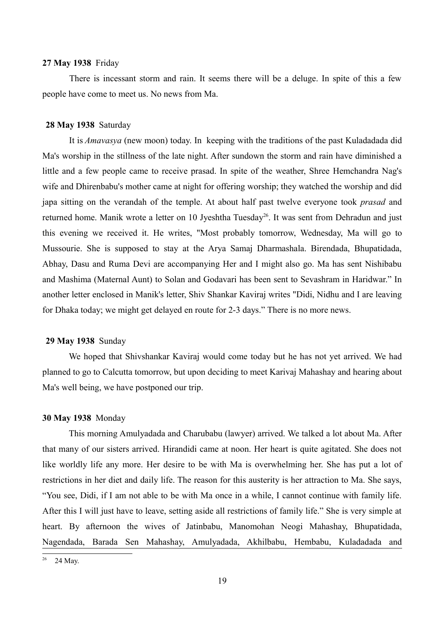## **27 May 1938** Friday

There is incessant storm and rain. It seems there will be a deluge. In spite of this a few people have come to meet us. No news from Ma.

#### **28 May 1938** Saturday

 It is *Amavasya* (new moon) today. In keeping with the traditions of the past Kuladadada did Ma's worship in the stillness of the late night. After sundown the storm and rain have diminished a little and a few people came to receive prasad. In spite of the weather, Shree Hemchandra Nag's wife and Dhirenbabu's mother came at night for offering worship; they watched the worship and did japa sitting on the verandah of the temple. At about half past twelve everyone took *prasad* and returned home. Manik wrote a letter on 10 Jyeshtha Tuesday<sup>[26](#page-18-0)</sup>. It was sent from Dehradun and just this evening we received it. He writes, "Most probably tomorrow, Wednesday, Ma will go to Mussourie. She is supposed to stay at the Arya Samaj Dharmashala. Birendada, Bhupatidada, Abhay, Dasu and Ruma Devi are accompanying Her and I might also go. Ma has sent Nishibabu and Mashima (Maternal Aunt) to Solan and Godavari has been sent to Sevashram in Haridwar." In another letter enclosed in Manik's letter, Shiv Shankar Kaviraj writes "Didi, Nidhu and I are leaving for Dhaka today; we might get delayed en route for 2-3 days." There is no more news.

## **29 May 1938** Sunday

We hoped that Shivshankar Kaviraj would come today but he has not yet arrived. We had planned to go to Calcutta tomorrow, but upon deciding to meet Karivaj Mahashay and hearing about Ma's well being, we have postponed our trip.

#### **30 May 1938** Monday

This morning Amulyadada and Charubabu (lawyer) arrived. We talked a lot about Ma. After that many of our sisters arrived. Hirandidi came at noon. Her heart is quite agitated. She does not like worldly life any more. Her desire to be with Ma is overwhelming her. She has put a lot of restrictions in her diet and daily life. The reason for this austerity is her attraction to Ma. She says, "You see, Didi, if I am not able to be with Ma once in a while, I cannot continue with family life. After this I will just have to leave, setting aside all restrictions of family life." She is very simple at heart. By afternoon the wives of Jatinbabu, Manomohan Neogi Mahashay, Bhupatidada, Nagendada, Barada Sen Mahashay, Amulyadada, Akhilbabu, Hembabu, Kuladadada and

<span id="page-18-0"></span><sup>24</sup> May.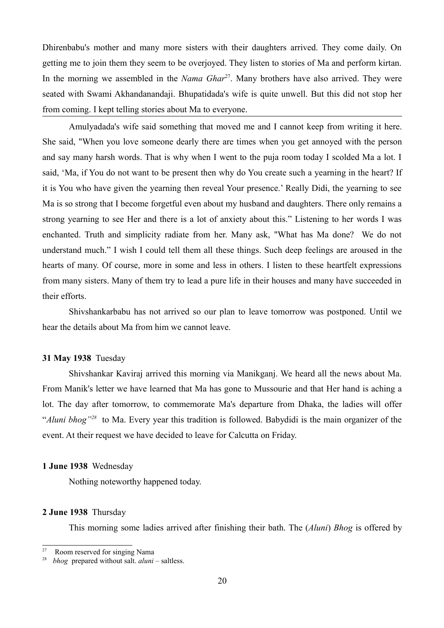Dhirenbabu's mother and many more sisters with their daughters arrived. They come daily. On getting me to join them they seem to be overjoyed. They listen to stories of Ma and perform kirtan. In the morning we assembled in the *Nama Ghar*<sup>[27](#page-19-0)</sup>. Many brothers have also arrived. They were seated with Swami Akhandanandaji. Bhupatidada's wife is quite unwell. But this did not stop her from coming. I kept telling stories about Ma to everyone.

Amulyadada's wife said something that moved me and I cannot keep from writing it here. She said, "When you love someone dearly there are times when you get annoyed with the person and say many harsh words. That is why when I went to the puja room today I scolded Ma a lot. I said, 'Ma, if You do not want to be present then why do You create such a yearning in the heart? If it is You who have given the yearning then reveal Your presence.' Really Didi, the yearning to see Ma is so strong that I become forgetful even about my husband and daughters. There only remains a strong yearning to see Her and there is a lot of anxiety about this." Listening to her words I was enchanted. Truth and simplicity radiate from her. Many ask, "What has Ma done? We do not understand much." I wish I could tell them all these things. Such deep feelings are aroused in the hearts of many. Of course, more in some and less in others. I listen to these heartfelt expressions from many sisters. Many of them try to lead a pure life in their houses and many have succeeded in their efforts.

Shivshankarbabu has not arrived so our plan to leave tomorrow was postponed. Until we hear the details about Ma from him we cannot leave.

### **31 May 1938** Tuesday

Shivshankar Kaviraj arrived this morning via Manikganj. We heard all the news about Ma. From Manik's letter we have learned that Ma has gone to Mussourie and that Her hand is aching a lot. The day after tomorrow, to commemorate Ma's departure from Dhaka, the ladies will offer "*Aluni bhog"[28](#page-19-1)* to Ma. Every year this tradition is followed. Babydidi is the main organizer of the event. At their request we have decided to leave for Calcutta on Friday.

#### **1 June 1938** Wednesday

Nothing noteworthy happened today.

#### **2 June 1938** Thursday

This morning some ladies arrived after finishing their bath. The (*Aluni*) *Bhog* is offered by

<span id="page-19-0"></span>Room reserved for singing Nama

<span id="page-19-1"></span><sup>28</sup> *bhog* prepared without salt. *aluni* – saltless.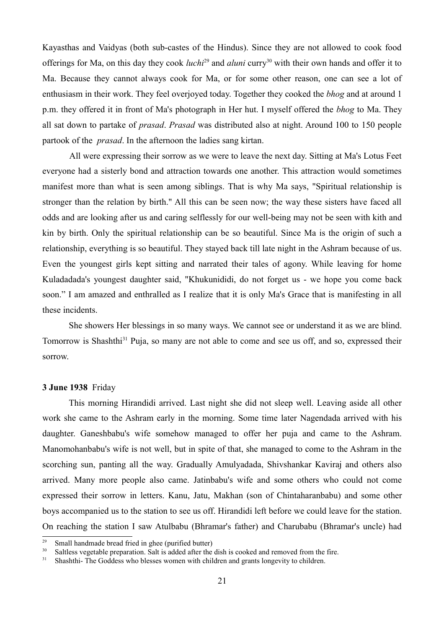Kayasthas and Vaidyas (both sub-castes of the Hindus). Since they are not allowed to cook food offerings for Ma, on this day they cook *luchi*<sup>[29](#page-20-0)</sup> and *aluni* curry<sup>[30](#page-20-1)</sup> with their own hands and offer it to Ma. Because they cannot always cook for Ma, or for some other reason, one can see a lot of enthusiasm in their work. They feel overjoyed today. Together they cooked the *bhog* and at around 1 p.m. they offered it in front of Ma's photograph in Her hut. I myself offered the *bhog* to Ma. They all sat down to partake of *prasad*. *Prasad* was distributed also at night. Around 100 to 150 people partook of the *prasad*. In the afternoon the ladies sang kirtan.

All were expressing their sorrow as we were to leave the next day. Sitting at Ma's Lotus Feet everyone had a sisterly bond and attraction towards one another. This attraction would sometimes manifest more than what is seen among siblings. That is why Ma says, "Spiritual relationship is stronger than the relation by birth." All this can be seen now; the way these sisters have faced all odds and are looking after us and caring selflessly for our well-being may not be seen with kith and kin by birth. Only the spiritual relationship can be so beautiful. Since Ma is the origin of such a relationship, everything is so beautiful. They stayed back till late night in the Ashram because of us. Even the youngest girls kept sitting and narrated their tales of agony. While leaving for home Kuladadada's youngest daughter said, "Khukunididi, do not forget us - we hope you come back soon." I am amazed and enthralled as I realize that it is only Ma's Grace that is manifesting in all these incidents.

She showers Her blessings in so many ways. We cannot see or understand it as we are blind. Tomorrow is Shashthi<sup>[31](#page-20-2)</sup> Puja, so many are not able to come and see us off, and so, expressed their sorrow.

## **3 June 1938** Friday

This morning Hirandidi arrived. Last night she did not sleep well. Leaving aside all other work she came to the Ashram early in the morning. Some time later Nagendada arrived with his daughter. Ganeshbabu's wife somehow managed to offer her puja and came to the Ashram. Manomohanbabu's wife is not well, but in spite of that, she managed to come to the Ashram in the scorching sun, panting all the way. Gradually Amulyadada, Shivshankar Kaviraj and others also arrived. Many more people also came. Jatinbabu's wife and some others who could not come expressed their sorrow in letters. Kanu, Jatu, Makhan (son of Chintaharanbabu) and some other boys accompanied us to the station to see us off. Hirandidi left before we could leave for the station. On reaching the station I saw Atulbabu (Bhramar's father) and Charubabu (Bhramar's uncle) had

<span id="page-20-0"></span><sup>&</sup>lt;sup>29</sup> Small handmade bread fried in ghee (purified butter)<br> $^{29}$  Soltlegs usesstable preparation. Selt is added ofter that

<span id="page-20-1"></span><sup>&</sup>lt;sup>30</sup> Saltless vegetable preparation. Salt is added after the dish is cooked and removed from the fire.<br><sup>31</sup> Shashthi<sub>r</sub> The Goddess who blesses women with children and grants longevity to children

<span id="page-20-2"></span><sup>31</sup> Shashthi- The Goddess who blesses women with children and grants longevity to children.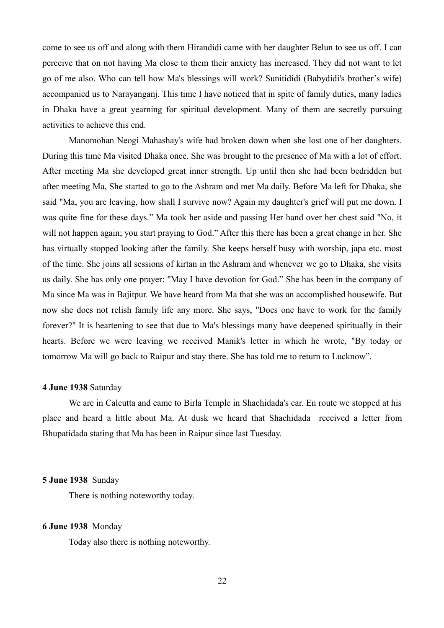come to see us off and along with them Hirandidi came with her daughter Belun to see us off. I can perceive that on not having Ma close to them their anxiety has increased. They did not want to let go of me also. Who can tell how Ma's blessings will work? Sunitididi (Babydidi's brother's wife) accompanied us to Narayanganj. This time I have noticed that in spite of family duties, many ladies in Dhaka have a great yearning for spiritual development. Many of them are secretly pursuing activities to achieve this end.

Manomohan Neogi Mahashay's wife had broken down when she lost one of her daughters. During this time Ma visited Dhaka once. She was brought to the presence of Ma with a lot of effort. After meeting Ma she developed great inner strength. Up until then she had been bedridden but after meeting Ma, She started to go to the Ashram and met Ma daily. Before Ma left for Dhaka, she said "Ma, you are leaving, how shall I survive now? Again my daughter's grief will put me down. I was quite fine for these days." Ma took her aside and passing Her hand over her chest said "No, it will not happen again; you start praying to God." After this there has been a great change in her. She has virtually stopped looking after the family. She keeps herself busy with worship, japa etc. most of the time. She joins all sessions of kirtan in the Ashram and whenever we go to Dhaka, she visits us daily. She has only one prayer: "May I have devotion for God." She has been in the company of Ma since Ma was in Bajitpur. We have heard from Ma that she was an accomplished housewife. But now she does not relish family life any more. She says, "Does one have to work for the family forever?" It is heartening to see that due to Ma's blessings many have deepened spiritually in their hearts. Before we were leaving we received Manik's letter in which he wrote, "By today or tomorrow Ma will go back to Raipur and stay there. She has told me to return to Lucknow".

#### **4 June 1938** Saturday

We are in Calcutta and came to Birla Temple in Shachidada's car. En route we stopped at his place and heard a little about Ma. At dusk we heard that Shachidada received a letter from Bhupatidada stating that Ma has been in Raipur since last Tuesday.

## **5 June 1938** Sunday

There is nothing noteworthy today.

## **6 June 1938** Monday

Today also there is nothing noteworthy.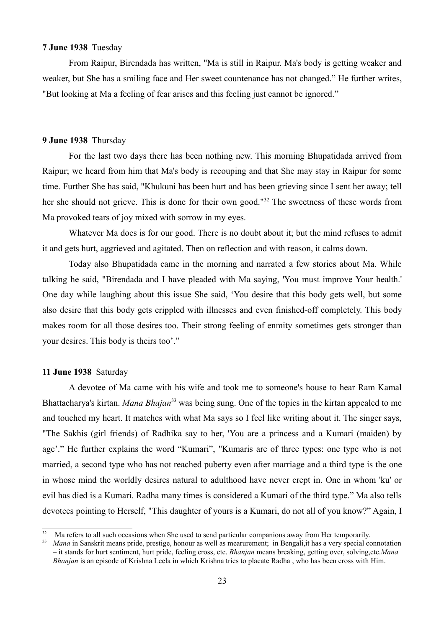## **7 June 1938** Tuesday

From Raipur, Birendada has written, "Ma is still in Raipur. Ma's body is getting weaker and weaker, but She has a smiling face and Her sweet countenance has not changed." He further writes, "But looking at Ma a feeling of fear arises and this feeling just cannot be ignored."

## **9 June 1938** Thursday

For the last two days there has been nothing new. This morning Bhupatidada arrived from Raipur; we heard from him that Ma's body is recouping and that She may stay in Raipur for some time. Further She has said, "Khukuni has been hurt and has been grieving since I sent her away; tell her she should not grieve. This is done for their own good."[32](#page-22-0) The sweetness of these words from Ma provoked tears of joy mixed with sorrow in my eyes.

Whatever Ma does is for our good. There is no doubt about it; but the mind refuses to admit it and gets hurt, aggrieved and agitated. Then on reflection and with reason, it calms down.

Today also Bhupatidada came in the morning and narrated a few stories about Ma. While talking he said, "Birendada and I have pleaded with Ma saying, 'You must improve Your health.' One day while laughing about this issue She said, 'You desire that this body gets well, but some also desire that this body gets crippled with illnesses and even finished-off completely. This body makes room for all those desires too. Their strong feeling of enmity sometimes gets stronger than your desires. This body is theirs too'."

## **11 June 1938** Saturday

A devotee of Ma came with his wife and took me to someone's house to hear Ram Kamal Bhattacharya's kirtan. *Mana Bhajan*<sup>[33](#page-22-1)</sup> was being sung. One of the topics in the kirtan appealed to me and touched my heart. It matches with what Ma says so I feel like writing about it. The singer says, "The Sakhis (girl friends) of Radhika say to her, 'You are a princess and a Kumari (maiden) by age'." He further explains the word "Kumari", "Kumaris are of three types: one type who is not married, a second type who has not reached puberty even after marriage and a third type is the one in whose mind the worldly desires natural to adulthood have never crept in. One in whom 'ku' or evil has died is a Kumari. Radha many times is considered a Kumari of the third type." Ma also tells devotees pointing to Herself, "This daughter of yours is a Kumari, do not all of you know?" Again, I

<span id="page-22-0"></span>Ma refers to all such occasions when She used to send particular companions away from Her temporarily.

<span id="page-22-1"></span><sup>&</sup>lt;sup>33</sup> *Mana* in Sanskrit means pride, prestige, honour as well as mearurement; in Bengali, it has a very special connotation – it stands for hurt sentiment, hurt pride, feeling cross, etc. *Bhanjan* means breaking, getting over, solving,etc.*Mana Bhanjan* is an episode of Krishna Leela in which Krishna tries to placate Radha , who has been cross with Him.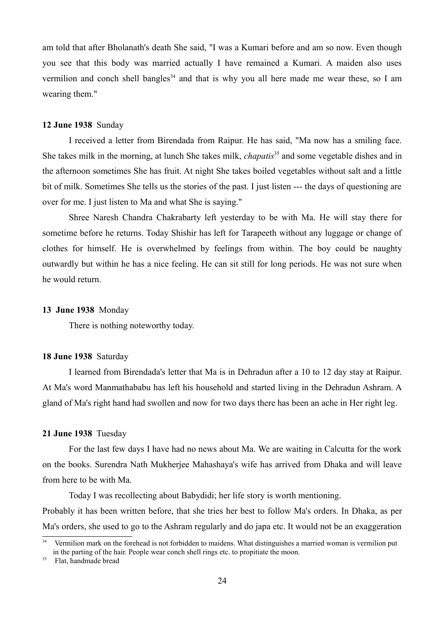am told that after Bholanath's death She said, "I was a Kumari before and am so now. Even though you see that this body was married actually I have remained a Kumari. A maiden also uses vermilion and conch shell bangles<sup>[34](#page-23-0)</sup> and that is why you all here made me wear these, so I am wearing them."

#### **12 June 1938** Sunday

I received a letter from Birendada from Raipur. He has said, "Ma now has a smiling face. She takes milk in the morning, at lunch She takes milk, *chapatis*<sup>[35](#page-23-1)</sup> and some vegetable dishes and in the afternoon sometimes She has fruit. At night She takes boiled vegetables without salt and a little bit of milk. Sometimes She tells us the stories of the past. I just listen --- the days of questioning are over for me. I just listen to Ma and what She is saying."

Shree Naresh Chandra Chakrabarty left yesterday to be with Ma. He will stay there for sometime before he returns. Today Shishir has left for Tarapeeth without any luggage or change of clothes for himself. He is overwhelmed by feelings from within. The boy could be naughty outwardly but within he has a nice feeling. He can sit still for long periods. He was not sure when he would return.

#### **13 June 1938** Monday

There is nothing noteworthy today.

## **18 June 1938** Saturday

I learned from Birendada's letter that Ma is in Dehradun after a 10 to 12 day stay at Raipur. At Ma's word Manmathababu has left his household and started living in the Dehradun Ashram. A gland of Ma's right hand had swollen and now for two days there has been an ache in Her right leg.

#### **21 June 1938** Tuesday

For the last few days I have had no news about Ma. We are waiting in Calcutta for the work on the books. Surendra Nath Mukherjee Mahashaya's wife has arrived from Dhaka and will leave from here to be with Ma.

Today I was recollecting about Babydidi; her life story is worth mentioning. Probably it has been written before, that she tries her best to follow Ma's orders. In Dhaka, as per Ma's orders, she used to go to the Ashram regularly and do japa etc. It would not be an exaggeration

<span id="page-23-0"></span><sup>&</sup>lt;sup>34</sup> Vermilion mark on the forehead is not forbidden to maidens. What distinguishes a married woman is vermilion put in the parting of the hair. People wear conch shell rings etc. to propitiate the moon.

<span id="page-23-1"></span> $35$  Flat, handmade bread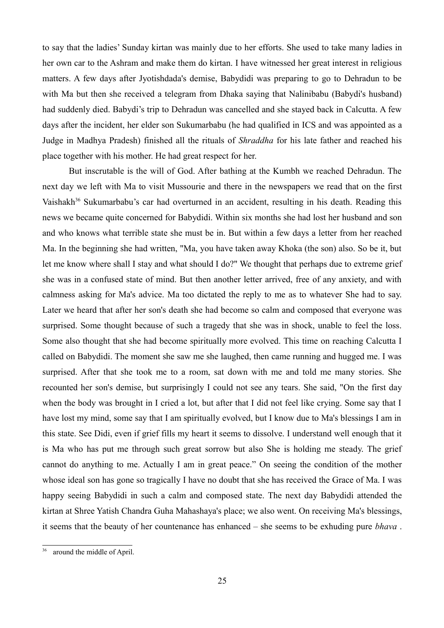to say that the ladies' Sunday kirtan was mainly due to her efforts. She used to take many ladies in her own car to the Ashram and make them do kirtan. I have witnessed her great interest in religious matters. A few days after Jyotishdada's demise, Babydidi was preparing to go to Dehradun to be with Ma but then she received a telegram from Dhaka saying that Nalinibabu (Babydi's husband) had suddenly died. Babydi's trip to Dehradun was cancelled and she stayed back in Calcutta. A few days after the incident, her elder son Sukumarbabu (he had qualified in ICS and was appointed as a Judge in Madhya Pradesh) finished all the rituals of *Shraddha* for his late father and reached his place together with his mother. He had great respect for her.

But inscrutable is the will of God. After bathing at the Kumbh we reached Dehradun. The next day we left with Ma to visit Mussourie and there in the newspapers we read that on the first Vaishakh<sup>[36](#page-24-0)</sup> Sukumarbabu's car had overturned in an accident, resulting in his death. Reading this news we became quite concerned for Babydidi. Within six months she had lost her husband and son and who knows what terrible state she must be in. But within a few days a letter from her reached Ma. In the beginning she had written, "Ma, you have taken away Khoka (the son) also. So be it, but let me know where shall I stay and what should I do?" We thought that perhaps due to extreme grief she was in a confused state of mind. But then another letter arrived, free of any anxiety, and with calmness asking for Ma's advice. Ma too dictated the reply to me as to whatever She had to say. Later we heard that after her son's death she had become so calm and composed that everyone was surprised. Some thought because of such a tragedy that she was in shock, unable to feel the loss. Some also thought that she had become spiritually more evolved. This time on reaching Calcutta I called on Babydidi. The moment she saw me she laughed, then came running and hugged me. I was surprised. After that she took me to a room, sat down with me and told me many stories. She recounted her son's demise, but surprisingly I could not see any tears. She said, "On the first day when the body was brought in I cried a lot, but after that I did not feel like crying. Some say that I have lost my mind, some say that I am spiritually evolved, but I know due to Ma's blessings I am in this state. See Didi, even if grief fills my heart it seems to dissolve. I understand well enough that it is Ma who has put me through such great sorrow but also She is holding me steady. The grief cannot do anything to me. Actually I am in great peace." On seeing the condition of the mother whose ideal son has gone so tragically I have no doubt that she has received the Grace of Ma. I was happy seeing Babydidi in such a calm and composed state. The next day Babydidi attended the kirtan at Shree Yatish Chandra Guha Mahashaya's place; we also went. On receiving Ma's blessings, it seems that the beauty of her countenance has enhanced – she seems to be exhuding pure *bhava* .

<span id="page-24-0"></span>around the middle of April.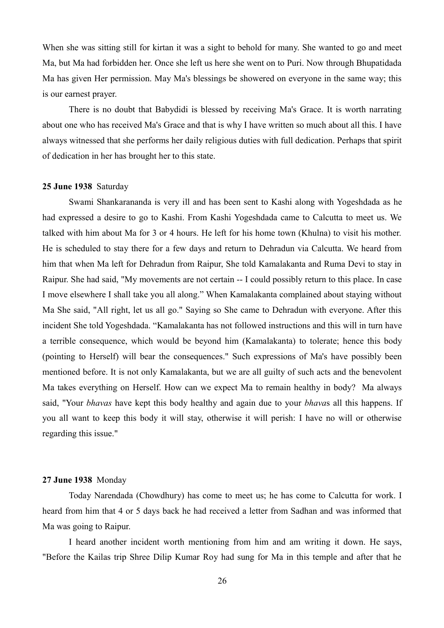When she was sitting still for kirtan it was a sight to behold for many. She wanted to go and meet Ma, but Ma had forbidden her. Once she left us here she went on to Puri. Now through Bhupatidada Ma has given Her permission. May Ma's blessings be showered on everyone in the same way; this is our earnest prayer.

There is no doubt that Babydidi is blessed by receiving Ma's Grace. It is worth narrating about one who has received Ma's Grace and that is why I have written so much about all this. I have always witnessed that she performs her daily religious duties with full dedication. Perhaps that spirit of dedication in her has brought her to this state.

#### **25 June 1938** Saturday

Swami Shankarananda is very ill and has been sent to Kashi along with Yogeshdada as he had expressed a desire to go to Kashi. From Kashi Yogeshdada came to Calcutta to meet us. We talked with him about Ma for 3 or 4 hours. He left for his home town (Khulna) to visit his mother. He is scheduled to stay there for a few days and return to Dehradun via Calcutta. We heard from him that when Ma left for Dehradun from Raipur, She told Kamalakanta and Ruma Devi to stay in Raipur. She had said, "My movements are not certain -- I could possibly return to this place. In case I move elsewhere I shall take you all along." When Kamalakanta complained about staying without Ma She said, "All right, let us all go." Saying so She came to Dehradun with everyone. After this incident She told Yogeshdada. "Kamalakanta has not followed instructions and this will in turn have a terrible consequence, which would be beyond him (Kamalakanta) to tolerate; hence this body (pointing to Herself) will bear the consequences." Such expressions of Ma's have possibly been mentioned before. It is not only Kamalakanta, but we are all guilty of such acts and the benevolent Ma takes everything on Herself. How can we expect Ma to remain healthy in body? Ma always said, "Your *bhavas* have kept this body healthy and again due to your *bhava*s all this happens. If you all want to keep this body it will stay, otherwise it will perish: I have no will or otherwise regarding this issue."

## **27 June 1938** Monday

Today Narendada (Chowdhury) has come to meet us; he has come to Calcutta for work. I heard from him that 4 or 5 days back he had received a letter from Sadhan and was informed that Ma was going to Raipur.

I heard another incident worth mentioning from him and am writing it down. He says, "Before the Kailas trip Shree Dilip Kumar Roy had sung for Ma in this temple and after that he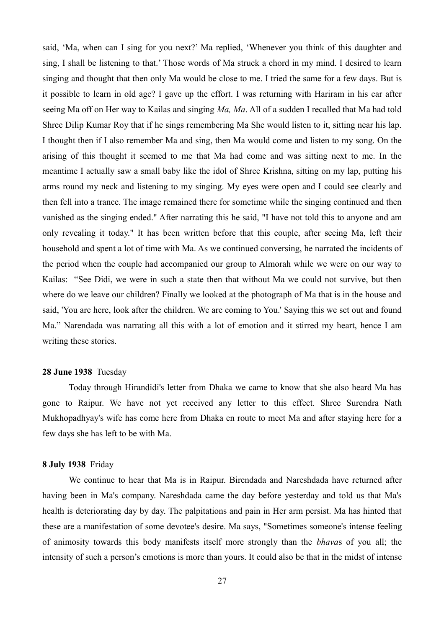said, 'Ma, when can I sing for you next?' Ma replied, 'Whenever you think of this daughter and sing, I shall be listening to that.' Those words of Ma struck a chord in my mind. I desired to learn singing and thought that then only Ma would be close to me. I tried the same for a few days. But is it possible to learn in old age? I gave up the effort. I was returning with Hariram in his car after seeing Ma off on Her way to Kailas and singing *Ma, Ma*. All of a sudden I recalled that Ma had told Shree Dilip Kumar Roy that if he sings remembering Ma She would listen to it, sitting near his lap. I thought then if I also remember Ma and sing, then Ma would come and listen to my song. On the arising of this thought it seemed to me that Ma had come and was sitting next to me. In the meantime I actually saw a small baby like the idol of Shree Krishna, sitting on my lap, putting his arms round my neck and listening to my singing. My eyes were open and I could see clearly and then fell into a trance. The image remained there for sometime while the singing continued and then vanished as the singing ended." After narrating this he said, "I have not told this to anyone and am only revealing it today." It has been written before that this couple, after seeing Ma, left their household and spent a lot of time with Ma. As we continued conversing, he narrated the incidents of the period when the couple had accompanied our group to Almorah while we were on our way to Kailas: "See Didi, we were in such a state then that without Ma we could not survive, but then where do we leave our children? Finally we looked at the photograph of Ma that is in the house and said, 'You are here, look after the children. We are coming to You.' Saying this we set out and found Ma." Narendada was narrating all this with a lot of emotion and it stirred my heart, hence I am writing these stories.

#### **28 June 1938** Tuesday

Today through Hirandidi's letter from Dhaka we came to know that she also heard Ma has gone to Raipur. We have not yet received any letter to this effect. Shree Surendra Nath Mukhopadhyay's wife has come here from Dhaka en route to meet Ma and after staying here for a few days she has left to be with Ma.

## **8 July 1938** Friday

We continue to hear that Ma is in Raipur. Birendada and Nareshdada have returned after having been in Ma's company. Nareshdada came the day before yesterday and told us that Ma's health is deteriorating day by day. The palpitations and pain in Her arm persist. Ma has hinted that these are a manifestation of some devotee's desire. Ma says, "Sometimes someone's intense feeling of animosity towards this body manifests itself more strongly than the *bhava*s of you all; the intensity of such a person's emotions is more than yours. It could also be that in the midst of intense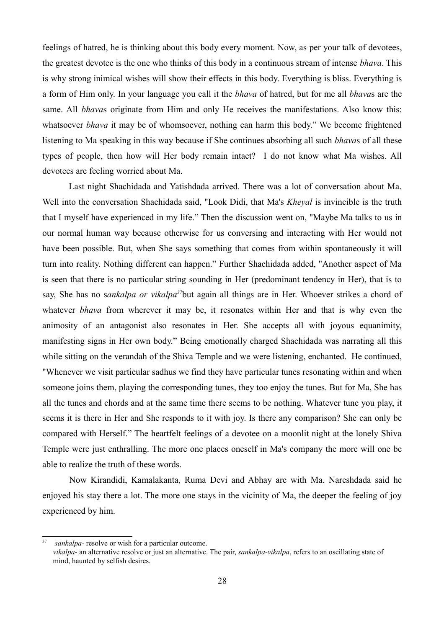feelings of hatred, he is thinking about this body every moment. Now, as per your talk of devotees, the greatest devotee is the one who thinks of this body in a continuous stream of intense *bhava*. This is why strong inimical wishes will show their effects in this body. Everything is bliss. Everything is a form of Him only. In your language you call it the *bhava* of hatred, but for me all *bhava*s are the same. All *bhava*s originate from Him and only He receives the manifestations. Also know this: whatsoever *bhava* it may be of whomsoever, nothing can harm this body." We become frightened listening to Ma speaking in this way because if She continues absorbing all such *bhava*s of all these types of people, then how will Her body remain intact? I do not know what Ma wishes. All devotees are feeling worried about Ma.

Last night Shachidada and Yatishdada arrived. There was a lot of conversation about Ma. Well into the conversation Shachidada said, "Look Didi, that Ma's *Kheyal* is invincible is the truth that I myself have experienced in my life." Then the discussion went on, "Maybe Ma talks to us in our normal human way because otherwise for us conversing and interacting with Her would not have been possible. But, when She says something that comes from within spontaneously it will turn into reality. Nothing different can happen." Further Shachidada added, "Another aspect of Ma is seen that there is no particular string sounding in Her (predominant tendency in Her), that is to say, She has no s*ankalpa or vikalpa[37](#page-27-0)*but again all things are in Her. Whoever strikes a chord of whatever *bhava* from wherever it may be, it resonates within Her and that is why even the animosity of an antagonist also resonates in Her. She accepts all with joyous equanimity, manifesting signs in Her own body." Being emotionally charged Shachidada was narrating all this while sitting on the verandah of the Shiva Temple and we were listening, enchanted. He continued, "Whenever we visit particular sadhus we find they have particular tunes resonating within and when someone joins them, playing the corresponding tunes, they too enjoy the tunes. But for Ma, She has all the tunes and chords and at the same time there seems to be nothing. Whatever tune you play, it seems it is there in Her and She responds to it with joy. Is there any comparison? She can only be compared with Herself." The heartfelt feelings of a devotee on a moonlit night at the lonely Shiva Temple were just enthralling. The more one places oneself in Ma's company the more will one be able to realize the truth of these words.

Now Kirandidi, Kamalakanta, Ruma Devi and Abhay are with Ma. Nareshdada said he enjoyed his stay there a lot. The more one stays in the vicinity of Ma, the deeper the feeling of joy experienced by him.

<sup>37</sup> *sankalpa-* resolve or wish for a particular outcome.

<span id="page-27-0"></span>*vikalpa*- an alternative resolve or just an alternative. The pair, *sankalpa-vikalpa*, refers to an oscillating state of mind, haunted by selfish desires.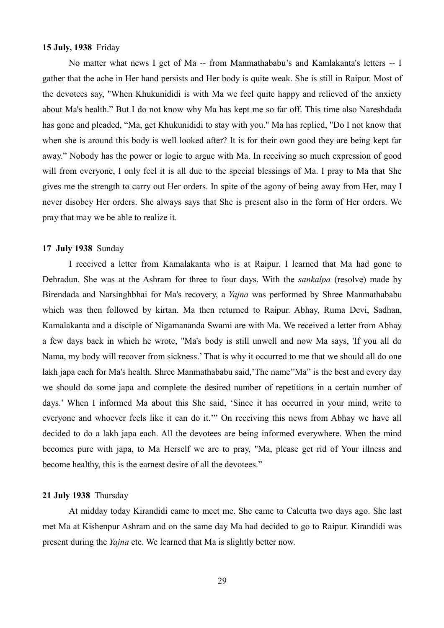#### **15 July, 1938** Friday

No matter what news I get of Ma -- from Manmathababu's and Kamlakanta's letters -- I gather that the ache in Her hand persists and Her body is quite weak. She is still in Raipur. Most of the devotees say, "When Khukunididi is with Ma we feel quite happy and relieved of the anxiety about Ma's health." But I do not know why Ma has kept me so far off. This time also Nareshdada has gone and pleaded, "Ma, get Khukunididi to stay with you." Ma has replied, "Do I not know that when she is around this body is well looked after? It is for their own good they are being kept far away." Nobody has the power or logic to argue with Ma. In receiving so much expression of good will from everyone, I only feel it is all due to the special blessings of Ma. I pray to Ma that She gives me the strength to carry out Her orders. In spite of the agony of being away from Her, may I never disobey Her orders. She always says that She is present also in the form of Her orders. We pray that may we be able to realize it.

#### **17 July 1938** Sunday

I received a letter from Kamalakanta who is at Raipur. I learned that Ma had gone to Dehradun. She was at the Ashram for three to four days. With the *sankalpa* (resolve) made by Birendada and Narsinghbhai for Ma's recovery, a *Yajna* was performed by Shree Manmathababu which was then followed by kirtan. Ma then returned to Raipur. Abhay, Ruma Devi, Sadhan, Kamalakanta and a disciple of Nigamananda Swami are with Ma. We received a letter from Abhay a few days back in which he wrote, "Ma's body is still unwell and now Ma says, 'If you all do Nama, my body will recover from sickness.' That is why it occurred to me that we should all do one lakh japa each for Ma's health. Shree Manmathababu said,'The name''Ma" is the best and every day we should do some japa and complete the desired number of repetitions in a certain number of days.' When I informed Ma about this She said, 'Since it has occurred in your mind, write to everyone and whoever feels like it can do it.'" On receiving this news from Abhay we have all decided to do a lakh japa each. All the devotees are being informed everywhere. When the mind becomes pure with japa, to Ma Herself we are to pray, "Ma, please get rid of Your illness and become healthy, this is the earnest desire of all the devotees."

### **21 July 1938** Thursday

At midday today Kirandidi came to meet me. She came to Calcutta two days ago. She last met Ma at Kishenpur Ashram and on the same day Ma had decided to go to Raipur. Kirandidi was present during the *Yajna* etc. We learned that Ma is slightly better now.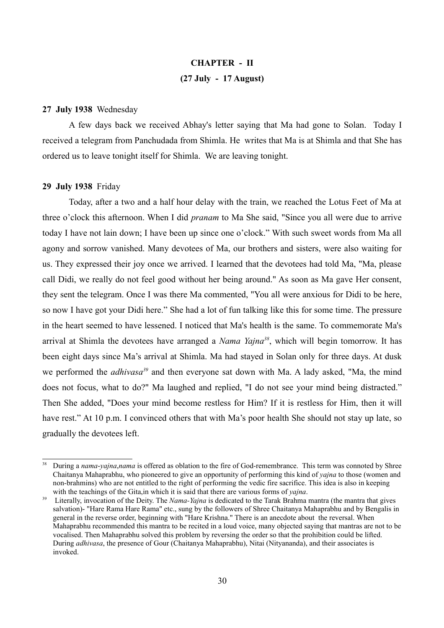# **CHAPTER - II (27 July - 17 August)**

## **27 July 1938** Wednesday

A few days back we received Abhay's letter saying that Ma had gone to Solan. Today I received a telegram from Panchudada from Shimla. He writes that Ma is at Shimla and that She has ordered us to leave tonight itself for Shimla. We are leaving tonight.

#### **29 July 1938** Friday

Today, after a two and a half hour delay with the train, we reached the Lotus Feet of Ma at three o'clock this afternoon. When I did *pranam* to Ma She said, "Since you all were due to arrive today I have not lain down; I have been up since one o'clock." With such sweet words from Ma all agony and sorrow vanished. Many devotees of Ma, our brothers and sisters, were also waiting for us. They expressed their joy once we arrived. I learned that the devotees had told Ma, "Ma, please call Didi, we really do not feel good without her being around." As soon as Ma gave Her consent, they sent the telegram. Once I was there Ma commented, "You all were anxious for Didi to be here, so now I have got your Didi here." She had a lot of fun talking like this for some time. The pressure in the heart seemed to have lessened. I noticed that Ma's health is the same. To commemorate Ma's arrival at Shimla the devotees have arranged a *Nama Yajna[38](#page-29-0)*, which will begin tomorrow. It has been eight days since Ma's arrival at Shimla. Ma had stayed in Solan only for three days. At dusk we performed the *adhivasa[39](#page-29-1)* and then everyone sat down with Ma. A lady asked, "Ma, the mind does not focus, what to do?" Ma laughed and replied, "I do not see your mind being distracted." Then She added, "Does your mind become restless for Him? If it is restless for Him, then it will have rest." At 10 p.m. I convinced others that with Ma's poor health She should not stay up late, so gradually the devotees left.

<span id="page-29-0"></span><sup>38</sup> During a *nama*-*yajna*,*nama* is offered as oblation to the fire of God-remembrance. This term was connoted by Shree Chaitanya Mahaprabhu, who pioneered to give an opportunity of performing this kind of *yajna* to those (women and non-brahmins) who are not entitled to the right of performing the vedic fire sacrifice. This idea is also in keeping with the teachings of the Gita,in which it is said that there are various forms of *yajna*.

<span id="page-29-1"></span><sup>39</sup> Literally, invocation of the Deity. The *Nama-Yajna* is dedicated to the Tarak Brahma mantra (the mantra that gives salvation)- "Hare Rama Hare Rama" etc., sung by the followers of Shree Chaitanya Mahaprabhu and by Bengalis in general in the reverse order, beginning with "Hare Krishna." There is an anecdote about the reversal. When Mahaprabhu recommended this mantra to be recited in a loud voice, many objected saying that mantras are not to be vocalised. Then Mahaprabhu solved this problem by reversing the order so that the prohibition could be lifted. During *adhivasa*, the presence of Gour (Chaitanya Mahaprabhu), Nitai (Nityananda), and their associates is invoked.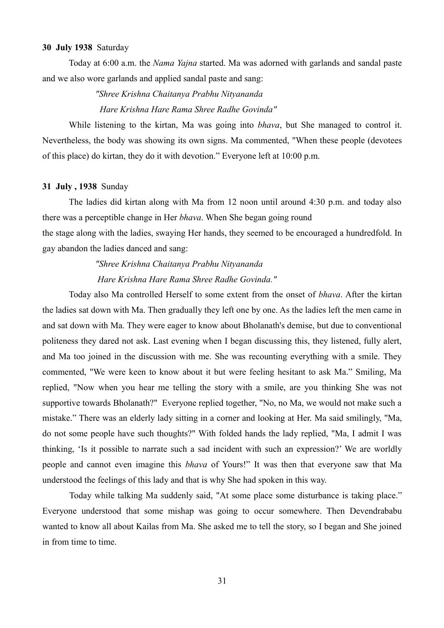## **30 July 1938** Saturday

Today at 6:00 a.m. the *Nama Yajna* started. Ma was adorned with garlands and sandal paste and we also wore garlands and applied sandal paste and sang:

> *"Shree Krishna Chaitanya Prabhu Nityananda Hare Krishna Hare Rama Shree Radhe Govinda"*

While listening to the kirtan, Ma was going into *bhava*, but She managed to control it. Nevertheless, the body was showing its own signs. Ma commented, "When these people (devotees of this place) do kirtan, they do it with devotion." Everyone left at 10:00 p.m.

## **31 July , 1938** Sunday

The ladies did kirtan along with Ma from 12 noon until around 4:30 p.m. and today also there was a perceptible change in Her *bhava*. When She began going round

the stage along with the ladies, swaying Her hands, they seemed to be encouraged a hundredfold. In gay abandon the ladies danced and sang:

> *"Shree Krishna Chaitanya Prabhu Nityananda Hare Krishna Hare Rama Shree Radhe Govinda."*

Today also Ma controlled Herself to some extent from the onset of *bhava*. After the kirtan the ladies sat down with Ma. Then gradually they left one by one. As the ladies left the men came in and sat down with Ma. They were eager to know about Bholanath's demise, but due to conventional politeness they dared not ask. Last evening when I began discussing this, they listened, fully alert, and Ma too joined in the discussion with me. She was recounting everything with a smile. They commented, "We were keen to know about it but were feeling hesitant to ask Ma." Smiling, Ma replied, "Now when you hear me telling the story with a smile, are you thinking She was not supportive towards Bholanath?" Everyone replied together, "No, no Ma, we would not make such a mistake." There was an elderly lady sitting in a corner and looking at Her. Ma said smilingly, "Ma, do not some people have such thoughts?" With folded hands the lady replied, "Ma, I admit I was thinking, 'Is it possible to narrate such a sad incident with such an expression?' We are worldly people and cannot even imagine this *bhava* of Yours!" It was then that everyone saw that Ma understood the feelings of this lady and that is why She had spoken in this way.

Today while talking Ma suddenly said, "At some place some disturbance is taking place." Everyone understood that some mishap was going to occur somewhere. Then Devendrababu wanted to know all about Kailas from Ma. She asked me to tell the story, so I began and She joined in from time to time.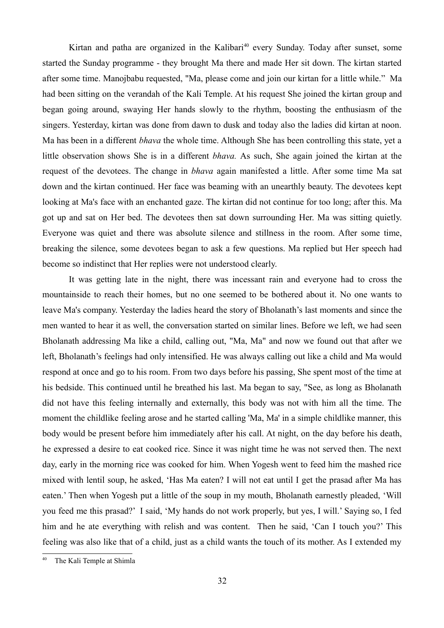Kirtan and patha are organized in the Kalibari<sup>[40](#page-31-0)</sup> every Sunday. Today after sunset, some started the Sunday programme - they brought Ma there and made Her sit down. The kirtan started after some time. Manojbabu requested, "Ma, please come and join our kirtan for a little while." Ma had been sitting on the verandah of the Kali Temple. At his request She joined the kirtan group and began going around, swaying Her hands slowly to the rhythm, boosting the enthusiasm of the singers. Yesterday, kirtan was done from dawn to dusk and today also the ladies did kirtan at noon. Ma has been in a different *bhava* the whole time. Although She has been controlling this state, yet a little observation shows She is in a different *bhava.* As such, She again joined the kirtan at the request of the devotees. The change in *bhava* again manifested a little. After some time Ma sat down and the kirtan continued. Her face was beaming with an unearthly beauty. The devotees kept looking at Ma's face with an enchanted gaze. The kirtan did not continue for too long; after this. Ma got up and sat on Her bed. The devotees then sat down surrounding Her. Ma was sitting quietly. Everyone was quiet and there was absolute silence and stillness in the room. After some time, breaking the silence, some devotees began to ask a few questions. Ma replied but Her speech had become so indistinct that Her replies were not understood clearly.

It was getting late in the night, there was incessant rain and everyone had to cross the mountainside to reach their homes, but no one seemed to be bothered about it. No one wants to leave Ma's company. Yesterday the ladies heard the story of Bholanath's last moments and since the men wanted to hear it as well, the conversation started on similar lines. Before we left, we had seen Bholanath addressing Ma like a child, calling out, "Ma, Ma" and now we found out that after we left, Bholanath's feelings had only intensified. He was always calling out like a child and Ma would respond at once and go to his room. From two days before his passing, She spent most of the time at his bedside. This continued until he breathed his last. Ma began to say, "See, as long as Bholanath did not have this feeling internally and externally, this body was not with him all the time. The moment the childlike feeling arose and he started calling 'Ma, Ma' in a simple childlike manner, this body would be present before him immediately after his call. At night, on the day before his death, he expressed a desire to eat cooked rice. Since it was night time he was not served then. The next day, early in the morning rice was cooked for him. When Yogesh went to feed him the mashed rice mixed with lentil soup, he asked, 'Has Ma eaten? I will not eat until I get the prasad after Ma has eaten.' Then when Yogesh put a little of the soup in my mouth, Bholanath earnestly pleaded, 'Will you feed me this prasad?' I said, 'My hands do not work properly, but yes, I will.' Saying so, I fed him and he ate everything with relish and was content. Then he said, 'Can I touch you?' This feeling was also like that of a child, just as a child wants the touch of its mother. As I extended my

<span id="page-31-0"></span><sup>40</sup> The Kali Temple at Shimla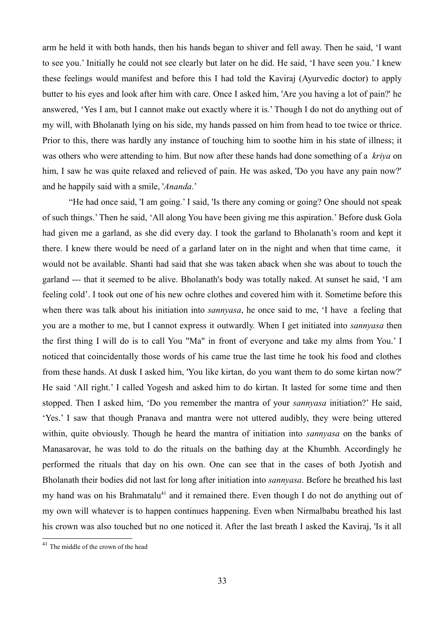arm he held it with both hands, then his hands began to shiver and fell away. Then he said, 'I want to see you.' Initially he could not see clearly but later on he did. He said, 'I have seen you.' I knew these feelings would manifest and before this I had told the Kaviraj (Ayurvedic doctor) to apply butter to his eyes and look after him with care. Once I asked him, 'Are you having a lot of pain?' he answered, 'Yes I am, but I cannot make out exactly where it is.' Though I do not do anything out of my will, with Bholanath lying on his side, my hands passed on him from head to toe twice or thrice. Prior to this, there was hardly any instance of touching him to soothe him in his state of illness; it was others who were attending to him. But now after these hands had done something of a *kriya* on him, I saw he was quite relaxed and relieved of pain. He was asked, 'Do you have any pain now?' and he happily said with a smile, '*Ananda*.'

"He had once said, 'I am going.' I said, 'Is there any coming or going? One should not speak of such things.' Then he said, 'All along You have been giving me this aspiration.' Before dusk Gola had given me a garland, as she did every day. I took the garland to Bholanath's room and kept it there. I knew there would be need of a garland later on in the night and when that time came, it would not be available. Shanti had said that she was taken aback when she was about to touch the garland --- that it seemed to be alive. Bholanath's body was totally naked. At sunset he said, 'I am feeling cold'. I took out one of his new ochre clothes and covered him with it. Sometime before this when there was talk about his initiation into *sannyasa*, he once said to me, 'I have a feeling that you are a mother to me, but I cannot express it outwardly. When I get initiated into *sannyasa* then the first thing I will do is to call You "Ma" in front of everyone and take my alms from You.' I noticed that coincidentally those words of his came true the last time he took his food and clothes from these hands. At dusk I asked him, 'You like kirtan, do you want them to do some kirtan now?' He said 'All right.' I called Yogesh and asked him to do kirtan. It lasted for some time and then stopped. Then I asked him, 'Do you remember the mantra of your *sannyasa* initiation?' He said, 'Yes.' I saw that though Pranava and mantra were not uttered audibly, they were being uttered within, quite obviously. Though he heard the mantra of initiation into *sannyasa* on the banks of Manasarovar, he was told to do the rituals on the bathing day at the Khumbh. Accordingly he performed the rituals that day on his own. One can see that in the cases of both Jyotish and Bholanath their bodies did not last for long after initiation into *sannyasa*. Before he breathed his last my hand was on his Brahmatalu<sup>[41](#page-32-0)</sup> and it remained there. Even though I do not do anything out of my own will whatever is to happen continues happening. Even when Nirmalbabu breathed his last his crown was also touched but no one noticed it. After the last breath I asked the Kaviraj, 'Is it all

<span id="page-32-0"></span><sup>&</sup>lt;sup>41</sup> The middle of the crown of the head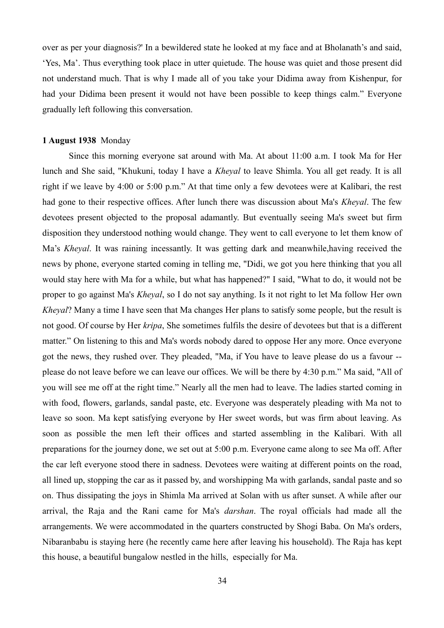over as per your diagnosis?' In a bewildered state he looked at my face and at Bholanath's and said, 'Yes, Ma'. Thus everything took place in utter quietude. The house was quiet and those present did not understand much. That is why I made all of you take your Didima away from Kishenpur, for had your Didima been present it would not have been possible to keep things calm." Everyone gradually left following this conversation.

#### **1 August 1938** Monday

Since this morning everyone sat around with Ma. At about 11:00 a.m. I took Ma for Her lunch and She said, "Khukuni, today I have a *Kheyal* to leave Shimla. You all get ready. It is all right if we leave by 4:00 or 5:00 p.m." At that time only a few devotees were at Kalibari, the rest had gone to their respective offices. After lunch there was discussion about Ma's *Kheyal*. The few devotees present objected to the proposal adamantly. But eventually seeing Ma's sweet but firm disposition they understood nothing would change. They went to call everyone to let them know of Ma's *Kheyal*. It was raining incessantly. It was getting dark and meanwhile,having received the news by phone, everyone started coming in telling me, "Didi, we got you here thinking that you all would stay here with Ma for a while, but what has happened?" I said, "What to do, it would not be proper to go against Ma's *Kheyal*, so I do not say anything. Is it not right to let Ma follow Her own *Kheyal*? Many a time I have seen that Ma changes Her plans to satisfy some people, but the result is not good. Of course by Her *kripa*, She sometimes fulfils the desire of devotees but that is a different matter." On listening to this and Ma's words nobody dared to oppose Her any more. Once everyone got the news, they rushed over. They pleaded, "Ma, if You have to leave please do us a favour - please do not leave before we can leave our offices. We will be there by 4:30 p.m." Ma said, "All of you will see me off at the right time." Nearly all the men had to leave. The ladies started coming in with food, flowers, garlands, sandal paste, etc. Everyone was desperately pleading with Ma not to leave so soon. Ma kept satisfying everyone by Her sweet words, but was firm about leaving. As soon as possible the men left their offices and started assembling in the Kalibari. With all preparations for the journey done, we set out at 5:00 p.m. Everyone came along to see Ma off. After the car left everyone stood there in sadness. Devotees were waiting at different points on the road, all lined up, stopping the car as it passed by, and worshipping Ma with garlands, sandal paste and so on. Thus dissipating the joys in Shimla Ma arrived at Solan with us after sunset. A while after our arrival, the Raja and the Rani came for Ma's *darshan*. The royal officials had made all the arrangements. We were accommodated in the quarters constructed by Shogi Baba. On Ma's orders, Nibaranbabu is staying here (he recently came here after leaving his household). The Raja has kept this house, a beautiful bungalow nestled in the hills, especially for Ma.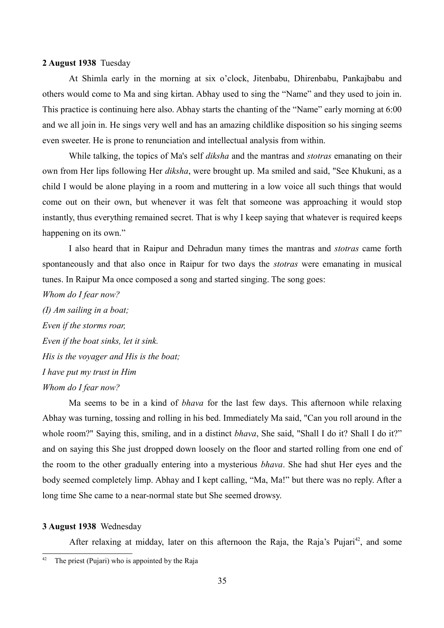#### **2 August 1938** Tuesday

At Shimla early in the morning at six o'clock, Jitenbabu, Dhirenbabu, Pankajbabu and others would come to Ma and sing kirtan. Abhay used to sing the "Name" and they used to join in. This practice is continuing here also. Abhay starts the chanting of the "Name" early morning at 6:00 and we all join in. He sings very well and has an amazing childlike disposition so his singing seems even sweeter. He is prone to renunciation and intellectual analysis from within.

While talking, the topics of Ma's self *diksha* and the mantras and *stotras* emanating on their own from Her lips following Her *diksha*, were brought up. Ma smiled and said, "See Khukuni, as a child I would be alone playing in a room and muttering in a low voice all such things that would come out on their own, but whenever it was felt that someone was approaching it would stop instantly, thus everything remained secret. That is why I keep saying that whatever is required keeps happening on its own."

I also heard that in Raipur and Dehradun many times the mantras and *stotras* came forth spontaneously and that also once in Raipur for two days the *stotras* were emanating in musical tunes. In Raipur Ma once composed a song and started singing. The song goes:

*Whom do I fear now? (I) Am sailing in a boat; Even if the storms roar, Even if the boat sinks, let it sink. His is the voyager and His is the boat; I have put my trust in Him Whom do I fear now?*

Ma seems to be in a kind of *bhava* for the last few days. This afternoon while relaxing Abhay was turning, tossing and rolling in his bed. Immediately Ma said, "Can you roll around in the whole room?" Saying this, smiling, and in a distinct *bhava*, She said, "Shall I do it? Shall I do it?" and on saying this She just dropped down loosely on the floor and started rolling from one end of the room to the other gradually entering into a mysterious *bhava*. She had shut Her eyes and the body seemed completely limp. Abhay and I kept calling, "Ma, Ma!" but there was no reply. After a long time She came to a near-normal state but She seemed drowsy.

## **3 August 1938** Wednesday

After relaxing at midday, later on this afternoon the Raja, the Raja's Pujari<sup>[42](#page-34-0)</sup>, and some

<span id="page-34-0"></span>The priest (Pujari) who is appointed by the Raja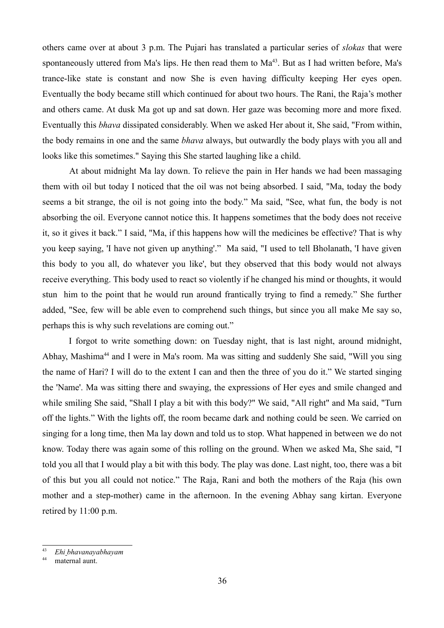others came over at about 3 p.m. The Pujari has translated a particular series of *slokas* that were spontaneously uttered from Ma's lips. He then read them to  $Ma<sup>43</sup>$  $Ma<sup>43</sup>$  $Ma<sup>43</sup>$ . But as I had written before, Ma's trance-like state is constant and now She is even having difficulty keeping Her eyes open. Eventually the body became still which continued for about two hours. The Rani, the Raja's mother and others came. At dusk Ma got up and sat down. Her gaze was becoming more and more fixed. Eventually this *bhava* dissipated considerably. When we asked Her about it, She said, "From within, the body remains in one and the same *bhava* always, but outwardly the body plays with you all and looks like this sometimes." Saying this She started laughing like a child.

At about midnight Ma lay down. To relieve the pain in Her hands we had been massaging them with oil but today I noticed that the oil was not being absorbed. I said, "Ma, today the body seems a bit strange, the oil is not going into the body." Ma said, "See, what fun, the body is not absorbing the oil. Everyone cannot notice this. It happens sometimes that the body does not receive it, so it gives it back." I said, "Ma, if this happens how will the medicines be effective? That is why you keep saying, 'I have not given up anything'." Ma said, "I used to tell Bholanath, 'I have given this body to you all, do whatever you like', but they observed that this body would not always receive everything. This body used to react so violently if he changed his mind or thoughts, it would stun him to the point that he would run around frantically trying to find a remedy." She further added, "See, few will be able even to comprehend such things, but since you all make Me say so, perhaps this is why such revelations are coming out."

I forgot to write something down: on Tuesday night, that is last night, around midnight, Abhay, Mashima<sup>[44](#page-35-1)</sup> and I were in Ma's room. Ma was sitting and suddenly She said, "Will you sing the name of Hari? I will do to the extent I can and then the three of you do it." We started singing the 'Name'. Ma was sitting there and swaying, the expressions of Her eyes and smile changed and while smiling She said, "Shall I play a bit with this body?" We said, "All right" and Ma said, "Turn off the lights." With the lights off, the room became dark and nothing could be seen. We carried on singing for a long time, then Ma lay down and told us to stop. What happened in between we do not know. Today there was again some of this rolling on the ground. When we asked Ma, She said, "I told you all that I would play a bit with this body. The play was done. Last night, too, there was a bit of this but you all could not notice." The Raja, Rani and both the mothers of the Raja (his own mother and a step-mother) came in the afternoon. In the evening Abhay sang kirtan. Everyone retired by 11:00 p.m.

<span id="page-35-0"></span><sup>43</sup> *Ehi bhavanayabhayam*

<span id="page-35-1"></span>maternal aunt.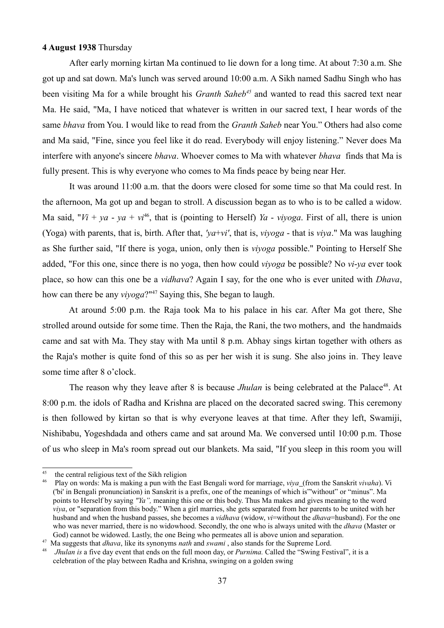# **4 August 1938** Thursday

After early morning kirtan Ma continued to lie down for a long time. At about 7:30 a.m. She got up and sat down. Ma's lunch was served around 10:00 a.m. A Sikh named Sadhu Singh who has been visiting Ma for a while brought his *Granth Saheb[45](#page-36-0)* and wanted to read this sacred text near Ma. He said, "Ma, I have noticed that whatever is written in our sacred text, I hear words of the same *bhava* from You. I would like to read from the *Granth Saheb* near You." Others had also come and Ma said, "Fine, since you feel like it do read. Everybody will enjoy listening." Never does Ma interfere with anyone's sincere *bhava*. Whoever comes to Ma with whatever *bhava* finds that Ma is fully present. This is why everyone who comes to Ma finds peace by being near Her.

It was around 11:00 a.m. that the doors were closed for some time so that Ma could rest. In the afternoon, Ma got up and began to stroll. A discussion began as to who is to be called a widow. Ma said, " $Vi + va - va + vi^{46}$  $Vi + va - va + vi^{46}$  $Vi + va - va + vi^{46}$ , that is (pointing to Herself) *Ya - vivoga*. First of all, there is union (Yoga) with parents, that is, birth. After that, *'ya*+*vi'*, that is, *viyoga* - that is *viya*." Ma was laughing as She further said, "If there is yoga, union, only then is *viyoga* possible." Pointing to Herself She added, "For this one, since there is no yoga, then how could *viyoga* be possible? No *vi*-*ya* ever took place, so how can this one be a *vidhava*? Again I say, for the one who is ever united with *Dhava*, how can there be any *viyoga*?"[47](#page-36-2) Saying this, She began to laugh.

At around 5:00 p.m. the Raja took Ma to his palace in his car. After Ma got there, She strolled around outside for some time. Then the Raja, the Rani, the two mothers, and the handmaids came and sat with Ma. They stay with Ma until 8 p.m. Abhay sings kirtan together with others as the Raja's mother is quite fond of this so as per her wish it is sung. She also joins in*.* They leave some time after 8 o'clock.

The reason why they leave after 8 is because *Jhulan* is being celebrated at the Palace<sup>[48](#page-36-3)</sup>. At 8:00 p.m. the idols of Radha and Krishna are placed on the decorated sacred swing. This ceremony is then followed by kirtan so that is why everyone leaves at that time. After they left, Swamiji, Nishibabu, Yogeshdada and others came and sat around Ma. We conversed until 10:00 p.m. Those of us who sleep in Ma's room spread out our blankets. Ma said, "If you sleep in this room you will

<span id="page-36-0"></span><sup>&</sup>lt;sup>45</sup> the central religious text of the Sikh religion

<span id="page-36-1"></span><sup>46</sup> Play on words: Ma is making a pun with the East Bengali word for marriage, *viya* (from the Sanskrit *vivaha*). Vi ('bi' in Bengali pronunciation) in Sanskrit is a prefix, one of the meanings of which is"'without" or "minus". Ma points to Herself by saying *"Ya",* meaning this one or this body. Thus Ma makes and gives meaning to the word *viya*, or "separation from this body." When a girl marries, she gets separated from her parents to be united with her husband and when the husband passes, she becomes a *vidhava* (widow, *vi*=without the *dhava*=husband). For the one who was never married, there is no widowhood. Secondly, the one who is always united with the *dhava* (Master or God) cannot be widowed. Lastly, the one Being who permeates all is above union and separation.

<span id="page-36-2"></span><sup>47</sup> Ma suggests that *dhava*, like its synonyms *nath* and *swami* , also stands for the Supreme Lord.

<span id="page-36-3"></span><sup>48</sup> *Jhulan is* a five day event that ends on the full moon day, or *Purnima.* Called the "Swing Festival", it is a celebration of the play between Radha and Krishna, swinging on a golden swing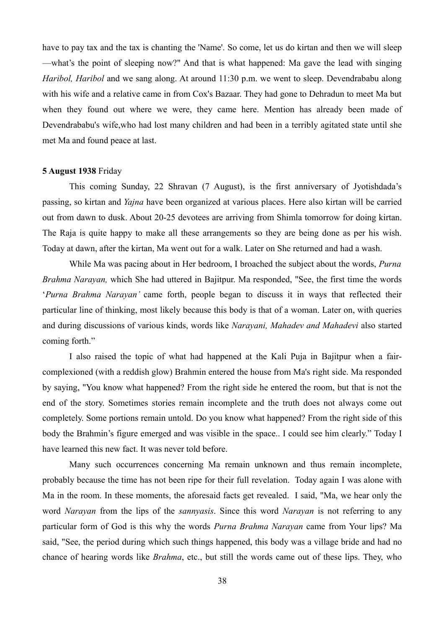have to pay tax and the tax is chanting the 'Name'. So come, let us do kirtan and then we will sleep —what's the point of sleeping now?" And that is what happened: Ma gave the lead with singing *Haribol, Haribol* and we sang along. At around 11:30 p.m. we went to sleep. Devendrababu along with his wife and a relative came in from Cox's Bazaar. They had gone to Dehradun to meet Ma but when they found out where we were, they came here. Mention has already been made of Devendrababu's wife,who had lost many children and had been in a terribly agitated state until she met Ma and found peace at last.

#### **5 August 1938** Friday

This coming Sunday, 22 Shravan (7 August), is the first anniversary of Jyotishdada's passing, so kirtan and *Yajna* have been organized at various places. Here also kirtan will be carried out from dawn to dusk. About 20-25 devotees are arriving from Shimla tomorrow for doing kirtan. The Raja is quite happy to make all these arrangements so they are being done as per his wish. Today at dawn, after the kirtan, Ma went out for a walk. Later on She returned and had a wash.

While Ma was pacing about in Her bedroom, I broached the subject about the words, *Purna Brahma Narayan,* which She had uttered in Bajitpur. Ma responded, "See, the first time the words '*Purna Brahma Narayan'* came forth, people began to discuss it in ways that reflected their particular line of thinking, most likely because this body is that of a woman. Later on, with queries and during discussions of various kinds, words like *Narayani, Mahadev and Mahadevi* also started coming forth."

I also raised the topic of what had happened at the Kali Puja in Bajitpur when a faircomplexioned (with a reddish glow) Brahmin entered the house from Ma's right side. Ma responded by saying, "You know what happened? From the right side he entered the room, but that is not the end of the story. Sometimes stories remain incomplete and the truth does not always come out completely. Some portions remain untold. Do you know what happened? From the right side of this body the Brahmin's figure emerged and was visible in the space.. I could see him clearly." Today I have learned this new fact. It was never told before.

Many such occurrences concerning Ma remain unknown and thus remain incomplete, probably because the time has not been ripe for their full revelation. Today again I was alone with Ma in the room. In these moments, the aforesaid facts get revealed. I said, "Ma, we hear only the word *Narayan* from the lips of the *sannyasis*. Since this word *Narayan* is not referring to any particular form of God is this why the words *Purna Brahma Narayan* came from Your lips? Ma said, "See, the period during which such things happened, this body was a village bride and had no chance of hearing words like *Brahma*, etc., but still the words came out of these lips. They, who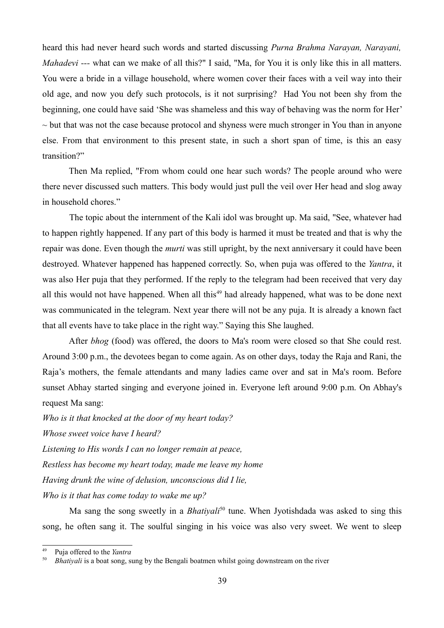heard this had never heard such words and started discussing *Purna Brahma Narayan, Narayani, Mahadevi ---* what can we make of all this?" I said, "Ma, for You it is only like this in all matters. You were a bride in a village household, where women cover their faces with a veil way into their old age, and now you defy such protocols, is it not surprising? Had You not been shy from the beginning, one could have said 'She was shameless and this way of behaving was the norm for Her'  $\sim$  but that was not the case because protocol and shyness were much stronger in You than in anyone else. From that environment to this present state, in such a short span of time, is this an easy transition?"

Then Ma replied, "From whom could one hear such words? The people around who were there never discussed such matters. This body would just pull the veil over Her head and slog away in household chores."

The topic about the internment of the Kali idol was brought up. Ma said, "See, whatever had to happen rightly happened. If any part of this body is harmed it must be treated and that is why the repair was done. Even though the *murti* was still upright, by the next anniversary it could have been destroyed. Whatever happened has happened correctly. So, when puja was offered to the *Yantra*, it was also Her puja that they performed. If the reply to the telegram had been received that very day all this would not have happened. When all this<sup>[49](#page-38-0)</sup> had already happened, what was to be done next was communicated in the telegram. Next year there will not be any puja. It is already a known fact that all events have to take place in the right way." Saying this She laughed.

After *bhog* (food) was offered, the doors to Ma's room were closed so that She could rest. Around 3:00 p.m., the devotees began to come again. As on other days, today the Raja and Rani, the Raja's mothers, the female attendants and many ladies came over and sat in Ma's room. Before sunset Abhay started singing and everyone joined in. Everyone left around 9:00 p.m. On Abhay's request Ma sang:

*Who is it that knocked at the door of my heart today?*

*Whose sweet voice have I heard?*

*Listening to His words I can no longer remain at peace,*

*Restless has become my heart today, made me leave my home*

*Having drunk the wine of delusion, unconscious did I lie,*

*Who is it that has come today to wake me up?*

Ma sang the song sweetly in a *Bhativali*<sup>[50](#page-38-1)</sup> tune. When Jyotishdada was asked to sing this song, he often sang it. The soulful singing in his voice was also very sweet. We went to sleep

<span id="page-38-0"></span><sup>49</sup> Puja offered to the *Yantra*

<span id="page-38-1"></span><sup>50</sup> *Bhatiyali* is a boat song, sung by the Bengali boatmen whilst going downstream on the river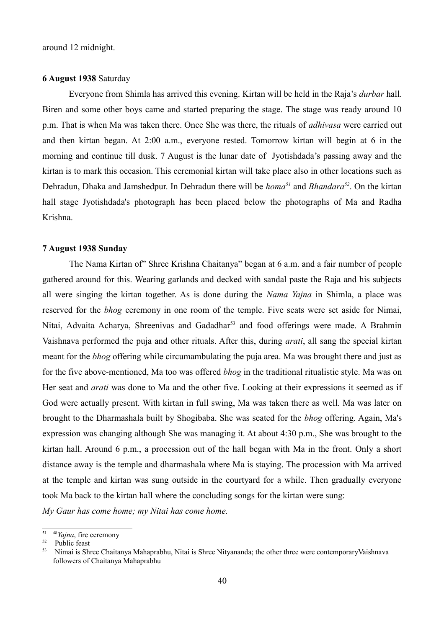around 12 midnight.

## **6 August 1938** Saturday

Everyone from Shimla has arrived this evening. Kirtan will be held in the Raja's *durbar* hall. Biren and some other boys came and started preparing the stage. The stage was ready around 10 p.m. That is when Ma was taken there. Once She was there, the rituals of *adhivasa* were carried out and then kirtan began. At 2:00 a.m., everyone rested. Tomorrow kirtan will begin at 6 in the morning and continue till dusk. 7 August is the lunar date of Jyotishdada's passing away and the kirtan is to mark this occasion. This ceremonial kirtan will take place also in other locations such as Dehradun, Dhaka and Jamshedpur. In Dehradun there will be *homa[51](#page-39-0)* and *Bhandara[52](#page-39-1)*. On the kirtan hall stage Jyotishdada's photograph has been placed below the photographs of Ma and Radha Krishna.

#### **7 August 1938 Sunday**

The Nama Kirtan of" Shree Krishna Chaitanya" began at 6 a.m. and a fair number of people gathered around for this. Wearing garlands and decked with sandal paste the Raja and his subjects all were singing the kirtan together. As is done during the *Nama Yajna* in Shimla, a place was reserved for the *bhog* ceremony in one room of the temple. Five seats were set aside for Nimai, Nitai, Advaita Acharya, Shreenivas and Gadadhar<sup>[53](#page-39-2)</sup> and food offerings were made. A Brahmin Vaishnava performed the puja and other rituals. After this, during *arati*, all sang the special kirtan meant for the *bhog* offering while circumambulating the puja area. Ma was brought there and just as for the five above-mentioned, Ma too was offered *bhog* in the traditional ritualistic style. Ma was on Her seat and *arati* was done to Ma and the other five. Looking at their expressions it seemed as if God were actually present. With kirtan in full swing, Ma was taken there as well. Ma was later on brought to the Dharmashala built by Shogibaba. She was seated for the *bhog* offering. Again, Ma's expression was changing although She was managing it. At about 4:30 p.m., She was brought to the kirtan hall. Around 6 p.m., a procession out of the hall began with Ma in the front. Only a short distance away is the temple and dharmashala where Ma is staying. The procession with Ma arrived at the temple and kirtan was sung outside in the courtyard for a while. Then gradually everyone took Ma back to the kirtan hall where the concluding songs for the kirtan were sung:

*My Gaur has come home; my Nitai has come home.* 

<span id="page-39-0"></span> $^{51}$  <sup>48</sup>*Yajna*, fire ceremony

<span id="page-39-1"></span> $52$  Public feast

<span id="page-39-2"></span><sup>53</sup> Nimai is Shree Chaitanya Mahaprabhu, Nitai is Shree Nityananda; the other three were contemporaryVaishnava followers of Chaitanya Mahaprabhu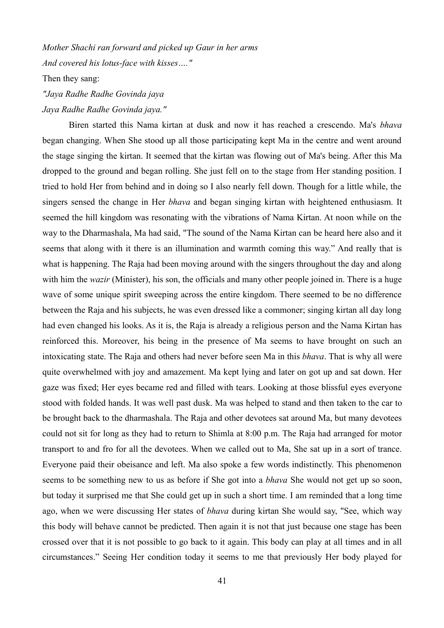*Mother Shachi ran forward and picked up Gaur in her arms And covered his lotus-face with kisses…."* 

Then they sang:

*"Jaya Radhe Radhe Govinda jaya Jaya Radhe Radhe Govinda jaya."*

Biren started this Nama kirtan at dusk and now it has reached a crescendo. Ma's *bhava* began changing. When She stood up all those participating kept Ma in the centre and went around the stage singing the kirtan. It seemed that the kirtan was flowing out of Ma's being. After this Ma dropped to the ground and began rolling. She just fell on to the stage from Her standing position. I tried to hold Her from behind and in doing so I also nearly fell down. Though for a little while, the singers sensed the change in Her *bhava* and began singing kirtan with heightened enthusiasm. It seemed the hill kingdom was resonating with the vibrations of Nama Kirtan. At noon while on the way to the Dharmashala, Ma had said, "The sound of the Nama Kirtan can be heard here also and it seems that along with it there is an illumination and warmth coming this way." And really that is what is happening. The Raja had been moving around with the singers throughout the day and along with him the *wazir* (Minister), his son, the officials and many other people joined in. There is a huge wave of some unique spirit sweeping across the entire kingdom. There seemed to be no difference between the Raja and his subjects, he was even dressed like a commoner; singing kirtan all day long had even changed his looks. As it is, the Raja is already a religious person and the Nama Kirtan has reinforced this. Moreover, his being in the presence of Ma seems to have brought on such an intoxicating state. The Raja and others had never before seen Ma in this *bhava*. That is why all were quite overwhelmed with joy and amazement. Ma kept lying and later on got up and sat down. Her gaze was fixed; Her eyes became red and filled with tears. Looking at those blissful eyes everyone stood with folded hands. It was well past dusk. Ma was helped to stand and then taken to the car to be brought back to the dharmashala. The Raja and other devotees sat around Ma, but many devotees could not sit for long as they had to return to Shimla at 8:00 p.m. The Raja had arranged for motor transport to and fro for all the devotees. When we called out to Ma, She sat up in a sort of trance. Everyone paid their obeisance and left. Ma also spoke a few words indistinctly. This phenomenon seems to be something new to us as before if She got into a *bhava* She would not get up so soon, but today it surprised me that She could get up in such a short time. I am reminded that a long time ago, when we were discussing Her states of *bhava* during kirtan She would say, "See, which way this body will behave cannot be predicted. Then again it is not that just because one stage has been crossed over that it is not possible to go back to it again. This body can play at all times and in all circumstances." Seeing Her condition today it seems to me that previously Her body played for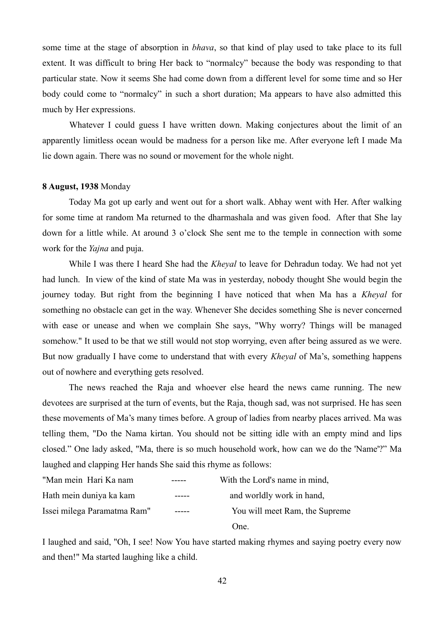some time at the stage of absorption in *bhava*, so that kind of play used to take place to its full extent. It was difficult to bring Her back to "normalcy" because the body was responding to that particular state. Now it seems She had come down from a different level for some time and so Her body could come to "normalcy" in such a short duration; Ma appears to have also admitted this much by Her expressions.

Whatever I could guess I have written down. Making conjectures about the limit of an apparently limitless ocean would be madness for a person like me. After everyone left I made Ma lie down again. There was no sound or movement for the whole night.

#### **8 August, 1938** Monday

Today Ma got up early and went out for a short walk. Abhay went with Her. After walking for some time at random Ma returned to the dharmashala and was given food. After that She lay down for a little while. At around 3 o'clock She sent me to the temple in connection with some work for the *Yajna* and puja.

While I was there I heard She had the *Kheyal* to leave for Dehradun today. We had not yet had lunch. In view of the kind of state Ma was in yesterday, nobody thought She would begin the journey today. But right from the beginning I have noticed that when Ma has a *Kheyal* for something no obstacle can get in the way. Whenever She decides something She is never concerned with ease or unease and when we complain She says, "Why worry? Things will be managed somehow." It used to be that we still would not stop worrying, even after being assured as we were. But now gradually I have come to understand that with every *Kheyal* of Ma's, something happens out of nowhere and everything gets resolved.

The news reached the Raja and whoever else heard the news came running. The new devotees are surprised at the turn of events, but the Raja, though sad, was not surprised. He has seen these movements of Ma's many times before. A group of ladies from nearby places arrived. Ma was telling them, "Do the Nama kirtan. You should not be sitting idle with an empty mind and lips closed." One lady asked, "Ma, there is so much household work, how can we do the 'Name'?" Ma laughed and clapping Her hands She said this rhyme as follows:

| "Man mein Hari Ka nam       |       | With the Lord's name in mind,  |
|-----------------------------|-------|--------------------------------|
| Hath mein duniya ka kam     |       | and worldly work in hand,      |
| Issei milega Paramatma Ram" | ----- | You will meet Ram, the Supreme |
|                             |       | $One$ .                        |

I laughed and said, "Oh, I see! Now You have started making rhymes and saying poetry every now and then!" Ma started laughing like a child.

42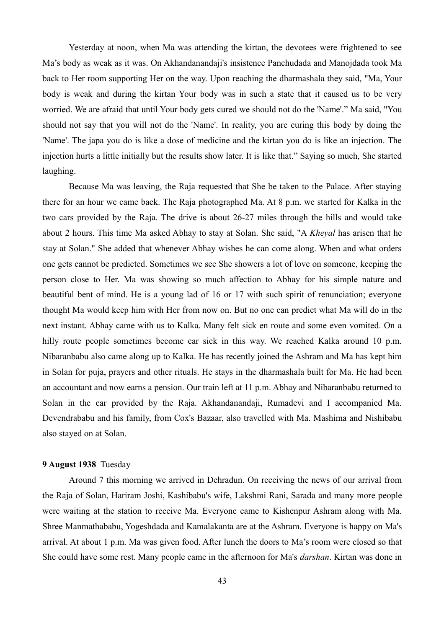Yesterday at noon, when Ma was attending the kirtan, the devotees were frightened to see Ma's body as weak as it was. On Akhandanandaji's insistence Panchudada and Manojdada took Ma back to Her room supporting Her on the way. Upon reaching the dharmashala they said, "Ma, Your body is weak and during the kirtan Your body was in such a state that it caused us to be very worried. We are afraid that until Your body gets cured we should not do the 'Name'." Ma said, "You should not say that you will not do the 'Name'. In reality, you are curing this body by doing the 'Name'. The japa you do is like a dose of medicine and the kirtan you do is like an injection. The injection hurts a little initially but the results show later. It is like that." Saying so much, She started laughing.

Because Ma was leaving, the Raja requested that She be taken to the Palace. After staying there for an hour we came back. The Raja photographed Ma. At 8 p.m. we started for Kalka in the two cars provided by the Raja. The drive is about 26-27 miles through the hills and would take about 2 hours. This time Ma asked Abhay to stay at Solan. She said, "A *Kheyal* has arisen that he stay at Solan." She added that whenever Abhay wishes he can come along. When and what orders one gets cannot be predicted. Sometimes we see She showers a lot of love on someone, keeping the person close to Her. Ma was showing so much affection to Abhay for his simple nature and beautiful bent of mind. He is a young lad of 16 or 17 with such spirit of renunciation; everyone thought Ma would keep him with Her from now on. But no one can predict what Ma will do in the next instant. Abhay came with us to Kalka. Many felt sick en route and some even vomited. On a hilly route people sometimes become car sick in this way. We reached Kalka around 10 p.m. Nibaranbabu also came along up to Kalka. He has recently joined the Ashram and Ma has kept him in Solan for puja, prayers and other rituals. He stays in the dharmashala built for Ma. He had been an accountant and now earns a pension. Our train left at 11 p.m. Abhay and Nibaranbabu returned to Solan in the car provided by the Raja. Akhandanandaji, Rumadevi and I accompanied Ma. Devendrababu and his family, from Cox's Bazaar, also travelled with Ma. Mashima and Nishibabu also stayed on at Solan.

## **9 August 1938** Tuesday

Around 7 this morning we arrived in Dehradun. On receiving the news of our arrival from the Raja of Solan, Hariram Joshi, Kashibabu's wife, Lakshmi Rani, Sarada and many more people were waiting at the station to receive Ma. Everyone came to Kishenpur Ashram along with Ma. Shree Manmathababu, Yogeshdada and Kamalakanta are at the Ashram. Everyone is happy on Ma's arrival. At about 1 p.m. Ma was given food. After lunch the doors to Ma's room were closed so that She could have some rest. Many people came in the afternoon for Ma's *darshan*. Kirtan was done in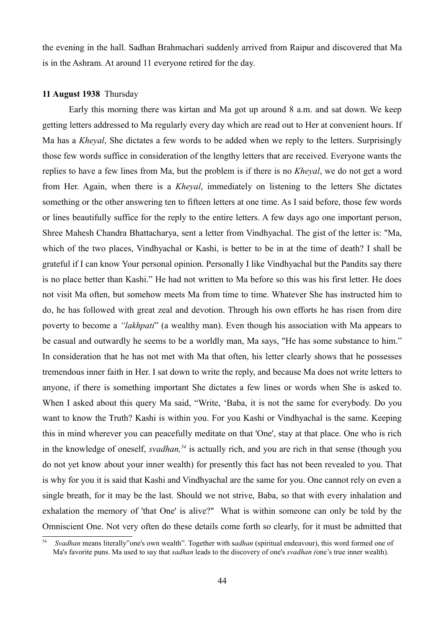the evening in the hall. Sadhan Brahmachari suddenly arrived from Raipur and discovered that Ma is in the Ashram. At around 11 everyone retired for the day.

## **11 August 1938** Thursday

Early this morning there was kirtan and Ma got up around 8 a.m. and sat down. We keep getting letters addressed to Ma regularly every day which are read out to Her at convenient hours. If Ma has a *Kheyal*, She dictates a few words to be added when we reply to the letters. Surprisingly those few words suffice in consideration of the lengthy letters that are received. Everyone wants the replies to have a few lines from Ma, but the problem is if there is no *Kheyal*, we do not get a word from Her. Again, when there is a *Kheyal*, immediately on listening to the letters She dictates something or the other answering ten to fifteen letters at one time. As I said before, those few words or lines beautifully suffice for the reply to the entire letters. A few days ago one important person, Shree Mahesh Chandra Bhattacharya, sent a letter from Vindhyachal. The gist of the letter is: "Ma, which of the two places, Vindhyachal or Kashi, is better to be in at the time of death? I shall be grateful if I can know Your personal opinion. Personally I like Vindhyachal but the Pandits say there is no place better than Kashi." He had not written to Ma before so this was his first letter. He does not visit Ma often, but somehow meets Ma from time to time. Whatever She has instructed him to do, he has followed with great zeal and devotion. Through his own efforts he has risen from dire poverty to become a *"lakhpati*" (a wealthy man). Even though his association with Ma appears to be casual and outwardly he seems to be a worldly man, Ma says, "He has some substance to him." In consideration that he has not met with Ma that often, his letter clearly shows that he possesses tremendous inner faith in Her. I sat down to write the reply, and because Ma does not write letters to anyone, if there is something important She dictates a few lines or words when She is asked to. When I asked about this query Ma said, "Write, 'Baba, it is not the same for everybody. Do you want to know the Truth? Kashi is within you. For you Kashi or Vindhyachal is the same. Keeping this in mind wherever you can peacefully meditate on that 'One', stay at that place. One who is rich in the knowledge of oneself, *svadhan,[54](#page-43-0)* is actually rich, and you are rich in that sense (though you do not yet know about your inner wealth) for presently this fact has not been revealed to you. That is why for you it is said that Kashi and Vindhyachal are the same for you. One cannot rely on even a single breath, for it may be the last. Should we not strive, Baba, so that with every inhalation and exhalation the memory of 'that One' is alive?" What is within someone can only be told by the Omniscient One. Not very often do these details come forth so clearly, for it must be admitted that

<span id="page-43-0"></span><sup>54</sup> *Svadhan* means literally"one's own wealth". Together with s*adhan* (spiritual endeavour), this word formed one of Ma's favorite puns. Ma used to say that *sadhan* leads to the discovery of one's *svadhan (*one's true inner wealth).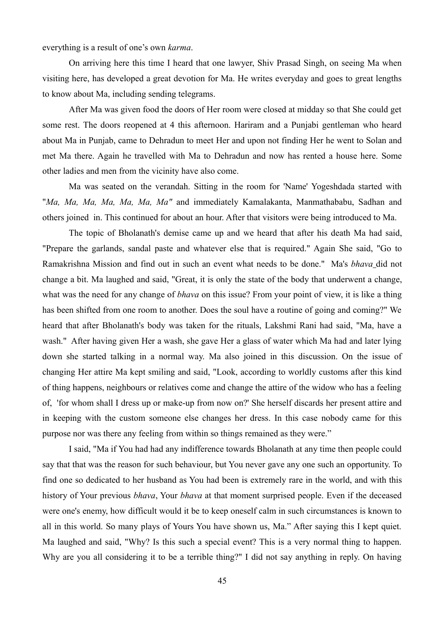everything is a result of one's own *karma*.

On arriving here this time I heard that one lawyer, Shiv Prasad Singh, on seeing Ma when visiting here, has developed a great devotion for Ma. He writes everyday and goes to great lengths to know about Ma, including sending telegrams.

After Ma was given food the doors of Her room were closed at midday so that She could get some rest. The doors reopened at 4 this afternoon. Hariram and a Punjabi gentleman who heard about Ma in Punjab, came to Dehradun to meet Her and upon not finding Her he went to Solan and met Ma there. Again he travelled with Ma to Dehradun and now has rented a house here. Some other ladies and men from the vicinity have also come.

Ma was seated on the verandah. Sitting in the room for 'Name' Yogeshdada started with "*Ma, Ma, Ma, Ma, Ma, Ma, Ma"* and immediately Kamalakanta, Manmathababu, Sadhan and others joined in. This continued for about an hour. After that visitors were being introduced to Ma.

The topic of Bholanath's demise came up and we heard that after his death Ma had said, "Prepare the garlands, sandal paste and whatever else that is required." Again She said, "Go to Ramakrishna Mission and find out in such an event what needs to be done." Ma's *bhava* did not change a bit. Ma laughed and said, "Great, it is only the state of the body that underwent a change, what was the need for any change of *bhava* on this issue? From your point of view, it is like a thing has been shifted from one room to another. Does the soul have a routine of going and coming?" We heard that after Bholanath's body was taken for the rituals, Lakshmi Rani had said, "Ma, have a wash." After having given Her a wash, she gave Her a glass of water which Ma had and later lying down she started talking in a normal way. Ma also joined in this discussion. On the issue of changing Her attire Ma kept smiling and said, "Look, according to worldly customs after this kind of thing happens, neighbours or relatives come and change the attire of the widow who has a feeling of, 'for whom shall I dress up or make-up from now on?' She herself discards her present attire and in keeping with the custom someone else changes her dress. In this case nobody came for this purpose nor was there any feeling from within so things remained as they were."

I said, "Ma if You had had any indifference towards Bholanath at any time then people could say that that was the reason for such behaviour, but You never gave any one such an opportunity. To find one so dedicated to her husband as You had been is extremely rare in the world, and with this history of Your previous *bhava*, Your *bhava* at that moment surprised people. Even if the deceased were one's enemy, how difficult would it be to keep oneself calm in such circumstances is known to all in this world. So many plays of Yours You have shown us, Ma." After saying this I kept quiet. Ma laughed and said, "Why? Is this such a special event? This is a very normal thing to happen. Why are you all considering it to be a terrible thing?" I did not say anything in reply. On having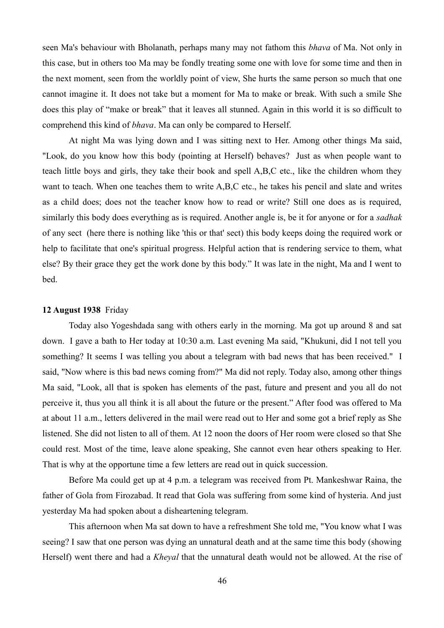seen Ma's behaviour with Bholanath, perhaps many may not fathom this *bhava* of Ma. Not only in this case, but in others too Ma may be fondly treating some one with love for some time and then in the next moment, seen from the worldly point of view, She hurts the same person so much that one cannot imagine it. It does not take but a moment for Ma to make or break. With such a smile She does this play of "make or break" that it leaves all stunned. Again in this world it is so difficult to comprehend this kind of *bhava*. Ma can only be compared to Herself.

At night Ma was lying down and I was sitting next to Her. Among other things Ma said, "Look, do you know how this body (pointing at Herself) behaves? Just as when people want to teach little boys and girls, they take their book and spell A,B,C etc., like the children whom they want to teach. When one teaches them to write A,B,C etc., he takes his pencil and slate and writes as a child does; does not the teacher know how to read or write? Still one does as is required, similarly this body does everything as is required. Another angle is, be it for anyone or for a *sadhak* of any sect (here there is nothing like 'this or that' sect) this body keeps doing the required work or help to facilitate that one's spiritual progress. Helpful action that is rendering service to them, what else? By their grace they get the work done by this body." It was late in the night, Ma and I went to bed.

#### **12 August 1938** Friday

Today also Yogeshdada sang with others early in the morning. Ma got up around 8 and sat down. I gave a bath to Her today at 10:30 a.m. Last evening Ma said, "Khukuni, did I not tell you something? It seems I was telling you about a telegram with bad news that has been received." I said, "Now where is this bad news coming from?" Ma did not reply. Today also, among other things Ma said, "Look, all that is spoken has elements of the past, future and present and you all do not perceive it, thus you all think it is all about the future or the present." After food was offered to Ma at about 11 a.m., letters delivered in the mail were read out to Her and some got a brief reply as She listened. She did not listen to all of them. At 12 noon the doors of Her room were closed so that She could rest. Most of the time, leave alone speaking, She cannot even hear others speaking to Her. That is why at the opportune time a few letters are read out in quick succession.

Before Ma could get up at 4 p.m. a telegram was received from Pt. Mankeshwar Raina, the father of Gola from Firozabad. It read that Gola was suffering from some kind of hysteria. And just yesterday Ma had spoken about a disheartening telegram.

This afternoon when Ma sat down to have a refreshment She told me, "You know what I was seeing? I saw that one person was dying an unnatural death and at the same time this body (showing Herself) went there and had a *Kheyal* that the unnatural death would not be allowed. At the rise of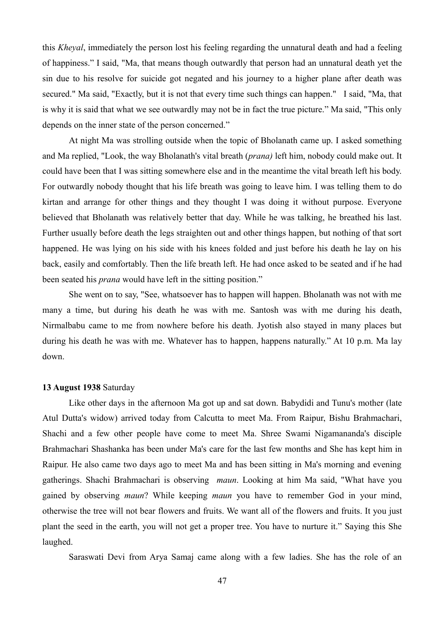this *Kheyal*, immediately the person lost his feeling regarding the unnatural death and had a feeling of happiness." I said, "Ma, that means though outwardly that person had an unnatural death yet the sin due to his resolve for suicide got negated and his journey to a higher plane after death was secured." Ma said, "Exactly, but it is not that every time such things can happen." I said, "Ma, that is why it is said that what we see outwardly may not be in fact the true picture." Ma said, "This only depends on the inner state of the person concerned."

At night Ma was strolling outside when the topic of Bholanath came up. I asked something and Ma replied, "Look, the way Bholanath's vital breath (*prana)* left him, nobody could make out. It could have been that I was sitting somewhere else and in the meantime the vital breath left his body. For outwardly nobody thought that his life breath was going to leave him. I was telling them to do kirtan and arrange for other things and they thought I was doing it without purpose. Everyone believed that Bholanath was relatively better that day. While he was talking, he breathed his last. Further usually before death the legs straighten out and other things happen, but nothing of that sort happened. He was lying on his side with his knees folded and just before his death he lay on his back, easily and comfortably. Then the life breath left. He had once asked to be seated and if he had been seated his *prana* would have left in the sitting position."

She went on to say, "See, whatsoever has to happen will happen. Bholanath was not with me many a time, but during his death he was with me. Santosh was with me during his death, Nirmalbabu came to me from nowhere before his death. Jyotish also stayed in many places but during his death he was with me. Whatever has to happen, happens naturally." At 10 p.m. Ma lay down.

#### **13 August 1938** Saturday

Like other days in the afternoon Ma got up and sat down. Babydidi and Tunu's mother (late Atul Dutta's widow) arrived today from Calcutta to meet Ma. From Raipur, Bishu Brahmachari, Shachi and a few other people have come to meet Ma. Shree Swami Nigamananda's disciple Brahmachari Shashanka has been under Ma's care for the last few months and She has kept him in Raipur. He also came two days ago to meet Ma and has been sitting in Ma's morning and evening gatherings. Shachi Brahmachari is observing *maun*. Looking at him Ma said, "What have you gained by observing *maun*? While keeping *maun* you have to remember God in your mind, otherwise the tree will not bear flowers and fruits. We want all of the flowers and fruits. It you just plant the seed in the earth, you will not get a proper tree. You have to nurture it." Saying this She laughed.

Saraswati Devi from Arya Samaj came along with a few ladies. She has the role of an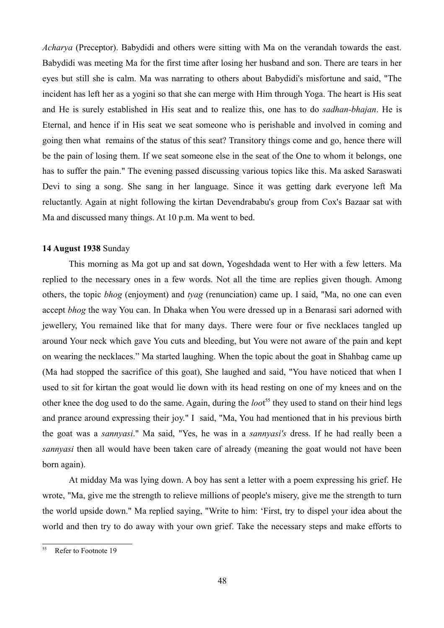*Acharya* (Preceptor). Babydidi and others were sitting with Ma on the verandah towards the east. Babydidi was meeting Ma for the first time after losing her husband and son. There are tears in her eyes but still she is calm. Ma was narrating to others about Babydidi's misfortune and said, "The incident has left her as a yogini so that she can merge with Him through Yoga. The heart is His seat and He is surely established in His seat and to realize this, one has to do *sadhan-bhajan*. He is Eternal, and hence if in His seat we seat someone who is perishable and involved in coming and going then what remains of the status of this seat? Transitory things come and go, hence there will be the pain of losing them. If we seat someone else in the seat of the One to whom it belongs, one has to suffer the pain." The evening passed discussing various topics like this. Ma asked Saraswati Devi to sing a song. She sang in her language. Since it was getting dark everyone left Ma reluctantly. Again at night following the kirtan Devendrababu's group from Cox's Bazaar sat with Ma and discussed many things. At 10 p.m. Ma went to bed.

## **14 August 1938** Sunday

This morning as Ma got up and sat down, Yogeshdada went to Her with a few letters. Ma replied to the necessary ones in a few words. Not all the time are replies given though. Among others, the topic *bhog* (enjoyment) and *tyag* (renunciation) came up. I said, "Ma, no one can even accept *bhog* the way You can. In Dhaka when You were dressed up in a Benarasi sari adorned with jewellery, You remained like that for many days. There were four or five necklaces tangled up around Your neck which gave You cuts and bleeding, but You were not aware of the pain and kept on wearing the necklaces." Ma started laughing. When the topic about the goat in Shahbag came up (Ma had stopped the sacrifice of this goat), She laughed and said, "You have noticed that when I used to sit for kirtan the goat would lie down with its head resting on one of my knees and on the other knee the dog used to do the same. Again, during the *loo*t [55](#page-47-0) they used to stand on their hind legs and prance around expressing their joy." I said, "Ma, You had mentioned that in his previous birth the goat was a *sannyasi*." Ma said, "Yes, he was in a *sannyasi's* dress. If he had really been a *sannyasi* then all would have been taken care of already (meaning the goat would not have been born again).

At midday Ma was lying down. A boy has sent a letter with a poem expressing his grief. He wrote, "Ma, give me the strength to relieve millions of people's misery, give me the strength to turn the world upside down." Ma replied saying, "Write to him: 'First, try to dispel your idea about the world and then try to do away with your own grief. Take the necessary steps and make efforts to

<span id="page-47-0"></span><sup>&</sup>lt;sup>55</sup> Refer to Footnote 19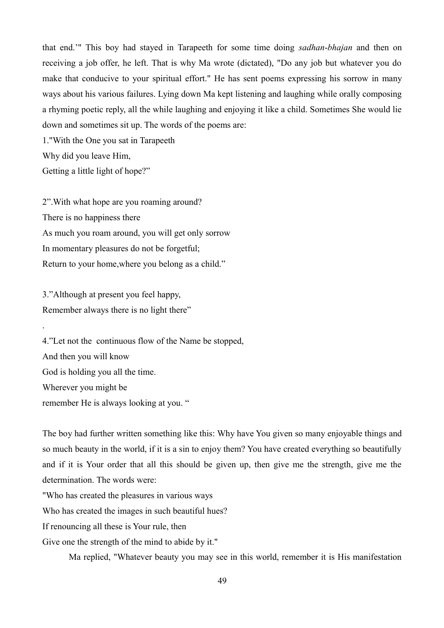that end.'" This boy had stayed in Tarapeeth for some time doing *sadhan*-*bhajan* and then on receiving a job offer, he left. That is why Ma wrote (dictated), "Do any job but whatever you do make that conducive to your spiritual effort." He has sent poems expressing his sorrow in many ways about his various failures. Lying down Ma kept listening and laughing while orally composing a rhyming poetic reply, all the while laughing and enjoying it like a child. Sometimes She would lie down and sometimes sit up. The words of the poems are:

1."With the One you sat in Tarapeeth Why did you leave Him, Getting a little light of hope?"

2".With what hope are you roaming around? There is no happiness there As much you roam around, you will get only sorrow In momentary pleasures do not be forgetful; Return to your home,where you belong as a child."

3."Although at present you feel happy, Remember always there is no light there"

.

4."Let not the continuous flow of the Name be stopped, And then you will know God is holding you all the time. Wherever you might be remember He is always looking at you. "

The boy had further written something like this: Why have You given so many enjoyable things and so much beauty in the world, if it is a sin to enjoy them? You have created everything so beautifully and if it is Your order that all this should be given up, then give me the strength, give me the determination. The words were:

"Who has created the pleasures in various ways Who has created the images in such beautiful hues?

If renouncing all these is Your rule, then

Give one the strength of the mind to abide by it."

Ma replied, "Whatever beauty you may see in this world, remember it is His manifestation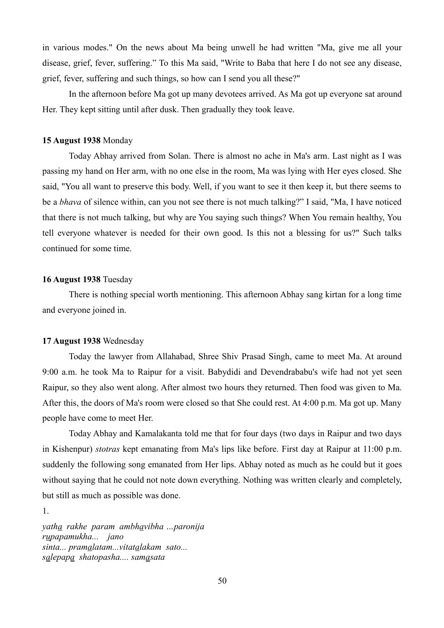in various modes." On the news about Ma being unwell he had written "Ma, give me all your disease, grief, fever, suffering." To this Ma said, "Write to Baba that here I do not see any disease, grief, fever, suffering and such things, so how can I send you all these?"

In the afternoon before Ma got up many devotees arrived. As Ma got up everyone sat around Her. They kept sitting until after dusk. Then gradually they took leave.

## **15 August 1938** Monday

Today Abhay arrived from Solan. There is almost no ache in Ma's arm. Last night as I was passing my hand on Her arm, with no one else in the room, Ma was lying with Her eyes closed. She said, "You all want to preserve this body. Well, if you want to see it then keep it, but there seems to be a *bhava* of silence within, can you not see there is not much talking?" I said, "Ma, I have noticed that there is not much talking, but why are You saying such things? When You remain healthy, You tell everyone whatever is needed for their own good. Is this not a blessing for us?" Such talks continued for some time.

#### **16 August 1938** Tuesday

There is nothing special worth mentioning. This afternoon Abhay sang kirtan for a long time and everyone joined in.

## **17 August 1938** Wednesday

Today the lawyer from Allahabad, Shree Shiv Prasad Singh, came to meet Ma. At around 9:00 a.m. he took Ma to Raipur for a visit. Babydidi and Devendrababu's wife had not yet seen Raipur, so they also went along. After almost two hours they returned. Then food was given to Ma. After this, the doors of Ma's room were closed so that She could rest. At 4:00 p.m. Ma got up. Many people have come to meet Her.

Today Abhay and Kamalakanta told me that for four days (two days in Raipur and two days in Kishenpur) *stotras* kept emanating from Ma's lips like before. First day at Raipur at 11:00 p.m. suddenly the following song emanated from Her lips. Abhay noted as much as he could but it goes without saying that he could not note down everything. Nothing was written clearly and completely, but still as much as possible was done.

*yatha rakhe param ambhavibha …paronija rupapamukha... jano sinta... pramalatam...vitatalakam sato... salepapa shatopasha.... samasata*

<sup>1.</sup>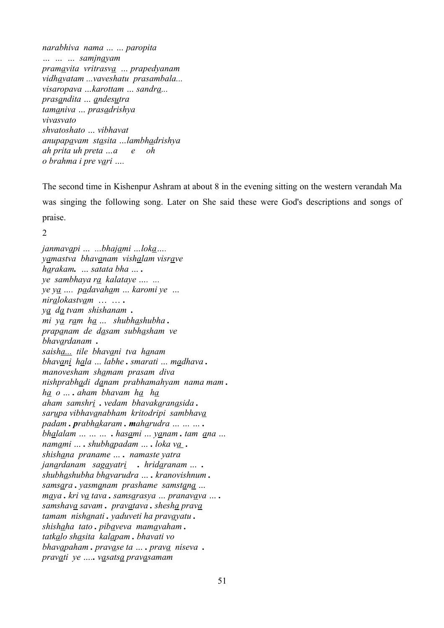*narabhiva nama … … paropita … … … samjnayam pramavita vritrasva … prapedyanam vidhavatam ...vaveshatu prasambala... visaropava …karottam … sandra... prasandita … andesutra tamaniva … prasadrishya vivasvato shvatoshato … vibhavat anupapavam stasita …lambhadrishya ah prita uh preta …a e oh o brahma i pre vari ….*

The second time in Kishenpur Ashram at about 8 in the evening sitting on the western verandah Ma was singing the following song. Later on She said these were God's descriptions and songs of praise.

 $\overline{2}$ 

*janmavapi … ...bhajami …loka…. yamastva bhavanam vishalam visrave harakam. … satata bha … . ye sambhaya ra kalataye …. ... ye ya …. padavaham … karomi ye … niralokastvam* … … **.** *ya da tvam shishanam . mi ya ram ha … shubhashubha . prapanam de dasam subhasham ve bhavardanam . saisha... tile bhavani tva hanam bhavani hala … labhe . smarati … madhava . manovesham shamam prasam diva nishprabhadi danam prabhamahyam nama mam . ha o … . aham bhavam ha ha aham samshri . vedam bhavakaranasida . sarupa vibhavanabham kritodripi sambhava padam . prabhakaram . maharudra … … … . bhalalam … … … . hasami … yanam . tam ana … namami … . shubhapadam … . loka va . shishana praname … . namaste yatra janardanam sagayatri . hridaranam … . shubhashubha bhavarudra … . kranovishnum . samsara . yasmanam prashame samstana … maya . kri va tava . samsarasya … pranavava … . samshava savam . pravatava . shesha prava tamam nishanati . yaduveti ha pravayatu . shishaha tato . pibaveva mamavaham . tatkalo shasita kalapam . bhavati vo bhavapaham . pravase ta … . prava niseva . pravati ye ….. vasatsa pravasamam*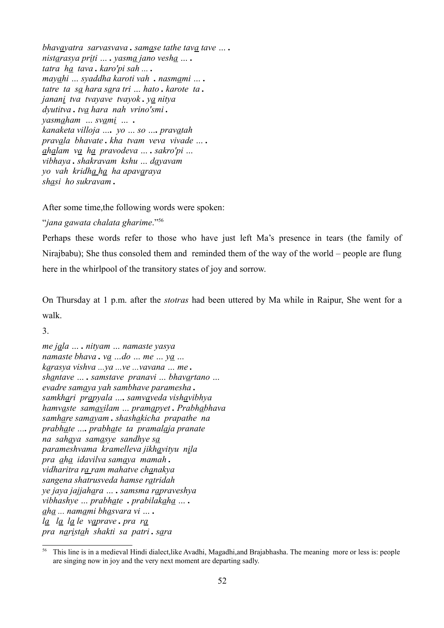*bhavayatra sarvasvava . samase tathe tava tave … . nistarasya priti … . yasma jano vesha … . tatra ha tava . karo'pi sah ... . mayahi … syaddha karoti vah . nasmami … . tatre ta sa hara sara tri … hato . karote ta . janani tva tvayave tvayok . ya nitya dyutitva . tva hara nah vrino'smi . yasmaham … svami … . kanaketa villoja …. yo … so …. pravatah pravala bhavate . kha tvam veva vivade … . ahalam va ha pravodeva … . sakro'pi … vibhaya . shakravam kshu … dayavam yo vah kridha ha ha apavaraya shasi ho sukravam .*

After some time,the following words were spoken:

"*jana gawata chalata gharime*."[56](#page-51-0)

Perhaps these words refer to those who have just left Ma's presence in tears (the family of Nirajbabu); She thus consoled them and reminded them of the way of the world – people are flung here in the whirlpool of the transitory states of joy and sorrow.

On Thursday at 1 p.m. after the *stotras* had been uttered by Ma while in Raipur, She went for a walk.

3.

*me jala … . nityam … namaste yasya namaste bhava . va …do … me … ya … karasya vishva ...ya ...ve ...vavana … me . shantave … . samstave pranavi … bhavartano … evadre samaya yah sambhave paramesha . samkhari prapyala …. samvaveda vishavibhya hamvaste samavilam … pramapyet . Prabhabhava samhare samayam . shashakicha prapathe na prabhate …. prabhate ta pramalaja pranate na sahaya samasye sandhye sa parameshvama kramelleva jikhavityu nila pra aha idavilva samaya mamah . vidharitra ra ram mahatve chanakya sangena shatrusveda hamse ratridah ye jaya jajjahara … . samsma rapraveshya vibhashye … prabhate . prabilakaha … . aha ... namami bhasvara vi … . la la la le vaprave . pra ra pra naristah shakti sa patri . sara* 

<span id="page-51-0"></span><sup>&</sup>lt;sup>56</sup> This line is in a medieval Hindi dialect, like Avadhi, Magadhi, and Brajabhasha. The meaning more or less is: people are singing now in joy and the very next moment are departing sadly.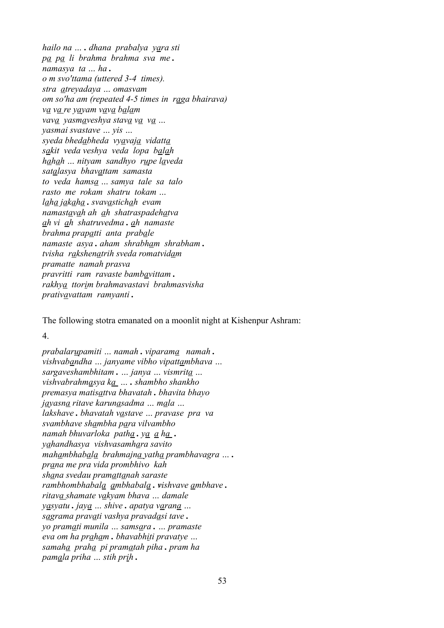*hailo na … . dhana prabalya yara sti pa pa li brahma brahma sva me . namasya ta … ha . o m svo'ttama (uttered 3-4 times). stra atreyadaya … omasvam om so'ha am (repeated 4-5 times in raga bhairava) va va re yayam vava balam vava yasmaveshya stava va va … yasmai svastave … yis … syeda bhedabheda vyavaja vidatta sakit veda veshya veda lopa balah hahah … nityam sandhyo rupe laveda satalasya bhavattam samasta to veda hamsa … samya tale sa talo rasto me rokam shatru tokam … laha jakaha . svavastichah evam namastavah ah ah shatraspadehatva ah vi ah shatruvedma . ah namaste brahma prapatti anta prabale namaste asya . aham shrabham shrabham . tvisha rakshenatrih sveda romatvidam pramatte namah prasva pravritti ram ravaste bambavittam . rakhya ttorim brahmavastavi brahmasvisha prativavattam ramyanti .*

The following stotra emanated on a moonlit night at Kishenpur Ashram:

4.

*prabalarupamiti … namah . viparama namah . vishvabandha … janyame vibho vipattambhava … sargaveshambhitam . … janya … vismrita … vishvabrahmasya ka … . shambho shankho premasya matisattva bhavatah . bhavita bhayo jayasna ritave karunasadma … mala … lakshave . bhavatah vastave … pravase pra va svambhave shambha para vilvambho namah bhuvarloka patha . ya a ha . yahandhasya vishvasamhara savito mahambhabala brahmajna yatha prambhavagra … . prana me pra vida prombhivo kah shana svedau pramattanah saraste rambhombhabala ambhabala . vishvave ambhave . ritava shamate vakyam bhava … damale yasyatu . jaya … shive . apatya varana … sagrama pravati vashya pravadasi tave . yo pramati munila … samsara . … pramaste eva om ha praham . bhavabhiti pravatye … samaha praha pi pramatah piha . pram ha pamala priha … stih prih .*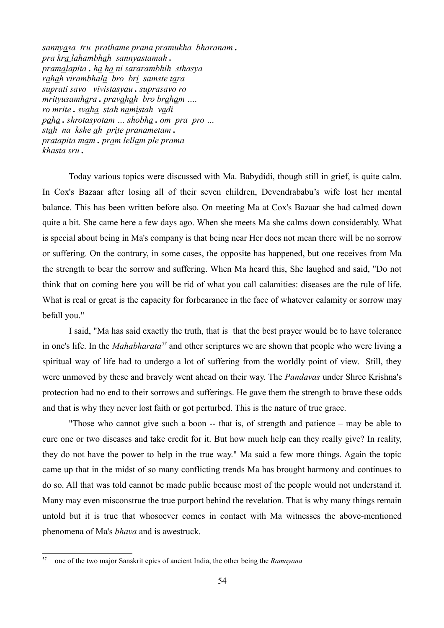*sannyasa tru prathame prana pramukha bharanam . pra kra lahambhah sannyastamah . pramalapita . ha ha ni sararambhih sthasya rahah virambhala bro bri samste tara suprati savo vivistasyau . suprasavo ro mrityusamhara . pravahah bro braham …. ro mrite . svaha stah namistah vadi paha . shrotasyotam … shobha . om pra pro … stah na kshe ah prite pranametam . pratapita mam . pram lellam ple prama khasta sru .*

Today various topics were discussed with Ma. Babydidi, though still in grief, is quite calm. In Cox's Bazaar after losing all of their seven children, Devendrababu's wife lost her mental balance. This has been written before also. On meeting Ma at Cox's Bazaar she had calmed down quite a bit. She came here a few days ago. When she meets Ma she calms down considerably. What is special about being in Ma's company is that being near Her does not mean there will be no sorrow or suffering. On the contrary, in some cases, the opposite has happened, but one receives from Ma the strength to bear the sorrow and suffering. When Ma heard this, She laughed and said, "Do not think that on coming here you will be rid of what you call calamities: diseases are the rule of life. What is real or great is the capacity for forbearance in the face of whatever calamity or sorrow may befall you."

I said, "Ma has said exactly the truth, that is that the best prayer would be to have tolerance in one's life. In the *Mahabharata[57](#page-53-0)* and other scriptures we are shown that people who were living a spiritual way of life had to undergo a lot of suffering from the worldly point of view. Still, they were unmoved by these and bravely went ahead on their way. The *Pandavas* under Shree Krishna's protection had no end to their sorrows and sufferings. He gave them the strength to brave these odds and that is why they never lost faith or got perturbed. This is the nature of true grace.

"Those who cannot give such a boon -- that is, of strength and patience – may be able to cure one or two diseases and take credit for it. But how much help can they really give? In reality, they do not have the power to help in the true way." Ma said a few more things. Again the topic came up that in the midst of so many conflicting trends Ma has brought harmony and continues to do so. All that was told cannot be made public because most of the people would not understand it. Many may even misconstrue the true purport behind the revelation. That is why many things remain untold but it is true that whosoever comes in contact with Ma witnesses the above-mentioned phenomena of Ma's *bhava* and is awestruck.

<span id="page-53-0"></span><sup>57</sup> one of the two major Sanskrit epics of ancient India, the other being the *Ramayana*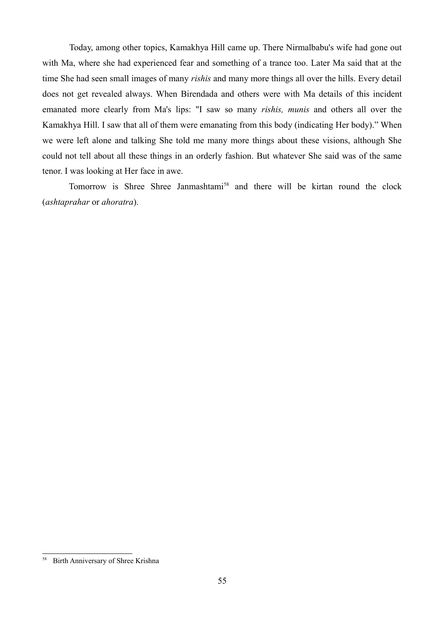Today, among other topics, Kamakhya Hill came up. There Nirmalbabu's wife had gone out with Ma, where she had experienced fear and something of a trance too. Later Ma said that at the time She had seen small images of many *rishis* and many more things all over the hills. Every detail does not get revealed always. When Birendada and others were with Ma details of this incident emanated more clearly from Ma's lips: "I saw so many *rishis, munis* and others all over the Kamakhya Hill. I saw that all of them were emanating from this body (indicating Her body)." When we were left alone and talking She told me many more things about these visions, although She could not tell about all these things in an orderly fashion. But whatever She said was of the same tenor. I was looking at Her face in awe.

Tomorrow is Shree Shree Janmashtami<sup>[58](#page-54-0)</sup> and there will be kirtan round the clock (*ashtaprahar* or *ahoratra*).

<span id="page-54-0"></span><sup>&</sup>lt;sup>58</sup> Birth Anniversary of Shree Krishna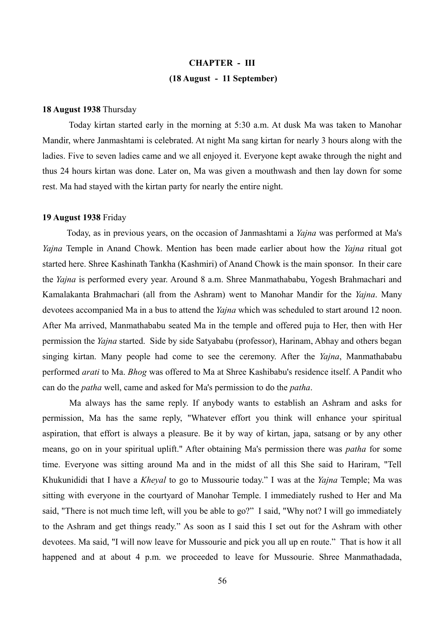# **CHAPTER - III (18 August - 11 September)**

## **18 August 1938** Thursday

Today kirtan started early in the morning at 5:30 a.m. At dusk Ma was taken to Manohar Mandir, where Janmashtami is celebrated. At night Ma sang kirtan for nearly 3 hours along with the ladies. Five to seven ladies came and we all enjoyed it. Everyone kept awake through the night and thus 24 hours kirtan was done. Later on, Ma was given a mouthwash and then lay down for some rest. Ma had stayed with the kirtan party for nearly the entire night.

#### **19 August 1938** Friday

 Today, as in previous years, on the occasion of Janmashtami a *Yajna* was performed at Ma's *Yajna* Temple in Anand Chowk. Mention has been made earlier about how the *Yajna* ritual got started here. Shree Kashinath Tankha (Kashmiri) of Anand Chowk is the main sponsor. In their care the *Yajna* is performed every year. Around 8 a.m. Shree Manmathababu, Yogesh Brahmachari and Kamalakanta Brahmachari (all from the Ashram) went to Manohar Mandir for the *Yajna*. Many devotees accompanied Ma in a bus to attend the *Yajna* which was scheduled to start around 12 noon. After Ma arrived, Manmathababu seated Ma in the temple and offered puja to Her, then with Her permission the *Yajna* started. Side by side Satyababu (professor), Harinam, Abhay and others began singing kirtan. Many people had come to see the ceremony. After the *Yajna*, Manmathababu performed *arati* to Ma. *Bhog* was offered to Ma at Shree Kashibabu's residence itself. A Pandit who can do the *patha* well, came and asked for Ma's permission to do the *patha*.

Ma always has the same reply. If anybody wants to establish an Ashram and asks for permission, Ma has the same reply, "Whatever effort you think will enhance your spiritual aspiration, that effort is always a pleasure. Be it by way of kirtan, japa, satsang or by any other means, go on in your spiritual uplift." After obtaining Ma's permission there was *patha* for some time. Everyone was sitting around Ma and in the midst of all this She said to Hariram, "Tell Khukunididi that I have a *Kheyal* to go to Mussourie today." I was at the *Yajna* Temple; Ma was sitting with everyone in the courtyard of Manohar Temple. I immediately rushed to Her and Ma said, "There is not much time left, will you be able to go?" I said, "Why not? I will go immediately to the Ashram and get things ready." As soon as I said this I set out for the Ashram with other devotees. Ma said, "I will now leave for Mussourie and pick you all up en route." That is how it all happened and at about 4 p.m. we proceeded to leave for Mussourie. Shree Manmathadada,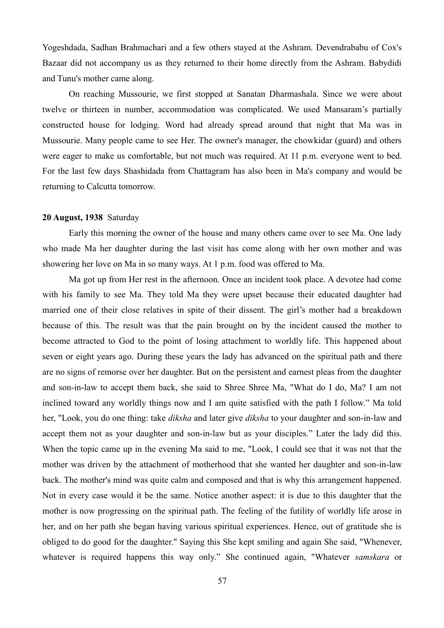Yogeshdada, Sadhan Brahmachari and a few others stayed at the Ashram. Devendrababu of Cox's Bazaar did not accompany us as they returned to their home directly from the Ashram. Babydidi and Tunu's mother came along.

On reaching Mussourie, we first stopped at Sanatan Dharmashala. Since we were about twelve or thirteen in number, accommodation was complicated. We used Mansaram's partially constructed house for lodging. Word had already spread around that night that Ma was in Mussourie. Many people came to see Her. The owner's manager, the chowkidar (guard) and others were eager to make us comfortable, but not much was required. At 11 p.m. everyone went to bed. For the last few days Shashidada from Chattagram has also been in Ma's company and would be returning to Calcutta tomorrow.

## **20 August, 1938** Saturday

Early this morning the owner of the house and many others came over to see Ma. One lady who made Ma her daughter during the last visit has come along with her own mother and was showering her love on Ma in so many ways. At 1 p.m. food was offered to Ma.

Ma got up from Her rest in the afternoon. Once an incident took place. A devotee had come with his family to see Ma. They told Ma they were upset because their educated daughter had married one of their close relatives in spite of their dissent. The girl's mother had a breakdown because of this. The result was that the pain brought on by the incident caused the mother to become attracted to God to the point of losing attachment to worldly life. This happened about seven or eight years ago. During these years the lady has advanced on the spiritual path and there are no signs of remorse over her daughter. But on the persistent and earnest pleas from the daughter and son-in-law to accept them back, she said to Shree Shree Ma, "What do I do, Ma? I am not inclined toward any worldly things now and I am quite satisfied with the path I follow." Ma told her, "Look, you do one thing: take *diksha* and later give *diksha* to your daughter and son-in-law and accept them not as your daughter and son-in-law but as your disciples." Later the lady did this. When the topic came up in the evening Ma said to me, "Look, I could see that it was not that the mother was driven by the attachment of motherhood that she wanted her daughter and son-in-law back. The mother's mind was quite calm and composed and that is why this arrangement happened. Not in every case would it be the same. Notice another aspect: it is due to this daughter that the mother is now progressing on the spiritual path. The feeling of the futility of worldly life arose in her, and on her path she began having various spiritual experiences. Hence, out of gratitude she is obliged to do good for the daughter." Saying this She kept smiling and again She said, "Whenever, whatever is required happens this way only." She continued again, "Whatever *samskara* or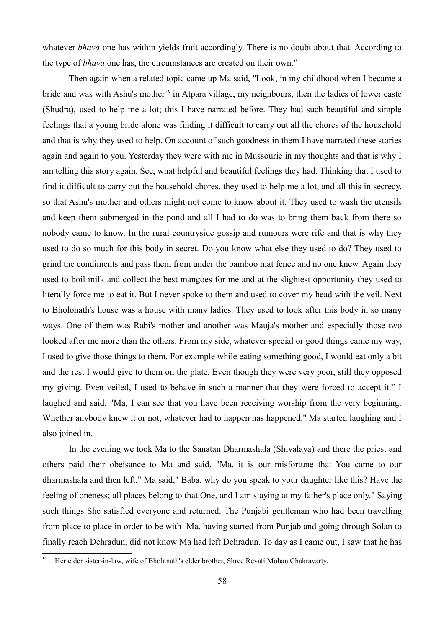whatever *bhava* one has within yields fruit accordingly. There is no doubt about that. According to the type of *bhava* one has, the circumstances are created on their own."

Then again when a related topic came up Ma said, "Look, in my childhood when I became a bride and was with Ashu's mother*[59](#page-57-0)* in Atpara village, my neighbours, then the ladies of lower caste (Shudra), used to help me a lot; this I have narrated before. They had such beautiful and simple feelings that a young bride alone was finding it difficult to carry out all the chores of the household and that is why they used to help. On account of such goodness in them I have narrated these stories again and again to you. Yesterday they were with me in Mussourie in my thoughts and that is why I am telling this story again. See, what helpful and beautiful feelings they had. Thinking that I used to find it difficult to carry out the household chores, they used to help me a lot, and all this in secrecy, so that Ashu's mother and others might not come to know about it. They used to wash the utensils and keep them submerged in the pond and all I had to do was to bring them back from there so nobody came to know. In the rural countryside gossip and rumours were rife and that is why they used to do so much for this body in secret. Do you know what else they used to do? They used to grind the condiments and pass them from under the bamboo mat fence and no one knew. Again they used to boil milk and collect the best mangoes for me and at the slightest opportunity they used to literally force me to eat it. But I never spoke to them and used to cover my head with the veil. Next to Bholonath's house was a house with many ladies. They used to look after this body in so many ways. One of them was Rabi's mother and another was Mauja's mother and especially those two looked after me more than the others. From my side, whatever special or good things came my way, I used to give those things to them. For example while eating something good, I would eat only a bit and the rest I would give to them on the plate. Even though they were very poor, still they opposed my giving. Even veiled, I used to behave in such a manner that they were forced to accept it." I laughed and said, "Ma, I can see that you have been receiving worship from the very beginning. Whether anybody knew it or not, whatever had to happen has happened." Ma started laughing and I also joined in.

In the evening we took Ma to the Sanatan Dharmashala (Shivalaya) and there the priest and others paid their obeisance to Ma and said, "Ma, it is our misfortune that You came to our dharmashala and then left." Ma said," Baba, why do you speak to your daughter like this? Have the feeling of oneness; all places belong to that One, and I am staying at my father's place only." Saying such things She satisfied everyone and returned. The Punjabi gentleman who had been travelling from place to place in order to be with Ma, having started from Punjab and going through Solan to finally reach Dehradun, did not know Ma had left Dehradun. To day as I came out, I saw that he has

<span id="page-57-0"></span><sup>59</sup> Her elder sister-in-law, wife of Bholanath's elder brother, Shree Revati Mohan Chakravarty.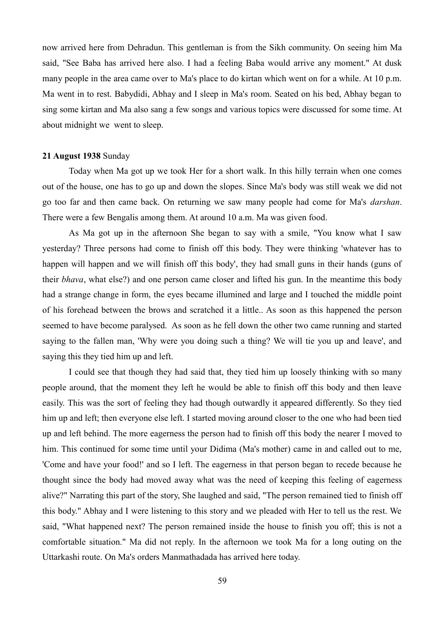now arrived here from Dehradun. This gentleman is from the Sikh community. On seeing him Ma said, "See Baba has arrived here also. I had a feeling Baba would arrive any moment." At dusk many people in the area came over to Ma's place to do kirtan which went on for a while. At 10 p.m. Ma went in to rest. Babydidi, Abhay and I sleep in Ma's room. Seated on his bed, Abhay began to sing some kirtan and Ma also sang a few songs and various topics were discussed for some time. At about midnight we went to sleep.

#### **21 August 1938** Sunday

Today when Ma got up we took Her for a short walk. In this hilly terrain when one comes out of the house, one has to go up and down the slopes. Since Ma's body was still weak we did not go too far and then came back. On returning we saw many people had come for Ma's *darshan*. There were a few Bengalis among them. At around 10 a.m. Ma was given food.

As Ma got up in the afternoon She began to say with a smile, "You know what I saw yesterday? Three persons had come to finish off this body. They were thinking 'whatever has to happen will happen and we will finish off this body', they had small guns in their hands (guns of their *bhava*, what else?) and one person came closer and lifted his gun. In the meantime this body had a strange change in form, the eyes became illumined and large and I touched the middle point of his forehead between the brows and scratched it a little.. As soon as this happened the person seemed to have become paralysed. As soon as he fell down the other two came running and started saying to the fallen man, 'Why were you doing such a thing? We will tie you up and leave', and saying this they tied him up and left.

I could see that though they had said that, they tied him up loosely thinking with so many people around, that the moment they left he would be able to finish off this body and then leave easily. This was the sort of feeling they had though outwardly it appeared differently. So they tied him up and left; then everyone else left. I started moving around closer to the one who had been tied up and left behind. The more eagerness the person had to finish off this body the nearer I moved to him. This continued for some time until your Didima (Ma's mother) came in and called out to me, 'Come and have your food!' and so I left. The eagerness in that person began to recede because he thought since the body had moved away what was the need of keeping this feeling of eagerness alive?" Narrating this part of the story, She laughed and said, "The person remained tied to finish off this body." Abhay and I were listening to this story and we pleaded with Her to tell us the rest. We said, "What happened next? The person remained inside the house to finish you off; this is not a comfortable situation." Ma did not reply. In the afternoon we took Ma for a long outing on the Uttarkashi route. On Ma's orders Manmathadada has arrived here today.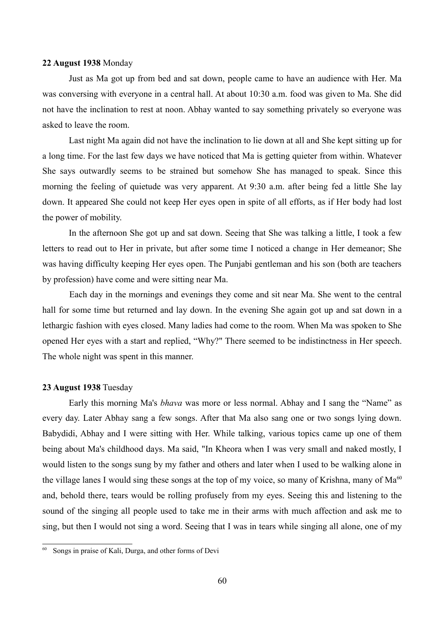#### **22 August 1938** Monday

Just as Ma got up from bed and sat down, people came to have an audience with Her. Ma was conversing with everyone in a central hall. At about 10:30 a.m. food was given to Ma. She did not have the inclination to rest at noon. Abhay wanted to say something privately so everyone was asked to leave the room.

Last night Ma again did not have the inclination to lie down at all and She kept sitting up for a long time. For the last few days we have noticed that Ma is getting quieter from within. Whatever She says outwardly seems to be strained but somehow She has managed to speak. Since this morning the feeling of quietude was very apparent. At 9:30 a.m. after being fed a little She lay down. It appeared She could not keep Her eyes open in spite of all efforts, as if Her body had lost the power of mobility.

In the afternoon She got up and sat down. Seeing that She was talking a little, I took a few letters to read out to Her in private, but after some time I noticed a change in Her demeanor; She was having difficulty keeping Her eyes open. The Punjabi gentleman and his son (both are teachers by profession) have come and were sitting near Ma.

Each day in the mornings and evenings they come and sit near Ma. She went to the central hall for some time but returned and lay down. In the evening She again got up and sat down in a lethargic fashion with eyes closed. Many ladies had come to the room. When Ma was spoken to She opened Her eyes with a start and replied, "Why?" There seemed to be indistinctness in Her speech. The whole night was spent in this manner.

## **23 August 1938** Tuesday

Early this morning Ma's *bhava* was more or less normal. Abhay and I sang the "Name" as every day. Later Abhay sang a few songs. After that Ma also sang one or two songs lying down. Babydidi, Abhay and I were sitting with Her. While talking, various topics came up one of them being about Ma's childhood days. Ma said, "In Kheora when I was very small and naked mostly, I would listen to the songs sung by my father and others and later when I used to be walking alone in the village lanes I would sing these songs at the top of my voice, so many of Krishna, many of  $Ma^{60}$  $Ma^{60}$  $Ma^{60}$ and, behold there, tears would be rolling profusely from my eyes. Seeing this and listening to the sound of the singing all people used to take me in their arms with much affection and ask me to sing, but then I would not sing a word. Seeing that I was in tears while singing all alone, one of my

<span id="page-59-0"></span>Songs in praise of Kali, Durga, and other forms of Devi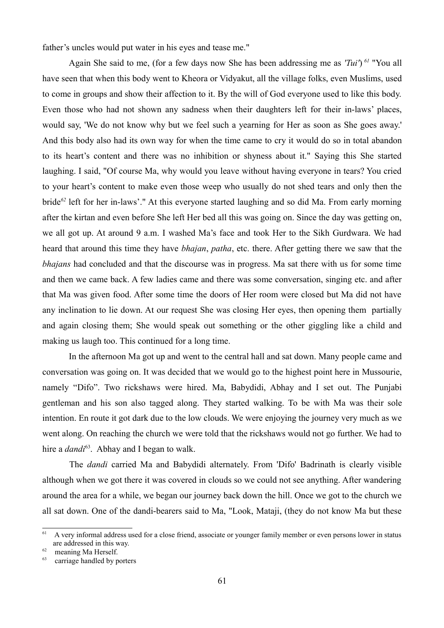father's uncles would put water in his eyes and tease me."

Again She said to me, (for a few days now She has been addressing me as *'Tui'*) *[61](#page-60-0)* "You all have seen that when this body went to Kheora or Vidyakut, all the village folks, even Muslims, used to come in groups and show their affection to it. By the will of God everyone used to like this body. Even those who had not shown any sadness when their daughters left for their in-laws' places, would say, 'We do not know why but we feel such a yearning for Her as soon as She goes away.' And this body also had its own way for when the time came to cry it would do so in total abandon to its heart's content and there was no inhibition or shyness about it." Saying this She started laughing. I said, "Of course Ma, why would you leave without having everyone in tears? You cried to your heart's content to make even those weep who usually do not shed tears and only then the bride*[62](#page-60-1)* left for her in-laws'." At this everyone started laughing and so did Ma. From early morning after the kirtan and even before She left Her bed all this was going on. Since the day was getting on, we all got up. At around 9 a.m. I washed Ma's face and took Her to the Sikh Gurdwara. We had heard that around this time they have *bhajan*, *patha*, etc. there. After getting there we saw that the *bhajans* had concluded and that the discourse was in progress. Ma sat there with us for some time and then we came back. A few ladies came and there was some conversation, singing etc. and after that Ma was given food. After some time the doors of Her room were closed but Ma did not have any inclination to lie down. At our request She was closing Her eyes, then opening them partially and again closing them; She would speak out something or the other giggling like a child and making us laugh too. This continued for a long time.

In the afternoon Ma got up and went to the central hall and sat down. Many people came and conversation was going on. It was decided that we would go to the highest point here in Mussourie, namely "Difo". Two rickshaws were hired. Ma, Babydidi, Abhay and I set out. The Punjabi gentleman and his son also tagged along. They started walking. To be with Ma was their sole intention. En route it got dark due to the low clouds. We were enjoying the journey very much as we went along. On reaching the church we were told that the rickshaws would not go further. We had to hire a *dandi*<sup>[63](#page-60-2)</sup>. Abhay and I began to walk.

The *dandi* carried Ma and Babydidi alternately. From 'Difo' Badrinath is clearly visible although when we got there it was covered in clouds so we could not see anything. After wandering around the area for a while, we began our journey back down the hill. Once we got to the church we all sat down. One of the dandi-bearers said to Ma, "Look, Mataji, (they do not know Ma but these

<span id="page-60-0"></span> $61$  A very informal address used for a close friend, associate or younger family member or even persons lower in status are addressed in this way.

<span id="page-60-1"></span> $^{62}$  meaning Ma Herself.<br> $^{63}$  earning handled by n

<span id="page-60-2"></span>carriage handled by porters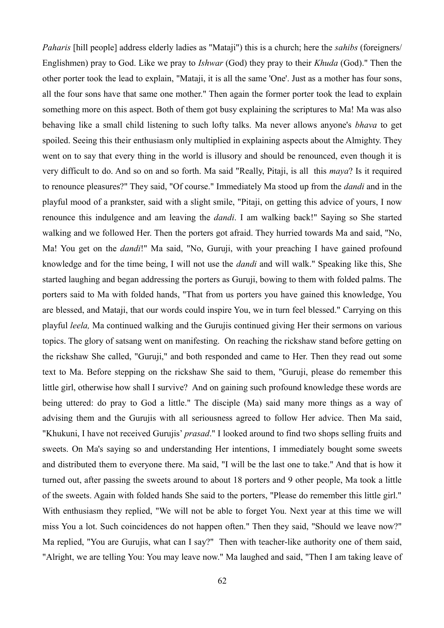*Paharis* [hill people] address elderly ladies as "Mataji") this is a church; here the *sahibs* (foreigners/ Englishmen) pray to God. Like we pray to *Ishwar* (God) they pray to their *Khuda* (God)." Then the other porter took the lead to explain, "Mataji, it is all the same 'One'. Just as a mother has four sons, all the four sons have that same one mother." Then again the former porter took the lead to explain something more on this aspect. Both of them got busy explaining the scriptures to Ma! Ma was also behaving like a small child listening to such lofty talks. Ma never allows anyone's *bhava* to get spoiled. Seeing this their enthusiasm only multiplied in explaining aspects about the Almighty. They went on to say that every thing in the world is illusory and should be renounced, even though it is very difficult to do. And so on and so forth. Ma said "Really, Pitaji, is all this *maya*? Is it required to renounce pleasures?" They said, "Of course." Immediately Ma stood up from the *dandi* and in the playful mood of a prankster, said with a slight smile, "Pitaji, on getting this advice of yours, I now renounce this indulgence and am leaving the *dandi*. I am walking back!" Saying so She started walking and we followed Her. Then the porters got afraid. They hurried towards Ma and said, "No, Ma! You get on the *dandi*!" Ma said, "No, Guruji, with your preaching I have gained profound knowledge and for the time being, I will not use the *dandi* and will walk." Speaking like this, She started laughing and began addressing the porters as Guruji, bowing to them with folded palms. The porters said to Ma with folded hands, "That from us porters you have gained this knowledge, You are blessed, and Mataji, that our words could inspire You, we in turn feel blessed." Carrying on this playful *leela,* Ma continued walking and the Gurujis continued giving Her their sermons on various topics. The glory of satsang went on manifesting. On reaching the rickshaw stand before getting on the rickshaw She called, "Guruji," and both responded and came to Her. Then they read out some text to Ma. Before stepping on the rickshaw She said to them, "Guruji, please do remember this little girl, otherwise how shall I survive? And on gaining such profound knowledge these words are being uttered: do pray to God a little." The disciple (Ma) said many more things as a way of advising them and the Gurujis with all seriousness agreed to follow Her advice. Then Ma said, "Khukuni, I have not received Gurujis' *prasad*." I looked around to find two shops selling fruits and sweets. On Ma's saying so and understanding Her intentions, I immediately bought some sweets and distributed them to everyone there. Ma said, "I will be the last one to take." And that is how it turned out, after passing the sweets around to about 18 porters and 9 other people, Ma took a little of the sweets. Again with folded hands She said to the porters, "Please do remember this little girl." With enthusiasm they replied, "We will not be able to forget You. Next year at this time we will miss You a lot. Such coincidences do not happen often." Then they said, "Should we leave now?" Ma replied, "You are Gurujis, what can I say?" Then with teacher-like authority one of them said, "Alright, we are telling You: You may leave now." Ma laughed and said, "Then I am taking leave of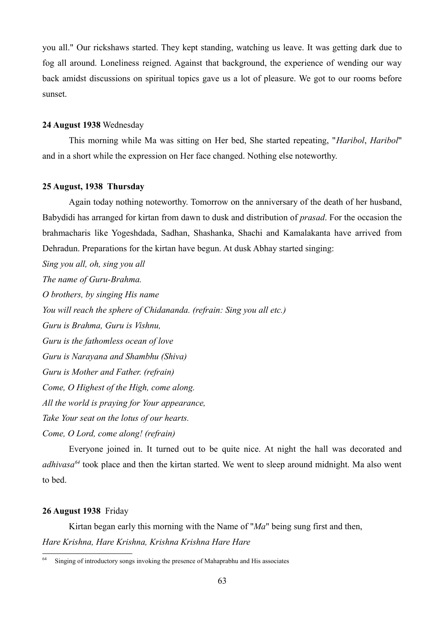you all." Our rickshaws started. They kept standing, watching us leave. It was getting dark due to fog all around. Loneliness reigned. Against that background, the experience of wending our way back amidst discussions on spiritual topics gave us a lot of pleasure. We got to our rooms before sunset.

## **24 August 1938** Wednesday

This morning while Ma was sitting on Her bed, She started repeating, "*Haribol*, *Haribol*" and in a short while the expression on Her face changed. Nothing else noteworthy.

## **25 August, 1938 Thursday**

Again today nothing noteworthy. Tomorrow on the anniversary of the death of her husband, Babydidi has arranged for kirtan from dawn to dusk and distribution of *prasad*. For the occasion the brahmacharis like Yogeshdada, Sadhan, Shashanka, Shachi and Kamalakanta have arrived from Dehradun. Preparations for the kirtan have begun. At dusk Abhay started singing:

*Sing you all, oh, sing you all The name of Guru-Brahma. O brothers, by singing His name You will reach the sphere of Chidananda. (refrain: Sing you all etc.) Guru is Brahma, Guru is Vishnu, Guru is the fathomless ocean of love Guru is Narayana and Shambhu (Shiva) Guru is Mother and Father. (refrain) Come, O Highest of the High, come along. All the world is praying for Your appearance, Take Your seat on the lotus of our hearts. Come, O Lord, come along! (refrain)*

Everyone joined in. It turned out to be quite nice. At night the hall was decorated and *adhivasa[64](#page-62-0)* took place and then the kirtan started. We went to sleep around midnight. Ma also went to bed.

# **26 August 1938** Friday

Kirtan began early this morning with the Name of "*Ma*" being sung first and then, *Hare Krishna, Hare Krishna, Krishna Krishna Hare Hare*

<span id="page-62-0"></span><sup>&</sup>lt;sup>64</sup> Singing of introductory songs invoking the presence of Mahaprabhu and His associates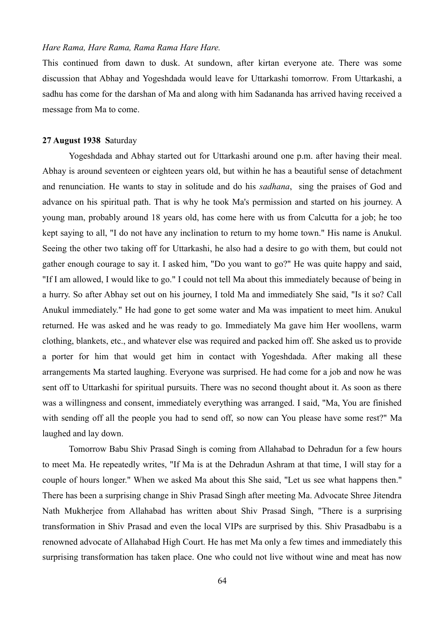## *Hare Rama, Hare Rama, Rama Rama Hare Hare.*

This continued from dawn to dusk. At sundown, after kirtan everyone ate. There was some discussion that Abhay and Yogeshdada would leave for Uttarkashi tomorrow. From Uttarkashi, a sadhu has come for the darshan of Ma and along with him Sadananda has arrived having received a message from Ma to come.

#### **27 August 1938 S**aturday

Yogeshdada and Abhay started out for Uttarkashi around one p.m. after having their meal. Abhay is around seventeen or eighteen years old, but within he has a beautiful sense of detachment and renunciation. He wants to stay in solitude and do his *sadhana*, sing the praises of God and advance on his spiritual path. That is why he took Ma's permission and started on his journey. A young man, probably around 18 years old, has come here with us from Calcutta for a job; he too kept saying to all, "I do not have any inclination to return to my home town." His name is Anukul. Seeing the other two taking off for Uttarkashi, he also had a desire to go with them, but could not gather enough courage to say it. I asked him, "Do you want to go?" He was quite happy and said, "If I am allowed, I would like to go." I could not tell Ma about this immediately because of being in a hurry. So after Abhay set out on his journey, I told Ma and immediately She said, "Is it so? Call Anukul immediately." He had gone to get some water and Ma was impatient to meet him. Anukul returned. He was asked and he was ready to go. Immediately Ma gave him Her woollens, warm clothing, blankets, etc., and whatever else was required and packed him off. She asked us to provide a porter for him that would get him in contact with Yogeshdada. After making all these arrangements Ma started laughing. Everyone was surprised. He had come for a job and now he was sent off to Uttarkashi for spiritual pursuits. There was no second thought about it. As soon as there was a willingness and consent, immediately everything was arranged. I said, "Ma, You are finished with sending off all the people you had to send off, so now can You please have some rest?" Ma laughed and lay down.

Tomorrow Babu Shiv Prasad Singh is coming from Allahabad to Dehradun for a few hours to meet Ma. He repeatedly writes, "If Ma is at the Dehradun Ashram at that time, I will stay for a couple of hours longer." When we asked Ma about this She said, "Let us see what happens then." There has been a surprising change in Shiv Prasad Singh after meeting Ma. Advocate Shree Jitendra Nath Mukherjee from Allahabad has written about Shiv Prasad Singh, "There is a surprising transformation in Shiv Prasad and even the local VIPs are surprised by this. Shiv Prasadbabu is a renowned advocate of Allahabad High Court. He has met Ma only a few times and immediately this surprising transformation has taken place. One who could not live without wine and meat has now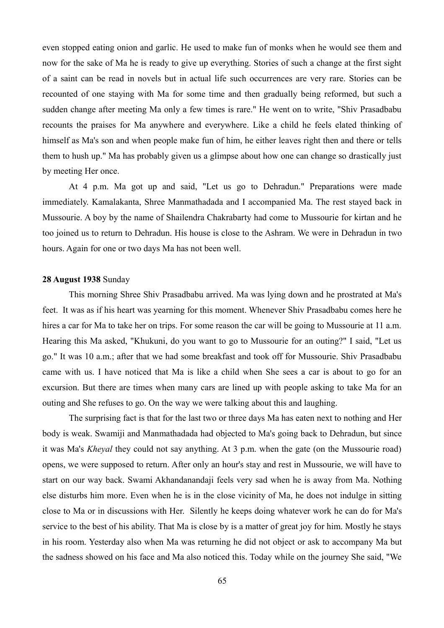even stopped eating onion and garlic. He used to make fun of monks when he would see them and now for the sake of Ma he is ready to give up everything. Stories of such a change at the first sight of a saint can be read in novels but in actual life such occurrences are very rare. Stories can be recounted of one staying with Ma for some time and then gradually being reformed, but such a sudden change after meeting Ma only a few times is rare." He went on to write, "Shiv Prasadbabu recounts the praises for Ma anywhere and everywhere. Like a child he feels elated thinking of himself as Ma's son and when people make fun of him, he either leaves right then and there or tells them to hush up." Ma has probably given us a glimpse about how one can change so drastically just by meeting Her once.

At 4 p.m. Ma got up and said, "Let us go to Dehradun." Preparations were made immediately. Kamalakanta, Shree Manmathadada and I accompanied Ma. The rest stayed back in Mussourie. A boy by the name of Shailendra Chakrabarty had come to Mussourie for kirtan and he too joined us to return to Dehradun. His house is close to the Ashram. We were in Dehradun in two hours. Again for one or two days Ma has not been well.

#### **28 August 1938** Sunday

This morning Shree Shiv Prasadbabu arrived. Ma was lying down and he prostrated at Ma's feet. It was as if his heart was yearning for this moment. Whenever Shiv Prasadbabu comes here he hires a car for Ma to take her on trips. For some reason the car will be going to Mussourie at 11 a.m. Hearing this Ma asked, "Khukuni, do you want to go to Mussourie for an outing?" I said, "Let us go." It was 10 a.m.; after that we had some breakfast and took off for Mussourie. Shiv Prasadbabu came with us. I have noticed that Ma is like a child when She sees a car is about to go for an excursion. But there are times when many cars are lined up with people asking to take Ma for an outing and She refuses to go. On the way we were talking about this and laughing.

The surprising fact is that for the last two or three days Ma has eaten next to nothing and Her body is weak. Swamiji and Manmathadada had objected to Ma's going back to Dehradun, but since it was Ma's *Kheyal* they could not say anything. At 3 p.m. when the gate (on the Mussourie road) opens, we were supposed to return. After only an hour's stay and rest in Mussourie, we will have to start on our way back. Swami Akhandanandaji feels very sad when he is away from Ma. Nothing else disturbs him more. Even when he is in the close vicinity of Ma, he does not indulge in sitting close to Ma or in discussions with Her. Silently he keeps doing whatever work he can do for Ma's service to the best of his ability. That Ma is close by is a matter of great joy for him. Mostly he stays in his room. Yesterday also when Ma was returning he did not object or ask to accompany Ma but the sadness showed on his face and Ma also noticed this. Today while on the journey She said, "We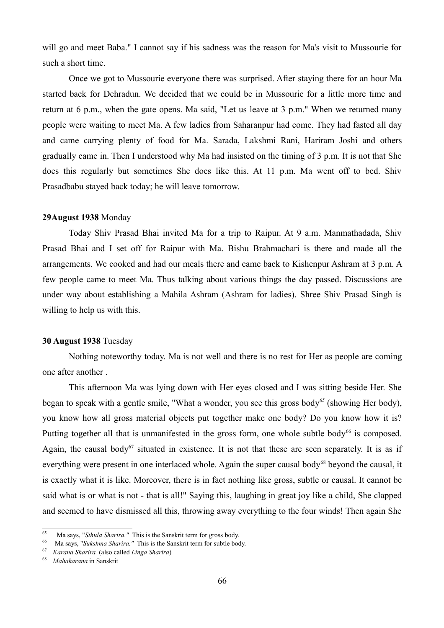will go and meet Baba." I cannot say if his sadness was the reason for Ma's visit to Mussourie for such a short time.

Once we got to Mussourie everyone there was surprised. After staying there for an hour Ma started back for Dehradun. We decided that we could be in Mussourie for a little more time and return at 6 p.m., when the gate opens. Ma said, "Let us leave at 3 p.m." When we returned many people were waiting to meet Ma. A few ladies from Saharanpur had come. They had fasted all day and came carrying plenty of food for Ma. Sarada, Lakshmi Rani, Hariram Joshi and others gradually came in. Then I understood why Ma had insisted on the timing of 3 p.m. It is not that She does this regularly but sometimes She does like this. At 11 p.m. Ma went off to bed. Shiv Prasadbabu stayed back today; he will leave tomorrow.

#### **29August 1938** Monday

Today Shiv Prasad Bhai invited Ma for a trip to Raipur. At 9 a.m. Manmathadada, Shiv Prasad Bhai and I set off for Raipur with Ma. Bishu Brahmachari is there and made all the arrangements. We cooked and had our meals there and came back to Kishenpur Ashram at 3 p.m. A few people came to meet Ma. Thus talking about various things the day passed. Discussions are under way about establishing a Mahila Ashram (Ashram for ladies). Shree Shiv Prasad Singh is willing to help us with this.

# **30 August 1938** Tuesday

Nothing noteworthy today. Ma is not well and there is no rest for Her as people are coming one after another .

This afternoon Ma was lying down with Her eyes closed and I was sitting beside Her. She began to speak with a gentle smile, "What a wonder, you see this gross body*[65](#page-65-0)* (showing Her body), you know how all gross material objects put together make one body? Do you know how it is? Putting together all that is unmanifested in the gross form, one whole subtle body<sup>[66](#page-65-1)</sup> is composed. Again, the causal body<sup>[67](#page-65-2)</sup> situated in existence. It is not that these are seen separately. It is as if everything were present in one interlaced whole. Again the super causal body<sup>[68](#page-65-3)</sup> beyond the causal, it is exactly what it is like. Moreover, there is in fact nothing like gross, subtle or causal. It cannot be said what is or what is not - that is all!" Saying this, laughing in great joy like a child, She clapped and seemed to have dismissed all this, throwing away everything to the four winds! Then again She

<span id="page-65-0"></span><sup>65</sup> Ma says, "*Sthula Sharira."* This is the Sanskrit term for gross body.

<span id="page-65-1"></span><sup>66</sup> Ma says, "*Sukshma Sharira."* This is the Sanskrit term for subtle body.

<span id="page-65-2"></span><sup>67</sup> *Karana Sharira* (also called *Linga Sharira*)

<span id="page-65-3"></span><sup>68</sup> *Mahakarana* in Sanskrit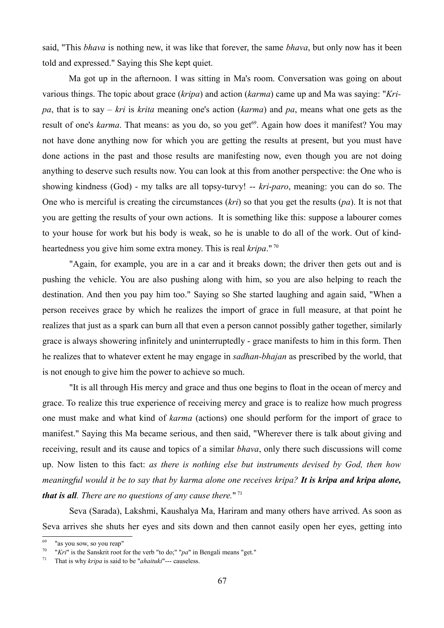said, "This *bhava* is nothing new, it was like that forever, the same *bhava*, but only now has it been told and expressed." Saying this She kept quiet.

Ma got up in the afternoon. I was sitting in Ma's room. Conversation was going on about various things. The topic about grace (*kripa*) and action (*karma*) came up and Ma was saying: "*Kripa*, that is to say – *kri* is *krita* meaning one's action (*karma*) and *pa*, means what one gets as the result of one's *karma*. That means: as you do, so you get<sup>[69](#page-66-0)</sup>. Again how does it manifest? You may not have done anything now for which you are getting the results at present, but you must have done actions in the past and those results are manifesting now, even though you are not doing anything to deserve such results now. You can look at this from another perspective: the One who is showing kindness (God) - my talks are all topsy-turvy! -- *kri*-*paro*, meaning: you can do so. The One who is merciful is creating the circumstances (*kri*) so that you get the results (*pa*). It is not that you are getting the results of your own actions. It is something like this: suppose a labourer comes to your house for work but his body is weak, so he is unable to do all of the work. Out of kindheartedness you give him some extra money. This is real *kripa*." [70](#page-66-1)

"Again, for example, you are in a car and it breaks down; the driver then gets out and is pushing the vehicle. You are also pushing along with him, so you are also helping to reach the destination. And then you pay him too." Saying so She started laughing and again said, "When a person receives grace by which he realizes the import of grace in full measure, at that point he realizes that just as a spark can burn all that even a person cannot possibly gather together, similarly grace is always showering infinitely and uninterruptedly - grace manifests to him in this form. Then he realizes that to whatever extent he may engage in *sadhan-bhajan* as prescribed by the world, that is not enough to give him the power to achieve so much.

"It is all through His mercy and grace and thus one begins to float in the ocean of mercy and grace. To realize this true experience of receiving mercy and grace is to realize how much progress one must make and what kind of *karma* (actions) one should perform for the import of grace to manifest." Saying this Ma became serious, and then said, "Wherever there is talk about giving and receiving, result and its cause and topics of a similar *bhava*, only there such discussions will come up. Now listen to this fact: *as there is nothing else but instruments devised by God, then how meaningful would it be to say that by karma alone one receives kripa? It is kripa and kripa alone, that is all. There are no questions of any cause there.*" [71](#page-66-2)

Seva (Sarada), Lakshmi, Kaushalya Ma, Hariram and many others have arrived. As soon as Seva arrives she shuts her eyes and sits down and then cannot easily open her eyes, getting into

<span id="page-66-0"></span><sup>&</sup>lt;sup>69</sup> "as you sow, so you reap"<br> $\frac{70}{70}$  "Kiill is the Sanglait useful

<span id="page-66-1"></span><sup>&</sup>quot;*Kri*" is the Sanskrit root for the verb "to do;" "*pa*" in Bengali means "get."

<span id="page-66-2"></span><sup>71</sup> That is why *kripa* is said to be "*ahaituki*"--- causeless.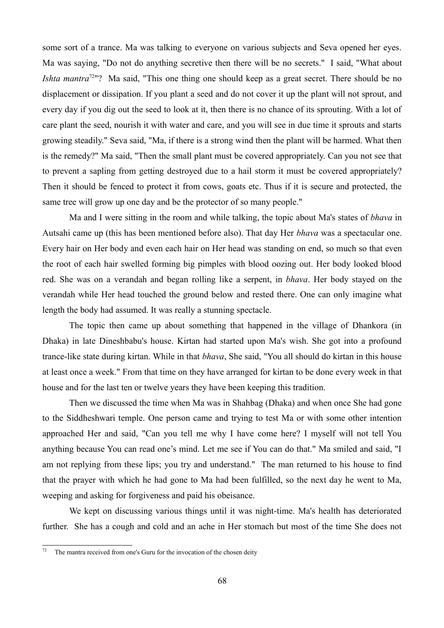some sort of a trance. Ma was talking to everyone on various subjects and Seva opened her eyes. Ma was saying, "Do not do anything secretive then there will be no secrets." I said, "What about *Ishta mantra*<sup>[72](#page-67-0)</sup>"? Ma said, "This one thing one should keep as a great secret. There should be no displacement or dissipation. If you plant a seed and do not cover it up the plant will not sprout, and every day if you dig out the seed to look at it, then there is no chance of its sprouting. With a lot of care plant the seed, nourish it with water and care, and you will see in due time it sprouts and starts growing steadily." Seva said, "Ma, if there is a strong wind then the plant will be harmed. What then is the remedy?" Ma said, "Then the small plant must be covered appropriately. Can you not see that to prevent a sapling from getting destroyed due to a hail storm it must be covered appropriately? Then it should be fenced to protect it from cows, goats etc. Thus if it is secure and protected, the same tree will grow up one day and be the protector of so many people."

Ma and I were sitting in the room and while talking, the topic about Ma's states of *bhava* in Autsahi came up (this has been mentioned before also). That day Her *bhava* was a spectacular one. Every hair on Her body and even each hair on Her head was standing on end, so much so that even the root of each hair swelled forming big pimples with blood oozing out. Her body looked blood red. She was on a verandah and began rolling like a serpent, in *bhava*. Her body stayed on the verandah while Her head touched the ground below and rested there. One can only imagine what length the body had assumed. It was really a stunning spectacle.

The topic then came up about something that happened in the village of Dhankora (in Dhaka) in late Dineshbabu's house. Kirtan had started upon Ma's wish. She got into a profound trance-like state during kirtan. While in that *bhava*, She said, "You all should do kirtan in this house at least once a week." From that time on they have arranged for kirtan to be done every week in that house and for the last ten or twelve years they have been keeping this tradition.

Then we discussed the time when Ma was in Shahbag (Dhaka) and when once She had gone to the Siddheshwari temple. One person came and trying to test Ma or with some other intention approached Her and said, "Can you tell me why I have come here? I myself will not tell You anything because You can read one's mind. Let me see if You can do that." Ma smiled and said, "I am not replying from these lips; you try and understand." The man returned to his house to find that the prayer with which he had gone to Ma had been fulfilled, so the next day he went to Ma, weeping and asking for forgiveness and paid his obeisance.

We kept on discussing various things until it was night-time. Ma's health has deteriorated further. She has a cough and cold and an ache in Her stomach but most of the time She does not

<span id="page-67-0"></span>The mantra received from one's Guru for the invocation of the chosen deity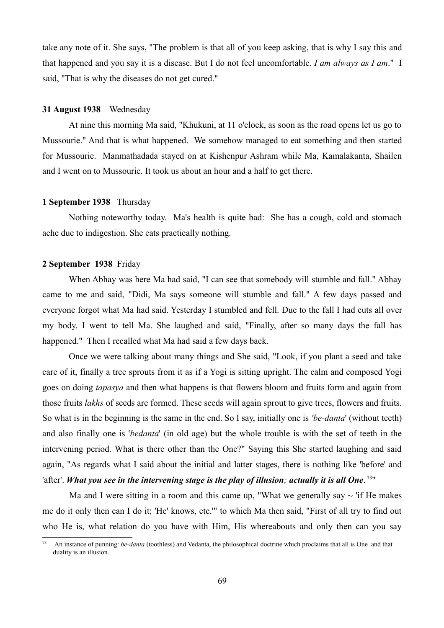take any note of it. She says, "The problem is that all of you keep asking, that is why I say this and that happened and you say it is a disease. But I do not feel uncomfortable. *I am always as I am*." I said, "That is why the diseases do not get cured."

## **31 August 1938** Wednesday

At nine this morning Ma said, "Khukuni, at 11 o'clock, as soon as the road opens let us go to Mussourie." And that is what happened. We somehow managed to eat something and then started for Mussourie. Manmathadada stayed on at Kishenpur Ashram while Ma, Kamalakanta, Shailen and I went on to Mussourie. It took us about an hour and a half to get there.

## **1 September 1938** Thursday

Nothing noteworthy today. Ma's health is quite bad: She has a cough, cold and stomach ache due to indigestion. She eats practically nothing.

#### **2 September 1938** Friday

When Abhay was here Ma had said, "I can see that somebody will stumble and fall." Abhay came to me and said, "Didi, Ma says someone will stumble and fall." A few days passed and everyone forgot what Ma had said. Yesterday I stumbled and fell. Due to the fall I had cuts all over my body. I went to tell Ma. She laughed and said, "Finally, after so many days the fall has happened." Then I recalled what Ma had said a few days back.

Once we were talking about many things and She said, "Look, if you plant a seed and take care of it, finally a tree sprouts from it as if a Yogi is sitting upright. The calm and composed Yogi goes on doing *tapasya* and then what happens is that flowers bloom and fruits form and again from those fruits *lakhs* of seeds are formed. These seeds will again sprout to give trees, flowers and fruits. So what is in the beginning is the same in the end. So I say, initially one is *'be-danta*' (without teeth) and also finally one is '*bedanta*' (in old age) but the whole trouble is with the set of teeth in the intervening period. What is there other than the One?" Saying this She started laughing and said again, "As regards what I said about the initial and latter stages, there is nothing like 'before' and 'after'. *What you see in the intervening stage is the play of illusion; actually it is all One*. [73](#page-68-0)"

Ma and I were sitting in a room and this came up, "What we generally say  $\sim$  'if He makes me do it only then can I do it; 'He' knows, etc.'" to which Ma then said, "First of all try to find out who He is, what relation do you have with Him, His whereabouts and only then can you say

<span id="page-68-0"></span><sup>73</sup> An instance of punning: *be*-*danta* (toothless) and Vedanta, the philosophical doctrine which proclaims that all is One and that duality is an illusion.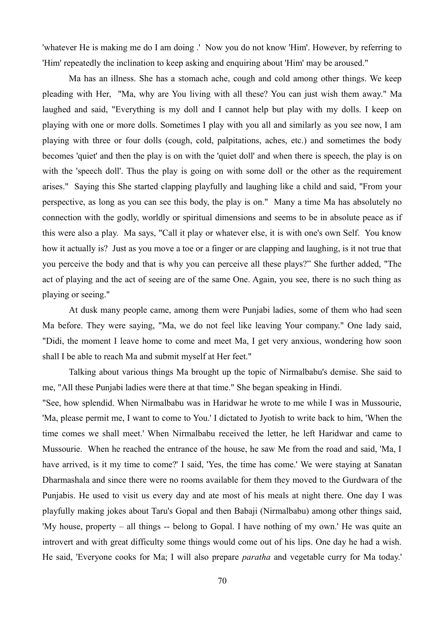'whatever He is making me do I am doing .' Now you do not know 'Him'. However, by referring to 'Him' repeatedly the inclination to keep asking and enquiring about 'Him' may be aroused."

Ma has an illness. She has a stomach ache, cough and cold among other things. We keep pleading with Her, "Ma, why are You living with all these? You can just wish them away." Ma laughed and said, "Everything is my doll and I cannot help but play with my dolls. I keep on playing with one or more dolls. Sometimes I play with you all and similarly as you see now, I am playing with three or four dolls (cough, cold, palpitations, aches, etc.) and sometimes the body becomes 'quiet' and then the play is on with the 'quiet doll' and when there is speech, the play is on with the 'speech doll'. Thus the play is going on with some doll or the other as the requirement arises." Saying this She started clapping playfully and laughing like a child and said, "From your perspective, as long as you can see this body, the play is on." Many a time Ma has absolutely no connection with the godly, worldly or spiritual dimensions and seems to be in absolute peace as if this were also a play. Ma says, "Call it play or whatever else, it is with one's own Self. You know how it actually is? Just as you move a toe or a finger or are clapping and laughing, is it not true that you perceive the body and that is why you can perceive all these plays?" She further added, "The act of playing and the act of seeing are of the same One. Again, you see, there is no such thing as playing or seeing."

At dusk many people came, among them were Punjabi ladies, some of them who had seen Ma before. They were saying, "Ma, we do not feel like leaving Your company." One lady said, "Didi, the moment I leave home to come and meet Ma, I get very anxious, wondering how soon shall I be able to reach Ma and submit myself at Her feet."

Talking about various things Ma brought up the topic of Nirmalbabu's demise. She said to me, "All these Punjabi ladies were there at that time." She began speaking in Hindi.

"See, how splendid. When Nirmalbabu was in Haridwar he wrote to me while I was in Mussourie, 'Ma, please permit me, I want to come to You.' I dictated to Jyotish to write back to him, 'When the time comes we shall meet.' When Nirmalbabu received the letter, he left Haridwar and came to Mussourie. When he reached the entrance of the house, he saw Me from the road and said, 'Ma, I have arrived, is it my time to come?' I said, 'Yes, the time has come.' We were staying at Sanatan Dharmashala and since there were no rooms available for them they moved to the Gurdwara of the Punjabis. He used to visit us every day and ate most of his meals at night there. One day I was playfully making jokes about Taru's Gopal and then Babaji (Nirmalbabu) among other things said, 'My house, property – all things -- belong to Gopal. I have nothing of my own.' He was quite an introvert and with great difficulty some things would come out of his lips. One day he had a wish. He said, 'Everyone cooks for Ma; I will also prepare *paratha* and vegetable curry for Ma today.'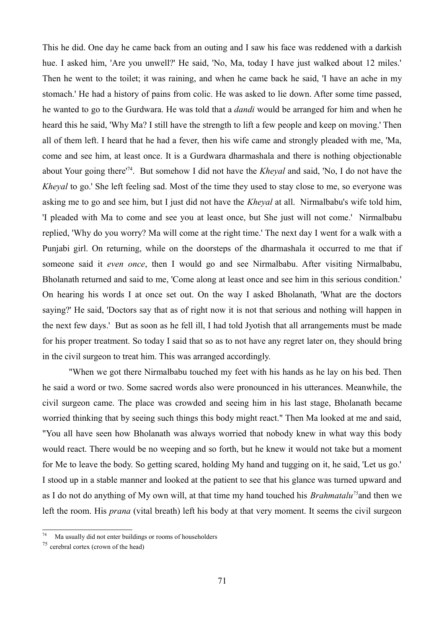This he did. One day he came back from an outing and I saw his face was reddened with a darkish hue. I asked him, 'Are you unwell?' He said, 'No, Ma, today I have just walked about 12 miles.' Then he went to the toilet; it was raining, and when he came back he said, 'I have an ache in my stomach.' He had a history of pains from colic. He was asked to lie down. After some time passed, he wanted to go to the Gurdwara. He was told that a *dandi* would be arranged for him and when he heard this he said, 'Why Ma? I still have the strength to lift a few people and keep on moving.' Then all of them left. I heard that he had a fever, then his wife came and strongly pleaded with me, 'Ma, come and see him, at least once. It is a Gurdwara dharmashala and there is nothing objectionable about Your going there'[74](#page-70-0). But somehow I did not have the *Kheyal* and said, 'No, I do not have the *Kheyal* to go.' She left feeling sad. Most of the time they used to stay close to me, so everyone was asking me to go and see him, but I just did not have the *Kheyal* at all. Nirmalbabu's wife told him, 'I pleaded with Ma to come and see you at least once, but She just will not come.' Nirmalbabu replied, 'Why do you worry? Ma will come at the right time.' The next day I went for a walk with a Punjabi girl. On returning, while on the doorsteps of the dharmashala it occurred to me that if someone said it *even once*, then I would go and see Nirmalbabu. After visiting Nirmalbabu, Bholanath returned and said to me, 'Come along at least once and see him in this serious condition.' On hearing his words I at once set out. On the way I asked Bholanath, 'What are the doctors saying?' He said, 'Doctors say that as of right now it is not that serious and nothing will happen in the next few days.' But as soon as he fell ill, I had told Jyotish that all arrangements must be made for his proper treatment. So today I said that so as to not have any regret later on, they should bring in the civil surgeon to treat him. This was arranged accordingly.

"When we got there Nirmalbabu touched my feet with his hands as he lay on his bed. Then he said a word or two. Some sacred words also were pronounced in his utterances. Meanwhile, the civil surgeon came. The place was crowded and seeing him in his last stage, Bholanath became worried thinking that by seeing such things this body might react." Then Ma looked at me and said, "You all have seen how Bholanath was always worried that nobody knew in what way this body would react. There would be no weeping and so forth, but he knew it would not take but a moment for Me to leave the body. So getting scared, holding My hand and tugging on it, he said, 'Let us go.' I stood up in a stable manner and looked at the patient to see that his glance was turned upward and as I do not do anything of My own will, at that time my hand touched his *Brahmatalu[75](#page-70-1)*and then we left the room. His *prana* (vital breath) left his body at that very moment. It seems the civil surgeon

<span id="page-70-0"></span>Ma usually did not enter buildings or rooms of householders

<span id="page-70-1"></span><sup>75</sup> cerebral cortex (crown of the head)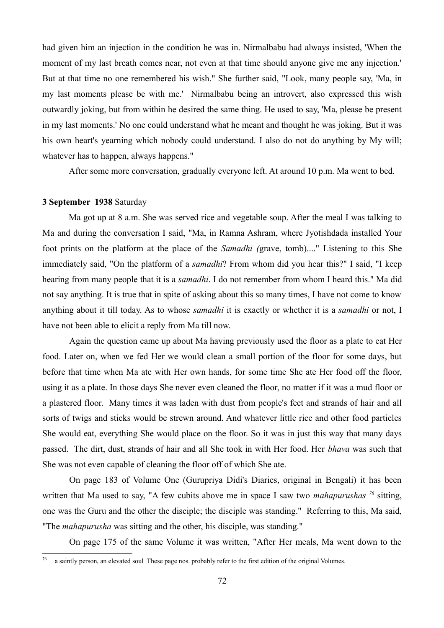had given him an injection in the condition he was in. Nirmalbabu had always insisted, 'When the moment of my last breath comes near, not even at that time should anyone give me any injection.' But at that time no one remembered his wish." She further said, "Look, many people say, 'Ma, in my last moments please be with me.' Nirmalbabu being an introvert, also expressed this wish outwardly joking, but from within he desired the same thing. He used to say, 'Ma, please be present in my last moments.' No one could understand what he meant and thought he was joking. But it was his own heart's yearning which nobody could understand. I also do not do anything by My will; whatever has to happen, always happens."

After some more conversation, gradually everyone left. At around 10 p.m. Ma went to bed.

#### **3 September 1938** Saturday

Ma got up at 8 a.m. She was served rice and vegetable soup. After the meal I was talking to Ma and during the conversation I said, "Ma, in Ramna Ashram, where Jyotishdada installed Your foot prints on the platform at the place of the *Samadhi (*grave, tomb)...." Listening to this She immediately said, "On the platform of a *samadhi*? From whom did you hear this?" I said, "I keep hearing from many people that it is a *samadhi*. I do not remember from whom I heard this." Ma did not say anything. It is true that in spite of asking about this so many times, I have not come to know anything about it till today. As to whose *samadhi* it is exactly or whether it is a *samadhi* or not, I have not been able to elicit a reply from Ma till now.

Again the question came up about Ma having previously used the floor as a plate to eat Her food. Later on, when we fed Her we would clean a small portion of the floor for some days, but before that time when Ma ate with Her own hands, for some time She ate Her food off the floor, using it as a plate. In those days She never even cleaned the floor, no matter if it was a mud floor or a plastered floor. Many times it was laden with dust from people's feet and strands of hair and all sorts of twigs and sticks would be strewn around. And whatever little rice and other food particles She would eat, everything She would place on the floor. So it was in just this way that many days passed. The dirt, dust, strands of hair and all She took in with Her food. Her *bhava* was such that She was not even capable of cleaning the floor off of which She ate.

On page 183 of Volume One (Gurupriya Didi's Diaries, original in Bengali) it has been written that Ma used to say, "A few cubits above me in space I saw two *mahapurushas [76](#page-71-0)* sitting, one was the Guru and the other the disciple; the disciple was standing." Referring to this, Ma said, "The *mahapurusha* was sitting and the other, his disciple, was standing."

On page 175 of the same Volume it was written, "After Her meals, Ma went down to the

<span id="page-71-0"></span>a saintly person, an elevated soul These page nos. probably refer to the first edition of the original Volumes.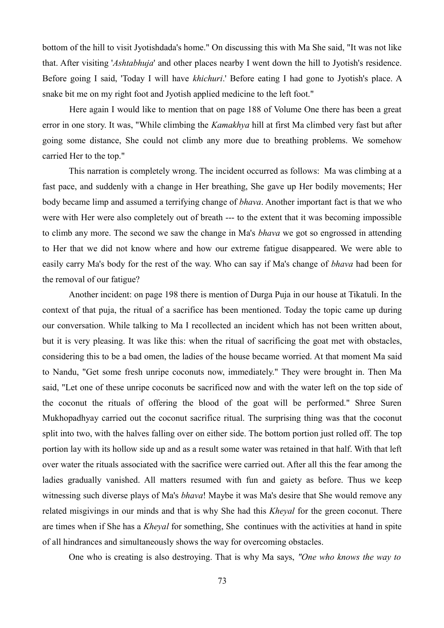bottom of the hill to visit Jyotishdada's home." On discussing this with Ma She said, "It was not like that. After visiting '*Ashtabhuja*' and other places nearby I went down the hill to Jyotish's residence. Before going I said, 'Today I will have *khichuri*.' Before eating I had gone to Jyotish's place. A snake bit me on my right foot and Jyotish applied medicine to the left foot."

Here again I would like to mention that on page 188 of Volume One there has been a great error in one story. It was, "While climbing the *Kamakhya* hill at first Ma climbed very fast but after going some distance, She could not climb any more due to breathing problems. We somehow carried Her to the top."

This narration is completely wrong. The incident occurred as follows: Ma was climbing at a fast pace, and suddenly with a change in Her breathing, She gave up Her bodily movements; Her body became limp and assumed a terrifying change of *bhava*. Another important fact is that we who were with Her were also completely out of breath --- to the extent that it was becoming impossible to climb any more. The second we saw the change in Ma's *bhava* we got so engrossed in attending to Her that we did not know where and how our extreme fatigue disappeared. We were able to easily carry Ma's body for the rest of the way. Who can say if Ma's change of *bhava* had been for the removal of our fatigue?

Another incident: on page 198 there is mention of Durga Puja in our house at Tikatuli. In the context of that puja, the ritual of a sacrifice has been mentioned. Today the topic came up during our conversation. While talking to Ma I recollected an incident which has not been written about, but it is very pleasing. It was like this: when the ritual of sacrificing the goat met with obstacles, considering this to be a bad omen, the ladies of the house became worried. At that moment Ma said to Nandu, "Get some fresh unripe coconuts now, immediately." They were brought in. Then Ma said, "Let one of these unripe coconuts be sacrificed now and with the water left on the top side of the coconut the rituals of offering the blood of the goat will be performed." Shree Suren Mukhopadhyay carried out the coconut sacrifice ritual. The surprising thing was that the coconut split into two, with the halves falling over on either side. The bottom portion just rolled off. The top portion lay with its hollow side up and as a result some water was retained in that half. With that left over water the rituals associated with the sacrifice were carried out. After all this the fear among the ladies gradually vanished. All matters resumed with fun and gaiety as before. Thus we keep witnessing such diverse plays of Ma's *bhava*! Maybe it was Ma's desire that She would remove any related misgivings in our minds and that is why She had this *Kheyal* for the green coconut. There are times when if She has a *Kheyal* for something, She continues with the activities at hand in spite of all hindrances and simultaneously shows the way for overcoming obstacles.

One who is creating is also destroying. That is why Ma says, *"One who knows the way to*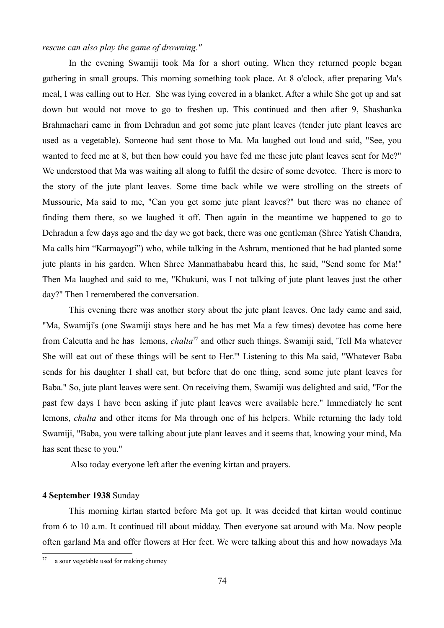*rescue can also play the game of drowning."* 

In the evening Swamiji took Ma for a short outing. When they returned people began gathering in small groups. This morning something took place. At 8 o'clock, after preparing Ma's meal, I was calling out to Her. She was lying covered in a blanket. After a while She got up and sat down but would not move to go to freshen up. This continued and then after 9, Shashanka Brahmachari came in from Dehradun and got some jute plant leaves (tender jute plant leaves are used as a vegetable). Someone had sent those to Ma. Ma laughed out loud and said, "See, you wanted to feed me at 8, but then how could you have fed me these jute plant leaves sent for Me?" We understood that Ma was waiting all along to fulfil the desire of some devotee. There is more to the story of the jute plant leaves. Some time back while we were strolling on the streets of Mussourie, Ma said to me, "Can you get some jute plant leaves?" but there was no chance of finding them there, so we laughed it off. Then again in the meantime we happened to go to Dehradun a few days ago and the day we got back, there was one gentleman (Shree Yatish Chandra, Ma calls him "Karmayogi") who, while talking in the Ashram, mentioned that he had planted some jute plants in his garden. When Shree Manmathababu heard this, he said, "Send some for Ma!" Then Ma laughed and said to me, "Khukuni, was I not talking of jute plant leaves just the other day?" Then I remembered the conversation.

This evening there was another story about the jute plant leaves. One lady came and said, "Ma, Swamiji's (one Swamiji stays here and he has met Ma a few times) devotee has come here from Calcutta and he has lemons, *chalta[77](#page-73-0)* and other such things. Swamiji said, 'Tell Ma whatever She will eat out of these things will be sent to Her.'" Listening to this Ma said, "Whatever Baba sends for his daughter I shall eat, but before that do one thing, send some jute plant leaves for Baba." So, jute plant leaves were sent. On receiving them, Swamiji was delighted and said, "For the past few days I have been asking if jute plant leaves were available here." Immediately he sent lemons, *chalta* and other items for Ma through one of his helpers. While returning the lady told Swamiji, "Baba, you were talking about jute plant leaves and it seems that, knowing your mind, Ma has sent these to you."

Also today everyone left after the evening kirtan and prayers.

## **4 September 1938** Sunday

This morning kirtan started before Ma got up. It was decided that kirtan would continue from 6 to 10 a.m. It continued till about midday. Then everyone sat around with Ma. Now people often garland Ma and offer flowers at Her feet. We were talking about this and how nowadays Ma

<span id="page-73-0"></span>a sour vegetable used for making chutney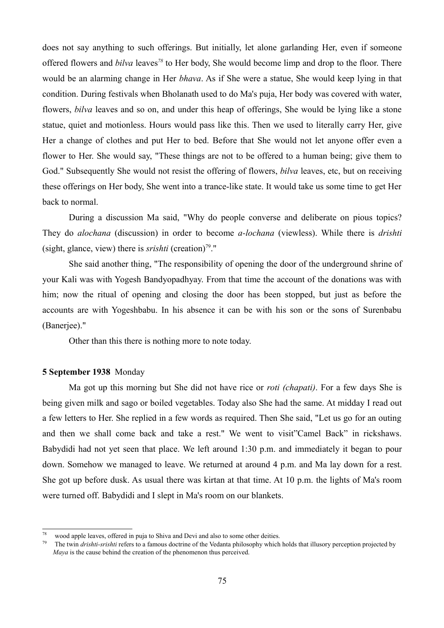does not say anything to such offerings. But initially, let alone garlanding Her, even if someone offered flowers and *bilva* leaves*[78](#page-74-0)* to Her body, She would become limp and drop to the floor. There would be an alarming change in Her *bhava*. As if She were a statue, She would keep lying in that condition. During festivals when Bholanath used to do Ma's puja, Her body was covered with water, flowers, *bilva* leaves and so on, and under this heap of offerings, She would be lying like a stone statue, quiet and motionless. Hours would pass like this. Then we used to literally carry Her, give Her a change of clothes and put Her to bed. Before that She would not let anyone offer even a flower to Her. She would say, "These things are not to be offered to a human being; give them to God." Subsequently She would not resist the offering of flowers, *bilva* leaves, etc, but on receiving these offerings on Her body, She went into a trance-like state. It would take us some time to get Her back to normal.

During a discussion Ma said, "Why do people converse and deliberate on pious topics? They do *alochana* (discussion) in order to become *a-lochana* (viewless). While there is *drishti* (sight, glance, view) there is *srishti* (creation)<sup>[79](#page-74-1)</sup>."

She said another thing, "The responsibility of opening the door of the underground shrine of your Kali was with Yogesh Bandyopadhyay. From that time the account of the donations was with him; now the ritual of opening and closing the door has been stopped, but just as before the accounts are with Yogeshbabu. In his absence it can be with his son or the sons of Surenbabu (Banerjee)."

Other than this there is nothing more to note today.

## **5 September 1938** Monday

Ma got up this morning but She did not have rice or *roti (chapati)*. For a few days She is being given milk and sago or boiled vegetables. Today also She had the same. At midday I read out a few letters to Her. She replied in a few words as required. Then She said, "Let us go for an outing and then we shall come back and take a rest." We went to visit"Camel Back" in rickshaws. Babydidi had not yet seen that place. We left around 1:30 p.m. and immediately it began to pour down. Somehow we managed to leave. We returned at around 4 p.m. and Ma lay down for a rest. She got up before dusk. As usual there was kirtan at that time. At 10 p.m. the lights of Ma's room were turned off. Babydidi and I slept in Ma's room on our blankets.

<span id="page-74-0"></span><sup>&</sup>lt;sup>78</sup> wood apple leaves, offered in puja to Shiva and Devi and also to some other deities.<br><sup>79</sup> The turn dright: gright: potent to a femous destrine of the Vedente philosophy urbight

<span id="page-74-1"></span><sup>79</sup> The twin *drishti-srishti* refers to a famous doctrine of the Vedanta philosophy which holds that illusory perception projected by *Maya* is the cause behind the creation of the phenomenon thus perceived.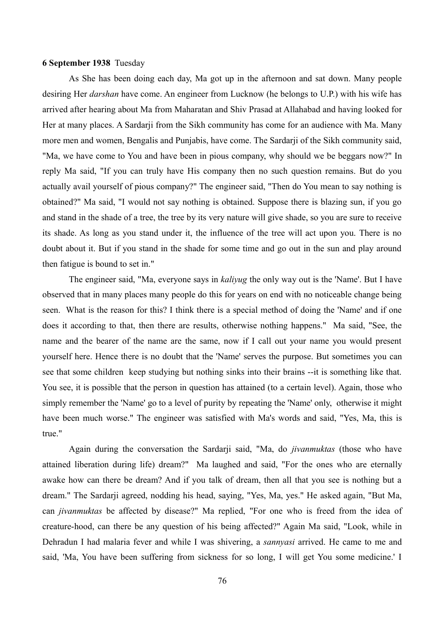#### **6 September 1938** Tuesday

As She has been doing each day, Ma got up in the afternoon and sat down. Many people desiring Her *darshan* have come. An engineer from Lucknow (he belongs to U.P.) with his wife has arrived after hearing about Ma from Maharatan and Shiv Prasad at Allahabad and having looked for Her at many places. A Sardarji from the Sikh community has come for an audience with Ma. Many more men and women, Bengalis and Punjabis, have come. The Sardarji of the Sikh community said, "Ma, we have come to You and have been in pious company, why should we be beggars now?" In reply Ma said, "If you can truly have His company then no such question remains. But do you actually avail yourself of pious company?" The engineer said, "Then do You mean to say nothing is obtained?" Ma said, "I would not say nothing is obtained. Suppose there is blazing sun, if you go and stand in the shade of a tree, the tree by its very nature will give shade, so you are sure to receive its shade. As long as you stand under it, the influence of the tree will act upon you. There is no doubt about it. But if you stand in the shade for some time and go out in the sun and play around then fatigue is bound to set in."

The engineer said, "Ma, everyone says in *kaliyug* the only way out is the 'Name'. But I have observed that in many places many people do this for years on end with no noticeable change being seen. What is the reason for this? I think there is a special method of doing the 'Name' and if one does it according to that, then there are results, otherwise nothing happens." Ma said, "See, the name and the bearer of the name are the same, now if I call out your name you would present yourself here. Hence there is no doubt that the 'Name' serves the purpose. But sometimes you can see that some children keep studying but nothing sinks into their brains --it is something like that. You see, it is possible that the person in question has attained (to a certain level). Again, those who simply remember the 'Name' go to a level of purity by repeating the 'Name' only, otherwise it might have been much worse." The engineer was satisfied with Ma's words and said, "Yes, Ma, this is true."

Again during the conversation the Sardarji said, "Ma, do *jivanmuktas* (those who have attained liberation during life) dream?" Ma laughed and said, "For the ones who are eternally awake how can there be dream? And if you talk of dream, then all that you see is nothing but a dream." The Sardarji agreed, nodding his head, saying, "Yes, Ma, yes." He asked again, "But Ma, can *jivanmuktas* be affected by disease?" Ma replied, "For one who is freed from the idea of creature-hood, can there be any question of his being affected?" Again Ma said, "Look, while in Dehradun I had malaria fever and while I was shivering, a *sannyasi* arrived. He came to me and said, 'Ma, You have been suffering from sickness for so long, I will get You some medicine.' I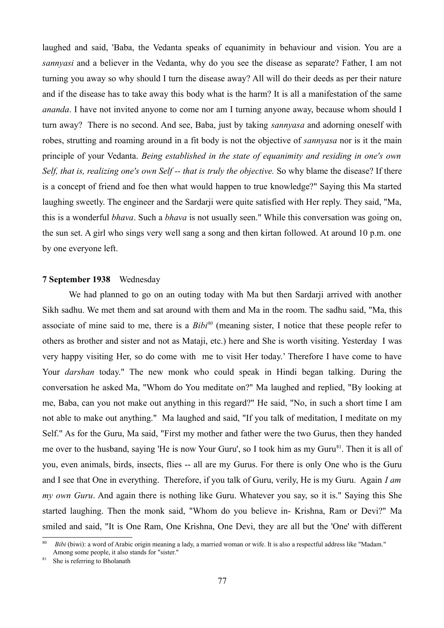laughed and said, 'Baba, the Vedanta speaks of equanimity in behaviour and vision. You are a *sannyasi* and a believer in the Vedanta, why do you see the disease as separate? Father, I am not turning you away so why should I turn the disease away? All will do their deeds as per their nature and if the disease has to take away this body what is the harm? It is all a manifestation of the same *ananda*. I have not invited anyone to come nor am I turning anyone away, because whom should I turn away? There is no second. And see, Baba, just by taking *sannyasa* and adorning oneself with robes, strutting and roaming around in a fit body is not the objective of *sannyasa* nor is it the main principle of your Vedanta. *Being established in the state of equanimity and residing in one's own Self, that is, realizing one's own Self -- that is truly the objective. So why blame the disease?* If there is a concept of friend and foe then what would happen to true knowledge?" Saying this Ma started laughing sweetly. The engineer and the Sardarji were quite satisfied with Her reply. They said, "Ma, this is a wonderful *bhava*. Such a *bhava* is not usually seen." While this conversation was going on, the sun set. A girl who sings very well sang a song and then kirtan followed. At around 10 p.m. one by one everyone left.

## **7 September 1938** Wednesday

We had planned to go on an outing today with Ma but then Sardarji arrived with another Sikh sadhu. We met them and sat around with them and Ma in the room. The sadhu said, "Ma, this associate of mine said to me, there is a *Bibi[80](#page-76-0)* (meaning sister, I notice that these people refer to others as brother and sister and not as Mataji, etc.) here and She is worth visiting. Yesterday I was very happy visiting Her, so do come with me to visit Her today.' Therefore I have come to have Your *darshan* today." The new monk who could speak in Hindi began talking. During the conversation he asked Ma, "Whom do You meditate on?" Ma laughed and replied, "By looking at me, Baba, can you not make out anything in this regard?" He said, "No, in such a short time I am not able to make out anything." Ma laughed and said, "If you talk of meditation, I meditate on my Self." As for the Guru, Ma said, "First my mother and father were the two Gurus, then they handed me over to the husband, saying 'He is now Your Guru', so I took him as my Guru<sup>[81](#page-76-1)</sup>. Then it is all of you, even animals, birds, insects, flies -- all are my Gurus. For there is only One who is the Guru and I see that One in everything. Therefore, if you talk of Guru, verily, He is my Guru. Again *I am my own Guru*. And again there is nothing like Guru. Whatever you say, so it is." Saying this She started laughing. Then the monk said, "Whom do you believe in- Krishna, Ram or Devi?" Ma smiled and said, "It is One Ram, One Krishna, One Devi, they are all but the 'One' with different

<span id="page-76-0"></span><sup>80</sup> *Bibi* (biwi): a word of Arabic origin meaning a lady, a married woman or wife. It is also a respectful address like "Madam." Among some people, it also stands for "sister."

<span id="page-76-1"></span><sup>&</sup>lt;sup>81</sup> She is referring to Bholanath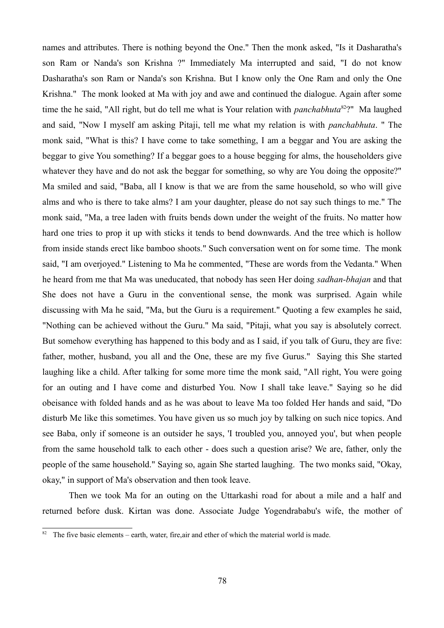names and attributes. There is nothing beyond the One." Then the monk asked, "Is it Dasharatha's son Ram or Nanda's son Krishna ?" Immediately Ma interrupted and said, "I do not know Dasharatha's son Ram or Nanda's son Krishna. But I know only the One Ram and only the One Krishna." The monk looked at Ma with joy and awe and continued the dialogue. Again after some time the he said, "All right, but do tell me what is Your relation with *panchabhuta*[82](#page-77-0)?" Ma laughed and said, "Now I myself am asking Pitaji, tell me what my relation is with *panchabhuta*. " The monk said, "What is this? I have come to take something, I am a beggar and You are asking the beggar to give You something? If a beggar goes to a house begging for alms, the householders give whatever they have and do not ask the beggar for something, so why are You doing the opposite?" Ma smiled and said, "Baba, all I know is that we are from the same household, so who will give alms and who is there to take alms? I am your daughter, please do not say such things to me." The monk said, "Ma, a tree laden with fruits bends down under the weight of the fruits. No matter how hard one tries to prop it up with sticks it tends to bend downwards. And the tree which is hollow from inside stands erect like bamboo shoots." Such conversation went on for some time. The monk said, "I am overjoyed." Listening to Ma he commented, "These are words from the Vedanta." When he heard from me that Ma was uneducated, that nobody has seen Her doing *sadhan-bhajan* and that She does not have a Guru in the conventional sense, the monk was surprised. Again while discussing with Ma he said, "Ma, but the Guru is a requirement." Quoting a few examples he said, "Nothing can be achieved without the Guru." Ma said, "Pitaji, what you say is absolutely correct. But somehow everything has happened to this body and as I said, if you talk of Guru, they are five: father, mother, husband, you all and the One, these are my five Gurus." Saying this She started laughing like a child. After talking for some more time the monk said, "All right, You were going for an outing and I have come and disturbed You. Now I shall take leave." Saying so he did obeisance with folded hands and as he was about to leave Ma too folded Her hands and said, "Do disturb Me like this sometimes. You have given us so much joy by talking on such nice topics. And see Baba, only if someone is an outsider he says, 'I troubled you, annoyed you', but when people from the same household talk to each other - does such a question arise? We are, father, only the people of the same household." Saying so, again She started laughing. The two monks said, "Okay, okay," in support of Ma's observation and then took leave.

Then we took Ma for an outing on the Uttarkashi road for about a mile and a half and returned before dusk. Kirtan was done. Associate Judge Yogendrababu's wife, the mother of

<span id="page-77-0"></span>The five basic elements – earth, water, fire, air and ether of which the material world is made.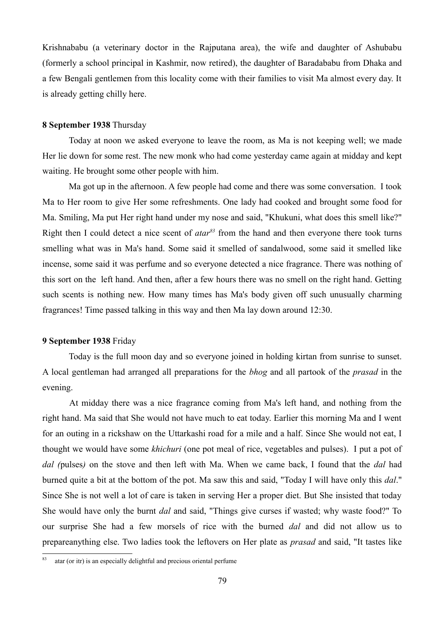Krishnababu (a veterinary doctor in the Rajputana area), the wife and daughter of Ashubabu (formerly a school principal in Kashmir, now retired), the daughter of Baradababu from Dhaka and a few Bengali gentlemen from this locality come with their families to visit Ma almost every day. It is already getting chilly here.

#### **8 September 1938** Thursday

Today at noon we asked everyone to leave the room, as Ma is not keeping well; we made Her lie down for some rest. The new monk who had come yesterday came again at midday and kept waiting. He brought some other people with him.

Ma got up in the afternoon. A few people had come and there was some conversation. I took Ma to Her room to give Her some refreshments. One lady had cooked and brought some food for Ma. Smiling, Ma put Her right hand under my nose and said, "Khukuni, what does this smell like?" Right then I could detect a nice scent of *atar[83](#page-78-0)* from the hand and then everyone there took turns smelling what was in Ma's hand. Some said it smelled of sandalwood, some said it smelled like incense, some said it was perfume and so everyone detected a nice fragrance. There was nothing of this sort on the left hand. And then, after a few hours there was no smell on the right hand. Getting such scents is nothing new. How many times has Ma's body given off such unusually charming fragrances! Time passed talking in this way and then Ma lay down around 12:30.

## **9 September 1938** Friday

Today is the full moon day and so everyone joined in holding kirtan from sunrise to sunset. A local gentleman had arranged all preparations for the *bhog* and all partook of the *prasad* in the evening.

At midday there was a nice fragrance coming from Ma's left hand, and nothing from the right hand. Ma said that She would not have much to eat today. Earlier this morning Ma and I went for an outing in a rickshaw on the Uttarkashi road for a mile and a half. Since She would not eat, I thought we would have some *khichuri* (one pot meal of rice, vegetables and pulses). I put a pot of *dal (*pulses*)* on the stove and then left with Ma. When we came back, I found that the *dal* had burned quite a bit at the bottom of the pot. Ma saw this and said, "Today I will have only this *dal*." Since She is not well a lot of care is taken in serving Her a proper diet. But She insisted that today She would have only the burnt *dal* and said, "Things give curses if wasted; why waste food?" To our surprise She had a few morsels of rice with the burned *dal* and did not allow us to prepareanything else. Two ladies took the leftovers on Her plate as *prasad* and said, "It tastes like

<span id="page-78-0"></span>atar (or itr) is an especially delightful and precious oriental perfume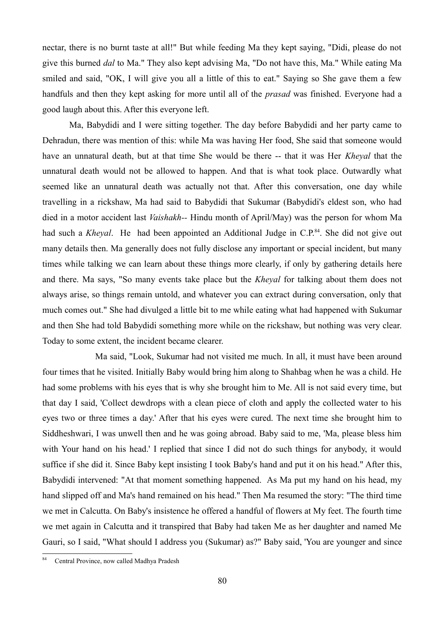nectar, there is no burnt taste at all!" But while feeding Ma they kept saying, "Didi, please do not give this burned *dal* to Ma." They also kept advising Ma, "Do not have this, Ma." While eating Ma smiled and said, "OK, I will give you all a little of this to eat." Saying so She gave them a few handfuls and then they kept asking for more until all of the *prasad* was finished. Everyone had a good laugh about this. After this everyone left.

Ma, Babydidi and I were sitting together. The day before Babydidi and her party came to Dehradun, there was mention of this: while Ma was having Her food, She said that someone would have an unnatural death, but at that time She would be there -- that it was Her *Kheyal* that the unnatural death would not be allowed to happen. And that is what took place. Outwardly what seemed like an unnatural death was actually not that. After this conversation, one day while travelling in a rickshaw, Ma had said to Babydidi that Sukumar (Babydidi's eldest son, who had died in a motor accident last *Vaishakh--* Hindu month of April/May) was the person for whom Ma had such a *Kheyal*. He had been appointed an Additional Judge in C.P.<sup>[84](#page-79-0)</sup>. She did not give out many details then. Ma generally does not fully disclose any important or special incident, but many times while talking we can learn about these things more clearly, if only by gathering details here and there. Ma says, "So many events take place but the *Kheyal* for talking about them does not always arise, so things remain untold, and whatever you can extract during conversation, only that much comes out." She had divulged a little bit to me while eating what had happened with Sukumar and then She had told Babydidi something more while on the rickshaw, but nothing was very clear. Today to some extent, the incident became clearer.

Ma said, "Look, Sukumar had not visited me much. In all, it must have been around four times that he visited. Initially Baby would bring him along to Shahbag when he was a child. He had some problems with his eyes that is why she brought him to Me. All is not said every time, but that day I said, 'Collect dewdrops with a clean piece of cloth and apply the collected water to his eyes two or three times a day.' After that his eyes were cured. The next time she brought him to Siddheshwari, I was unwell then and he was going abroad. Baby said to me, 'Ma, please bless him with Your hand on his head.' I replied that since I did not do such things for anybody, it would suffice if she did it. Since Baby kept insisting I took Baby's hand and put it on his head." After this, Babydidi intervened: "At that moment something happened. As Ma put my hand on his head, my hand slipped off and Ma's hand remained on his head." Then Ma resumed the story: "The third time we met in Calcutta. On Baby's insistence he offered a handful of flowers at My feet. The fourth time we met again in Calcutta and it transpired that Baby had taken Me as her daughter and named Me Gauri, so I said, "What should I address you (Sukumar) as?" Baby said, 'You are younger and since

<span id="page-79-0"></span><sup>84</sup> Central Province, now called Madhya Pradesh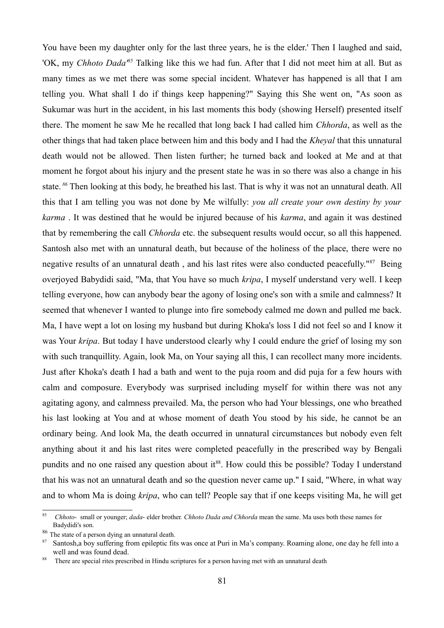You have been my daughter only for the last three years, he is the elder.' Then I laughed and said, 'OK, my *Chhoto Dada'[85](#page-80-0)* Talking like this we had fun. After that I did not meet him at all. But as many times as we met there was some special incident. Whatever has happened is all that I am telling you. What shall I do if things keep happening?" Saying this She went on, "As soon as Sukumar was hurt in the accident, in his last moments this body (showing Herself) presented itself there. The moment he saw Me he recalled that long back I had called him *Chhorda*, as well as the other things that had taken place between him and this body and I had the *Kheyal* that this unnatural death would not be allowed. Then listen further; he turned back and looked at Me and at that moment he forgot about his injury and the present state he was in so there was also a change in his state. *[86](#page-80-1)* Then looking at this body, he breathed his last. That is why it was not an unnatural death. All this that I am telling you was not done by Me wilfully: *you all create your own destiny by your karma* . It was destined that he would be injured because of his *karma*, and again it was destined that by remembering the call *Chhorda* etc. the subsequent results would occur, so all this happened. Santosh also met with an unnatural death, but because of the holiness of the place, there were no negative results of an unnatural death, and his last rites were also conducted peacefully."<sup>[87](#page-80-2)</sup> Being overjoyed Babydidi said, "Ma, that You have so much *kripa*, I myself understand very well. I keep telling everyone, how can anybody bear the agony of losing one's son with a smile and calmness? It seemed that whenever I wanted to plunge into fire somebody calmed me down and pulled me back. Ma, I have wept a lot on losing my husband but during Khoka's loss I did not feel so and I know it was Your *kripa*. But today I have understood clearly why I could endure the grief of losing my son with such tranquillity. Again, look Ma, on Your saying all this, I can recollect many more incidents. Just after Khoka's death I had a bath and went to the puja room and did puja for a few hours with calm and composure. Everybody was surprised including myself for within there was not any agitating agony, and calmness prevailed. Ma, the person who had Your blessings, one who breathed his last looking at You and at whose moment of death You stood by his side, he cannot be an ordinary being. And look Ma, the death occurred in unnatural circumstances but nobody even felt anything about it and his last rites were completed peacefully in the prescribed way by Bengali pundits and no one raised any question about it<sup>[88](#page-80-3)</sup>. How could this be possible? Today I understand that his was not an unnatural death and so the question never came up." I said, "Where, in what way and to whom Ma is doing *kripa*, who can tell? People say that if one keeps visiting Ma, he will get

<span id="page-80-0"></span><sup>85</sup> *Chhoto-* small or younger; *dada*- elder brother*. Chhoto Dada and Chhorda* mean the same. Ma uses both these names for Badydidi's son.

<span id="page-80-1"></span><sup>86</sup> The state of a person dying an unnatural death.

<span id="page-80-2"></span><sup>87</sup> Santosh,a boy suffering from epileptic fits was once at Puri in Ma's company. Roaming alone, one day he fell into a well and was found dead.

<span id="page-80-3"></span><sup>&</sup>lt;sup>88</sup> There are special rites prescribed in Hindu scriptures for a person having met with an unnatural death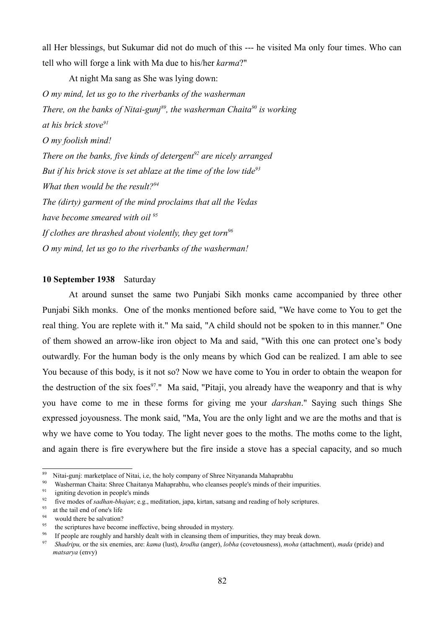all Her blessings, but Sukumar did not do much of this --- he visited Ma only four times. Who can tell who will forge a link with Ma due to his/her *karma*?"

At night Ma sang as She was lying down: *O my mind, let us go to the riverbanks of the washerman There, on the banks of Nitai-gunj[89](#page-81-0), the washerman Chaita[90](#page-81-1) is working at his brick stove[91](#page-81-2) O my foolish mind! There on the banks, five kinds of detergent[92](#page-81-3) are nicely arranged But if his brick stove is set ablaze at the time of the low tide[93](#page-81-4) What then would be the result?[94](#page-81-5) The (dirty) garment of the mind proclaims that all the Vedas have become smeared with oil [95](#page-81-6) If clothes are thrashed about violently, they get torn[96](#page-81-7) O my mind, let us go to the riverbanks of the washerman!*

## **10 September 1938** Saturday

At around sunset the same two Punjabi Sikh monks came accompanied by three other Punjabi Sikh monks. One of the monks mentioned before said, "We have come to You to get the real thing. You are replete with it." Ma said, "A child should not be spoken to in this manner." One of them showed an arrow-like iron object to Ma and said, "With this one can protect one's body outwardly. For the human body is the only means by which God can be realized. I am able to see You because of this body, is it not so? Now we have come to You in order to obtain the weapon for the destruction of the six foes<sup>[97](#page-81-8)</sup>." Ma said, "Pitaji, you already have the weaponry and that is why you have come to me in these forms for giving me your *darshan*." Saying such things She expressed joyousness. The monk said, "Ma, You are the only light and we are the moths and that is why we have come to You today. The light never goes to the moths. The moths come to the light, and again there is fire everywhere but the fire inside a stove has a special capacity, and so much

<span id="page-81-0"></span><sup>89</sup> Nitai-gunj: marketplace of Nitai, i.e, the holy company of Shree Nityananda Mahaprabhu

<span id="page-81-1"></span><sup>90</sup> Washerman Chaita: Shree Chaitanya Mahaprabhu, who cleanses people's minds of their impurities.

<span id="page-81-2"></span> $91$  igniting devotion in people's minds

<span id="page-81-3"></span><sup>&</sup>lt;sup>92</sup> five modes of *sadhan-bhajan*; e.g., meditation, japa, kirtan, satsang and reading of holy scriptures.

<span id="page-81-4"></span> $^{93}$  at the tail end of one's life

<span id="page-81-5"></span> $^{94}$  would there be salvation?

<span id="page-81-6"></span><sup>&</sup>lt;sup>95</sup> the scriptures have become ineffective, being shrouded in mystery.<br><sup>96</sup> Energies are gaughly and hambly dealt with in algorithm of the solution

<span id="page-81-7"></span><sup>&</sup>lt;sup>96</sup> If people are roughly and harshly dealt with in cleansing them of impurities, they may break down.

<span id="page-81-8"></span><sup>97</sup> *Shadripu,* or the six enemies, are: *kama* (lust), *krodha* (anger), *lobha* (covetousness), *moha* (attachment), *mada* (pride) and *matsarya* (envy)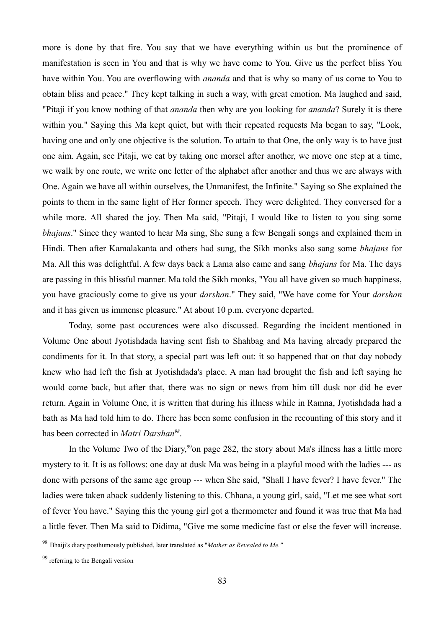more is done by that fire. You say that we have everything within us but the prominence of manifestation is seen in You and that is why we have come to You. Give us the perfect bliss You have within You. You are overflowing with *ananda* and that is why so many of us come to You to obtain bliss and peace." They kept talking in such a way, with great emotion. Ma laughed and said, "Pitaji if you know nothing of that *ananda* then why are you looking for *ananda*? Surely it is there within you." Saying this Ma kept quiet, but with their repeated requests Ma began to say, "Look, having one and only one objective is the solution. To attain to that One, the only way is to have just one aim. Again, see Pitaji, we eat by taking one morsel after another, we move one step at a time, we walk by one route, we write one letter of the alphabet after another and thus we are always with One. Again we have all within ourselves, the Unmanifest, the Infinite." Saying so She explained the points to them in the same light of Her former speech. They were delighted. They conversed for a while more. All shared the joy. Then Ma said, "Pitaji, I would like to listen to you sing some *bhajans*." Since they wanted to hear Ma sing, She sung a few Bengali songs and explained them in Hindi. Then after Kamalakanta and others had sung, the Sikh monks also sang some *bhajans* for Ma. All this was delightful. A few days back a Lama also came and sang *bhajans* for Ma. The days are passing in this blissful manner. Ma told the Sikh monks, "You all have given so much happiness, you have graciously come to give us your *darshan*." They said, "We have come for Your *darshan* and it has given us immense pleasure." At about 10 p.m. everyone departed.

Today, some past occurences were also discussed. Regarding the incident mentioned in Volume One about Jyotishdada having sent fish to Shahbag and Ma having already prepared the condiments for it. In that story, a special part was left out: it so happened that on that day nobody knew who had left the fish at Jyotishdada's place. A man had brought the fish and left saying he would come back, but after that, there was no sign or news from him till dusk nor did he ever return. Again in Volume One, it is written that during his illness while in Ramna, Jyotishdada had a bath as Ma had told him to do. There has been some confusion in the recounting of this story and it has been corrected in *Matri Darshan[98](#page-82-0)* .

In the Volume Two of the Diary,<sup>[99](#page-82-1)</sup>on page 282, the story about Ma's illness has a little more mystery to it. It is as follows: one day at dusk Ma was being in a playful mood with the ladies --- as done with persons of the same age group --- when She said, "Shall I have fever? I have fever." The ladies were taken aback suddenly listening to this. Chhana, a young girl, said, "Let me see what sort of fever You have." Saying this the young girl got a thermometer and found it was true that Ma had a little fever. Then Ma said to Didima, "Give me some medicine fast or else the fever will increase.

<span id="page-82-0"></span><sup>98</sup> Bhaiji's diary posthumously published, later translated as "*Mother as Revealed to Me."*

<span id="page-82-1"></span><sup>&</sup>lt;sup>99</sup> referring to the Bengali version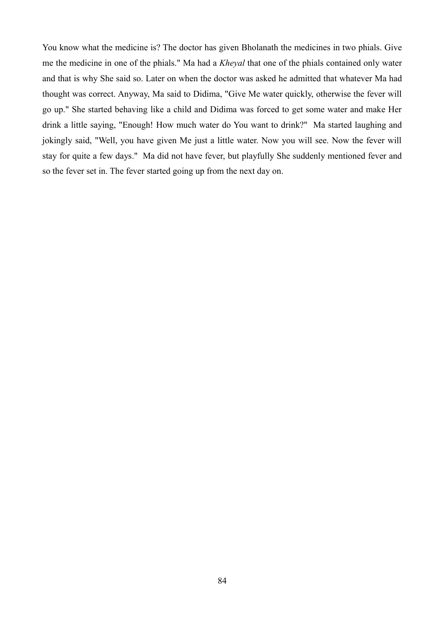You know what the medicine is? The doctor has given Bholanath the medicines in two phials. Give me the medicine in one of the phials." Ma had a *Kheyal* that one of the phials contained only water and that is why She said so. Later on when the doctor was asked he admitted that whatever Ma had thought was correct. Anyway, Ma said to Didima, "Give Me water quickly, otherwise the fever will go up." She started behaving like a child and Didima was forced to get some water and make Her drink a little saying, "Enough! How much water do You want to drink?" Ma started laughing and jokingly said, "Well, you have given Me just a little water. Now you will see. Now the fever will stay for quite a few days." Ma did not have fever, but playfully She suddenly mentioned fever and so the fever set in. The fever started going up from the next day on.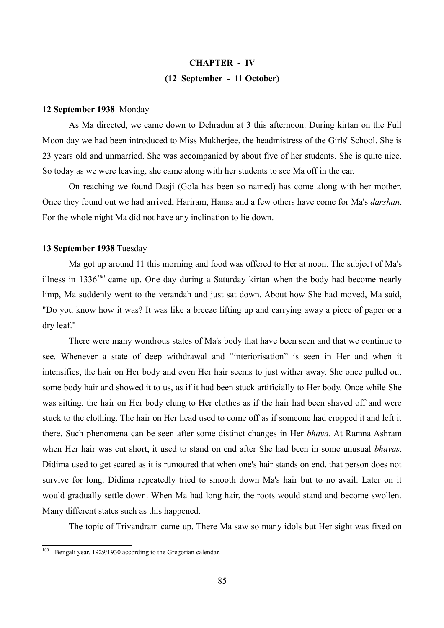# **CHAPTER - IV (12 September - 11 October)**

#### **12 September 1938** Monday

As Ma directed, we came down to Dehradun at 3 this afternoon. During kirtan on the Full Moon day we had been introduced to Miss Mukherjee, the headmistress of the Girls' School. She is 23 years old and unmarried. She was accompanied by about five of her students. She is quite nice. So today as we were leaving, she came along with her students to see Ma off in the car.

On reaching we found Dasji (Gola has been so named) has come along with her mother. Once they found out we had arrived, Hariram, Hansa and a few others have come for Ma's *darshan*. For the whole night Ma did not have any inclination to lie down.

#### **13 September 1938** Tuesday

 Ma got up around 11 this morning and food was offered to Her at noon. The subject of Ma's illness in 1336*[100](#page-84-0)* came up. One day during a Saturday kirtan when the body had become nearly limp, Ma suddenly went to the verandah and just sat down. About how She had moved, Ma said, "Do you know how it was? It was like a breeze lifting up and carrying away a piece of paper or a dry leaf."

There were many wondrous states of Ma's body that have been seen and that we continue to see. Whenever a state of deep withdrawal and "interiorisation" is seen in Her and when it intensifies, the hair on Her body and even Her hair seems to just wither away. She once pulled out some body hair and showed it to us, as if it had been stuck artificially to Her body. Once while She was sitting, the hair on Her body clung to Her clothes as if the hair had been shaved off and were stuck to the clothing. The hair on Her head used to come off as if someone had cropped it and left it there. Such phenomena can be seen after some distinct changes in Her *bhava*. At Ramna Ashram when Her hair was cut short, it used to stand on end after She had been in some unusual *bhavas*. Didima used to get scared as it is rumoured that when one's hair stands on end, that person does not survive for long. Didima repeatedly tried to smooth down Ma's hair but to no avail. Later on it would gradually settle down. When Ma had long hair, the roots would stand and become swollen. Many different states such as this happened.

The topic of Trivandram came up. There Ma saw so many idols but Her sight was fixed on

<span id="page-84-0"></span><sup>&</sup>lt;sup>100</sup> Bengali year. 1929/1930 according to the Gregorian calendar.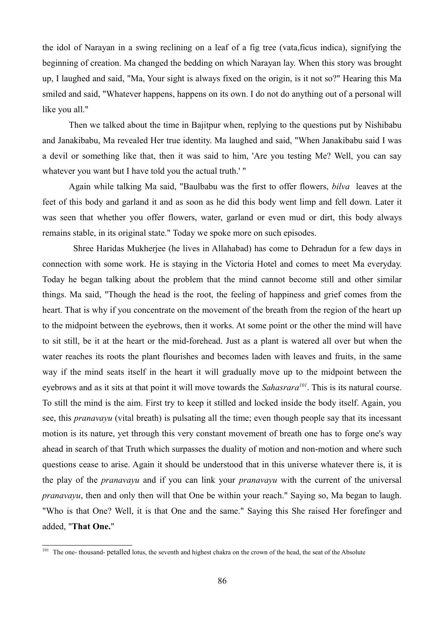the idol of Narayan in a swing reclining on a leaf of a fig tree (vata,ficus indica), signifying the beginning of creation. Ma changed the bedding on which Narayan lay. When this story was brought up, I laughed and said, "Ma, Your sight is always fixed on the origin, is it not so?" Hearing this Ma smiled and said, "Whatever happens, happens on its own. I do not do anything out of a personal will like you all."

Then we talked about the time in Bajitpur when, replying to the questions put by Nishibabu and Janakibabu, Ma revealed Her true identity. Ma laughed and said, "When Janakibabu said I was a devil or something like that, then it was said to him, 'Are you testing Me? Well, you can say whatever you want but I have told you the actual truth.' "

Again while talking Ma said, "Baulbabu was the first to offer flowers, *bilva* leaves at the feet of this body and garland it and as soon as he did this body went limp and fell down. Later it was seen that whether you offer flowers, water, garland or even mud or dirt, this body always remains stable, in its original state." Today we spoke more on such episodes.

 Shree Haridas Mukherjee (he lives in Allahabad) has come to Dehradun for a few days in connection with some work. He is staying in the Victoria Hotel and comes to meet Ma everyday. Today he began talking about the problem that the mind cannot become still and other similar things. Ma said, "Though the head is the root, the feeling of happiness and grief comes from the heart. That is why if you concentrate on the movement of the breath from the region of the heart up to the midpoint between the eyebrows, then it works. At some point or the other the mind will have to sit still, be it at the heart or the mid-forehead. Just as a plant is watered all over but when the water reaches its roots the plant flourishes and becomes laden with leaves and fruits, in the same way if the mind seats itself in the heart it will gradually move up to the midpoint between the eyebrows and as it sits at that point it will move towards the *Sahasrara[101](#page-85-0)*. This is its natural course. To still the mind is the aim. First try to keep it stilled and locked inside the body itself. Again, you see, this *pranavayu* (vital breath) is pulsating all the time; even though people say that its incessant motion is its nature, yet through this very constant movement of breath one has to forge one's way ahead in search of that Truth which surpasses the duality of motion and non-motion and where such questions cease to arise. Again it should be understood that in this universe whatever there is, it is the play of the *pranavayu* and if you can link your *pranavayu* with the current of the universal *pranavayu*, then and only then will that One be within your reach." Saying so, Ma began to laugh. "Who is that One? Well, it is that One and the same." Saying this She raised Her forefinger and added, "**That One.**"

<span id="page-85-0"></span><sup>&</sup>lt;sup>101</sup> The one- thousand- petalled lotus, the seventh and highest chakra on the crown of the head, the seat of the Absolute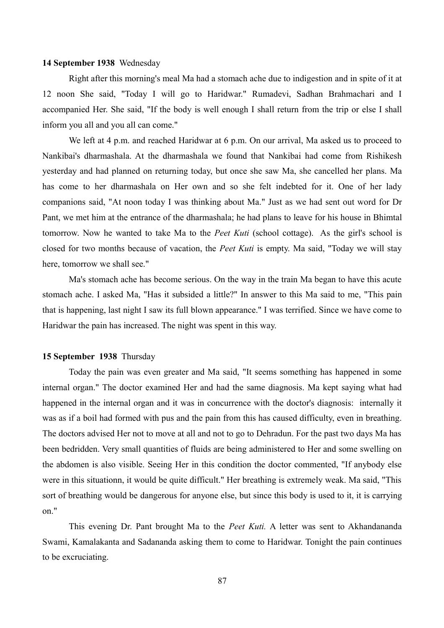#### **14 September 1938** Wednesday

Right after this morning's meal Ma had a stomach ache due to indigestion and in spite of it at 12 noon She said, "Today I will go to Haridwar." Rumadevi, Sadhan Brahmachari and I accompanied Her. She said, "If the body is well enough I shall return from the trip or else I shall inform you all and you all can come."

We left at 4 p.m. and reached Haridwar at 6 p.m. On our arrival, Ma asked us to proceed to Nankibai's dharmashala. At the dharmashala we found that Nankibai had come from Rishikesh yesterday and had planned on returning today, but once she saw Ma, she cancelled her plans. Ma has come to her dharmashala on Her own and so she felt indebted for it. One of her lady companions said, "At noon today I was thinking about Ma." Just as we had sent out word for Dr Pant, we met him at the entrance of the dharmashala; he had plans to leave for his house in Bhimtal tomorrow. Now he wanted to take Ma to the *Peet Kuti* (school cottage). As the girl's school is closed for two months because of vacation, the *Peet Kuti* is empty. Ma said, "Today we will stay here, tomorrow we shall see."

Ma's stomach ache has become serious. On the way in the train Ma began to have this acute stomach ache. I asked Ma, "Has it subsided a little?" In answer to this Ma said to me, "This pain that is happening, last night I saw its full blown appearance." I was terrified. Since we have come to Haridwar the pain has increased. The night was spent in this way.

## **15 September 1938** Thursday

Today the pain was even greater and Ma said, "It seems something has happened in some internal organ." The doctor examined Her and had the same diagnosis. Ma kept saying what had happened in the internal organ and it was in concurrence with the doctor's diagnosis: internally it was as if a boil had formed with pus and the pain from this has caused difficulty, even in breathing. The doctors advised Her not to move at all and not to go to Dehradun. For the past two days Ma has been bedridden. Very small quantities of fluids are being administered to Her and some swelling on the abdomen is also visible. Seeing Her in this condition the doctor commented, "If anybody else were in this situationn, it would be quite difficult." Her breathing is extremely weak. Ma said, "This sort of breathing would be dangerous for anyone else, but since this body is used to it, it is carrying on."

This evening Dr. Pant brought Ma to the *Peet Kuti.* A letter was sent to Akhandananda Swami, Kamalakanta and Sadananda asking them to come to Haridwar. Tonight the pain continues to be excruciating.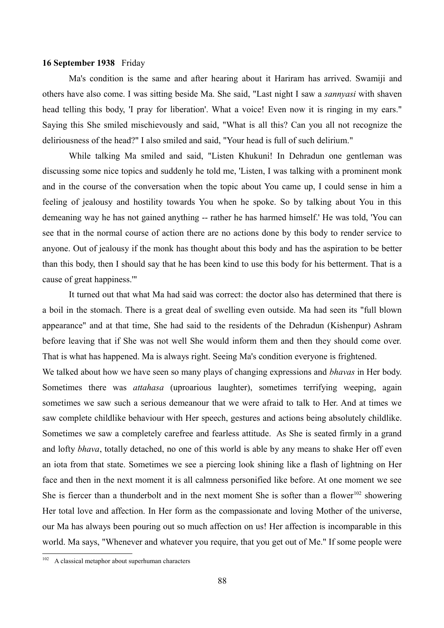#### **16 September 1938** Friday

Ma's condition is the same and after hearing about it Hariram has arrived. Swamiji and others have also come. I was sitting beside Ma. She said, "Last night I saw a *sannyasi* with shaven head telling this body, 'I pray for liberation'. What a voice! Even now it is ringing in my ears." Saying this She smiled mischievously and said, "What is all this? Can you all not recognize the deliriousness of the head?" I also smiled and said, "Your head is full of such delirium."

While talking Ma smiled and said, "Listen Khukuni! In Dehradun one gentleman was discussing some nice topics and suddenly he told me, 'Listen, I was talking with a prominent monk and in the course of the conversation when the topic about You came up, I could sense in him a feeling of jealousy and hostility towards You when he spoke. So by talking about You in this demeaning way he has not gained anything -- rather he has harmed himself.' He was told, 'You can see that in the normal course of action there are no actions done by this body to render service to anyone. Out of jealousy if the monk has thought about this body and has the aspiration to be better than this body, then I should say that he has been kind to use this body for his betterment. That is a cause of great happiness.'"

It turned out that what Ma had said was correct: the doctor also has determined that there is a boil in the stomach. There is a great deal of swelling even outside. Ma had seen its "full blown appearance" and at that time, She had said to the residents of the Dehradun (Kishenpur) Ashram before leaving that if She was not well She would inform them and then they should come over. That is what has happened. Ma is always right. Seeing Ma's condition everyone is frightened.

We talked about how we have seen so many plays of changing expressions and *bhavas* in Her body. Sometimes there was *attahasa* (uproarious laughter), sometimes terrifying weeping, again sometimes we saw such a serious demeanour that we were afraid to talk to Her. And at times we saw complete childlike behaviour with Her speech, gestures and actions being absolutely childlike. Sometimes we saw a completely carefree and fearless attitude. As She is seated firmly in a grand and lofty *bhava*, totally detached, no one of this world is able by any means to shake Her off even an iota from that state. Sometimes we see a piercing look shining like a flash of lightning on Her face and then in the next moment it is all calmness personified like before. At one moment we see She is fiercer than a thunderbolt and in the next moment She is softer than a flower<sup>[102](#page-87-0)</sup> showering Her total love and affection. In Her form as the compassionate and loving Mother of the universe, our Ma has always been pouring out so much affection on us! Her affection is incomparable in this world. Ma says, "Whenever and whatever you require, that you get out of Me." If some people were

<span id="page-87-0"></span><sup>102</sup> A classical metaphor about superhuman characters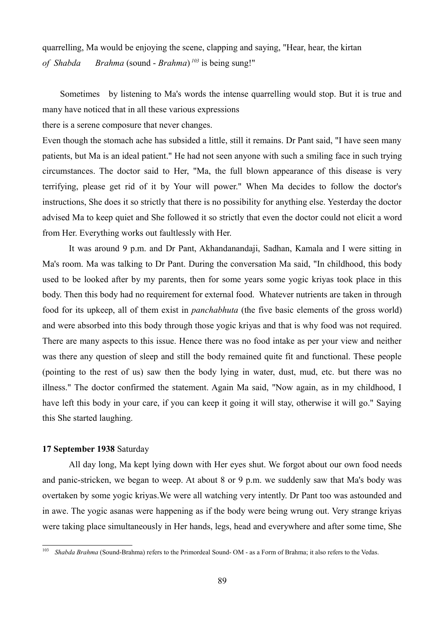quarrelling, Ma would be enjoying the scene, clapping and saying, "Hear, hear, the kirtan *of Shabda Brahma* (sound - *Brahma*) *[103](#page-88-0)* is being sung!"

 Sometimes by listening to Ma's words the intense quarrelling would stop. But it is true and many have noticed that in all these various expressions

there is a serene composure that never changes.

Even though the stomach ache has subsided a little, still it remains. Dr Pant said, "I have seen many patients, but Ma is an ideal patient." He had not seen anyone with such a smiling face in such trying circumstances. The doctor said to Her, "Ma, the full blown appearance of this disease is very terrifying, please get rid of it by Your will power." When Ma decides to follow the doctor's instructions, She does it so strictly that there is no possibility for anything else. Yesterday the doctor advised Ma to keep quiet and She followed it so strictly that even the doctor could not elicit a word from Her. Everything works out faultlessly with Her.

It was around 9 p.m. and Dr Pant, Akhandanandaji, Sadhan, Kamala and I were sitting in Ma's room. Ma was talking to Dr Pant. During the conversation Ma said, "In childhood, this body used to be looked after by my parents, then for some years some yogic kriyas took place in this body. Then this body had no requirement for external food. Whatever nutrients are taken in through food for its upkeep, all of them exist in *panchabhuta* (the five basic elements of the gross world) and were absorbed into this body through those yogic kriyas and that is why food was not required. There are many aspects to this issue. Hence there was no food intake as per your view and neither was there any question of sleep and still the body remained quite fit and functional. These people (pointing to the rest of us) saw then the body lying in water, dust, mud, etc. but there was no illness." The doctor confirmed the statement. Again Ma said, "Now again, as in my childhood, I have left this body in your care, if you can keep it going it will stay, otherwise it will go." Saying this She started laughing.

## **17 September 1938** Saturday

All day long, Ma kept lying down with Her eyes shut. We forgot about our own food needs and panic-stricken, we began to weep. At about 8 or 9 p.m. we suddenly saw that Ma's body was overtaken by some yogic kriyas.We were all watching very intently. Dr Pant too was astounded and in awe. The yogic asanas were happening as if the body were being wrung out. Very strange kriyas were taking place simultaneously in Her hands, legs, head and everywhere and after some time, She

<span id="page-88-0"></span><sup>&</sup>lt;sup>103</sup> *Shabda Brahma* (Sound-Brahma) refers to the Primordeal Sound- OM - as a Form of Brahma; it also refers to the Vedas.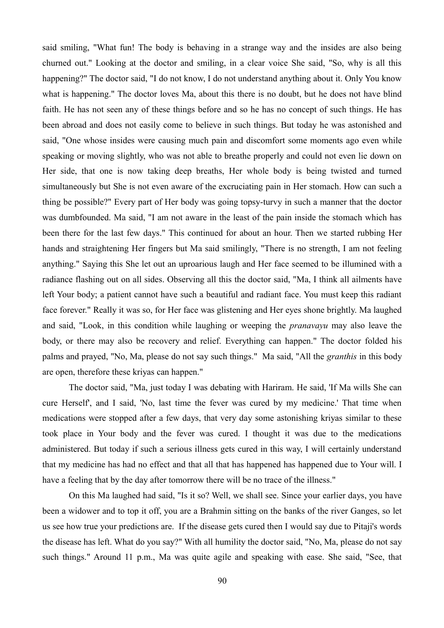said smiling, "What fun! The body is behaving in a strange way and the insides are also being churned out." Looking at the doctor and smiling, in a clear voice She said, "So, why is all this happening?" The doctor said, "I do not know, I do not understand anything about it. Only You know what is happening." The doctor loves Ma, about this there is no doubt, but he does not have blind faith. He has not seen any of these things before and so he has no concept of such things. He has been abroad and does not easily come to believe in such things. But today he was astonished and said, "One whose insides were causing much pain and discomfort some moments ago even while speaking or moving slightly, who was not able to breathe properly and could not even lie down on Her side, that one is now taking deep breaths, Her whole body is being twisted and turned simultaneously but She is not even aware of the excruciating pain in Her stomach. How can such a thing be possible?" Every part of Her body was going topsy-turvy in such a manner that the doctor was dumbfounded. Ma said, "I am not aware in the least of the pain inside the stomach which has been there for the last few days." This continued for about an hour. Then we started rubbing Her hands and straightening Her fingers but Ma said smilingly, "There is no strength, I am not feeling anything." Saying this She let out an uproarious laugh and Her face seemed to be illumined with a radiance flashing out on all sides. Observing all this the doctor said, "Ma, I think all ailments have left Your body; a patient cannot have such a beautiful and radiant face. You must keep this radiant face forever." Really it was so, for Her face was glistening and Her eyes shone brightly. Ma laughed and said, "Look, in this condition while laughing or weeping the *pranavayu* may also leave the body, or there may also be recovery and relief. Everything can happen." The doctor folded his palms and prayed, "No, Ma, please do not say such things." Ma said, "All the *granthis* in this body are open, therefore these kriyas can happen."

The doctor said, "Ma, just today I was debating with Hariram. He said, 'If Ma wills She can cure Herself', and I said, 'No, last time the fever was cured by my medicine.' That time when medications were stopped after a few days, that very day some astonishing kriyas similar to these took place in Your body and the fever was cured. I thought it was due to the medications administered. But today if such a serious illness gets cured in this way, I will certainly understand that my medicine has had no effect and that all that has happened has happened due to Your will. I have a feeling that by the day after tomorrow there will be no trace of the illness."

On this Ma laughed had said, "Is it so? Well, we shall see. Since your earlier days, you have been a widower and to top it off, you are a Brahmin sitting on the banks of the river Ganges, so let us see how true your predictions are. If the disease gets cured then I would say due to Pitaji's words the disease has left. What do you say?" With all humility the doctor said, "No, Ma, please do not say such things." Around 11 p.m., Ma was quite agile and speaking with ease. She said, "See, that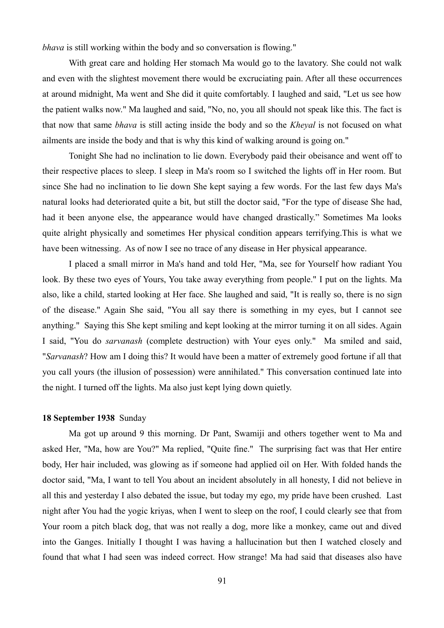*bhava* is still working within the body and so conversation is flowing."

With great care and holding Her stomach Ma would go to the lavatory. She could not walk and even with the slightest movement there would be excruciating pain. After all these occurrences at around midnight, Ma went and She did it quite comfortably. I laughed and said, "Let us see how the patient walks now." Ma laughed and said, "No, no, you all should not speak like this. The fact is that now that same *bhava* is still acting inside the body and so the *Kheyal* is not focused on what ailments are inside the body and that is why this kind of walking around is going on."

Tonight She had no inclination to lie down. Everybody paid their obeisance and went off to their respective places to sleep. I sleep in Ma's room so I switched the lights off in Her room. But since She had no inclination to lie down She kept saying a few words. For the last few days Ma's natural looks had deteriorated quite a bit, but still the doctor said, "For the type of disease She had, had it been anyone else, the appearance would have changed drastically." Sometimes Ma looks quite alright physically and sometimes Her physical condition appears terrifying.This is what we have been witnessing. As of now I see no trace of any disease in Her physical appearance.

I placed a small mirror in Ma's hand and told Her, "Ma, see for Yourself how radiant You look. By these two eyes of Yours, You take away everything from people." I put on the lights. Ma also, like a child, started looking at Her face. She laughed and said, "It is really so, there is no sign of the disease." Again She said, "You all say there is something in my eyes, but I cannot see anything." Saying this She kept smiling and kept looking at the mirror turning it on all sides. Again I said, "You do *sarvanash* (complete destruction) with Your eyes only." Ma smiled and said, "*Sarvanash*? How am I doing this? It would have been a matter of extremely good fortune if all that you call yours (the illusion of possession) were annihilated." This conversation continued late into the night. I turned off the lights. Ma also just kept lying down quietly.

#### **18 September 1938** Sunday

Ma got up around 9 this morning. Dr Pant, Swamiji and others together went to Ma and asked Her, "Ma, how are You?" Ma replied, "Quite fine." The surprising fact was that Her entire body, Her hair included, was glowing as if someone had applied oil on Her. With folded hands the doctor said, "Ma, I want to tell You about an incident absolutely in all honesty, I did not believe in all this and yesterday I also debated the issue, but today my ego, my pride have been crushed. Last night after You had the yogic kriyas, when I went to sleep on the roof, I could clearly see that from Your room a pitch black dog, that was not really a dog, more like a monkey, came out and dived into the Ganges. Initially I thought I was having a hallucination but then I watched closely and found that what I had seen was indeed correct. How strange! Ma had said that diseases also have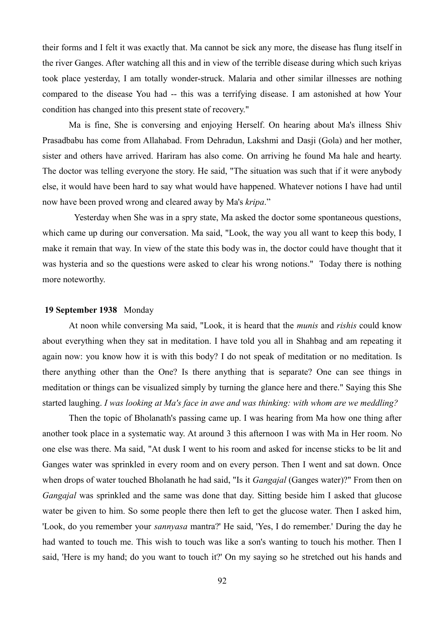their forms and I felt it was exactly that. Ma cannot be sick any more, the disease has flung itself in the river Ganges. After watching all this and in view of the terrible disease during which such kriyas took place yesterday, I am totally wonder-struck. Malaria and other similar illnesses are nothing compared to the disease You had -- this was a terrifying disease. I am astonished at how Your condition has changed into this present state of recovery."

Ma is fine, She is conversing and enjoying Herself. On hearing about Ma's illness Shiv Prasadbabu has come from Allahabad. From Dehradun, Lakshmi and Dasji (Gola) and her mother, sister and others have arrived. Hariram has also come. On arriving he found Ma hale and hearty. The doctor was telling everyone the story. He said, "The situation was such that if it were anybody else, it would have been hard to say what would have happened. Whatever notions I have had until now have been proved wrong and cleared away by Ma's *kripa*."

Yesterday when She was in a spry state. Ma asked the doctor some spontaneous questions, which came up during our conversation. Ma said, "Look, the way you all want to keep this body, I make it remain that way. In view of the state this body was in, the doctor could have thought that it was hysteria and so the questions were asked to clear his wrong notions." Today there is nothing more noteworthy.

#### **19 September 1938** Monday

At noon while conversing Ma said, "Look, it is heard that the *munis* and *rishis* could know about everything when they sat in meditation. I have told you all in Shahbag and am repeating it again now: you know how it is with this body? I do not speak of meditation or no meditation. Is there anything other than the One? Is there anything that is separate? One can see things in meditation or things can be visualized simply by turning the glance here and there." Saying this She started laughing. *I was looking at Ma's face in awe and was thinking: with whom are we meddling?*

Then the topic of Bholanath's passing came up. I was hearing from Ma how one thing after another took place in a systematic way. At around 3 this afternoon I was with Ma in Her room. No one else was there. Ma said, "At dusk I went to his room and asked for incense sticks to be lit and Ganges water was sprinkled in every room and on every person. Then I went and sat down. Once when drops of water touched Bholanath he had said, "Is it *Gangajal* (Ganges water)?" From then on *Gangajal* was sprinkled and the same was done that day. Sitting beside him I asked that glucose water be given to him. So some people there then left to get the glucose water. Then I asked him, 'Look, do you remember your *sannyasa* mantra?' He said, 'Yes, I do remember.' During the day he had wanted to touch me. This wish to touch was like a son's wanting to touch his mother. Then I said, 'Here is my hand; do you want to touch it?' On my saying so he stretched out his hands and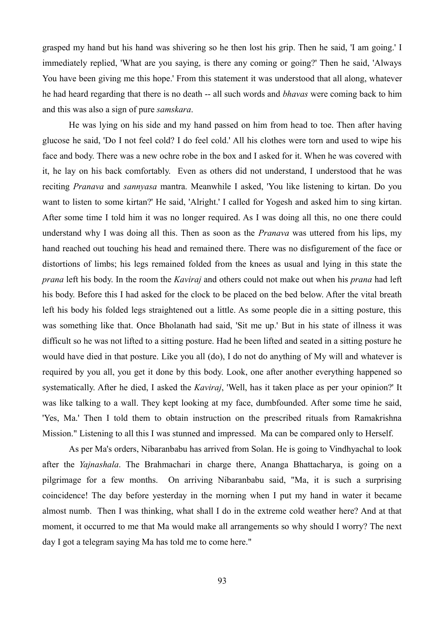grasped my hand but his hand was shivering so he then lost his grip. Then he said, 'I am going.' I immediately replied, 'What are you saying, is there any coming or going?' Then he said, 'Always You have been giving me this hope.' From this statement it was understood that all along, whatever he had heard regarding that there is no death -- all such words and *bhavas* were coming back to him and this was also a sign of pure *samskara*.

He was lying on his side and my hand passed on him from head to toe. Then after having glucose he said, 'Do I not feel cold? I do feel cold.' All his clothes were torn and used to wipe his face and body. There was a new ochre robe in the box and I asked for it. When he was covered with it, he lay on his back comfortably. Even as others did not understand, I understood that he was reciting *Pranava* and *sannyasa* mantra. Meanwhile I asked, 'You like listening to kirtan. Do you want to listen to some kirtan?' He said, 'Alright.' I called for Yogesh and asked him to sing kirtan. After some time I told him it was no longer required. As I was doing all this, no one there could understand why I was doing all this. Then as soon as the *Pranava* was uttered from his lips, my hand reached out touching his head and remained there. There was no disfigurement of the face or distortions of limbs; his legs remained folded from the knees as usual and lying in this state the *prana* left his body. In the room the *Kaviraj* and others could not make out when his *prana* had left his body. Before this I had asked for the clock to be placed on the bed below. After the vital breath left his body his folded legs straightened out a little. As some people die in a sitting posture, this was something like that. Once Bholanath had said, 'Sit me up.' But in his state of illness it was difficult so he was not lifted to a sitting posture. Had he been lifted and seated in a sitting posture he would have died in that posture. Like you all (do), I do not do anything of My will and whatever is required by you all, you get it done by this body. Look, one after another everything happened so systematically. After he died, I asked the *Kaviraj*, 'Well, has it taken place as per your opinion?' It was like talking to a wall. They kept looking at my face, dumbfounded. After some time he said, 'Yes, Ma.' Then I told them to obtain instruction on the prescribed rituals from Ramakrishna Mission." Listening to all this I was stunned and impressed. Ma can be compared only to Herself.

As per Ma's orders, Nibaranbabu has arrived from Solan. He is going to Vindhyachal to look after the *Yajnashala*. The Brahmachari in charge there, Ananga Bhattacharya, is going on a pilgrimage for a few months. On arriving Nibaranbabu said, "Ma, it is such a surprising coincidence! The day before yesterday in the morning when I put my hand in water it became almost numb. Then I was thinking, what shall I do in the extreme cold weather here? And at that moment, it occurred to me that Ma would make all arrangements so why should I worry? The next day I got a telegram saying Ma has told me to come here."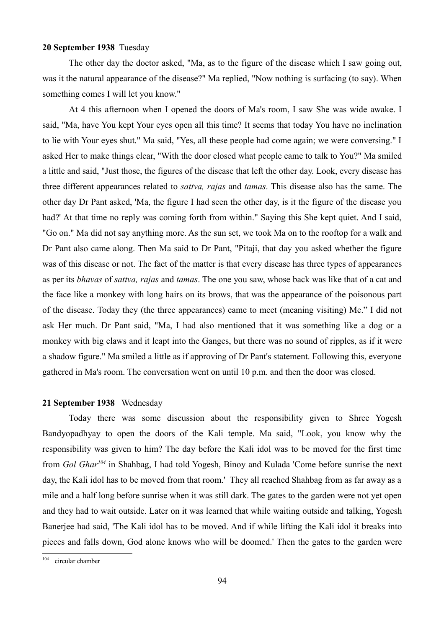## **20 September 1938** Tuesday

The other day the doctor asked, "Ma, as to the figure of the disease which I saw going out, was it the natural appearance of the disease?" Ma replied, "Now nothing is surfacing (to say). When something comes I will let you know."

At 4 this afternoon when I opened the doors of Ma's room, I saw She was wide awake. I said, "Ma, have You kept Your eyes open all this time? It seems that today You have no inclination to lie with Your eyes shut." Ma said, "Yes, all these people had come again; we were conversing." I asked Her to make things clear, "With the door closed what people came to talk to You?" Ma smiled a little and said, "Just those, the figures of the disease that left the other day. Look, every disease has three different appearances related to *sattva, rajas* and *tamas*. This disease also has the same. The other day Dr Pant asked, 'Ma, the figure I had seen the other day, is it the figure of the disease you had?' At that time no reply was coming forth from within." Saying this She kept quiet. And I said, "Go on." Ma did not say anything more. As the sun set, we took Ma on to the rooftop for a walk and Dr Pant also came along. Then Ma said to Dr Pant, "Pitaji, that day you asked whether the figure was of this disease or not. The fact of the matter is that every disease has three types of appearances as per its *bhavas* of *sattva, rajas* and *tamas*. The one you saw, whose back was like that of a cat and the face like a monkey with long hairs on its brows, that was the appearance of the poisonous part of the disease. Today they (the three appearances) came to meet (meaning visiting) Me." I did not ask Her much. Dr Pant said, "Ma, I had also mentioned that it was something like a dog or a monkey with big claws and it leapt into the Ganges, but there was no sound of ripples, as if it were a shadow figure." Ma smiled a little as if approving of Dr Pant's statement. Following this, everyone gathered in Ma's room. The conversation went on until 10 p.m. and then the door was closed.

#### **21 September 1938** Wednesday

Today there was some discussion about the responsibility given to Shree Yogesh Bandyopadhyay to open the doors of the Kali temple. Ma said, "Look, you know why the responsibility was given to him? The day before the Kali idol was to be moved for the first time from *Gol Ghar[104](#page-93-0)* in Shahbag, I had told Yogesh, Binoy and Kulada 'Come before sunrise the next day, the Kali idol has to be moved from that room.' They all reached Shahbag from as far away as a mile and a half long before sunrise when it was still dark. The gates to the garden were not yet open and they had to wait outside. Later on it was learned that while waiting outside and talking, Yogesh Banerjee had said, 'The Kali idol has to be moved. And if while lifting the Kali idol it breaks into pieces and falls down, God alone knows who will be doomed.' Then the gates to the garden were

<span id="page-93-0"></span><sup>104</sup> circular chamber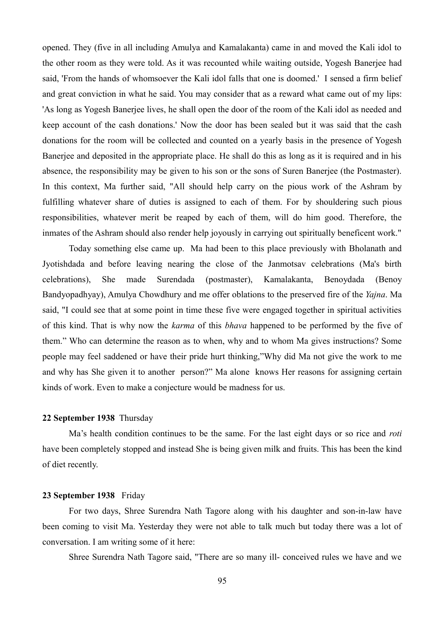opened. They (five in all including Amulya and Kamalakanta) came in and moved the Kali idol to the other room as they were told. As it was recounted while waiting outside, Yogesh Banerjee had said, 'From the hands of whomsoever the Kali idol falls that one is doomed.' I sensed a firm belief and great conviction in what he said. You may consider that as a reward what came out of my lips: 'As long as Yogesh Banerjee lives, he shall open the door of the room of the Kali idol as needed and keep account of the cash donations.' Now the door has been sealed but it was said that the cash donations for the room will be collected and counted on a yearly basis in the presence of Yogesh Banerjee and deposited in the appropriate place. He shall do this as long as it is required and in his absence, the responsibility may be given to his son or the sons of Suren Banerjee (the Postmaster). In this context, Ma further said, "All should help carry on the pious work of the Ashram by fulfilling whatever share of duties is assigned to each of them. For by shouldering such pious responsibilities, whatever merit be reaped by each of them, will do him good. Therefore, the inmates of the Ashram should also render help joyously in carrying out spiritually beneficent work."

Today something else came up. Ma had been to this place previously with Bholanath and Jyotishdada and before leaving nearing the close of the Janmotsav celebrations (Ma's birth celebrations), She made Surendada (postmaster), Kamalakanta, Benoydada (Benoy Bandyopadhyay), Amulya Chowdhury and me offer oblations to the preserved fire of the *Yajna*. Ma said, "I could see that at some point in time these five were engaged together in spiritual activities of this kind. That is why now the *karma* of this *bhava* happened to be performed by the five of them." Who can determine the reason as to when, why and to whom Ma gives instructions? Some people may feel saddened or have their pride hurt thinking,"Why did Ma not give the work to me and why has She given it to another person?" Ma alone knows Her reasons for assigning certain kinds of work. Even to make a conjecture would be madness for us.

## **22 September 1938** Thursday

Ma's health condition continues to be the same. For the last eight days or so rice and *roti* have been completely stopped and instead She is being given milk and fruits. This has been the kind of diet recently.

## **23 September 1938** Friday

For two days, Shree Surendra Nath Tagore along with his daughter and son-in-law have been coming to visit Ma. Yesterday they were not able to talk much but today there was a lot of conversation. I am writing some of it here:

Shree Surendra Nath Tagore said, "There are so many ill- conceived rules we have and we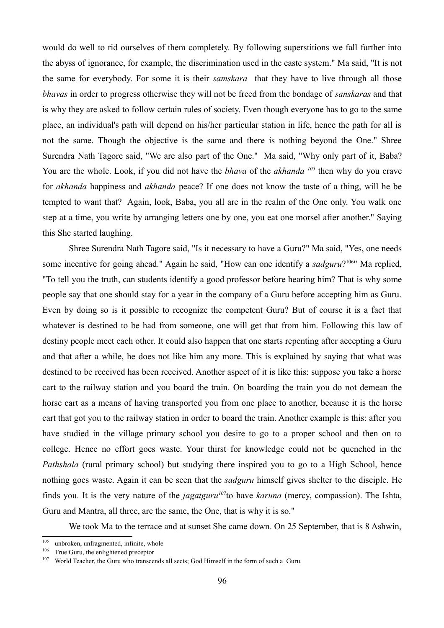would do well to rid ourselves of them completely. By following superstitions we fall further into the abyss of ignorance, for example, the discrimination used in the caste system." Ma said, "It is not the same for everybody. For some it is their *samskara* that they have to live through all those *bhavas* in order to progress otherwise they will not be freed from the bondage of *sanskaras* and that is why they are asked to follow certain rules of society. Even though everyone has to go to the same place, an individual's path will depend on his/her particular station in life, hence the path for all is not the same. Though the objective is the same and there is nothing beyond the One." Shree Surendra Nath Tagore said, "We are also part of the One." Ma said, "Why only part of it, Baba? You are the whole. Look, if you did not have the *bhava* of the *akhanda [105](#page-95-0)* then why do you crave for *akhanda* happiness and *akhanda* peace? If one does not know the taste of a thing, will he be tempted to want that? Again, look, Baba, you all are in the realm of the One only. You walk one step at a time, you write by arranging letters one by one, you eat one morsel after another." Saying this She started laughing.

Shree Surendra Nath Tagore said, "Is it necessary to have a Guru?" Ma said, "Yes, one needs some incentive for going ahead." Again he said, "How can one identify a *sadguru*?<sup>[106](#page-95-1)</sup>" Ma replied, "To tell you the truth, can students identify a good professor before hearing him? That is why some people say that one should stay for a year in the company of a Guru before accepting him as Guru. Even by doing so is it possible to recognize the competent Guru? But of course it is a fact that whatever is destined to be had from someone, one will get that from him. Following this law of destiny people meet each other. It could also happen that one starts repenting after accepting a Guru and that after a while, he does not like him any more. This is explained by saying that what was destined to be received has been received. Another aspect of it is like this: suppose you take a horse cart to the railway station and you board the train. On boarding the train you do not demean the horse cart as a means of having transported you from one place to another, because it is the horse cart that got you to the railway station in order to board the train. Another example is this: after you have studied in the village primary school you desire to go to a proper school and then on to college. Hence no effort goes waste. Your thirst for knowledge could not be quenched in the *Pathshala* (rural primary school) but studying there inspired you to go to a High School, hence nothing goes waste. Again it can be seen that the *sadguru* himself gives shelter to the disciple. He finds you. It is the very nature of the *jagatguru[107](#page-95-2)*to have *karuna* (mercy, compassion). The Ishta, Guru and Mantra, all three, are the same, the One, that is why it is so."

We took Ma to the terrace and at sunset She came down. On 25 September, that is 8 Ashwin,

<span id="page-95-0"></span><sup>&</sup>lt;sup>105</sup> unbroken, unfragmented, infinite, whole<br> $\frac{106}{100}$  True Guru, the enlightened preceptor

<span id="page-95-1"></span>True Guru, the enlightened preceptor

<span id="page-95-2"></span><sup>&</sup>lt;sup>107</sup> World Teacher, the Guru who transcends all sects; God Himself in the form of such a Guru.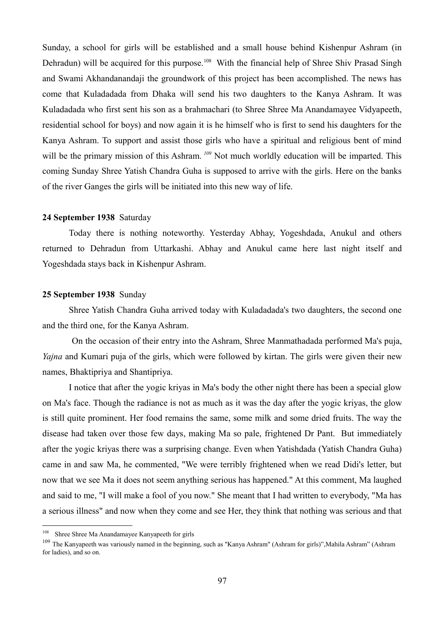Sunday, a school for girls will be established and a small house behind Kishenpur Ashram (in Dehradun) will be acquired for this purpose.<sup>[108](#page-96-0)</sup> With the financial help of Shree Shiv Prasad Singh and Swami Akhandanandaji the groundwork of this project has been accomplished. The news has come that Kuladadada from Dhaka will send his two daughters to the Kanya Ashram. It was Kuladadada who first sent his son as a brahmachari (to Shree Shree Ma Anandamayee Vidyapeeth, residential school for boys) and now again it is he himself who is first to send his daughters for the Kanya Ashram. To support and assist those girls who have a spiritual and religious bent of mind will be the primary mission of this Ashram. <sup>[109](#page-96-1)</sup> Not much worldly education will be imparted. This coming Sunday Shree Yatish Chandra Guha is supposed to arrive with the girls. Here on the banks of the river Ganges the girls will be initiated into this new way of life.

## **24 September 1938** Saturday

Today there is nothing noteworthy. Yesterday Abhay, Yogeshdada, Anukul and others returned to Dehradun from Uttarkashi. Abhay and Anukul came here last night itself and Yogeshdada stays back in Kishenpur Ashram.

#### **25 September 1938** Sunday

Shree Yatish Chandra Guha arrived today with Kuladadada's two daughters, the second one and the third one, for the Kanya Ashram.

 On the occasion of their entry into the Ashram, Shree Manmathadada performed Ma's puja, *Yajna* and Kumari puja of the girls, which were followed by kirtan. The girls were given their new names, Bhaktipriya and Shantipriya.

I notice that after the yogic kriyas in Ma's body the other night there has been a special glow on Ma's face. Though the radiance is not as much as it was the day after the yogic kriyas, the glow is still quite prominent. Her food remains the same, some milk and some dried fruits. The way the disease had taken over those few days, making Ma so pale, frightened Dr Pant. But immediately after the yogic kriyas there was a surprising change. Even when Yatishdada (Yatish Chandra Guha) came in and saw Ma, he commented, "We were terribly frightened when we read Didi's letter, but now that we see Ma it does not seem anything serious has happened." At this comment, Ma laughed and said to me, "I will make a fool of you now." She meant that I had written to everybody, "Ma has a serious illness" and now when they come and see Her, they think that nothing was serious and that

<span id="page-96-0"></span><sup>&</sup>lt;sup>108</sup> Shree Shree Ma Anandamayee Kanyapeeth for girls

<span id="page-96-1"></span><sup>&</sup>lt;sup>109</sup> The Kanyapeeth was variously named in the beginning, such as "Kanya Ashram" (Ashram for girls)",Mahila Ashram" (Ashram for ladies), and so on.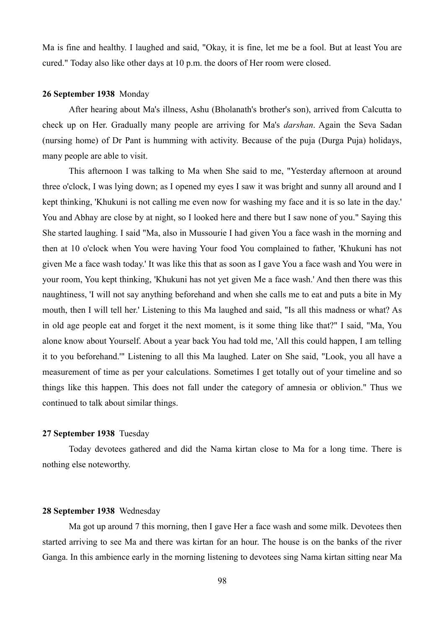Ma is fine and healthy. I laughed and said, "Okay, it is fine, let me be a fool. But at least You are cured." Today also like other days at 10 p.m. the doors of Her room were closed.

## **26 September 1938** Monday

After hearing about Ma's illness, Ashu (Bholanath's brother's son), arrived from Calcutta to check up on Her. Gradually many people are arriving for Ma's *darshan*. Again the Seva Sadan (nursing home) of Dr Pant is humming with activity. Because of the puja (Durga Puja) holidays, many people are able to visit.

This afternoon I was talking to Ma when She said to me, "Yesterday afternoon at around three o'clock, I was lying down; as I opened my eyes I saw it was bright and sunny all around and I kept thinking, 'Khukuni is not calling me even now for washing my face and it is so late in the day.' You and Abhay are close by at night, so I looked here and there but I saw none of you." Saying this She started laughing. I said "Ma, also in Mussourie I had given You a face wash in the morning and then at 10 o'clock when You were having Your food You complained to father, 'Khukuni has not given Me a face wash today.' It was like this that as soon as I gave You a face wash and You were in your room, You kept thinking, 'Khukuni has not yet given Me a face wash.' And then there was this naughtiness, 'I will not say anything beforehand and when she calls me to eat and puts a bite in My mouth, then I will tell her.' Listening to this Ma laughed and said, "Is all this madness or what? As in old age people eat and forget it the next moment, is it some thing like that?" I said, "Ma, You alone know about Yourself. About a year back You had told me, 'All this could happen, I am telling it to you beforehand.'" Listening to all this Ma laughed. Later on She said, "Look, you all have a measurement of time as per your calculations. Sometimes I get totally out of your timeline and so things like this happen. This does not fall under the category of amnesia or oblivion." Thus we continued to talk about similar things.

#### **27 September 1938** Tuesday

Today devotees gathered and did the Nama kirtan close to Ma for a long time. There is nothing else noteworthy.

## **28 September 1938** Wednesday

Ma got up around 7 this morning, then I gave Her a face wash and some milk. Devotees then started arriving to see Ma and there was kirtan for an hour. The house is on the banks of the river Ganga. In this ambience early in the morning listening to devotees sing Nama kirtan sitting near Ma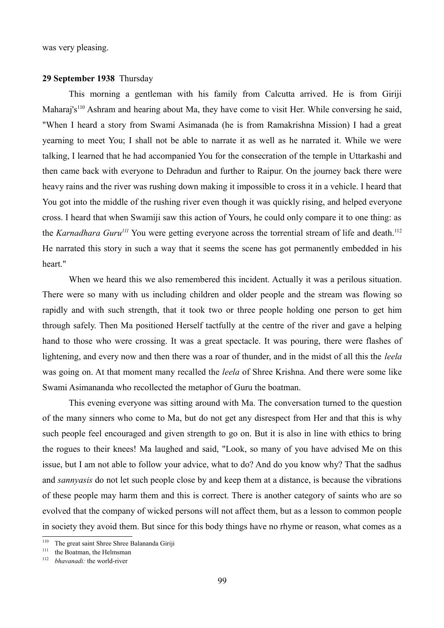was very pleasing.

## **29 September 1938** Thursday

This morning a gentleman with his family from Calcutta arrived. He is from Giriji Maharaj's<sup>[110](#page-98-0)</sup> Ashram and hearing about Ma, they have come to visit Her. While conversing he said, "When I heard a story from Swami Asimanada (he is from Ramakrishna Mission) I had a great yearning to meet You; I shall not be able to narrate it as well as he narrated it. While we were talking, I learned that he had accompanied You for the consecration of the temple in Uttarkashi and then came back with everyone to Dehradun and further to Raipur. On the journey back there were heavy rains and the river was rushing down making it impossible to cross it in a vehicle. I heard that You got into the middle of the rushing river even though it was quickly rising, and helped everyone cross. I heard that when Swamiji saw this action of Yours, he could only compare it to one thing: as the *Karnadhara Guru<sup>[111](#page-98-1)</sup>* You were getting everyone across the torrential stream of life and death.<sup>[112](#page-98-2)</sup> He narrated this story in such a way that it seems the scene has got permanently embedded in his heart."

When we heard this we also remembered this incident. Actually it was a perilous situation. There were so many with us including children and older people and the stream was flowing so rapidly and with such strength, that it took two or three people holding one person to get him through safely. Then Ma positioned Herself tactfully at the centre of the river and gave a helping hand to those who were crossing. It was a great spectacle. It was pouring, there were flashes of lightening, and every now and then there was a roar of thunder, and in the midst of all this the *leela* was going on. At that moment many recalled the *leela* of Shree Krishna. And there were some like Swami Asimananda who recollected the metaphor of Guru the boatman.

This evening everyone was sitting around with Ma. The conversation turned to the question of the many sinners who come to Ma, but do not get any disrespect from Her and that this is why such people feel encouraged and given strength to go on. But it is also in line with ethics to bring the rogues to their knees! Ma laughed and said, "Look, so many of you have advised Me on this issue, but I am not able to follow your advice, what to do? And do you know why? That the sadhus and *sannyasis* do not let such people close by and keep them at a distance, is because the vibrations of these people may harm them and this is correct. There is another category of saints who are so evolved that the company of wicked persons will not affect them, but as a lesson to common people in society they avoid them. But since for this body things have no rhyme or reason, what comes as a

<span id="page-98-0"></span><sup>&</sup>lt;sup>110</sup> The great saint Shree Shree Balananda Giriji<br><sup>111</sup> the Boatman, the Helmsman

<span id="page-98-1"></span>the Boatman, the Helmsman

<span id="page-98-2"></span><sup>112</sup> *bhavanadi:* the world-river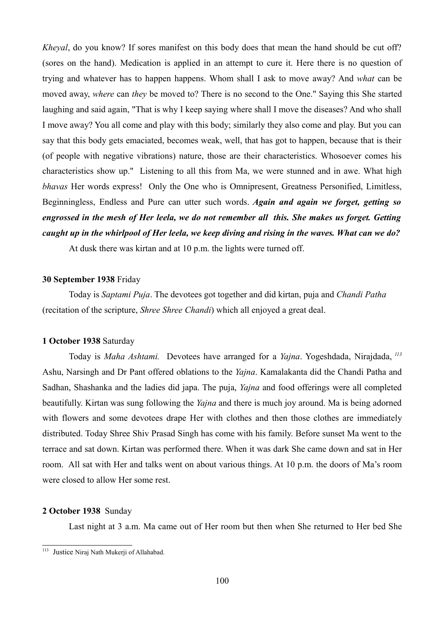*Kheyal*, do you know? If sores manifest on this body does that mean the hand should be cut off? (sores on the hand). Medication is applied in an attempt to cure it. Here there is no question of trying and whatever has to happen happens. Whom shall I ask to move away? And *what* can be moved away, *where* can *they* be moved to? There is no second to the One." Saying this She started laughing and said again, "That is why I keep saying where shall I move the diseases? And who shall I move away? You all come and play with this body; similarly they also come and play. But you can say that this body gets emaciated, becomes weak, well, that has got to happen, because that is their (of people with negative vibrations) nature, those are their characteristics. Whosoever comes his characteristics show up." Listening to all this from Ma, we were stunned and in awe. What high *bhavas* Her words express! Only the One who is Omnipresent, Greatness Personified, Limitless, Beginningless, Endless and Pure can utter such words. *Again and again we forget, getting so engrossed in the mesh of Her leela, we do not remember all this. She makes us forget. Getting caught up in the whirlpool of Her leela, we keep diving and rising in the waves. What can we do?*

At dusk there was kirtan and at 10 p.m. the lights were turned off.

#### **30 September 1938** Friday

Today is *Saptami Puja*. The devotees got together and did kirtan, puja and *Chandi Patha* (recitation of the scripture, *Shree Shree Chandi*) which all enjoyed a great deal.

## **1 October 1938** Saturday

Today is *Maha Ashtami.* Devotees have arranged for a *Yajna*. Yogeshdada, Nirajdada, *[113](#page-99-0)* Ashu, Narsingh and Dr Pant offered oblations to the *Yajna*. Kamalakanta did the Chandi Patha and Sadhan, Shashanka and the ladies did japa. The puja, *Yajna* and food offerings were all completed beautifully. Kirtan was sung following the *Yajna* and there is much joy around. Ma is being adorned with flowers and some devotees drape Her with clothes and then those clothes are immediately distributed. Today Shree Shiv Prasad Singh has come with his family. Before sunset Ma went to the terrace and sat down. Kirtan was performed there. When it was dark She came down and sat in Her room. All sat with Her and talks went on about various things. At 10 p.m. the doors of Ma's room were closed to allow Her some rest.

## **2 October 1938** Sunday

Last night at 3 a.m. Ma came out of Her room but then when She returned to Her bed She

<span id="page-99-0"></span><sup>113</sup> Justice Niraj Nath Mukerji of Allahabad.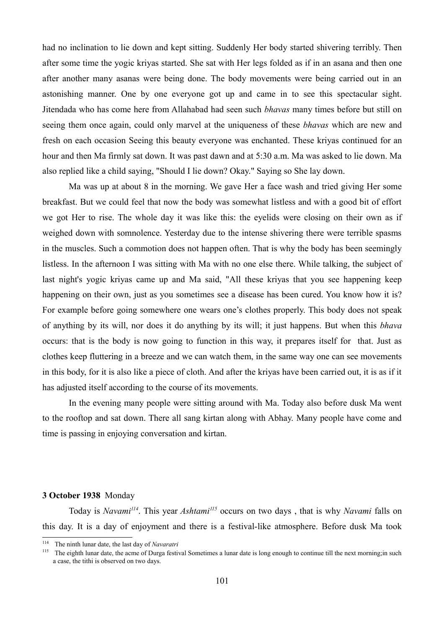had no inclination to lie down and kept sitting. Suddenly Her body started shivering terribly. Then after some time the yogic kriyas started. She sat with Her legs folded as if in an asana and then one after another many asanas were being done. The body movements were being carried out in an astonishing manner. One by one everyone got up and came in to see this spectacular sight. Jitendada who has come here from Allahabad had seen such *bhavas* many times before but still on seeing them once again, could only marvel at the uniqueness of these *bhavas* which are new and fresh on each occasion Seeing this beauty everyone was enchanted. These kriyas continued for an hour and then Ma firmly sat down. It was past dawn and at 5:30 a.m. Ma was asked to lie down. Ma also replied like a child saying, "Should I lie down? Okay." Saying so She lay down.

Ma was up at about 8 in the morning. We gave Her a face wash and tried giving Her some breakfast. But we could feel that now the body was somewhat listless and with a good bit of effort we got Her to rise. The whole day it was like this: the eyelids were closing on their own as if weighed down with somnolence. Yesterday due to the intense shivering there were terrible spasms in the muscles. Such a commotion does not happen often. That is why the body has been seemingly listless. In the afternoon I was sitting with Ma with no one else there. While talking, the subject of last night's yogic kriyas came up and Ma said, "All these kriyas that you see happening keep happening on their own, just as you sometimes see a disease has been cured. You know how it is? For example before going somewhere one wears one's clothes properly. This body does not speak of anything by its will, nor does it do anything by its will; it just happens. But when this *bhava* occurs: that is the body is now going to function in this way, it prepares itself for that. Just as clothes keep fluttering in a breeze and we can watch them, in the same way one can see movements in this body, for it is also like a piece of cloth. And after the kriyas have been carried out, it is as if it has adjusted itself according to the course of its movements.

In the evening many people were sitting around with Ma. Today also before dusk Ma went to the rooftop and sat down. There all sang kirtan along with Abhay. Many people have come and time is passing in enjoying conversation and kirtan.

## **3 October 1938** Monday

Today is *Navami[114](#page-100-0)*. This year *Ashtami[115](#page-100-1)* occurs on two days , that is why *Navami* falls on this day. It is a day of enjoyment and there is a festival-like atmosphere. Before dusk Ma took

<span id="page-100-0"></span><sup>114</sup> The ninth lunar date, the last day of *Navaratri*

<span id="page-100-1"></span><sup>&</sup>lt;sup>115</sup> The eighth lunar date, the acme of Durga festival Sometimes a lunar date is long enough to continue till the next morning;in such a case, the tithi is observed on two days.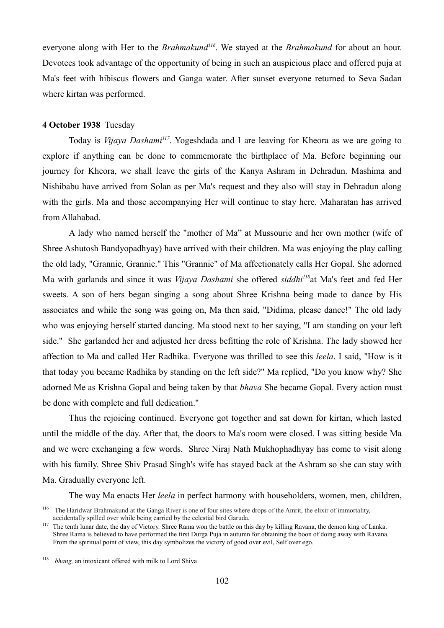everyone along with Her to the *Brahmakund[116](#page-101-0)*. We stayed at the *Brahmakund* for about an hour. Devotees took advantage of the opportunity of being in such an auspicious place and offered puja at Ma's feet with hibiscus flowers and Ganga water. After sunset everyone returned to Seva Sadan where kirtan was performed.

## **4 October 1938** Tuesday

Today is *Vijaya Dashami[117](#page-101-1)*. Yogeshdada and I are leaving for Kheora as we are going to explore if anything can be done to commemorate the birthplace of Ma. Before beginning our journey for Kheora, we shall leave the girls of the Kanya Ashram in Dehradun. Mashima and Nishibabu have arrived from Solan as per Ma's request and they also will stay in Dehradun along with the girls. Ma and those accompanying Her will continue to stay here. Maharatan has arrived from Allahabad.

A lady who named herself the "mother of Ma" at Mussourie and her own mother (wife of Shree Ashutosh Bandyopadhyay) have arrived with their children. Ma was enjoying the play calling the old lady, "Grannie, Grannie." This "Grannie" of Ma affectionately calls Her Gopal. She adorned Ma with garlands and since it was *Vijaya Dashami* she offered *siddhi[118](#page-101-2)*at Ma's feet and fed Her sweets. A son of hers began singing a song about Shree Krishna being made to dance by His associates and while the song was going on, Ma then said, "Didima, please dance!" The old lady who was enjoying herself started dancing. Ma stood next to her saying, "I am standing on your left side." She garlanded her and adjusted her dress befitting the role of Krishna. The lady showed her affection to Ma and called Her Radhika. Everyone was thrilled to see this *leela*. I said, "How is it that today you became Radhika by standing on the left side?" Ma replied, "Do you know why? She adorned Me as Krishna Gopal and being taken by that *bhava* She became Gopal. Every action must be done with complete and full dedication."

Thus the rejoicing continued. Everyone got together and sat down for kirtan, which lasted until the middle of the day. After that, the doors to Ma's room were closed. I was sitting beside Ma and we were exchanging a few words. Shree Niraj Nath Mukhophadhyay has come to visit along with his family. Shree Shiv Prasad Singh's wife has stayed back at the Ashram so she can stay with Ma. Gradually everyone left.

The way Ma enacts Her *leela* in perfect harmony with householders, women, men, children,

<span id="page-101-0"></span><sup>&</sup>lt;sup>116</sup> The Haridwar Brahmakund at the Ganga River is one of four sites where drops of the Amrit, the elixir of immortality,

accidentally spilled over while being carried by the celestial bird Garuda.

<span id="page-101-1"></span><sup>&</sup>lt;sup>117</sup> The tenth lunar date, the day of Victory. Shree Rama won the battle on this day by killing Ravana, the demon king of Lanka. Shree Rama is believed to have performed the first Durga Puja in autumn for obtaining the boon of doing away with Ravana. From the spiritual point of view, this day symbolizes the victory of good over evil, Self over ego.

<span id="page-101-2"></span><sup>118</sup> *bhang,* an intoxicant offered with milk to Lord Shiva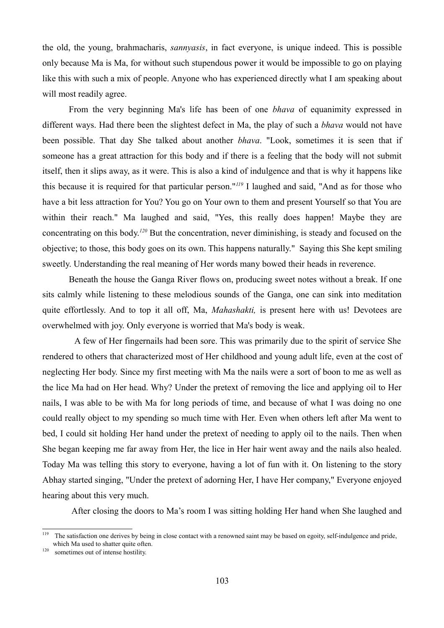the old, the young, brahmacharis, *sannyasis*, in fact everyone, is unique indeed. This is possible only because Ma is Ma, for without such stupendous power it would be impossible to go on playing like this with such a mix of people. Anyone who has experienced directly what I am speaking about will most readily agree.

From the very beginning Ma's life has been of one *bhava* of equanimity expressed in different ways. Had there been the slightest defect in Ma, the play of such a *bhava* would not have been possible. That day She talked about another *bhava*. "Look, sometimes it is seen that if someone has a great attraction for this body and if there is a feeling that the body will not submit itself, then it slips away, as it were. This is also a kind of indulgence and that is why it happens like this because it is required for that particular person."*[119](#page-102-0)* I laughed and said, "And as for those who have a bit less attraction for You? You go on Your own to them and present Yourself so that You are within their reach." Ma laughed and said, "Yes, this really does happen! Maybe they are concentrating on this body.*[120](#page-102-1)* But the concentration, never diminishing, is steady and focused on the objective; to those, this body goes on its own. This happens naturally." Saying this She kept smiling sweetly. Understanding the real meaning of Her words many bowed their heads in reverence.

Beneath the house the Ganga River flows on, producing sweet notes without a break. If one sits calmly while listening to these melodious sounds of the Ganga, one can sink into meditation quite effortlessly. And to top it all off, Ma, *Mahashakti,* is present here with us! Devotees are overwhelmed with joy. Only everyone is worried that Ma's body is weak.

 A few of Her fingernails had been sore. This was primarily due to the spirit of service She rendered to others that characterized most of Her childhood and young adult life, even at the cost of neglecting Her body. Since my first meeting with Ma the nails were a sort of boon to me as well as the lice Ma had on Her head. Why? Under the pretext of removing the lice and applying oil to Her nails, I was able to be with Ma for long periods of time, and because of what I was doing no one could really object to my spending so much time with Her. Even when others left after Ma went to bed, I could sit holding Her hand under the pretext of needing to apply oil to the nails. Then when She began keeping me far away from Her, the lice in Her hair went away and the nails also healed. Today Ma was telling this story to everyone, having a lot of fun with it. On listening to the story Abhay started singing, "Under the pretext of adorning Her, I have Her company," Everyone enjoyed hearing about this very much.

After closing the doors to Ma's room I was sitting holding Her hand when She laughed and

<span id="page-102-0"></span><sup>119</sup> The satisfaction one derives by being in close contact with a renowned saint may be based on egoity, self-indulgence and pride, which Ma used to shatter quite often.

<span id="page-102-1"></span><sup>&</sup>lt;sup>120</sup> sometimes out of intense hostility.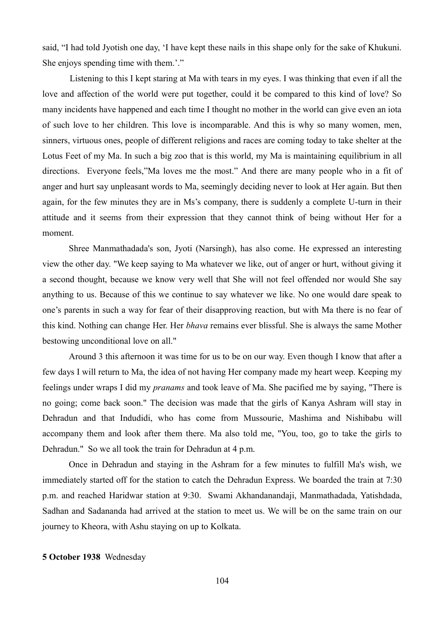said, "I had told Jyotish one day, 'I have kept these nails in this shape only for the sake of Khukuni. She enjoys spending time with them.'."

 Listening to this I kept staring at Ma with tears in my eyes. I was thinking that even if all the love and affection of the world were put together, could it be compared to this kind of love? So many incidents have happened and each time I thought no mother in the world can give even an iota of such love to her children. This love is incomparable. And this is why so many women, men, sinners, virtuous ones, people of different religions and races are coming today to take shelter at the Lotus Feet of my Ma. In such a big zoo that is this world, my Ma is maintaining equilibrium in all directions. Everyone feels,"Ma loves me the most." And there are many people who in a fit of anger and hurt say unpleasant words to Ma, seemingly deciding never to look at Her again. But then again, for the few minutes they are in Ms's company, there is suddenly a complete U-turn in their attitude and it seems from their expression that they cannot think of being without Her for a moment.

Shree Manmathadada's son, Jyoti (Narsingh), has also come. He expressed an interesting view the other day. "We keep saying to Ma whatever we like, out of anger or hurt, without giving it a second thought, because we know very well that She will not feel offended nor would She say anything to us. Because of this we continue to say whatever we like. No one would dare speak to one's parents in such a way for fear of their disapproving reaction, but with Ma there is no fear of this kind. Nothing can change Her. Her *bhava* remains ever blissful. She is always the same Mother bestowing unconditional love on all."

Around 3 this afternoon it was time for us to be on our way. Even though I know that after a few days I will return to Ma, the idea of not having Her company made my heart weep. Keeping my feelings under wraps I did my *pranams* and took leave of Ma. She pacified me by saying, "There is no going; come back soon." The decision was made that the girls of Kanya Ashram will stay in Dehradun and that Indudidi, who has come from Mussourie, Mashima and Nishibabu will accompany them and look after them there. Ma also told me, "You, too, go to take the girls to Dehradun." So we all took the train for Dehradun at 4 p.m.

Once in Dehradun and staying in the Ashram for a few minutes to fulfill Ma's wish, we immediately started off for the station to catch the Dehradun Express. We boarded the train at 7:30 p.m. and reached Haridwar station at 9:30. Swami Akhandanandaji, Manmathadada, Yatishdada, Sadhan and Sadananda had arrived at the station to meet us. We will be on the same train on our journey to Kheora, with Ashu staying on up to Kolkata.

#### **5 October 1938** Wednesday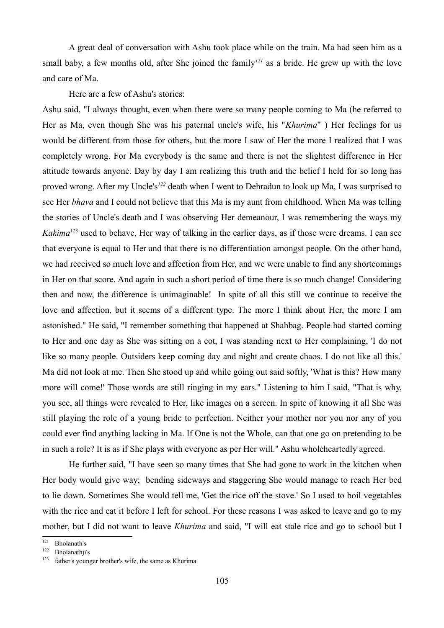A great deal of conversation with Ashu took place while on the train. Ma had seen him as a small baby, a few months old, after She joined the family*[121](#page-104-0)* as a bride. He grew up with the love and care of Ma.

Here are a few of Ashu's stories:

Ashu said, "I always thought, even when there were so many people coming to Ma (he referred to Her as Ma, even though She was his paternal uncle's wife, his "*Khurima*" ) Her feelings for us would be different from those for others, but the more I saw of Her the more I realized that I was completely wrong. For Ma everybody is the same and there is not the slightest difference in Her attitude towards anyone. Day by day I am realizing this truth and the belief I held for so long has proved wrong. After my Uncle's*[122](#page-104-1)* death when I went to Dehradun to look up Ma, I was surprised to see Her *bhava* and I could not believe that this Ma is my aunt from childhood. When Ma was telling the stories of Uncle's death and I was observing Her demeanour, I was remembering the ways my *Kakima*<sup>[123](#page-104-2)</sup> used to behave, Her way of talking in the earlier days, as if those were dreams. I can see that everyone is equal to Her and that there is no differentiation amongst people. On the other hand, we had received so much love and affection from Her, and we were unable to find any shortcomings in Her on that score. And again in such a short period of time there is so much change! Considering then and now, the difference is unimaginable! In spite of all this still we continue to receive the love and affection, but it seems of a different type. The more I think about Her, the more I am astonished." He said, "I remember something that happened at Shahbag. People had started coming to Her and one day as She was sitting on a cot, I was standing next to Her complaining, 'I do not like so many people. Outsiders keep coming day and night and create chaos. I do not like all this.' Ma did not look at me. Then She stood up and while going out said softly, 'What is this? How many more will come!' Those words are still ringing in my ears." Listening to him I said, "That is why, you see, all things were revealed to Her, like images on a screen. In spite of knowing it all She was still playing the role of a young bride to perfection. Neither your mother nor you nor any of you could ever find anything lacking in Ma. If One is not the Whole, can that one go on pretending to be in such a role? It is as if She plays with everyone as per Her will." Ashu wholeheartedly agreed.

He further said, "I have seen so many times that She had gone to work in the kitchen when Her body would give way; bending sideways and staggering She would manage to reach Her bed to lie down. Sometimes She would tell me, 'Get the rice off the stove.' So I used to boil vegetables with the rice and eat it before I left for school. For these reasons I was asked to leave and go to my mother, but I did not want to leave *Khurima* and said, "I will eat stale rice and go to school but I

<span id="page-104-0"></span><sup>&</sup>lt;sup>121</sup> Bholanath's

<span id="page-104-1"></span> $122$  Bholanathji's

<span id="page-104-2"></span>father's younger brother's wife, the same as Khurima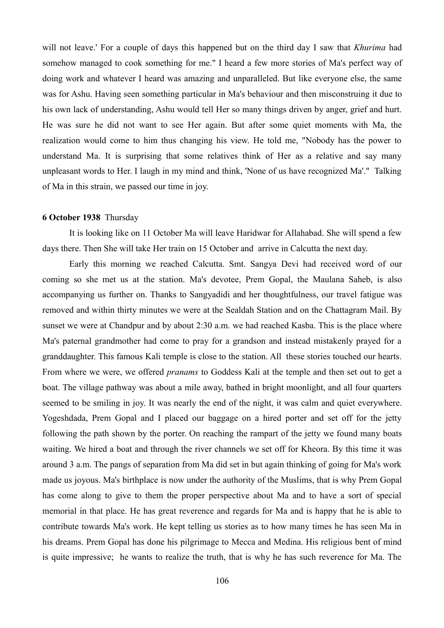will not leave.' For a couple of days this happened but on the third day I saw that *Khurima* had somehow managed to cook something for me." I heard a few more stories of Ma's perfect way of doing work and whatever I heard was amazing and unparalleled. But like everyone else, the same was for Ashu. Having seen something particular in Ma's behaviour and then misconstruing it due to his own lack of understanding, Ashu would tell Her so many things driven by anger, grief and hurt. He was sure he did not want to see Her again. But after some quiet moments with Ma, the realization would come to him thus changing his view. He told me, "Nobody has the power to understand Ma. It is surprising that some relatives think of Her as a relative and say many unpleasant words to Her. I laugh in my mind and think, 'None of us have recognized Ma'." Talking of Ma in this strain, we passed our time in joy.

## **6 October 1938** Thursday

It is looking like on 11 October Ma will leave Haridwar for Allahabad. She will spend a few days there. Then She will take Her train on 15 October and arrive in Calcutta the next day.

Early this morning we reached Calcutta. Smt. Sangya Devi had received word of our coming so she met us at the station. Ma's devotee, Prem Gopal, the Maulana Saheb, is also accompanying us further on. Thanks to Sangyadidi and her thoughtfulness, our travel fatigue was removed and within thirty minutes we were at the Sealdah Station and on the Chattagram Mail. By sunset we were at Chandpur and by about 2:30 a.m. we had reached Kasba. This is the place where Ma's paternal grandmother had come to pray for a grandson and instead mistakenly prayed for a granddaughter. This famous Kali temple is close to the station. All these stories touched our hearts. From where we were, we offered *pranams* to Goddess Kali at the temple and then set out to get a boat. The village pathway was about a mile away, bathed in bright moonlight, and all four quarters seemed to be smiling in joy. It was nearly the end of the night, it was calm and quiet everywhere. Yogeshdada, Prem Gopal and I placed our baggage on a hired porter and set off for the jetty following the path shown by the porter. On reaching the rampart of the jetty we found many boats waiting. We hired a boat and through the river channels we set off for Kheora. By this time it was around 3 a.m. The pangs of separation from Ma did set in but again thinking of going for Ma's work made us joyous. Ma's birthplace is now under the authority of the Muslims, that is why Prem Gopal has come along to give to them the proper perspective about Ma and to have a sort of special memorial in that place. He has great reverence and regards for Ma and is happy that he is able to contribute towards Ma's work. He kept telling us stories as to how many times he has seen Ma in his dreams. Prem Gopal has done his pilgrimage to Mecca and Medina. His religious bent of mind is quite impressive; he wants to realize the truth, that is why he has such reverence for Ma. The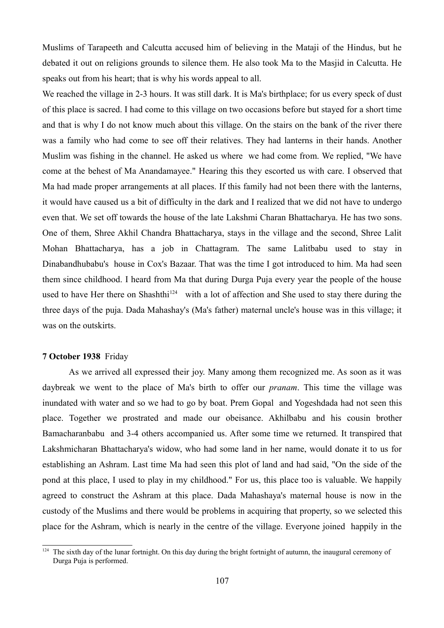Muslims of Tarapeeth and Calcutta accused him of believing in the Mataji of the Hindus, but he debated it out on religions grounds to silence them. He also took Ma to the Masjid in Calcutta. He speaks out from his heart; that is why his words appeal to all.

We reached the village in 2-3 hours. It was still dark. It is Ma's birthplace; for us every speck of dust of this place is sacred. I had come to this village on two occasions before but stayed for a short time and that is why I do not know much about this village. On the stairs on the bank of the river there was a family who had come to see off their relatives. They had lanterns in their hands. Another Muslim was fishing in the channel. He asked us where we had come from. We replied, "We have come at the behest of Ma Anandamayee." Hearing this they escorted us with care. I observed that Ma had made proper arrangements at all places. If this family had not been there with the lanterns, it would have caused us a bit of difficulty in the dark and I realized that we did not have to undergo even that. We set off towards the house of the late Lakshmi Charan Bhattacharya. He has two sons. One of them, Shree Akhil Chandra Bhattacharya, stays in the village and the second, Shree Lalit Mohan Bhattacharya, has a job in Chattagram. The same Lalitbabu used to stay in Dinabandhubabu's house in Cox's Bazaar. That was the time I got introduced to him. Ma had seen them since childhood. I heard from Ma that during Durga Puja every year the people of the house used to have Her there on Shashthi<sup>[124](#page-106-0)</sup> with a lot of affection and She used to stay there during the three days of the puja. Dada Mahashay's (Ma's father) maternal uncle's house was in this village; it was on the outskirts.

## **7 October 1938** Friday

As we arrived all expressed their joy. Many among them recognized me. As soon as it was daybreak we went to the place of Ma's birth to offer our *pranam*. This time the village was inundated with water and so we had to go by boat. Prem Gopal and Yogeshdada had not seen this place. Together we prostrated and made our obeisance. Akhilbabu and his cousin brother Bamacharanbabu and 3-4 others accompanied us. After some time we returned. It transpired that Lakshmicharan Bhattacharya's widow, who had some land in her name, would donate it to us for establishing an Ashram. Last time Ma had seen this plot of land and had said, "On the side of the pond at this place, I used to play in my childhood." For us, this place too is valuable. We happily agreed to construct the Ashram at this place. Dada Mahashaya's maternal house is now in the custody of the Muslims and there would be problems in acquiring that property, so we selected this place for the Ashram, which is nearly in the centre of the village. Everyone joined happily in the

<span id="page-106-0"></span>The sixth day of the lunar fortnight. On this day during the bright fortnight of autumn, the inaugural ceremony of Durga Puja is performed.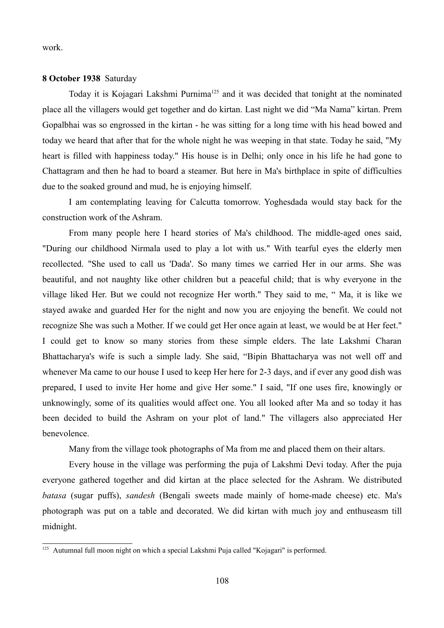work.

## **8 October 1938** Saturday

Today it is Kojagari Lakshmi Purnima<sup>[125](#page-107-0)</sup> and it was decided that tonight at the nominated place all the villagers would get together and do kirtan. Last night we did "Ma Nama" kirtan. Prem Gopalbhai was so engrossed in the kirtan - he was sitting for a long time with his head bowed and today we heard that after that for the whole night he was weeping in that state. Today he said, "My heart is filled with happiness today." His house is in Delhi; only once in his life he had gone to Chattagram and then he had to board a steamer. But here in Ma's birthplace in spite of difficulties due to the soaked ground and mud, he is enjoying himself.

I am contemplating leaving for Calcutta tomorrow. Yoghesdada would stay back for the construction work of the Ashram.

From many people here I heard stories of Ma's childhood. The middle-aged ones said, "During our childhood Nirmala used to play a lot with us." With tearful eyes the elderly men recollected. "She used to call us 'Dada'. So many times we carried Her in our arms. She was beautiful, and not naughty like other children but a peaceful child; that is why everyone in the village liked Her. But we could not recognize Her worth." They said to me, " Ma, it is like we stayed awake and guarded Her for the night and now you are enjoying the benefit. We could not recognize She was such a Mother. If we could get Her once again at least, we would be at Her feet." I could get to know so many stories from these simple elders. The late Lakshmi Charan Bhattacharya's wife is such a simple lady. She said, "Bipin Bhattacharya was not well off and whenever Ma came to our house I used to keep Her here for 2-3 days, and if ever any good dish was prepared, I used to invite Her home and give Her some." I said, "If one uses fire, knowingly or unknowingly, some of its qualities would affect one. You all looked after Ma and so today it has been decided to build the Ashram on your plot of land." The villagers also appreciated Her benevolence.

Many from the village took photographs of Ma from me and placed them on their altars.

Every house in the village was performing the puja of Lakshmi Devi today. After the puja everyone gathered together and did kirtan at the place selected for the Ashram. We distributed *batasa* (sugar puffs), *sandesh* (Bengali sweets made mainly of home-made cheese) etc. Ma's photograph was put on a table and decorated. We did kirtan with much joy and enthuseasm till midnight.

<span id="page-107-0"></span><sup>&</sup>lt;sup>125</sup> Autumnal full moon night on which a special Lakshmi Puja called "Kojagari" is performed.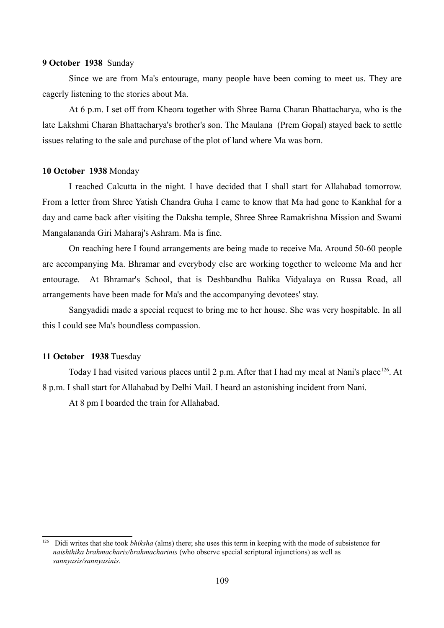#### **9 October 1938** Sunday

Since we are from Ma's entourage, many people have been coming to meet us. They are eagerly listening to the stories about Ma.

At 6 p.m. I set off from Kheora together with Shree Bama Charan Bhattacharya, who is the late Lakshmi Charan Bhattacharya's brother's son. The Maulana (Prem Gopal) stayed back to settle issues relating to the sale and purchase of the plot of land where Ma was born.

#### **10 October 1938** Monday

I reached Calcutta in the night. I have decided that I shall start for Allahabad tomorrow. From a letter from Shree Yatish Chandra Guha I came to know that Ma had gone to Kankhal for a day and came back after visiting the Daksha temple, Shree Shree Ramakrishna Mission and Swami Mangalananda Giri Maharaj's Ashram. Ma is fine.

On reaching here I found arrangements are being made to receive Ma. Around 50-60 people are accompanying Ma. Bhramar and everybody else are working together to welcome Ma and her entourage. At Bhramar's School, that is Deshbandhu Balika Vidyalaya on Russa Road, all arrangements have been made for Ma's and the accompanying devotees' stay.

Sangyadidi made a special request to bring me to her house. She was very hospitable. In all this I could see Ma's boundless compassion.

## **11 October 1938** Tuesday

Today I had visited various places until 2 p.m. After that I had my meal at Nani's place<sup>[126](#page-108-0)</sup>. At 8 p.m. I shall start for Allahabad by Delhi Mail. I heard an astonishing incident from Nani.

At 8 pm I boarded the train for Allahabad.

<span id="page-108-0"></span><sup>&</sup>lt;sup>126</sup> Didi writes that she took *bhiksha* (alms) there; she uses this term in keeping with the mode of subsistence for *naishthika brahmacharis/brahmacharinis* (who observe special scriptural injunctions) as well as *sannyasis/sannyasinis.*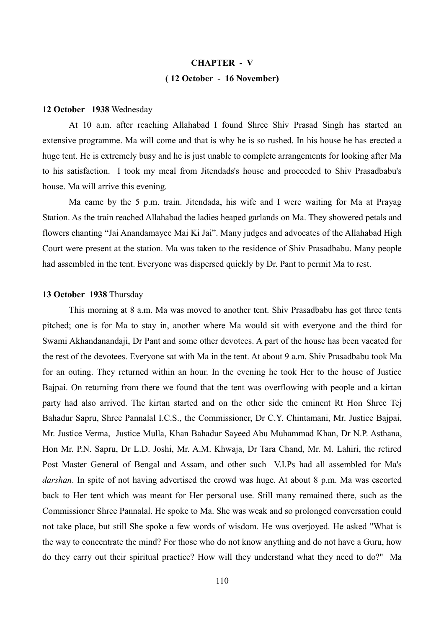# **CHAPTER - V ( 12 October - 16 November)**

#### **12 October 1938** Wednesday

At 10 a.m. after reaching Allahabad I found Shree Shiv Prasad Singh has started an extensive programme. Ma will come and that is why he is so rushed. In his house he has erected a huge tent. He is extremely busy and he is just unable to complete arrangements for looking after Ma to his satisfaction. I took my meal from Jitendads's house and proceeded to Shiv Prasadbabu's house. Ma will arrive this evening.

Ma came by the 5 p.m. train. Jitendada, his wife and I were waiting for Ma at Prayag Station. As the train reached Allahabad the ladies heaped garlands on Ma. They showered petals and flowers chanting "Jai Anandamayee Mai Ki Jai". Many judges and advocates of the Allahabad High Court were present at the station. Ma was taken to the residence of Shiv Prasadbabu. Many people had assembled in the tent. Everyone was dispersed quickly by Dr. Pant to permit Ma to rest.

#### **13 October 1938** Thursday

This morning at 8 a.m. Ma was moved to another tent. Shiv Prasadbabu has got three tents pitched; one is for Ma to stay in, another where Ma would sit with everyone and the third for Swami Akhandanandaji, Dr Pant and some other devotees. A part of the house has been vacated for the rest of the devotees. Everyone sat with Ma in the tent. At about 9 a.m. Shiv Prasadbabu took Ma for an outing. They returned within an hour. In the evening he took Her to the house of Justice Bajpai. On returning from there we found that the tent was overflowing with people and a kirtan party had also arrived. The kirtan started and on the other side the eminent Rt Hon Shree Tej Bahadur Sapru, Shree Pannalal I.C.S., the Commissioner, Dr C.Y. Chintamani, Mr. Justice Bajpai, Mr. Justice Verma, Justice Mulla, Khan Bahadur Sayeed Abu Muhammad Khan, Dr N.P. Asthana, Hon Mr. P.N. Sapru, Dr L.D. Joshi, Mr. A.M. Khwaja, Dr Tara Chand, Mr. M. Lahiri, the retired Post Master General of Bengal and Assam, and other such V.I.Ps had all assembled for Ma's *darshan*. In spite of not having advertised the crowd was huge. At about 8 p.m. Ma was escorted back to Her tent which was meant for Her personal use. Still many remained there, such as the Commissioner Shree Pannalal. He spoke to Ma. She was weak and so prolonged conversation could not take place, but still She spoke a few words of wisdom. He was overjoyed. He asked "What is the way to concentrate the mind? For those who do not know anything and do not have a Guru, how do they carry out their spiritual practice? How will they understand what they need to do?" Ma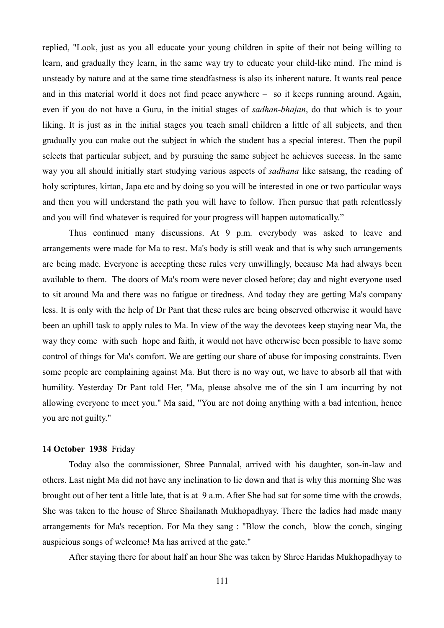replied, "Look, just as you all educate your young children in spite of their not being willing to learn, and gradually they learn, in the same way try to educate your child-like mind. The mind is unsteady by nature and at the same time steadfastness is also its inherent nature. It wants real peace and in this material world it does not find peace anywhere – so it keeps running around. Again, even if you do not have a Guru, in the initial stages of *sadhan-bhajan*, do that which is to your liking. It is just as in the initial stages you teach small children a little of all subjects, and then gradually you can make out the subject in which the student has a special interest. Then the pupil selects that particular subject, and by pursuing the same subject he achieves success. In the same way you all should initially start studying various aspects of *sadhana* like satsang, the reading of holy scriptures, kirtan, Japa etc and by doing so you will be interested in one or two particular ways and then you will understand the path you will have to follow. Then pursue that path relentlessly and you will find whatever is required for your progress will happen automatically."

Thus continued many discussions. At 9 p.m. everybody was asked to leave and arrangements were made for Ma to rest. Ma's body is still weak and that is why such arrangements are being made. Everyone is accepting these rules very unwillingly, because Ma had always been available to them. The doors of Ma's room were never closed before; day and night everyone used to sit around Ma and there was no fatigue or tiredness. And today they are getting Ma's company less. It is only with the help of Dr Pant that these rules are being observed otherwise it would have been an uphill task to apply rules to Ma. In view of the way the devotees keep staying near Ma, the way they come with such hope and faith, it would not have otherwise been possible to have some control of things for Ma's comfort. We are getting our share of abuse for imposing constraints. Even some people are complaining against Ma. But there is no way out, we have to absorb all that with humility. Yesterday Dr Pant told Her, "Ma, please absolve me of the sin I am incurring by not allowing everyone to meet you." Ma said, "You are not doing anything with a bad intention, hence you are not guilty."

#### **14 October 1938** Friday

Today also the commissioner, Shree Pannalal, arrived with his daughter, son-in-law and others. Last night Ma did not have any inclination to lie down and that is why this morning She was brought out of her tent a little late, that is at 9 a.m. After She had sat for some time with the crowds, She was taken to the house of Shree Shailanath Mukhopadhyay. There the ladies had made many arrangements for Ma's reception. For Ma they sang : "Blow the conch, blow the conch, singing auspicious songs of welcome! Ma has arrived at the gate."

After staying there for about half an hour She was taken by Shree Haridas Mukhopadhyay to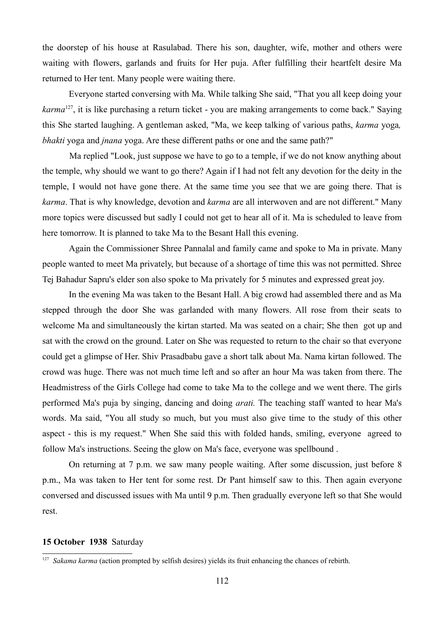the doorstep of his house at Rasulabad. There his son, daughter, wife, mother and others were waiting with flowers, garlands and fruits for Her puja. After fulfilling their heartfelt desire Ma returned to Her tent. Many people were waiting there.

Everyone started conversing with Ma. While talking She said, "That you all keep doing your *karma*[127](#page-111-0), it is like purchasing a return ticket - you are making arrangements to come back." Saying this She started laughing. A gentleman asked, "Ma, we keep talking of various paths, *karma* yoga*, bhakti* yoga and *jnana* yoga. Are these different paths or one and the same path?"

 Ma replied "Look, just suppose we have to go to a temple, if we do not know anything about the temple, why should we want to go there? Again if I had not felt any devotion for the deity in the temple, I would not have gone there. At the same time you see that we are going there. That is *karma*. That is why knowledge, devotion and *karma* are all interwoven and are not different." Many more topics were discussed but sadly I could not get to hear all of it. Ma is scheduled to leave from here tomorrow. It is planned to take Ma to the Besant Hall this evening.

Again the Commissioner Shree Pannalal and family came and spoke to Ma in private. Many people wanted to meet Ma privately, but because of a shortage of time this was not permitted. Shree Tej Bahadur Sapru's elder son also spoke to Ma privately for 5 minutes and expressed great joy.

In the evening Ma was taken to the Besant Hall. A big crowd had assembled there and as Ma stepped through the door She was garlanded with many flowers. All rose from their seats to welcome Ma and simultaneously the kirtan started. Ma was seated on a chair; She then got up and sat with the crowd on the ground. Later on She was requested to return to the chair so that everyone could get a glimpse of Her. Shiv Prasadbabu gave a short talk about Ma. Nama kirtan followed. The crowd was huge. There was not much time left and so after an hour Ma was taken from there. The Headmistress of the Girls College had come to take Ma to the college and we went there. The girls performed Ma's puja by singing, dancing and doing *arati.* The teaching staff wanted to hear Ma's words. Ma said, "You all study so much, but you must also give time to the study of this other aspect - this is my request." When She said this with folded hands, smiling, everyone agreed to follow Ma's instructions. Seeing the glow on Ma's face, everyone was spellbound .

On returning at 7 p.m. we saw many people waiting. After some discussion, just before 8 p.m., Ma was taken to Her tent for some rest. Dr Pant himself saw to this. Then again everyone conversed and discussed issues with Ma until 9 p.m. Then gradually everyone left so that She would rest.

#### **15 October 1938** Saturday

<span id="page-111-0"></span><sup>&</sup>lt;sup>127</sup> *Sakama karma* (action prompted by selfish desires) yields its fruit enhancing the chances of rebirth.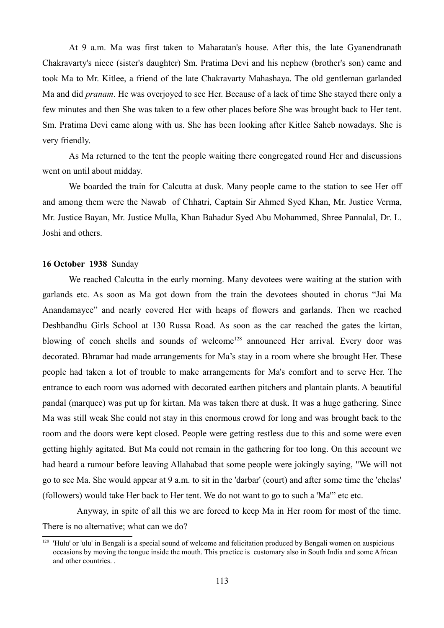At 9 a.m. Ma was first taken to Maharatan's house. After this, the late Gyanendranath Chakravarty's niece (sister's daughter) Sm. Pratima Devi and his nephew (brother's son) came and took Ma to Mr. Kitlee, a friend of the late Chakravarty Mahashaya. The old gentleman garlanded Ma and did *pranam*. He was overjoyed to see Her. Because of a lack of time She stayed there only a few minutes and then She was taken to a few other places before She was brought back to Her tent. Sm. Pratima Devi came along with us. She has been looking after Kitlee Saheb nowadays. She is very friendly.

As Ma returned to the tent the people waiting there congregated round Her and discussions went on until about midday.

We boarded the train for Calcutta at dusk. Many people came to the station to see Her off and among them were the Nawab of Chhatri, Captain Sir Ahmed Syed Khan, Mr. Justice Verma, Mr. Justice Bayan, Mr. Justice Mulla, Khan Bahadur Syed Abu Mohammed, Shree Pannalal, Dr. L. Joshi and others.

#### **16 October 1938** Sunday

We reached Calcutta in the early morning. Many devotees were waiting at the station with garlands etc. As soon as Ma got down from the train the devotees shouted in chorus "Jai Ma Anandamayee" and nearly covered Her with heaps of flowers and garlands. Then we reached Deshbandhu Girls School at 130 Russa Road. As soon as the car reached the gates the kirtan, blowing of conch shells and sounds of welcome<sup>[128](#page-112-0)</sup> announced Her arrival. Every door was decorated. Bhramar had made arrangements for Ma's stay in a room where she brought Her. These people had taken a lot of trouble to make arrangements for Ma's comfort and to serve Her. The entrance to each room was adorned with decorated earthen pitchers and plantain plants. A beautiful pandal (marquee) was put up for kirtan. Ma was taken there at dusk. It was a huge gathering. Since Ma was still weak She could not stay in this enormous crowd for long and was brought back to the room and the doors were kept closed. People were getting restless due to this and some were even getting highly agitated. But Ma could not remain in the gathering for too long. On this account we had heard a rumour before leaving Allahabad that some people were jokingly saying, "We will not go to see Ma. She would appear at 9 a.m. to sit in the 'darbar' (court) and after some time the 'chelas' (followers) would take Her back to Her tent. We do not want to go to such a 'Ma'" etc etc.

 Anyway, in spite of all this we are forced to keep Ma in Her room for most of the time. There is no alternative; what can we do?

<span id="page-112-0"></span> $128$  'Hulu' or 'ulu' in Bengali is a special sound of welcome and felicitation produced by Bengali women on auspicious occasions by moving the tongue inside the mouth. This practice is customary also in South India and some African and other countries. .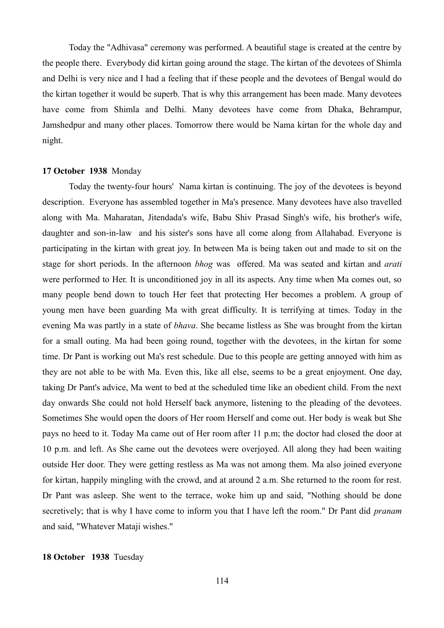Today the "Adhivasa" ceremony was performed. A beautiful stage is created at the centre by the people there. Everybody did kirtan going around the stage. The kirtan of the devotees of Shimla and Delhi is very nice and I had a feeling that if these people and the devotees of Bengal would do the kirtan together it would be superb. That is why this arrangement has been made. Many devotees have come from Shimla and Delhi. Many devotees have come from Dhaka, Behrampur, Jamshedpur and many other places. Tomorrow there would be Nama kirtan for the whole day and night.

#### **17 October 1938** Monday

Today the twenty-four hours' Nama kirtan is continuing. The joy of the devotees is beyond description. Everyone has assembled together in Ma's presence. Many devotees have also travelled along with Ma. Maharatan, Jitendada's wife, Babu Shiv Prasad Singh's wife, his brother's wife, daughter and son-in-law and his sister's sons have all come along from Allahabad. Everyone is participating in the kirtan with great joy. In between Ma is being taken out and made to sit on the stage for short periods. In the afternoon *bhog* was offered. Ma was seated and kirtan and *arati* were performed to Her. It is unconditioned joy in all its aspects. Any time when Ma comes out, so many people bend down to touch Her feet that protecting Her becomes a problem. A group of young men have been guarding Ma with great difficulty. It is terrifying at times. Today in the evening Ma was partly in a state of *bhava*. She became listless as She was brought from the kirtan for a small outing. Ma had been going round, together with the devotees, in the kirtan for some time. Dr Pant is working out Ma's rest schedule. Due to this people are getting annoyed with him as they are not able to be with Ma. Even this, like all else, seems to be a great enjoyment. One day, taking Dr Pant's advice, Ma went to bed at the scheduled time like an obedient child. From the next day onwards She could not hold Herself back anymore, listening to the pleading of the devotees. Sometimes She would open the doors of Her room Herself and come out. Her body is weak but She pays no heed to it. Today Ma came out of Her room after 11 p.m; the doctor had closed the door at 10 p.m. and left. As She came out the devotees were overjoyed. All along they had been waiting outside Her door. They were getting restless as Ma was not among them. Ma also joined everyone for kirtan, happily mingling with the crowd, and at around 2 a.m. She returned to the room for rest. Dr Pant was asleep. She went to the terrace, woke him up and said, "Nothing should be done secretively; that is why I have come to inform you that I have left the room." Dr Pant did *pranam* and said, "Whatever Mataji wishes."

#### **18 October 1938** Tuesday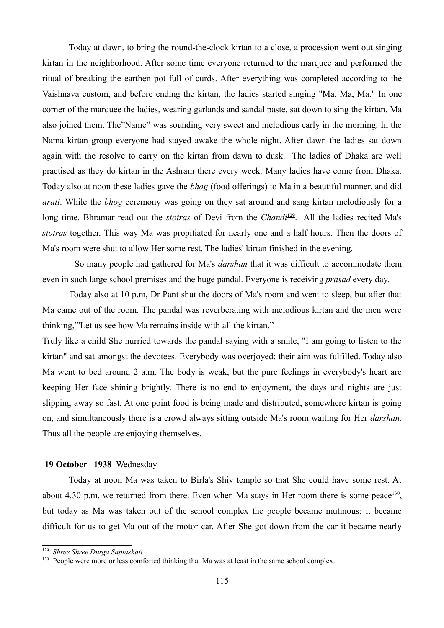Today at dawn, to bring the round-the-clock kirtan to a close, a procession went out singing kirtan in the neighborhood. After some time everyone returned to the marquee and performed the ritual of breaking the earthen pot full of curds. After everything was completed according to the Vaishnava custom, and before ending the kirtan, the ladies started singing "Ma, Ma, Ma." In one corner of the marquee the ladies, wearing garlands and sandal paste, sat down to sing the kirtan. Ma also joined them. The"Name" was sounding very sweet and melodious early in the morning. In the Nama kirtan group everyone had stayed awake the whole night. After dawn the ladies sat down again with the resolve to carry on the kirtan from dawn to dusk. The ladies of Dhaka are well practised as they do kirtan in the Ashram there every week. Many ladies have come from Dhaka. Today also at noon these ladies gave the *bhog* (food offerings) to Ma in a beautiful manner, and did *arati*. While the *bhog* ceremony was going on they sat around and sang kirtan melodiously for a long time. Bhramar read out the *stotras* of Devi from the *Chandi*<sup>[129](#page-114-0)</sup>. All the ladies recited Ma's *stotras* together. This way Ma was propitiated for nearly one and a half hours. Then the doors of Ma's room were shut to allow Her some rest. The ladies' kirtan finished in the evening.

 So many people had gathered for Ma's *darshan* that it was difficult to accommodate them even in such large school premises and the huge pandal. Everyone is receiving *prasad* every day.

Today also at 10 p.m, Dr Pant shut the doors of Ma's room and went to sleep, but after that Ma came out of the room. The pandal was reverberating with melodious kirtan and the men were thinking,"'Let us see how Ma remains inside with all the kirtan."

Truly like a child She hurried towards the pandal saying with a smile, "I am going to listen to the kirtan" and sat amongst the devotees. Everybody was overjoyed; their aim was fulfilled. Today also Ma went to bed around 2 a.m. The body is weak, but the pure feelings in everybody's heart are keeping Her face shining brightly. There is no end to enjoyment, the days and nights are just slipping away so fast. At one point food is being made and distributed, somewhere kirtan is going on, and simultaneously there is a crowd always sitting outside Ma's room waiting for Her *darshan.* Thus all the people are enjoying themselves.

#### **19 October 1938** Wednesday

Today at noon Ma was taken to Birla's Shiv temple so that She could have some rest. At about 4.30 p.m. we returned from there. Even when Ma stays in Her room there is some peace<sup>[130](#page-114-1)</sup>, but today as Ma was taken out of the school complex the people became mutinous; it became difficult for us to get Ma out of the motor car. After She got down from the car it became nearly

<span id="page-114-0"></span><sup>129</sup> *Shree Shree Durga Saptashati*

<span id="page-114-1"></span><sup>&</sup>lt;sup>130</sup> People were more or less comforted thinking that Ma was at least in the same school complex.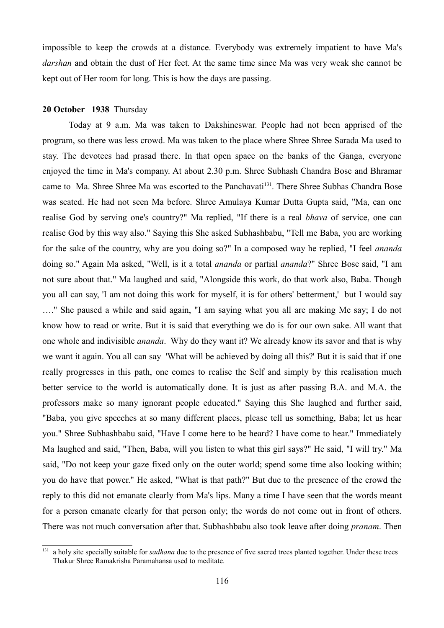impossible to keep the crowds at a distance. Everybody was extremely impatient to have Ma's *darshan* and obtain the dust of Her feet. At the same time since Ma was very weak she cannot be kept out of Her room for long. This is how the days are passing.

#### **20 October 1938** Thursday

Today at 9 a.m. Ma was taken to Dakshineswar. People had not been apprised of the program, so there was less crowd. Ma was taken to the place where Shree Shree Sarada Ma used to stay. The devotees had prasad there. In that open space on the banks of the Ganga, everyone enjoyed the time in Ma's company. At about 2.30 p.m. Shree Subhash Chandra Bose and Bhramar came to Ma. Shree Shree Ma was escorted to the Panchavati<sup>[131](#page-115-0)</sup>. There Shree Subhas Chandra Bose was seated. He had not seen Ma before. Shree Amulaya Kumar Dutta Gupta said, "Ma, can one realise God by serving one's country?" Ma replied, "If there is a real *bhava* of service, one can realise God by this way also." Saying this She asked Subhashbabu, "Tell me Baba, you are working for the sake of the country, why are you doing so?" In a composed way he replied, "I feel *ananda* doing so." Again Ma asked, "Well, is it a total *ananda* or partial *ananda*?" Shree Bose said, "I am not sure about that." Ma laughed and said, "Alongside this work, do that work also, Baba. Though you all can say, 'I am not doing this work for myself, it is for others' betterment,' but I would say …." She paused a while and said again, "I am saying what you all are making Me say; I do not know how to read or write. But it is said that everything we do is for our own sake. All want that one whole and indivisible *ananda*. Why do they want it? We already know its savor and that is why we want it again. You all can say 'What will be achieved by doing all this?' But it is said that if one really progresses in this path, one comes to realise the Self and simply by this realisation much better service to the world is automatically done. It is just as after passing B.A. and M.A. the professors make so many ignorant people educated." Saying this She laughed and further said, "Baba, you give speeches at so many different places, please tell us something, Baba; let us hear you." Shree Subhashbabu said, "Have I come here to be heard? I have come to hear." Immediately Ma laughed and said, "Then, Baba, will you listen to what this girl says?" He said, "I will try." Ma said, "Do not keep your gaze fixed only on the outer world; spend some time also looking within; you do have that power." He asked, "What is that path?" But due to the presence of the crowd the reply to this did not emanate clearly from Ma's lips. Many a time I have seen that the words meant for a person emanate clearly for that person only; the words do not come out in front of others. There was not much conversation after that. Subhashbabu also took leave after doing *pranam*. Then

<span id="page-115-0"></span><sup>131</sup> a holy site specially suitable for *sadhana* due to the presence of five sacred trees planted together. Under these trees Thakur Shree Ramakrisha Paramahansa used to meditate.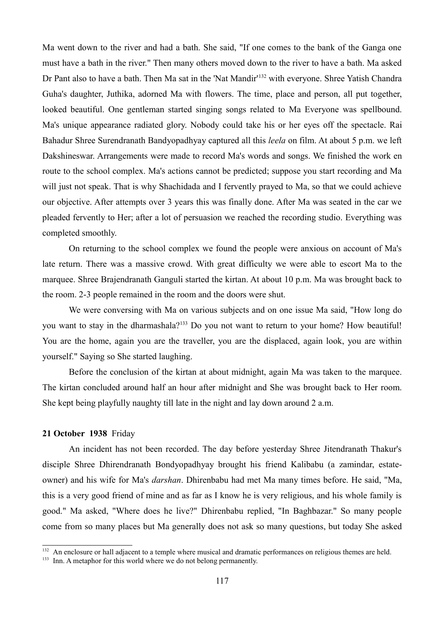Ma went down to the river and had a bath. She said, "If one comes to the bank of the Ganga one must have a bath in the river." Then many others moved down to the river to have a bath. Ma asked Dr Pant also to have a bath. Then Ma sat in the 'Nat Mandir'<sup>[132](#page-116-0)</sup> with everyone. Shree Yatish Chandra Guha's daughter, Juthika, adorned Ma with flowers. The time, place and person, all put together, looked beautiful. One gentleman started singing songs related to Ma Everyone was spellbound. Ma's unique appearance radiated glory. Nobody could take his or her eyes off the spectacle. Rai Bahadur Shree Surendranath Bandyopadhyay captured all this *leela* on film. At about 5 p.m. we left Dakshineswar. Arrangements were made to record Ma's words and songs. We finished the work en route to the school complex. Ma's actions cannot be predicted; suppose you start recording and Ma will just not speak. That is why Shachidada and I fervently prayed to Ma, so that we could achieve our objective. After attempts over 3 years this was finally done. After Ma was seated in the car we pleaded fervently to Her; after a lot of persuasion we reached the recording studio. Everything was completed smoothly.

On returning to the school complex we found the people were anxious on account of Ma's late return. There was a massive crowd. With great difficulty we were able to escort Ma to the marquee. Shree Brajendranath Ganguli started the kirtan. At about 10 p.m. Ma was brought back to the room. 2-3 people remained in the room and the doors were shut.

We were conversing with Ma on various subjects and on one issue Ma said, "How long do you want to stay in the dharmashala?<sup>[133](#page-116-1)</sup> Do you not want to return to your home? How beautiful! You are the home, again you are the traveller, you are the displaced, again look, you are within yourself." Saying so She started laughing.

Before the conclusion of the kirtan at about midnight, again Ma was taken to the marquee. The kirtan concluded around half an hour after midnight and She was brought back to Her room. She kept being playfully naughty till late in the night and lay down around 2 a.m.

#### **21 October 1938** Friday

An incident has not been recorded. The day before yesterday Shree Jitendranath Thakur's disciple Shree Dhirendranath Bondyopadhyay brought his friend Kalibabu (a zamindar, estateowner) and his wife for Ma's *darshan*. Dhirenbabu had met Ma many times before. He said, "Ma, this is a very good friend of mine and as far as I know he is very religious, and his whole family is good." Ma asked, "Where does he live?" Dhirenbabu replied, "In Baghbazar." So many people come from so many places but Ma generally does not ask so many questions, but today She asked

<span id="page-116-0"></span>An enclosure or hall adjacent to a temple where musical and dramatic performances on religious themes are held.

<span id="page-116-1"></span><sup>&</sup>lt;sup>133</sup> Inn. A metaphor for this world where we do not belong permanently.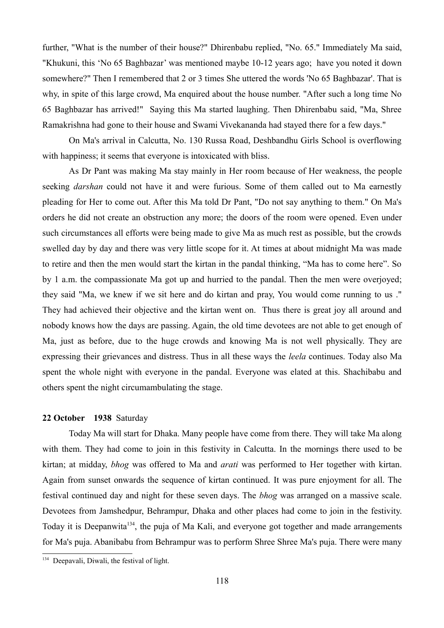further, "What is the number of their house?" Dhirenbabu replied, "No. 65." Immediately Ma said, "Khukuni, this 'No 65 Baghbazar' was mentioned maybe 10-12 years ago; have you noted it down somewhere?" Then I remembered that 2 or 3 times She uttered the words 'No 65 Baghbazar'. That is why, in spite of this large crowd, Ma enquired about the house number. "After such a long time No 65 Baghbazar has arrived!" Saying this Ma started laughing. Then Dhirenbabu said, "Ma, Shree Ramakrishna had gone to their house and Swami Vivekananda had stayed there for a few days."

On Ma's arrival in Calcutta, No. 130 Russa Road, Deshbandhu Girls School is overflowing with happiness; it seems that everyone is intoxicated with bliss.

As Dr Pant was making Ma stay mainly in Her room because of Her weakness, the people seeking *darshan* could not have it and were furious. Some of them called out to Ma earnestly pleading for Her to come out. After this Ma told Dr Pant, "Do not say anything to them." On Ma's orders he did not create an obstruction any more; the doors of the room were opened. Even under such circumstances all efforts were being made to give Ma as much rest as possible, but the crowds swelled day by day and there was very little scope for it. At times at about midnight Ma was made to retire and then the men would start the kirtan in the pandal thinking, "Ma has to come here". So by 1 a.m. the compassionate Ma got up and hurried to the pandal. Then the men were overjoyed; they said "Ma, we knew if we sit here and do kirtan and pray, You would come running to us ." They had achieved their objective and the kirtan went on. Thus there is great joy all around and nobody knows how the days are passing. Again, the old time devotees are not able to get enough of Ma, just as before, due to the huge crowds and knowing Ma is not well physically. They are expressing their grievances and distress. Thus in all these ways the *leela* continues. Today also Ma spent the whole night with everyone in the pandal. Everyone was elated at this. Shachibabu and others spent the night circumambulating the stage.

#### **22 October 1938** Saturday

Today Ma will start for Dhaka. Many people have come from there. They will take Ma along with them. They had come to join in this festivity in Calcutta. In the mornings there used to be kirtan; at midday, *bhog* was offered to Ma and *arati* was performed to Her together with kirtan. Again from sunset onwards the sequence of kirtan continued. It was pure enjoyment for all. The festival continued day and night for these seven days. The *bhog* was arranged on a massive scale. Devotees from Jamshedpur, Behrampur, Dhaka and other places had come to join in the festivity. Today it is Deepanwita<sup>[134](#page-117-0)</sup>, the puja of Ma Kali, and everyone got together and made arrangements for Ma's puja. Abanibabu from Behrampur was to perform Shree Shree Ma's puja. There were many

<span id="page-117-0"></span><sup>&</sup>lt;sup>134</sup> Deepavali, Diwali, the festival of light.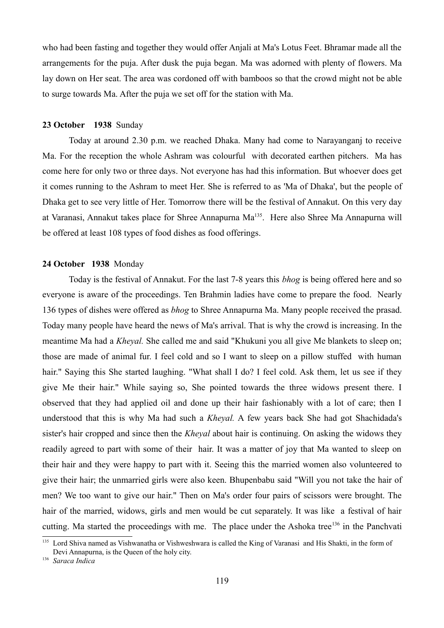who had been fasting and together they would offer Anjali at Ma's Lotus Feet. Bhramar made all the arrangements for the puja. After dusk the puja began. Ma was adorned with plenty of flowers. Ma lay down on Her seat. The area was cordoned off with bamboos so that the crowd might not be able to surge towards Ma. After the puja we set off for the station with Ma.

## **23 October 1938** Sunday

 Today at around 2.30 p.m. we reached Dhaka. Many had come to Narayanganj to receive Ma. For the reception the whole Ashram was colourful with decorated earthen pitchers. Ma has come here for only two or three days. Not everyone has had this information. But whoever does get it comes running to the Ashram to meet Her. She is referred to as 'Ma of Dhaka', but the people of Dhaka get to see very little of Her. Tomorrow there will be the festival of Annakut. On this very day at Varanasi, Annakut takes place for Shree Annapurna Ma<sup>[135](#page-118-0)</sup>. Here also Shree Ma Annapurna will be offered at least 108 types of food dishes as food offerings.

#### **24 October 1938** Monday

Today is the festival of Annakut. For the last 7-8 years this *bhog* is being offered here and so everyone is aware of the proceedings. Ten Brahmin ladies have come to prepare the food. Nearly 136 types of dishes were offered as *bhog* to Shree Annapurna Ma. Many people received the prasad. Today many people have heard the news of Ma's arrival. That is why the crowd is increasing. In the meantime Ma had a *Kheyal.* She called me and said "Khukuni you all give Me blankets to sleep on; those are made of animal fur. I feel cold and so I want to sleep on a pillow stuffed with human hair." Saying this She started laughing. "What shall I do? I feel cold. Ask them, let us see if they give Me their hair." While saying so, She pointed towards the three widows present there. I observed that they had applied oil and done up their hair fashionably with a lot of care; then I understood that this is why Ma had such a *Kheyal.* A few years back She had got Shachidada's sister's hair cropped and since then the *Kheyal* about hair is continuing. On asking the widows they readily agreed to part with some of their hair. It was a matter of joy that Ma wanted to sleep on their hair and they were happy to part with it. Seeing this the married women also volunteered to give their hair; the unmarried girls were also keen. Bhupenbabu said "Will you not take the hair of men? We too want to give our hair." Then on Ma's order four pairs of scissors were brought. The hair of the married, widows, girls and men would be cut separately. It was like a festival of hair cutting. Ma started the proceedings with me. The place under the Ashoka tree<sup>[136](#page-118-1)</sup> in the Panchvati

<span id="page-118-0"></span><sup>&</sup>lt;sup>135</sup> Lord Shiva named as Vishwanatha or Vishweshwara is called the King of Varanasi and His Shakti, in the form of Devi Annapurna, is the Queen of the holy city.

<span id="page-118-1"></span><sup>136</sup> *Saraca Indica*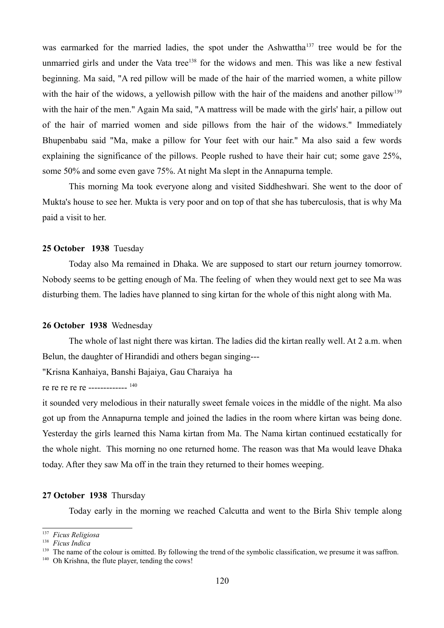was earmarked for the married ladies, the spot under the Ashwattha<sup>[137](#page-119-0)</sup> tree would be for the unmarried girls and under the Vata tree<sup>[138](#page-119-1)</sup> for the widows and men. This was like a new festival beginning. Ma said, "A red pillow will be made of the hair of the married women, a white pillow with the hair of the widows, a yellowish pillow with the hair of the maidens and another pillow<sup>[139](#page-119-2)</sup> with the hair of the men." Again Ma said, "A mattress will be made with the girls' hair, a pillow out of the hair of married women and side pillows from the hair of the widows." Immediately Bhupenbabu said "Ma, make a pillow for Your feet with our hair." Ma also said a few words explaining the significance of the pillows. People rushed to have their hair cut; some gave 25%, some 50% and some even gave 75%. At night Ma slept in the Annapurna temple.

This morning Ma took everyone along and visited Siddheshwari. She went to the door of Mukta's house to see her. Mukta is very poor and on top of that she has tuberculosis, that is why Ma paid a visit to her.

#### **25 October 1938** Tuesday

Today also Ma remained in Dhaka. We are supposed to start our return journey tomorrow. Nobody seems to be getting enough of Ma. The feeling of when they would next get to see Ma was disturbing them. The ladies have planned to sing kirtan for the whole of this night along with Ma.

#### **26 October 1938** Wednesday

 The whole of last night there was kirtan. The ladies did the kirtan really well. At 2 a.m. when Belun, the daughter of Hirandidi and others began singing---

"Krisna Kanhaiya, Banshi Bajaiya, Gau Charaiya ha

re re re re re ------------- [140](#page-119-3)

it sounded very melodious in their naturally sweet female voices in the middle of the night. Ma also got up from the Annapurna temple and joined the ladies in the room where kirtan was being done. Yesterday the girls learned this Nama kirtan from Ma. The Nama kirtan continued ecstatically for the whole night. This morning no one returned home. The reason was that Ma would leave Dhaka today. After they saw Ma off in the train they returned to their homes weeping.

#### **27 October 1938** Thursday

Today early in the morning we reached Calcutta and went to the Birla Shiv temple along

<span id="page-119-0"></span><sup>137</sup> *Ficus Religiosa*

<span id="page-119-1"></span><sup>138</sup> *Ficus Indica*

<span id="page-119-2"></span><sup>&</sup>lt;sup>139</sup> The name of the colour is omitted. By following the trend of the symbolic classification, we presume it was saffron.

<span id="page-119-3"></span><sup>&</sup>lt;sup>140</sup> Oh Krishna, the flute player, tending the cows!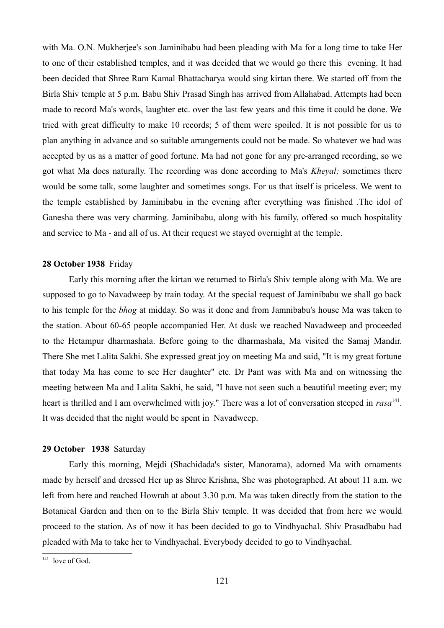with Ma. O.N. Mukherjee's son Jaminibabu had been pleading with Ma for a long time to take Her to one of their established temples, and it was decided that we would go there this evening. It had been decided that Shree Ram Kamal Bhattacharya would sing kirtan there. We started off from the Birla Shiv temple at 5 p.m. Babu Shiv Prasad Singh has arrived from Allahabad. Attempts had been made to record Ma's words, laughter etc. over the last few years and this time it could be done. We tried with great difficulty to make 10 records; 5 of them were spoiled. It is not possible for us to plan anything in advance and so suitable arrangements could not be made. So whatever we had was accepted by us as a matter of good fortune. Ma had not gone for any pre-arranged recording, so we got what Ma does naturally. The recording was done according to Ma's *Kheyal;* sometimes there would be some talk, some laughter and sometimes songs. For us that itself is priceless. We went to the temple established by Jaminibabu in the evening after everything was finished .The idol of Ganesha there was very charming. Jaminibabu, along with his family, offered so much hospitality and service to Ma - and all of us. At their request we stayed overnight at the temple.

#### **28 October 1938** Friday

Early this morning after the kirtan we returned to Birla's Shiv temple along with Ma. We are supposed to go to Navadweep by train today. At the special request of Jaminibabu we shall go back to his temple for the *bhog* at midday. So was it done and from Jamnibabu's house Ma was taken to the station. About 60-65 people accompanied Her. At dusk we reached Navadweep and proceeded to the Hetampur dharmashala. Before going to the dharmashala, Ma visited the Samaj Mandir. There She met Lalita Sakhi. She expressed great joy on meeting Ma and said, "It is my great fortune that today Ma has come to see Her daughter" etc. Dr Pant was with Ma and on witnessing the meeting between Ma and Lalita Sakhi, he said, "I have not seen such a beautiful meeting ever; my heart is thrilled and I am overwhelmed with joy." There was a lot of conversation steeped in rasa<sup>[141](#page-120-0)</sup>. It was decided that the night would be spent in Navadweep.

## **29 October 1938** Saturday

Early this morning, Mejdi (Shachidada's sister, Manorama), adorned Ma with ornaments made by herself and dressed Her up as Shree Krishna, She was photographed. At about 11 a.m. we left from here and reached Howrah at about 3.30 p.m. Ma was taken directly from the station to the Botanical Garden and then on to the Birla Shiv temple. It was decided that from here we would proceed to the station. As of now it has been decided to go to Vindhyachal. Shiv Prasadbabu had pleaded with Ma to take her to Vindhyachal. Everybody decided to go to Vindhyachal.

<span id="page-120-0"></span><sup>&</sup>lt;sup>141</sup> love of God.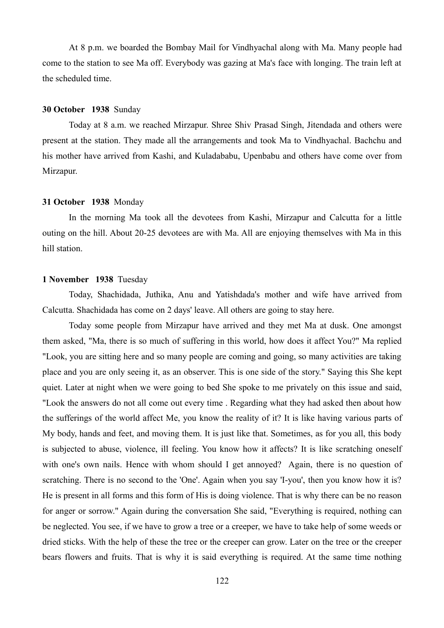At 8 p.m. we boarded the Bombay Mail for Vindhyachal along with Ma. Many people had come to the station to see Ma off. Everybody was gazing at Ma's face with longing. The train left at the scheduled time.

#### **30 October 1938** Sunday

Today at 8 a.m. we reached Mirzapur. Shree Shiv Prasad Singh, Jitendada and others were present at the station. They made all the arrangements and took Ma to Vindhyachal. Bachchu and his mother have arrived from Kashi, and Kuladababu, Upenbabu and others have come over from Mirzapur.

#### **31 October 1938** Monday

In the morning Ma took all the devotees from Kashi, Mirzapur and Calcutta for a little outing on the hill. About 20-25 devotees are with Ma. All are enjoying themselves with Ma in this hill station.

#### **1 November 1938** Tuesday

Today, Shachidada, Juthika, Anu and Yatishdada's mother and wife have arrived from Calcutta. Shachidada has come on 2 days' leave. All others are going to stay here.

Today some people from Mirzapur have arrived and they met Ma at dusk. One amongst them asked, "Ma, there is so much of suffering in this world, how does it affect You?" Ma replied "Look, you are sitting here and so many people are coming and going, so many activities are taking place and you are only seeing it, as an observer. This is one side of the story." Saying this She kept quiet. Later at night when we were going to bed She spoke to me privately on this issue and said, "Look the answers do not all come out every time . Regarding what they had asked then about how the sufferings of the world affect Me, you know the reality of it? It is like having various parts of My body, hands and feet, and moving them. It is just like that. Sometimes, as for you all, this body is subjected to abuse, violence, ill feeling. You know how it affects? It is like scratching oneself with one's own nails. Hence with whom should I get annoyed? Again, there is no question of scratching. There is no second to the 'One'. Again when you say 'I-you', then you know how it is? He is present in all forms and this form of His is doing violence. That is why there can be no reason for anger or sorrow." Again during the conversation She said, "Everything is required, nothing can be neglected. You see, if we have to grow a tree or a creeper, we have to take help of some weeds or dried sticks. With the help of these the tree or the creeper can grow. Later on the tree or the creeper bears flowers and fruits. That is why it is said everything is required. At the same time nothing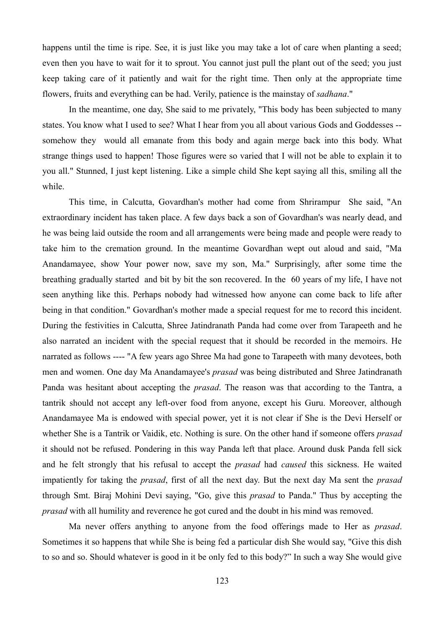happens until the time is ripe. See, it is just like you may take a lot of care when planting a seed; even then you have to wait for it to sprout. You cannot just pull the plant out of the seed; you just keep taking care of it patiently and wait for the right time. Then only at the appropriate time flowers, fruits and everything can be had. Verily, patience is the mainstay of *sadhana*."

In the meantime, one day, She said to me privately, "This body has been subjected to many states. You know what I used to see? What I hear from you all about various Gods and Goddesses - somehow they would all emanate from this body and again merge back into this body. What strange things used to happen! Those figures were so varied that I will not be able to explain it to you all." Stunned, I just kept listening. Like a simple child She kept saying all this, smiling all the while.

This time, in Calcutta, Govardhan's mother had come from Shrirampur She said, "An extraordinary incident has taken place. A few days back a son of Govardhan's was nearly dead, and he was being laid outside the room and all arrangements were being made and people were ready to take him to the cremation ground. In the meantime Govardhan wept out aloud and said, "Ma Anandamayee, show Your power now, save my son, Ma." Surprisingly, after some time the breathing gradually started and bit by bit the son recovered. In the 60 years of my life, I have not seen anything like this. Perhaps nobody had witnessed how anyone can come back to life after being in that condition." Govardhan's mother made a special request for me to record this incident. During the festivities in Calcutta, Shree Jatindranath Panda had come over from Tarapeeth and he also narrated an incident with the special request that it should be recorded in the memoirs. He narrated as follows ---- "A few years ago Shree Ma had gone to Tarapeeth with many devotees, both men and women. One day Ma Anandamayee's *prasad* was being distributed and Shree Jatindranath Panda was hesitant about accepting the *prasad*. The reason was that according to the Tantra, a tantrik should not accept any left-over food from anyone, except his Guru. Moreover, although Anandamayee Ma is endowed with special power, yet it is not clear if She is the Devi Herself or whether She is a Tantrik or Vaidik, etc. Nothing is sure. On the other hand if someone offers *prasad* it should not be refused. Pondering in this way Panda left that place. Around dusk Panda fell sick and he felt strongly that his refusal to accept the *prasad* had *caused* this sickness. He waited impatiently for taking the *prasad*, first of all the next day. But the next day Ma sent the *prasad* through Smt. Biraj Mohini Devi saying, "Go, give this *prasad* to Panda." Thus by accepting the *prasad* with all humility and reverence he got cured and the doubt in his mind was removed.

Ma never offers anything to anyone from the food offerings made to Her as *prasad*. Sometimes it so happens that while She is being fed a particular dish She would say, "Give this dish to so and so. Should whatever is good in it be only fed to this body?" In such a way She would give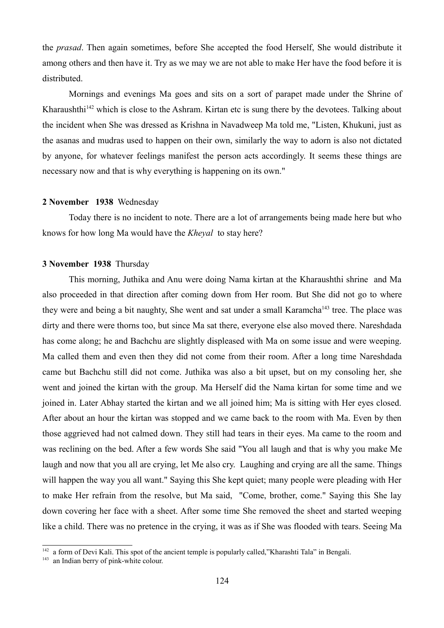the *prasad*. Then again sometimes, before She accepted the food Herself, She would distribute it among others and then have it. Try as we may we are not able to make Her have the food before it is distributed.

Mornings and evenings Ma goes and sits on a sort of parapet made under the Shrine of Kharaushthi<sup>[142](#page-123-0)</sup> which is close to the Ashram. Kirtan etc is sung there by the devotees. Talking about the incident when She was dressed as Krishna in Navadweep Ma told me, "Listen, Khukuni, just as the asanas and mudras used to happen on their own, similarly the way to adorn is also not dictated by anyone, for whatever feelings manifest the person acts accordingly. It seems these things are necessary now and that is why everything is happening on its own."

#### **2 November 1938** Wednesday

Today there is no incident to note. There are a lot of arrangements being made here but who knows for how long Ma would have the *Kheyal* to stay here?

#### **3 November 1938** Thursday

This morning, Juthika and Anu were doing Nama kirtan at the Kharaushthi shrine and Ma also proceeded in that direction after coming down from Her room. But She did not go to where they were and being a bit naughty, She went and sat under a small Karamcha<sup>[143](#page-123-1)</sup> tree. The place was dirty and there were thorns too, but since Ma sat there, everyone else also moved there. Nareshdada has come along; he and Bachchu are slightly displeased with Ma on some issue and were weeping. Ma called them and even then they did not come from their room. After a long time Nareshdada came but Bachchu still did not come. Juthika was also a bit upset, but on my consoling her, she went and joined the kirtan with the group. Ma Herself did the Nama kirtan for some time and we joined in. Later Abhay started the kirtan and we all joined him; Ma is sitting with Her eyes closed. After about an hour the kirtan was stopped and we came back to the room with Ma. Even by then those aggrieved had not calmed down. They still had tears in their eyes. Ma came to the room and was reclining on the bed. After a few words She said "You all laugh and that is why you make Me laugh and now that you all are crying, let Me also cry. Laughing and crying are all the same. Things will happen the way you all want." Saying this She kept quiet; many people were pleading with Her to make Her refrain from the resolve, but Ma said, "Come, brother, come." Saying this She lay down covering her face with a sheet. After some time She removed the sheet and started weeping like a child. There was no pretence in the crying, it was as if She was flooded with tears. Seeing Ma

<span id="page-123-0"></span><sup>&</sup>lt;sup>142</sup> a form of Devi Kali. This spot of the ancient temple is popularly called,"Kharashti Tala" in Bengali.

<span id="page-123-1"></span><sup>&</sup>lt;sup>143</sup> an Indian berry of pink-white colour.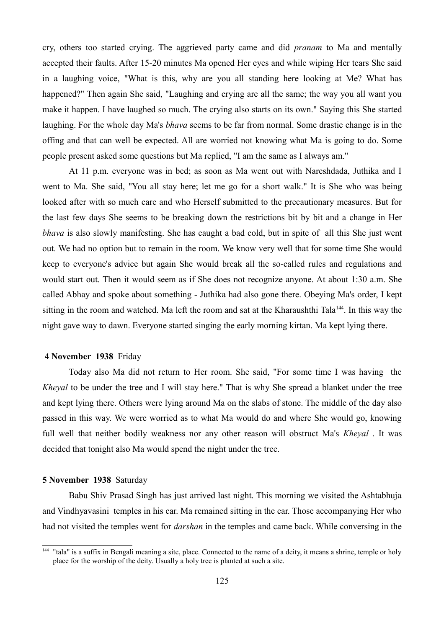cry, others too started crying. The aggrieved party came and did *pranam* to Ma and mentally accepted their faults. After 15-20 minutes Ma opened Her eyes and while wiping Her tears She said in a laughing voice, "What is this, why are you all standing here looking at Me? What has happened?" Then again She said, "Laughing and crying are all the same; the way you all want you make it happen. I have laughed so much. The crying also starts on its own." Saying this She started laughing. For the whole day Ma's *bhava* seems to be far from normal. Some drastic change is in the offing and that can well be expected. All are worried not knowing what Ma is going to do. Some people present asked some questions but Ma replied, "I am the same as I always am."

At 11 p.m. everyone was in bed; as soon as Ma went out with Nareshdada, Juthika and I went to Ma. She said, "You all stay here; let me go for a short walk." It is She who was being looked after with so much care and who Herself submitted to the precautionary measures. But for the last few days She seems to be breaking down the restrictions bit by bit and a change in Her *bhava* is also slowly manifesting. She has caught a bad cold, but in spite of all this She just went out. We had no option but to remain in the room. We know very well that for some time She would keep to everyone's advice but again She would break all the so-called rules and regulations and would start out. Then it would seem as if She does not recognize anyone. At about 1:30 a.m. She called Abhay and spoke about something - Juthika had also gone there. Obeying Ma's order, I kept sitting in the room and watched. Ma left the room and sat at the Kharaushthi Tala<sup>[144](#page-124-0)</sup>. In this way the night gave way to dawn. Everyone started singing the early morning kirtan. Ma kept lying there.

## **4 November 1938** Friday

Today also Ma did not return to Her room. She said, "For some time I was having the *Kheyal* to be under the tree and I will stay here." That is why She spread a blanket under the tree and kept lying there. Others were lying around Ma on the slabs of stone. The middle of the day also passed in this way. We were worried as to what Ma would do and where She would go, knowing full well that neither bodily weakness nor any other reason will obstruct Ma's *Kheyal* . It was decided that tonight also Ma would spend the night under the tree.

## **5 November 1938** Saturday

Babu Shiv Prasad Singh has just arrived last night. This morning we visited the Ashtabhuja and Vindhyavasini temples in his car. Ma remained sitting in the car. Those accompanying Her who had not visited the temples went for *darshan* in the temples and came back. While conversing in the

<span id="page-124-0"></span><sup>&</sup>quot;tala" is a suffix in Bengali meaning a site, place. Connected to the name of a deity, it means a shrine, temple or holy place for the worship of the deity. Usually a holy tree is planted at such a site.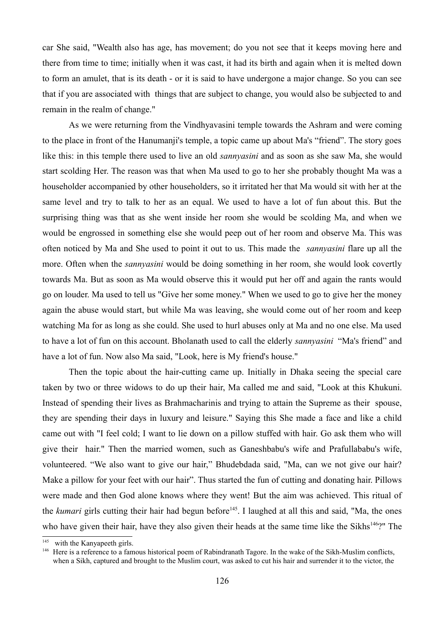car She said, "Wealth also has age, has movement; do you not see that it keeps moving here and there from time to time; initially when it was cast, it had its birth and again when it is melted down to form an amulet, that is its death - or it is said to have undergone a major change. So you can see that if you are associated with things that are subject to change, you would also be subjected to and remain in the realm of change."

As we were returning from the Vindhyavasini temple towards the Ashram and were coming to the place in front of the Hanumanji's temple, a topic came up about Ma's "friend". The story goes like this: in this temple there used to live an old *sannyasini* and as soon as she saw Ma, she would start scolding Her. The reason was that when Ma used to go to her she probably thought Ma was a householder accompanied by other householders, so it irritated her that Ma would sit with her at the same level and try to talk to her as an equal. We used to have a lot of fun about this. But the surprising thing was that as she went inside her room she would be scolding Ma, and when we would be engrossed in something else she would peep out of her room and observe Ma. This was often noticed by Ma and She used to point it out to us. This made the *sannyasini* flare up all the more. Often when the *sannyasini* would be doing something in her room, she would look covertly towards Ma. But as soon as Ma would observe this it would put her off and again the rants would go on louder. Ma used to tell us "Give her some money." When we used to go to give her the money again the abuse would start, but while Ma was leaving, she would come out of her room and keep watching Ma for as long as she could. She used to hurl abuses only at Ma and no one else. Ma used to have a lot of fun on this account. Bholanath used to call the elderly *sannyasini* "Ma's friend" and have a lot of fun. Now also Ma said, "Look, here is My friend's house."

Then the topic about the hair-cutting came up. Initially in Dhaka seeing the special care taken by two or three widows to do up their hair, Ma called me and said, "Look at this Khukuni. Instead of spending their lives as Brahmacharinis and trying to attain the Supreme as their spouse, they are spending their days in luxury and leisure." Saying this She made a face and like a child came out with "I feel cold; I want to lie down on a pillow stuffed with hair. Go ask them who will give their hair." Then the married women, such as Ganeshbabu's wife and Prafullababu's wife, volunteered. "We also want to give our hair," Bhudebdada said, "Ma, can we not give our hair? Make a pillow for your feet with our hair". Thus started the fun of cutting and donating hair. Pillows were made and then God alone knows where they went! But the aim was achieved. This ritual of the *kumari* girls cutting their hair had begun before<sup>[145](#page-125-0)</sup>. I laughed at all this and said, "Ma, the ones who have given their hair, have they also given their heads at the same time like the Sikhs<sup>[146](#page-125-1)</sup>?" The

<span id="page-125-0"></span><sup>&</sup>lt;sup>145</sup> with the Kanyapeeth girls.

<span id="page-125-1"></span><sup>&</sup>lt;sup>146</sup> Here is a reference to a famous historical poem of Rabindranath Tagore. In the wake of the Sikh-Muslim conflicts, when a Sikh, captured and brought to the Muslim court, was asked to cut his hair and surrender it to the victor, the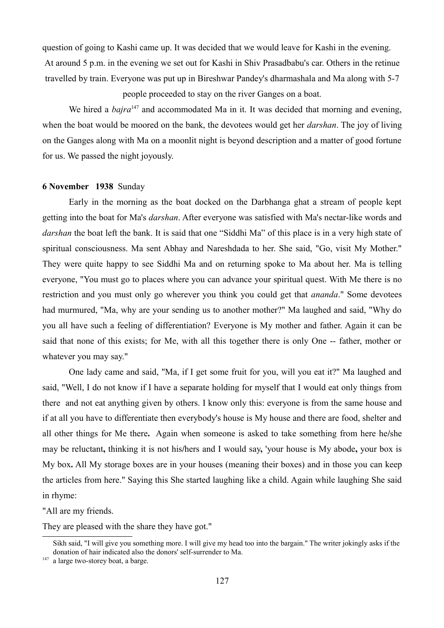question of going to Kashi came up. It was decided that we would leave for Kashi in the evening. At around 5 p.m. in the evening we set out for Kashi in Shiv Prasadbabu's car. Others in the retinue travelled by train. Everyone was put up in Bireshwar Pandey's dharmashala and Ma along with 5-7

people proceeded to stay on the river Ganges on a boat.

We hired a *bajra*<sup>[147](#page-126-0)</sup> and accommodated Ma in it. It was decided that morning and evening, when the boat would be moored on the bank, the devotees would get her *darshan*. The joy of living on the Ganges along with Ma on a moonlit night is beyond description and a matter of good fortune for us. We passed the night joyously.

#### **6 November 1938** Sunday

Early in the morning as the boat docked on the Darbhanga ghat a stream of people kept getting into the boat for Ma's *darshan*. After everyone was satisfied with Ma's nectar-like words and *darshan* the boat left the bank. It is said that one "Siddhi Ma" of this place is in a very high state of spiritual consciousness. Ma sent Abhay and Nareshdada to her. She said, "Go, visit My Mother." They were quite happy to see Siddhi Ma and on returning spoke to Ma about her. Ma is telling everyone, "You must go to places where you can advance your spiritual quest. With Me there is no restriction and you must only go wherever you think you could get that *ananda*." Some devotees had murmured, "Ma, why are your sending us to another mother?" Ma laughed and said, "Why do you all have such a feeling of differentiation? Everyone is My mother and father. Again it can be said that none of this exists; for Me, with all this together there is only One -- father, mother or whatever you may say."

One lady came and said, "Ma, if I get some fruit for you, will you eat it?" Ma laughed and said, "Well, I do not know if I have a separate holding for myself that I would eat only things from there and not eat anything given by others. I know only this: everyone is from the same house and if at all you have to differentiate then everybody's house is My house and there are food, shelter and all other things for Me there**.** Again when someone is asked to take something from here he**/**she may be reluctant**,** thinking it is not his**/**hers and I would say**,** 'your house is My abode**,** your box is My box**.** All My storage boxes are in your houses (meaning their boxes) and in those you can keep the articles from here." Saying this She started laughing like a child. Again while laughing She said in rhyme:

"All are my friends.

They are pleased with the share they have got."

Sikh said, "I will give you something more. I will give my head too into the bargain." The writer jokingly asks if the donation of hair indicated also the donors' self-surrender to Ma.

<span id="page-126-0"></span><sup>&</sup>lt;sup>147</sup> a large two-storey boat, a barge.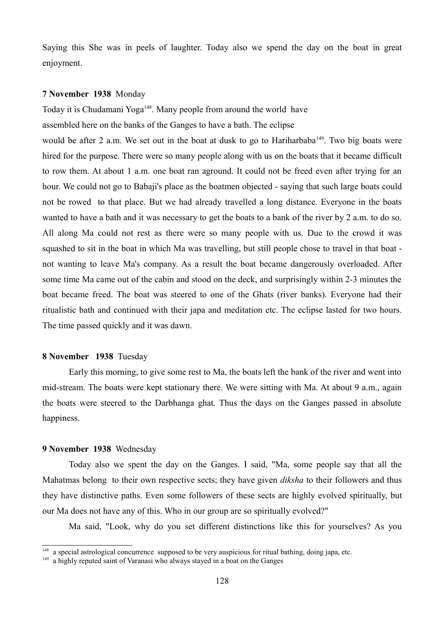Saying this She was in peels of laughter. Today also we spend the day on the boat in great enjoyment.

#### **7 November 1938** Monday

Today it is Chudamani Yoga<sup>[148](#page-127-0)</sup>. Many people from around the world have assembled here on the banks of the Ganges to have a bath. The eclipse would be after 2 a.m. We set out in the boat at dusk to go to Hariharbaba<sup>[149](#page-127-1)</sup>. Two big boats were hired for the purpose. There were so many people along with us on the boats that it became difficult to row them. At about 1 a.m. one boat ran aground. It could not be freed even after trying for an hour. We could not go to Babaji's place as the boatmen objected - saying that such large boats could not be rowed to that place. But we had already travelled a long distance. Everyone in the boats wanted to have a bath and it was necessary to get the boats to a bank of the river by 2 a.m. to do so. All along Ma could not rest as there were so many people with us. Due to the crowd it was squashed to sit in the boat in which Ma was travelling, but still people chose to travel in that boat not wanting to leave Ma's company. As a result the boat became dangerously overloaded. After some time Ma came out of the cabin and stood on the deck, and surprisingly within 2-3 minutes the boat became freed. The boat was steered to one of the Ghats (river banks). Everyone had their ritualistic bath and continued with their japa and meditation etc. The eclipse lasted for two hours. The time passed quickly and it was dawn.

## **8 November 1938** Tuesday

Early this morning, to give some rest to Ma, the boats left the bank of the river and went into mid-stream. The boats were kept stationary there. We were sitting with Ma. At about 9 a.m., again the boats were steered to the Darbhanga ghat. Thus the days on the Ganges passed in absolute happiness.

#### **9 November 1938** Wednesday

Today also we spent the day on the Ganges. I said, "Ma, some people say that all the Mahatmas belong to their own respective sects; they have given *diksha* to their followers and thus they have distinctive paths. Even some followers of these sects are highly evolved spiritually, but our Ma does not have any of this. Who in our group are so spiritually evolved?"

Ma said, "Look, why do you set different distinctions like this for yourselves? As you

<span id="page-127-0"></span><sup>148</sup> a special astrological concurrence supposed to be very auspicious for ritual bathing, doing japa, etc.

<span id="page-127-1"></span><sup>&</sup>lt;sup>149</sup> a highly reputed saint of Varanasi who always stayed in a boat on the Ganges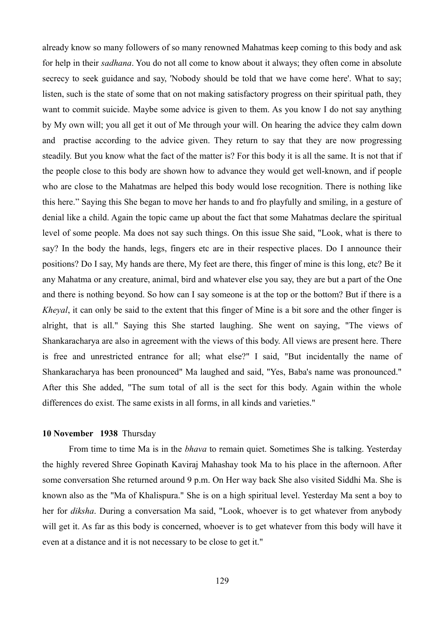already know so many followers of so many renowned Mahatmas keep coming to this body and ask for help in their *sadhana*. You do not all come to know about it always; they often come in absolute secrecy to seek guidance and say, 'Nobody should be told that we have come here'. What to say; listen, such is the state of some that on not making satisfactory progress on their spiritual path, they want to commit suicide. Maybe some advice is given to them. As you know I do not say anything by My own will; you all get it out of Me through your will. On hearing the advice they calm down and practise according to the advice given. They return to say that they are now progressing steadily. But you know what the fact of the matter is? For this body it is all the same. It is not that if the people close to this body are shown how to advance they would get well-known, and if people who are close to the Mahatmas are helped this body would lose recognition. There is nothing like this here." Saying this She began to move her hands to and fro playfully and smiling, in a gesture of denial like a child. Again the topic came up about the fact that some Mahatmas declare the spiritual level of some people. Ma does not say such things. On this issue She said, "Look, what is there to say? In the body the hands, legs, fingers etc are in their respective places. Do I announce their positions? Do I say, My hands are there, My feet are there, this finger of mine is this long, etc? Be it any Mahatma or any creature, animal, bird and whatever else you say, they are but a part of the One and there is nothing beyond. So how can I say someone is at the top or the bottom? But if there is a *Kheyal*, it can only be said to the extent that this finger of Mine is a bit sore and the other finger is alright, that is all." Saying this She started laughing. She went on saying, "The views of Shankaracharya are also in agreement with the views of this body. All views are present here. There is free and unrestricted entrance for all; what else?" I said, "But incidentally the name of Shankaracharya has been pronounced" Ma laughed and said, "Yes, Baba's name was pronounced." After this She added, "The sum total of all is the sect for this body. Again within the whole differences do exist. The same exists in all forms, in all kinds and varieties."

#### **10 November 1938** Thursday

From time to time Ma is in the *bhava* to remain quiet. Sometimes She is talking. Yesterday the highly revered Shree Gopinath Kaviraj Mahashay took Ma to his place in the afternoon. After some conversation She returned around 9 p.m. On Her way back She also visited Siddhi Ma. She is known also as the "Ma of Khalispura." She is on a high spiritual level. Yesterday Ma sent a boy to her for *diksha*. During a conversation Ma said, "Look, whoever is to get whatever from anybody will get it. As far as this body is concerned, whoever is to get whatever from this body will have it even at a distance and it is not necessary to be close to get it."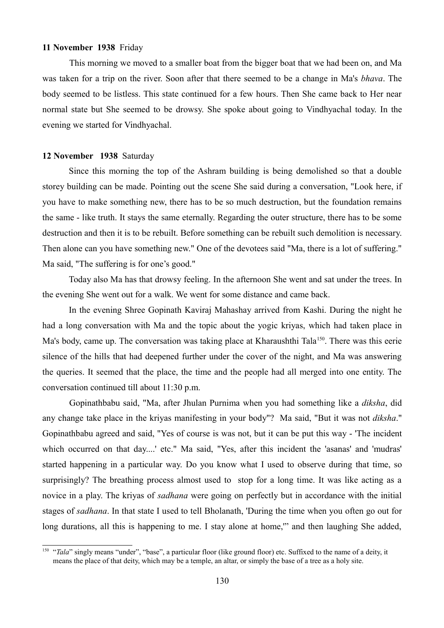## **11 November 1938** Friday

This morning we moved to a smaller boat from the bigger boat that we had been on, and Ma was taken for a trip on the river. Soon after that there seemed to be a change in Ma's *bhava*. The body seemed to be listless. This state continued for a few hours. Then She came back to Her near normal state but She seemed to be drowsy. She spoke about going to Vindhyachal today. In the evening we started for Vindhyachal.

## **12 November 1938** Saturday

Since this morning the top of the Ashram building is being demolished so that a double storey building can be made. Pointing out the scene She said during a conversation, "Look here, if you have to make something new, there has to be so much destruction, but the foundation remains the same - like truth. It stays the same eternally. Regarding the outer structure, there has to be some destruction and then it is to be rebuilt. Before something can be rebuilt such demolition is necessary. Then alone can you have something new." One of the devotees said "Ma, there is a lot of suffering." Ma said, "The suffering is for one's good."

Today also Ma has that drowsy feeling. In the afternoon She went and sat under the trees. In the evening She went out for a walk. We went for some distance and came back.

In the evening Shree Gopinath Kaviraj Mahashay arrived from Kashi. During the night he had a long conversation with Ma and the topic about the yogic kriyas, which had taken place in Ma's body, came up. The conversation was taking place at Kharaushthi Tala<sup>[150](#page-129-0)</sup>. There was this eerie silence of the hills that had deepened further under the cover of the night, and Ma was answering the queries. It seemed that the place, the time and the people had all merged into one entity. The conversation continued till about 11:30 p.m.

Gopinathbabu said, "Ma, after Jhulan Purnima when you had something like a *diksha*, did any change take place in the kriyas manifesting in your body"? Ma said, "But it was not *diksha*." Gopinathbabu agreed and said, "Yes of course is was not, but it can be put this way - 'The incident which occurred on that day....' etc." Ma said, "Yes, after this incident the 'asanas' and 'mudras' started happening in a particular way. Do you know what I used to observe during that time, so surprisingly? The breathing process almost used to stop for a long time. It was like acting as a novice in a play. The kriyas of *sadhana* were going on perfectly but in accordance with the initial stages of *sadhana*. In that state I used to tell Bholanath, 'During the time when you often go out for long durations, all this is happening to me. I stay alone at home," and then laughing She added,

<span id="page-129-0"></span><sup>&</sup>lt;sup>150</sup> "*Tala*" singly means "under", "base", a particular floor (like ground floor) etc. Suffixed to the name of a deity, it means the place of that deity, which may be a temple, an altar, or simply the base of a tree as a holy site.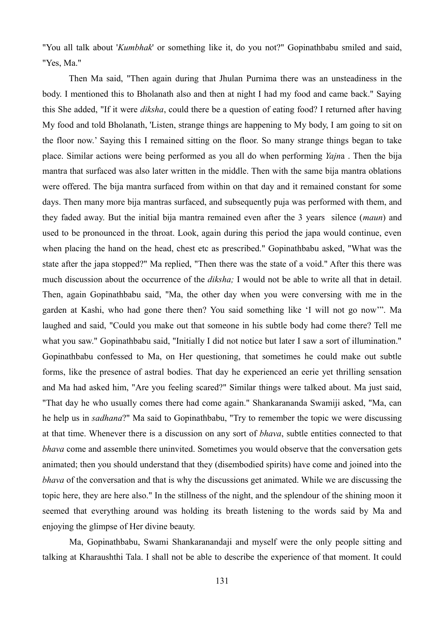"You all talk about '*Kumbhak*' or something like it, do you not?" Gopinathbabu smiled and said, "Yes, Ma."

Then Ma said, "Then again during that Jhulan Purnima there was an unsteadiness in the body. I mentioned this to Bholanath also and then at night I had my food and came back." Saying this She added, "If it were *diksha*, could there be a question of eating food? I returned after having My food and told Bholanath, 'Listen, strange things are happening to My body, I am going to sit on the floor now.' Saying this I remained sitting on the floor. So many strange things began to take place. Similar actions were being performed as you all do when performing *Yajn*a . Then the bija mantra that surfaced was also later written in the middle. Then with the same bija mantra oblations were offered. The bija mantra surfaced from within on that day and it remained constant for some days. Then many more bija mantras surfaced, and subsequently puja was performed with them, and they faded away. But the initial bija mantra remained even after the 3 years silence (*maun*) and used to be pronounced in the throat. Look, again during this period the japa would continue, even when placing the hand on the head, chest etc as prescribed." Gopinathbabu asked, "What was the state after the japa stopped?" Ma replied, "Then there was the state of a void." After this there was much discussion about the occurrence of the *diksha;* I would not be able to write all that in detail. Then, again Gopinathbabu said, "Ma, the other day when you were conversing with me in the garden at Kashi, who had gone there then? You said something like 'I will not go now'". Ma laughed and said, "Could you make out that someone in his subtle body had come there? Tell me what you saw." Gopinathbabu said, "Initially I did not notice but later I saw a sort of illumination." Gopinathbabu confessed to Ma, on Her questioning, that sometimes he could make out subtle forms, like the presence of astral bodies. That day he experienced an eerie yet thrilling sensation and Ma had asked him, "Are you feeling scared?" Similar things were talked about. Ma just said, "That day he who usually comes there had come again." Shankarananda Swamiji asked, "Ma, can he help us in *sadhana*?" Ma said to Gopinathbabu, "Try to remember the topic we were discussing at that time. Whenever there is a discussion on any sort of *bhava*, subtle entities connected to that *bhava* come and assemble there uninvited. Sometimes you would observe that the conversation gets animated; then you should understand that they (disembodied spirits) have come and joined into the *bhava* of the conversation and that is why the discussions get animated. While we are discussing the topic here, they are here also." In the stillness of the night, and the splendour of the shining moon it seemed that everything around was holding its breath listening to the words said by Ma and enjoying the glimpse of Her divine beauty.

Ma, Gopinathbabu, Swami Shankaranandaji and myself were the only people sitting and talking at Kharaushthi Tala. I shall not be able to describe the experience of that moment. It could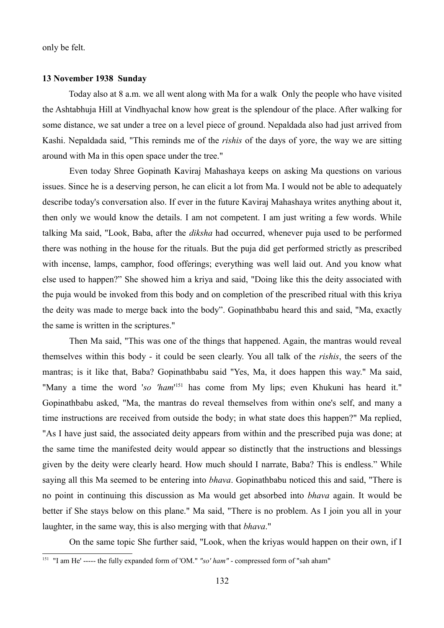only be felt.

#### **13 November 1938 Sunday**

Today also at 8 a.m. we all went along with Ma for a walk Only the people who have visited the Ashtabhuja Hill at Vindhyachal know how great is the splendour of the place. After walking for some distance, we sat under a tree on a level piece of ground. Nepaldada also had just arrived from Kashi. Nepaldada said, "This reminds me of the *rishis* of the days of yore, the way we are sitting around with Ma in this open space under the tree."

Even today Shree Gopinath Kaviraj Mahashaya keeps on asking Ma questions on various issues. Since he is a deserving person, he can elicit a lot from Ma. I would not be able to adequately describe today's conversation also. If ever in the future Kaviraj Mahashaya writes anything about it, then only we would know the details. I am not competent. I am just writing a few words. While talking Ma said, "Look, Baba, after the *diksha* had occurred, whenever puja used to be performed there was nothing in the house for the rituals. But the puja did get performed strictly as prescribed with incense, lamps, camphor, food offerings; everything was well laid out. And you know what else used to happen?" She showed him a kriya and said, "Doing like this the deity associated with the puja would be invoked from this body and on completion of the prescribed ritual with this kriya the deity was made to merge back into the body". Gopinathbabu heard this and said, "Ma, exactly the same is written in the scriptures."

Then Ma said, "This was one of the things that happened. Again, the mantras would reveal themselves within this body - it could be seen clearly. You all talk of the *rishis*, the seers of the mantras; is it like that, Baba? Gopinathbabu said "Yes, Ma, it does happen this way." Ma said, "Many a time the word 'so 'ham<sup>'[151](#page-131-0)</sup> has come from My lips; even Khukuni has heard it." Gopinathbabu asked, "Ma, the mantras do reveal themselves from within one's self, and many a time instructions are received from outside the body; in what state does this happen?" Ma replied, "As I have just said, the associated deity appears from within and the prescribed puja was done; at the same time the manifested deity would appear so distinctly that the instructions and blessings given by the deity were clearly heard. How much should I narrate, Baba? This is endless." While saying all this Ma seemed to be entering into *bhava*. Gopinathbabu noticed this and said, "There is no point in continuing this discussion as Ma would get absorbed into *bhava* again. It would be better if She stays below on this plane." Ma said, "There is no problem. As I join you all in your laughter, in the same way, this is also merging with that *bhava*."

On the same topic She further said, "Look, when the kriyas would happen on their own, if I

<span id="page-131-0"></span><sup>151</sup> "I am He' ----- the fully expanded form of 'OM." *"so' ham"* - compressed form of "sah aham"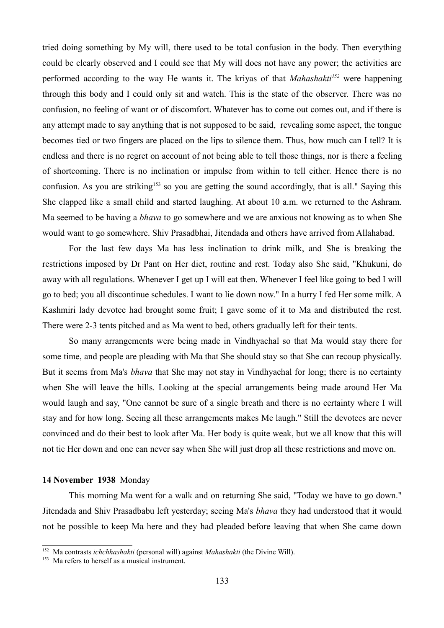tried doing something by My will, there used to be total confusion in the body. Then everything could be clearly observed and I could see that My will does not have any power; the activities are performed according to the way He wants it. The kriyas of that *Mahashakti[152](#page-132-0)* were happening through this body and I could only sit and watch. This is the state of the observer. There was no confusion, no feeling of want or of discomfort. Whatever has to come out comes out, and if there is any attempt made to say anything that is not supposed to be said, revealing some aspect, the tongue becomes tied or two fingers are placed on the lips to silence them. Thus, how much can I tell? It is endless and there is no regret on account of not being able to tell those things, nor is there a feeling of shortcoming. There is no inclination or impulse from within to tell either. Hence there is no confusion. As you are striking<sup>[153](#page-132-1)</sup> so you are getting the sound accordingly, that is all." Saying this She clapped like a small child and started laughing. At about 10 a.m. we returned to the Ashram. Ma seemed to be having a *bhava* to go somewhere and we are anxious not knowing as to when She would want to go somewhere. Shiv Prasadbhai, Jitendada and others have arrived from Allahabad.

For the last few days Ma has less inclination to drink milk, and She is breaking the restrictions imposed by Dr Pant on Her diet, routine and rest. Today also She said, "Khukuni, do away with all regulations. Whenever I get up I will eat then. Whenever I feel like going to bed I will go to bed; you all discontinue schedules. I want to lie down now." In a hurry I fed Her some milk. A Kashmiri lady devotee had brought some fruit; I gave some of it to Ma and distributed the rest. There were 2-3 tents pitched and as Ma went to bed, others gradually left for their tents.

So many arrangements were being made in Vindhyachal so that Ma would stay there for some time, and people are pleading with Ma that She should stay so that She can recoup physically. But it seems from Ma's *bhava* that She may not stay in Vindhyachal for long; there is no certainty when She will leave the hills. Looking at the special arrangements being made around Her Ma would laugh and say, "One cannot be sure of a single breath and there is no certainty where I will stay and for how long. Seeing all these arrangements makes Me laugh." Still the devotees are never convinced and do their best to look after Ma. Her body is quite weak, but we all know that this will not tie Her down and one can never say when She will just drop all these restrictions and move on.

#### **14 November 1938** Monday

This morning Ma went for a walk and on returning She said, "Today we have to go down." Jitendada and Shiv Prasadbabu left yesterday; seeing Ma's *bhava* they had understood that it would not be possible to keep Ma here and they had pleaded before leaving that when She came down

<span id="page-132-0"></span><sup>152</sup> Ma contrasts *ichchhashakti* (personal will) against *Mahashakti* (the Divine Will).

<span id="page-132-1"></span><sup>&</sup>lt;sup>153</sup> Ma refers to herself as a musical instrument.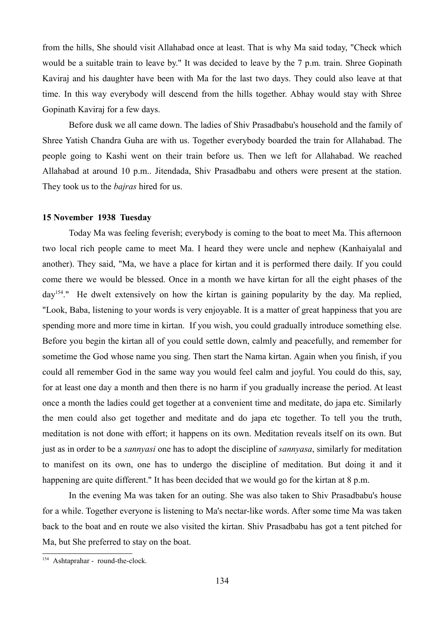from the hills, She should visit Allahabad once at least. That is why Ma said today, "Check which would be a suitable train to leave by." It was decided to leave by the 7 p.m. train. Shree Gopinath Kaviraj and his daughter have been with Ma for the last two days. They could also leave at that time. In this way everybody will descend from the hills together. Abhay would stay with Shree Gopinath Kaviraj for a few days.

Before dusk we all came down. The ladies of Shiv Prasadbabu's household and the family of Shree Yatish Chandra Guha are with us. Together everybody boarded the train for Allahabad. The people going to Kashi went on their train before us. Then we left for Allahabad. We reached Allahabad at around 10 p.m.. Jitendada, Shiv Prasadbabu and others were present at the station. They took us to the *bajras* hired for us.

#### **15 November 1938 Tuesday**

 Today Ma was feeling feverish; everybody is coming to the boat to meet Ma. This afternoon two local rich people came to meet Ma. I heard they were uncle and nephew (Kanhaiyalal and another). They said, "Ma, we have a place for kirtan and it is performed there daily. If you could come there we would be blessed. Once in a month we have kirtan for all the eight phases of the day<sup>[154](#page-133-0)</sup>." He dwelt extensively on how the kirtan is gaining popularity by the day. Ma replied, "Look, Baba, listening to your words is very enjoyable. It is a matter of great happiness that you are spending more and more time in kirtan. If you wish, you could gradually introduce something else. Before you begin the kirtan all of you could settle down, calmly and peacefully, and remember for sometime the God whose name you sing. Then start the Nama kirtan. Again when you finish, if you could all remember God in the same way you would feel calm and joyful. You could do this, say, for at least one day a month and then there is no harm if you gradually increase the period. At least once a month the ladies could get together at a convenient time and meditate, do japa etc. Similarly the men could also get together and meditate and do japa etc together. To tell you the truth, meditation is not done with effort; it happens on its own. Meditation reveals itself on its own. But just as in order to be a *sannyasi* one has to adopt the discipline of *sannyasa*, similarly for meditation to manifest on its own, one has to undergo the discipline of meditation. But doing it and it happening are quite different." It has been decided that we would go for the kirtan at 8 p.m.

In the evening Ma was taken for an outing. She was also taken to Shiv Prasadbabu's house for a while. Together everyone is listening to Ma's nectar-like words. After some time Ma was taken back to the boat and en route we also visited the kirtan. Shiv Prasadbabu has got a tent pitched for Ma, but She preferred to stay on the boat.

<span id="page-133-0"></span><sup>154</sup> Ashtaprahar - round-the-clock.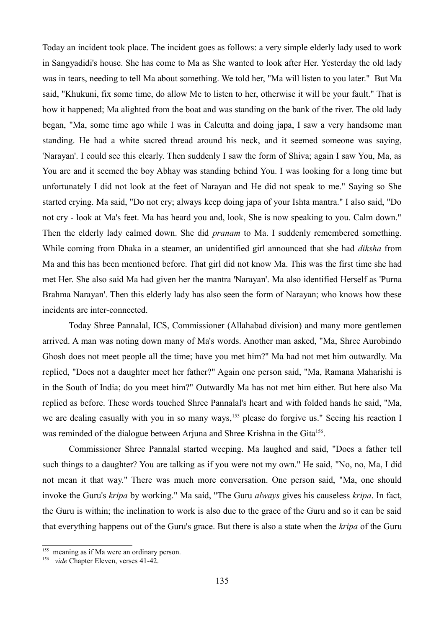Today an incident took place. The incident goes as follows: a very simple elderly lady used to work in Sangyadidi's house. She has come to Ma as She wanted to look after Her. Yesterday the old lady was in tears, needing to tell Ma about something. We told her, "Ma will listen to you later." But Ma said, "Khukuni, fix some time, do allow Me to listen to her, otherwise it will be your fault." That is how it happened; Ma alighted from the boat and was standing on the bank of the river. The old lady began, "Ma, some time ago while I was in Calcutta and doing japa, I saw a very handsome man standing. He had a white sacred thread around his neck, and it seemed someone was saying, 'Narayan'. I could see this clearly. Then suddenly I saw the form of Shiva; again I saw You, Ma, as You are and it seemed the boy Abhay was standing behind You. I was looking for a long time but unfortunately I did not look at the feet of Narayan and He did not speak to me." Saying so She started crying. Ma said, "Do not cry; always keep doing japa of your Ishta mantra." I also said, "Do not cry - look at Ma's feet. Ma has heard you and, look, She is now speaking to you. Calm down." Then the elderly lady calmed down. She did *pranam* to Ma. I suddenly remembered something. While coming from Dhaka in a steamer, an unidentified girl announced that she had *diksha* from Ma and this has been mentioned before. That girl did not know Ma. This was the first time she had met Her. She also said Ma had given her the mantra 'Narayan'. Ma also identified Herself as 'Purna Brahma Narayan'. Then this elderly lady has also seen the form of Narayan; who knows how these incidents are inter-connected.

Today Shree Pannalal, ICS, Commissioner (Allahabad division) and many more gentlemen arrived. A man was noting down many of Ma's words. Another man asked, "Ma, Shree Aurobindo Ghosh does not meet people all the time; have you met him?" Ma had not met him outwardly. Ma replied, "Does not a daughter meet her father?" Again one person said, "Ma, Ramana Maharishi is in the South of India; do you meet him?" Outwardly Ma has not met him either. But here also Ma replied as before. These words touched Shree Pannalal's heart and with folded hands he said, "Ma, we are dealing casually with you in so many ways,<sup>[155](#page-134-0)</sup> please do forgive us." Seeing his reaction I was reminded of the dialogue between Arjuna and Shree Krishna in the Gita<sup>[156](#page-134-1)</sup>.

Commissioner Shree Pannalal started weeping. Ma laughed and said, "Does a father tell such things to a daughter? You are talking as if you were not my own." He said, "No, no, Ma, I did not mean it that way." There was much more conversation. One person said, "Ma, one should invoke the Guru's *kripa* by working." Ma said, "The Guru *always* gives his causeless *kripa*. In fact, the Guru is within; the inclination to work is also due to the grace of the Guru and so it can be said that everything happens out of the Guru's grace. But there is also a state when the *kripa* of the Guru

<span id="page-134-0"></span>meaning as if Ma were an ordinary person.

<span id="page-134-1"></span><sup>156</sup> *vide* Chapter Eleven, verses 41-42.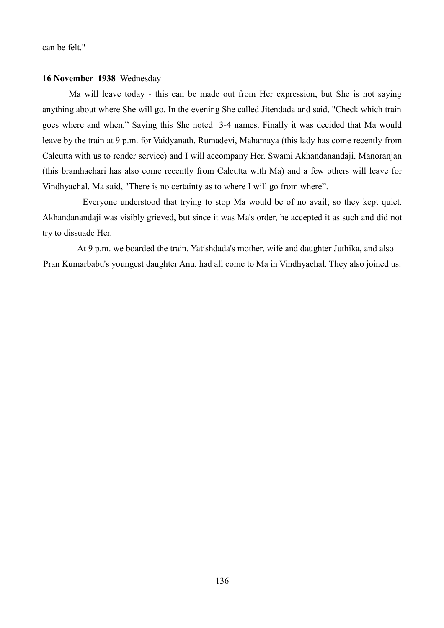can be felt."

#### **16 November 1938** Wednesday

Ma will leave today - this can be made out from Her expression, but She is not saying anything about where She will go. In the evening She called Jitendada and said, "Check which train goes where and when." Saying this She noted 3-4 names. Finally it was decided that Ma would leave by the train at 9 p.m. for Vaidyanath. Rumadevi, Mahamaya (this lady has come recently from Calcutta with us to render service) and I will accompany Her. Swami Akhandanandaji, Manoranjan (this bramhachari has also come recently from Calcutta with Ma) and a few others will leave for Vindhyachal. Ma said, "There is no certainty as to where I will go from where".

 Everyone understood that trying to stop Ma would be of no avail; so they kept quiet. Akhandanandaji was visibly grieved, but since it was Ma's order, he accepted it as such and did not try to dissuade Her.

At 9 p.m. we boarded the train. Yatishdada's mother, wife and daughter Juthika, and also Pran Kumarbabu's youngest daughter Anu, had all come to Ma in Vindhyachal. They also joined us.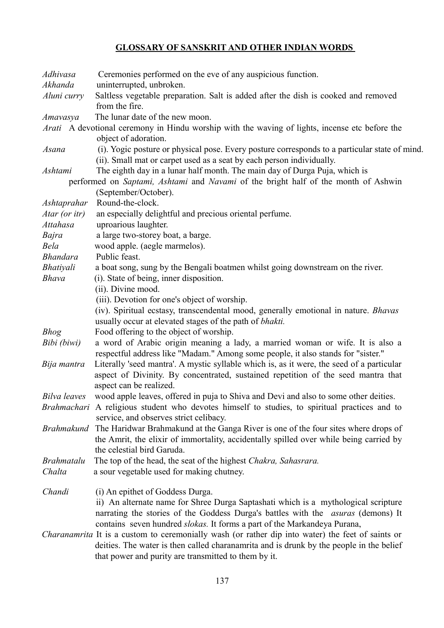## **GLOSSARY OF SANSKRIT AND OTHER INDIAN WORDS**

| Adhivasa<br>Akhanda | Ceremonies performed on the eve of any auspicious function.<br>uninterrupted, unbroken.                                                                                                                                                                   |  |
|---------------------|-----------------------------------------------------------------------------------------------------------------------------------------------------------------------------------------------------------------------------------------------------------|--|
| Aluni curry         | Saltless vegetable preparation. Salt is added after the dish is cooked and removed                                                                                                                                                                        |  |
|                     | from the fire.                                                                                                                                                                                                                                            |  |
| Amavasya            | The lunar date of the new moon.                                                                                                                                                                                                                           |  |
|                     | <i>Arati</i> A devotional ceremony in Hindu worship with the waving of lights, incense etc before the<br>object of adoration.                                                                                                                             |  |
| Asana               | (i). Yogic posture or physical pose. Every posture corresponds to a particular state of mind.<br>(ii). Small mat or carpet used as a seat by each person individually.                                                                                    |  |
| Ashtami             | The eighth day in a lunar half month. The main day of Durga Puja, which is                                                                                                                                                                                |  |
|                     | performed on Saptami, Ashtami and Navami of the bright half of the month of Ashwin                                                                                                                                                                        |  |
|                     | (September/October).                                                                                                                                                                                                                                      |  |
| Ashtaprahar         | Round-the-clock.                                                                                                                                                                                                                                          |  |
| Atar (or itr)       | an especially delightful and precious oriental perfume.                                                                                                                                                                                                   |  |
| Attahasa            | uproarious laughter.                                                                                                                                                                                                                                      |  |
| <b>Bajra</b>        | a large two-storey boat, a barge.                                                                                                                                                                                                                         |  |
| Bela                | wood apple. (aegle marmelos).                                                                                                                                                                                                                             |  |
| <b>Bhandara</b>     | Public feast.                                                                                                                                                                                                                                             |  |
| Bhatiyali           | a boat song, sung by the Bengali boatmen whilst going downstream on the river.                                                                                                                                                                            |  |
| <b>Bhava</b>        | (i). State of being, inner disposition.                                                                                                                                                                                                                   |  |
|                     | (ii). Divine mood.                                                                                                                                                                                                                                        |  |
|                     | (iii). Devotion for one's object of worship.                                                                                                                                                                                                              |  |
|                     | (iv). Spiritual ecstasy, transcendental mood, generally emotional in nature. Bhavas<br>usually occur at elevated stages of the path of bhakti.                                                                                                            |  |
| <b>Bhog</b>         | Food offering to the object of worship.                                                                                                                                                                                                                   |  |
| Bibi (biwi)         | a word of Arabic origin meaning a lady, a married woman or wife. It is also a<br>respectful address like "Madam." Among some people, it also stands for "sister."                                                                                         |  |
| Bija mantra         | Literally 'seed mantra'. A mystic syllable which is, as it were, the seed of a particular<br>aspect of Divinity. By concentrated, sustained repetition of the seed mantra that<br>aspect can be realized.                                                 |  |
| <b>Bilva</b> leaves | wood apple leaves, offered in puja to Shiva and Devi and also to some other deities.                                                                                                                                                                      |  |
|                     | <i>Brahmachari</i> A religious student who devotes himself to studies, to spiritual practices and to<br>service, and observes strict celibacy.                                                                                                            |  |
|                     | Brahmakund The Haridwar Brahmakund at the Ganga River is one of the four sites where drops of<br>the Amrit, the elixir of immortality, accidentally spilled over while being carried by<br>the celestial bird Garuda.                                     |  |
| Brahmatalu          | The top of the head, the seat of the highest Chakra, Sahasrara.                                                                                                                                                                                           |  |
| Chalta              | a sour vegetable used for making chutney.                                                                                                                                                                                                                 |  |
| Chandi              | (i) An epithet of Goddess Durga.                                                                                                                                                                                                                          |  |
|                     | ii) An alternate name for Shree Durga Saptashati which is a mythological scripture<br>narrating the stories of the Goddess Durga's battles with the <i>asuras</i> (demons) It<br>contains seven hundred slokas. It forms a part of the Markandeya Purana, |  |
|                     | Charanamrita It is a custom to ceremonially wash (or rather dip into water) the feet of saints or<br>deities. The water is then called charanamrita and is drunk by the people in the belief<br>that power and purity are transmitted to them by it.      |  |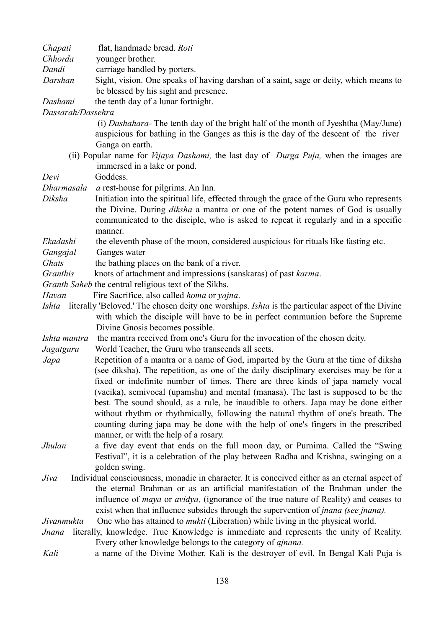| Chapati<br>flat, handmade bread. Roti                                                      |                                                                                                       |
|--------------------------------------------------------------------------------------------|-------------------------------------------------------------------------------------------------------|
| Chhorda<br>younger brother.                                                                |                                                                                                       |
| Dandi<br>carriage handled by porters.                                                      |                                                                                                       |
| Darshan                                                                                    | Sight, vision. One speaks of having darshan of a saint, sage or deity, which means to                 |
| be blessed by his sight and presence.                                                      |                                                                                                       |
| the tenth day of a lunar fortnight.<br>Dashami                                             |                                                                                                       |
| Dassarah/Dassehra                                                                          |                                                                                                       |
|                                                                                            | (i) Dashahara-The tenth day of the bright half of the month of Jyeshtha (May/June)                    |
|                                                                                            | auspicious for bathing in the Ganges as this is the day of the descent of the river                   |
| Ganga on earth.                                                                            |                                                                                                       |
|                                                                                            | (ii) Popular name for <i>Vijaya Dashami</i> , the last day of <i>Durga Puja</i> , when the images are |
| immersed in a lake or pond.                                                                |                                                                                                       |
| Goddess.<br>Devi                                                                           |                                                                                                       |
| Dharmasala<br><i>a</i> rest-house for pilgrims. An Inn.                                    |                                                                                                       |
| Diksha                                                                                     | Initiation into the spiritual life, effected through the grace of the Guru who represents             |
|                                                                                            | the Divine. During <i>diksha</i> a mantra or one of the potent names of God is usually                |
|                                                                                            | communicated to the disciple, who is asked to repeat it regularly and in a specific                   |
| manner.                                                                                    |                                                                                                       |
| Ekadashi                                                                                   | the eleventh phase of the moon, considered auspicious for rituals like fasting etc.                   |
| Ganges water<br>Gangajal                                                                   |                                                                                                       |
| Ghats<br>the bathing places on the bank of a river.                                        |                                                                                                       |
| Granthis                                                                                   | knots of attachment and impressions (sanskaras) of past karma.                                        |
| Granth Saheb the central religious text of the Sikhs.                                      |                                                                                                       |
| Fire Sacrifice, also called <i>homa</i> or <i>yajna</i> .<br>Havan                         |                                                                                                       |
| Ishta                                                                                      | literally 'Beloved.' The chosen deity one worships. Ishta is the particular aspect of the Divine      |
|                                                                                            | with which the disciple will have to be in perfect communion before the Supreme                       |
| Divine Gnosis becomes possible.                                                            |                                                                                                       |
| Ishta mantra                                                                               | the mantra received from one's Guru for the invocation of the chosen deity.                           |
| World Teacher, the Guru who transcends all sects.<br>Jagatguru                             |                                                                                                       |
| Japa                                                                                       | Repetition of a mantra or a name of God, imparted by the Guru at the time of diksha                   |
|                                                                                            | (see diksha). The repetition, as one of the daily disciplinary exercises may be for a                 |
|                                                                                            | fixed or indefinite number of times. There are three kinds of japa namely vocal                       |
|                                                                                            | (vacika), semivocal (upamshu) and mental (manasa). The last is supposed to be the                     |
|                                                                                            | best. The sound should, as a rule, be inaudible to others. Japa may be done either                    |
|                                                                                            | without rhythm or rhythmically, following the natural rhythm of one's breath. The                     |
|                                                                                            | counting during japa may be done with the help of one's fingers in the prescribed                     |
| manner, or with the help of a rosary.                                                      |                                                                                                       |
| Jhulan                                                                                     | a five day event that ends on the full moon day, or Purnima. Called the "Swing"                       |
|                                                                                            | Festival", it is a celebration of the play between Radha and Krishna, swinging on a                   |
| golden swing.                                                                              |                                                                                                       |
| Jiva                                                                                       | Individual consciousness, monadic in character. It is conceived either as an eternal aspect of        |
|                                                                                            | the eternal Brahman or as an artificial manifestation of the Brahman under the                        |
|                                                                                            | influence of <i>maya</i> or <i>avidya</i> , (ignorance of the true nature of Reality) and ceases to   |
|                                                                                            | exist when that influence subsides through the supervention of <i>jnana</i> (see <i>jnana</i> ).      |
| Jivanmukta                                                                                 | One who has attained to <i>mukti</i> (Liberation) while living in the physical world.                 |
| Jnana                                                                                      | literally, knowledge. True Knowledge is immediate and represents the unity of Reality.                |
|                                                                                            | Every other knowledge belongs to the category of <i>ajnana</i> .                                      |
| a name of the Divine Mother. Kali is the destroyer of evil. In Bengal Kali Puja is<br>Kali |                                                                                                       |

138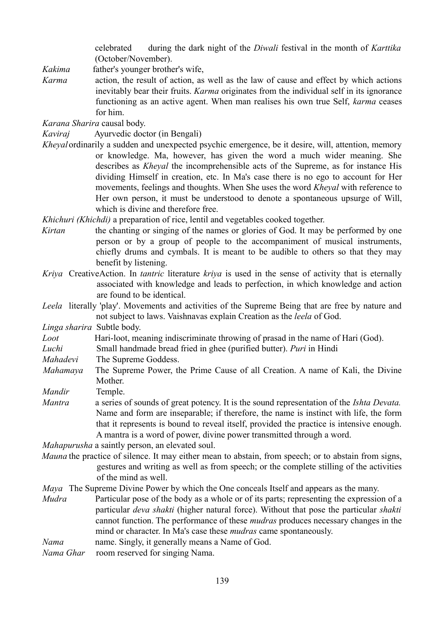celebrated during the dark night of the *Diwali* festival in the month of *Karttika* (October/November).

*Kakima* father's younger brother's wife,

*Karma* action, the result of action, as well as the law of cause and effect by which actions inevitably bear their fruits. *Karma* originates from the individual self in its ignorance functioning as an active agent. When man realises his own true Self, *karma* ceases for him.

*Karana Sharira* causal body.

*Kaviraj* Ayurvedic doctor (in Bengali)

*Kheyal*ordinarily a sudden and unexpected psychic emergence, be it desire, will, attention, memory or knowledge. Ma, however, has given the word a much wider meaning. She describes as *Kheyal* the incomprehensible acts of the Supreme, as for instance His dividing Himself in creation, etc. In Ma's case there is no ego to account for Her movements, feelings and thoughts. When She uses the word *Kheyal* with reference to Her own person, it must be understood to denote a spontaneous upsurge of Will, which is divine and therefore free.

*Khichuri (Khichdi)* a preparation of rice, lentil and vegetables cooked together.

- *Kirtan* the chanting or singing of the names or glories of God. It may be performed by one person or by a group of people to the accompaniment of musical instruments, chiefly drums and cymbals. It is meant to be audible to others so that they may benefit by listening.
- *Kriya* CreativeAction. In *tantric* literature *kriya* is used in the sense of activity that is eternally associated with knowledge and leads to perfection, in which knowledge and action are found to be identical.
- *Leela* literally 'play'. Movements and activities of the Supreme Being that are free by nature and not subject to laws. Vaishnavas explain Creation as the *leela* of God.

*Linga sharira* Subtle body.

*Loot* Hari-loot, meaning indiscriminate throwing of prasad in the name of Hari (God).

*Luchi* Small handmade bread fried in ghee (purified butter). *Puri* in Hindi

*Mahadevi* The Supreme Goddess.

*Mahamaya* The Supreme Power, the Prime Cause of all Creation. A name of Kali, the Divine **Mother** 

*Mandir* Temple.

*Mantra* a series of sounds of great potency. It is the sound representation of the *Ishta Devata.* Name and form are inseparable; if therefore, the name is instinct with life, the form that it represents is bound to reveal itself, provided the practice is intensive enough. A mantra is a word of power, divine power transmitted through a word.

*Mahapurusha* a saintly person, an elevated soul.

*Mauna* the practice of silence. It may either mean to abstain, from speech; or to abstain from signs, gestures and writing as well as from speech; or the complete stilling of the activities of the mind as well.

*Maya* The Supreme Divine Power by which the One conceals Itself and appears as the many.

- *Mudra* Particular pose of the body as a whole or of its parts; representing the expression of a particular *deva shakti* (higher natural force). Without that pose the particular *shakti* cannot function. The performance of these *mudras* produces necessary changes in the mind or character. In Ma's case these *mudras* came spontaneously.
- *Nama* name. Singly, it generally means a Name of God.
- *Nama Ghar* room reserved for singing Nama.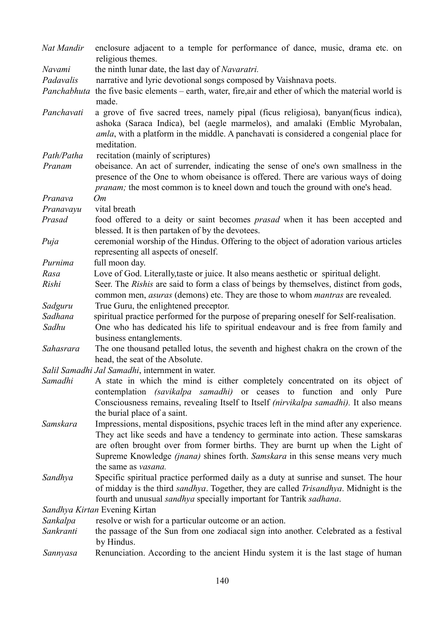| Nat Mandir                                      | enclosure adjacent to a temple for performance of dance, music, drama etc. on<br>religious themes.                                                                                                                                                                                                                                                      |
|-------------------------------------------------|---------------------------------------------------------------------------------------------------------------------------------------------------------------------------------------------------------------------------------------------------------------------------------------------------------------------------------------------------------|
| Navami                                          | the ninth lunar date, the last day of Navaratri.                                                                                                                                                                                                                                                                                                        |
| Padavalis                                       | narrative and lyric devotional songs composed by Vaishnava poets.                                                                                                                                                                                                                                                                                       |
|                                                 | <i>Panchabhuta</i> the five basic elements – earth, water, fire, air and ether of which the material world is<br>made.                                                                                                                                                                                                                                  |
| Panchavati                                      | a grove of five sacred trees, namely pipal (ficus religiosa), banyan(ficus indica),<br>ashoka (Saraca Indica), bel (aegle marmelos), and amalaki (Emblic Myrobalan,<br><i>amla</i> , with a platform in the middle. A panchavati is considered a congenial place for<br>meditation.                                                                     |
| Path/Patha                                      | recitation (mainly of scriptures)                                                                                                                                                                                                                                                                                                                       |
| Pranam                                          | obeisance. An act of surrender, indicating the sense of one's own smallness in the<br>presence of the One to whom obeisance is offered. There are various ways of doing<br><i>pranam;</i> the most common is to kneel down and touch the ground with one's head.                                                                                        |
| Pranava                                         | Om                                                                                                                                                                                                                                                                                                                                                      |
| Pranavayu                                       | vital breath                                                                                                                                                                                                                                                                                                                                            |
| Prasad                                          | food offered to a deity or saint becomes <i>prasad</i> when it has been accepted and<br>blessed. It is then partaken of by the devotees.                                                                                                                                                                                                                |
| Puja                                            | ceremonial worship of the Hindus. Offering to the object of adoration various articles<br>representing all aspects of oneself.                                                                                                                                                                                                                          |
| Purnima                                         | full moon day.                                                                                                                                                                                                                                                                                                                                          |
| Rasa                                            | Love of God. Literally, taste or juice. It also means aesthetic or spiritual delight.                                                                                                                                                                                                                                                                   |
| Rishi                                           | Seer. The Rishis are said to form a class of beings by themselves, distinct from gods,<br>common men, <i>asuras</i> (demons) etc. They are those to whom <i>mantras</i> are revealed.                                                                                                                                                                   |
| Sadguru                                         | True Guru, the enlightened preceptor.                                                                                                                                                                                                                                                                                                                   |
| Sadhana                                         | spiritual practice performed for the purpose of preparing oneself for Self-realisation.                                                                                                                                                                                                                                                                 |
| Sadhu                                           | One who has dedicated his life to spiritual endeavour and is free from family and<br>business entanglements.                                                                                                                                                                                                                                            |
| Sahasrara                                       | The one thousand petalled lotus, the seventh and highest chakra on the crown of the<br>head, the seat of the Absolute.                                                                                                                                                                                                                                  |
| Salil Samadhi Jal Samadhi, internment in water. |                                                                                                                                                                                                                                                                                                                                                         |
| Samadhi                                         | A state in which the mind is either completely concentrated on its object of                                                                                                                                                                                                                                                                            |
|                                                 | contemplation <i>(savikalpa samadhi)</i> or ceases to function and only Pure<br>Consciousness remains, revealing Itself to Itself (nirvikalpa samadhi). It also means<br>the burial place of a saint.                                                                                                                                                   |
| Samskara                                        | Impressions, mental dispositions, psychic traces left in the mind after any experience.<br>They act like seeds and have a tendency to germinate into action. These samskaras<br>are often brought over from former births. They are burnt up when the Light of<br>Supreme Knowledge <i>(jnana)</i> shines forth. Samskara in this sense means very much |
| Sandhya                                         | the same as <i>vasana</i> .<br>Specific spiritual practice performed daily as a duty at sunrise and sunset. The hour                                                                                                                                                                                                                                    |
|                                                 | of midday is the third sandhya. Together, they are called Trisandhya. Midnight is the<br>fourth and unusual sandhya specially important for Tantrik sadhana.                                                                                                                                                                                            |
|                                                 | Sandhya Kirtan Evening Kirtan                                                                                                                                                                                                                                                                                                                           |
| Sankalpa                                        | resolve or wish for a particular outcome or an action.                                                                                                                                                                                                                                                                                                  |
| Sankranti                                       | the passage of the Sun from one zodiacal sign into another. Celebrated as a festival<br>by Hindus.                                                                                                                                                                                                                                                      |
| Sannyasa                                        | Renunciation. According to the ancient Hindu system it is the last stage of human                                                                                                                                                                                                                                                                       |